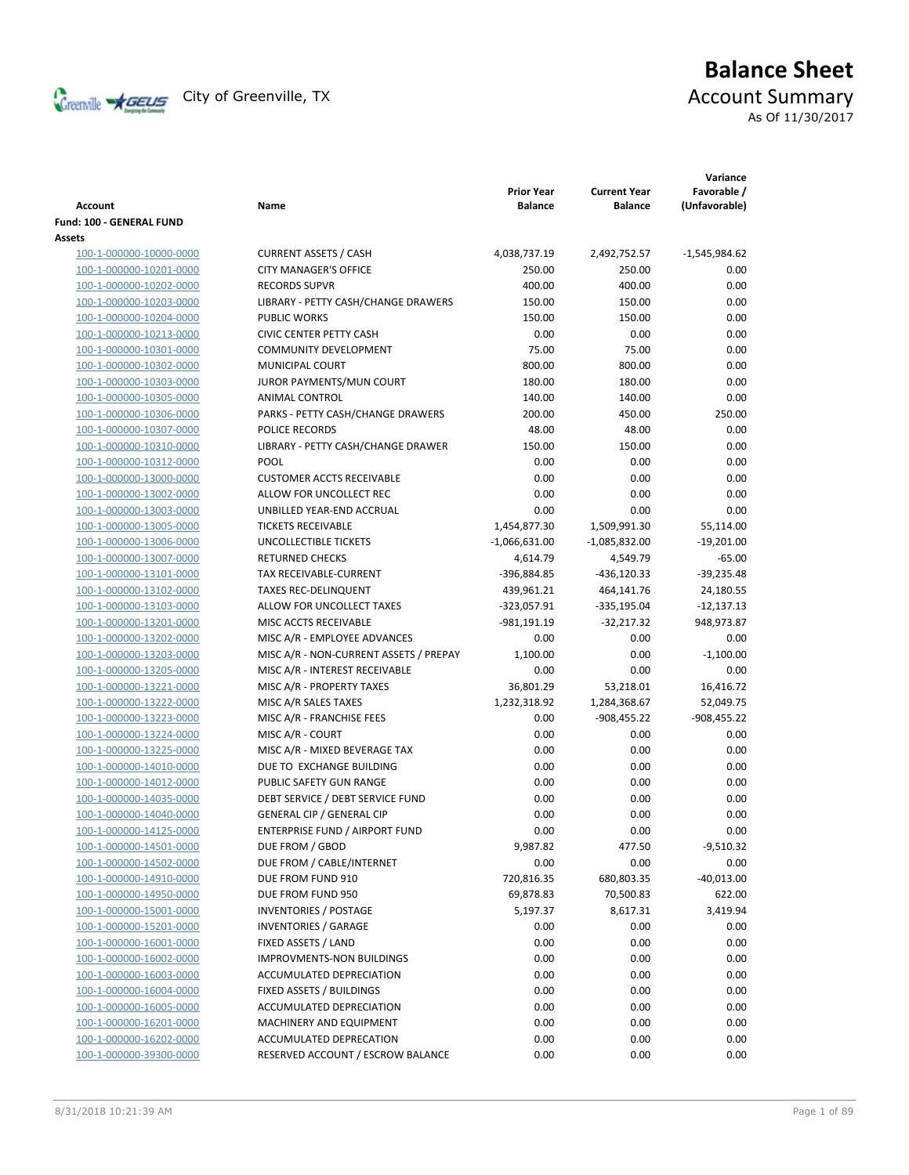

# **Balance Sheet** Creenville  $\star$  GEUS</del> City of Greenville, TX **ACCOUNT** Summary

As Of 11/30/2017

| Account                  | Name                                   | <b>Prior Year</b><br><b>Balance</b> | <b>Current Year</b><br><b>Balance</b> | Variance<br>Favorable /<br>(Unfavorable) |
|--------------------------|----------------------------------------|-------------------------------------|---------------------------------------|------------------------------------------|
| Fund: 100 - GENERAL FUND |                                        |                                     |                                       |                                          |
| Assets                   |                                        |                                     |                                       |                                          |
| 100-1-000000-10000-0000  | <b>CURRENT ASSETS / CASH</b>           | 4,038,737.19                        | 2,492,752.57                          | $-1,545,984.62$                          |
| 100-1-000000-10201-0000  | <b>CITY MANAGER'S OFFICE</b>           | 250.00                              | 250.00                                | 0.00                                     |
| 100-1-000000-10202-0000  | <b>RECORDS SUPVR</b>                   | 400.00                              | 400.00                                | 0.00                                     |
| 100-1-000000-10203-0000  | LIBRARY - PETTY CASH/CHANGE DRAWERS    | 150.00                              | 150.00                                | 0.00                                     |
| 100-1-000000-10204-0000  | <b>PUBLIC WORKS</b>                    | 150.00                              | 150.00                                | 0.00                                     |
| 100-1-000000-10213-0000  | <b>CIVIC CENTER PETTY CASH</b>         | 0.00                                | 0.00                                  | 0.00                                     |
| 100-1-000000-10301-0000  | <b>COMMUNITY DEVELOPMENT</b>           | 75.00                               | 75.00                                 | 0.00                                     |
| 100-1-000000-10302-0000  | MUNICIPAL COURT                        | 800.00                              | 800.00                                | 0.00                                     |
| 100-1-000000-10303-0000  | JUROR PAYMENTS/MUN COURT               | 180.00                              | 180.00                                | 0.00                                     |
| 100-1-000000-10305-0000  | ANIMAL CONTROL                         | 140.00                              | 140.00                                | 0.00                                     |
| 100-1-000000-10306-0000  | PARKS - PETTY CASH/CHANGE DRAWERS      | 200.00                              | 450.00                                | 250.00                                   |
| 100-1-000000-10307-0000  | POLICE RECORDS                         | 48.00                               | 48.00                                 | 0.00                                     |
| 100-1-000000-10310-0000  | LIBRARY - PETTY CASH/CHANGE DRAWER     | 150.00                              | 150.00                                | 0.00                                     |
| 100-1-000000-10312-0000  | <b>POOL</b>                            | 0.00                                | 0.00                                  | 0.00                                     |
| 100-1-000000-13000-0000  | <b>CUSTOMER ACCTS RECEIVABLE</b>       | 0.00                                | 0.00                                  | 0.00                                     |
| 100-1-000000-13002-0000  | ALLOW FOR UNCOLLECT REC                | 0.00                                | 0.00                                  | 0.00                                     |
| 100-1-000000-13003-0000  | UNBILLED YEAR-END ACCRUAL              | 0.00                                | 0.00                                  | 0.00                                     |
| 100-1-000000-13005-0000  | <b>TICKETS RECEIVABLE</b>              | 1,454,877.30                        | 1,509,991.30                          | 55,114.00                                |
| 100-1-000000-13006-0000  | UNCOLLECTIBLE TICKETS                  | $-1,066,631.00$                     | $-1,085,832.00$                       | $-19,201.00$                             |
| 100-1-000000-13007-0000  | <b>RETURNED CHECKS</b>                 | 4,614.79                            | 4,549.79                              | $-65.00$                                 |
| 100-1-000000-13101-0000  | TAX RECEIVABLE-CURRENT                 | -396,884.85                         | $-436,120.33$                         | $-39,235.48$                             |
| 100-1-000000-13102-0000  | <b>TAXES REC-DELINQUENT</b>            | 439,961.21                          | 464,141.76                            | 24,180.55                                |
| 100-1-000000-13103-0000  | ALLOW FOR UNCOLLECT TAXES              | $-323,057.91$                       | $-335,195.04$                         | $-12,137.13$                             |
| 100-1-000000-13201-0000  | MISC ACCTS RECEIVABLE                  | -981,191.19                         | $-32,217.32$                          | 948,973.87                               |
| 100-1-000000-13202-0000  | MISC A/R - EMPLOYEE ADVANCES           | 0.00                                | 0.00                                  | 0.00                                     |
| 100-1-000000-13203-0000  | MISC A/R - NON-CURRENT ASSETS / PREPAY | 1,100.00                            | 0.00                                  | $-1,100.00$                              |
| 100-1-000000-13205-0000  | MISC A/R - INTEREST RECEIVABLE         | 0.00                                | 0.00                                  | 0.00                                     |
| 100-1-000000-13221-0000  | MISC A/R - PROPERTY TAXES              | 36,801.29                           | 53,218.01                             | 16,416.72                                |
| 100-1-000000-13222-0000  | MISC A/R SALES TAXES                   | 1,232,318.92                        | 1,284,368.67                          | 52,049.75                                |
| 100-1-000000-13223-0000  | MISC A/R - FRANCHISE FEES              | 0.00                                | $-908,455.22$                         | $-908,455.22$                            |
| 100-1-000000-13224-0000  | MISC A/R - COURT                       | 0.00                                | 0.00                                  | 0.00                                     |
| 100-1-000000-13225-0000  | MISC A/R - MIXED BEVERAGE TAX          | 0.00                                | 0.00                                  | 0.00                                     |
| 100-1-000000-14010-0000  | DUE TO EXCHANGE BUILDING               | 0.00                                | 0.00                                  | 0.00                                     |
| 100-1-000000-14012-0000  | PUBLIC SAFETY GUN RANGE                | 0.00                                | 0.00                                  | 0.00                                     |
| 100-1-000000-14035-0000  | DEBT SERVICE / DEBT SERVICE FUND       | 0.00                                | 0.00                                  | 0.00                                     |
| 100-1-000000-14040-0000  | <b>GENERAL CIP / GENERAL CIP</b>       | 0.00                                | 0.00                                  | 0.00                                     |
| 100-1-000000-14125-0000  | ENTERPRISE FUND / AIRPORT FUND         | 0.00                                | 0.00                                  | 0.00                                     |
| 100-1-000000-14501-0000  | DUE FROM / GBOD                        | 9,987.82                            | 477.50                                | $-9,510.32$                              |
| 100-1-000000-14502-0000  | DUE FROM / CABLE/INTERNET              | 0.00                                | 0.00                                  | 0.00                                     |
| 100-1-000000-14910-0000  | DUE FROM FUND 910                      | 720,816.35                          | 680,803.35                            | $-40,013.00$                             |
| 100-1-000000-14950-0000  | DUE FROM FUND 950                      | 69,878.83                           | 70,500.83                             | 622.00                                   |
| 100-1-000000-15001-0000  | <b>INVENTORIES / POSTAGE</b>           | 5,197.37                            | 8,617.31                              | 3,419.94                                 |
| 100-1-000000-15201-0000  | <b>INVENTORIES / GARAGE</b>            | 0.00                                | 0.00                                  | 0.00                                     |
| 100-1-000000-16001-0000  | FIXED ASSETS / LAND                    | 0.00                                | 0.00                                  | 0.00                                     |
| 100-1-000000-16002-0000  | IMPROVMENTS-NON BUILDINGS              | 0.00                                | 0.00                                  | 0.00                                     |
| 100-1-000000-16003-0000  | ACCUMULATED DEPRECIATION               | 0.00                                | 0.00                                  | 0.00                                     |
| 100-1-000000-16004-0000  | FIXED ASSETS / BUILDINGS               | 0.00                                | 0.00                                  | 0.00                                     |
| 100-1-000000-16005-0000  | ACCUMULATED DEPRECIATION               | 0.00                                | 0.00                                  | 0.00                                     |
| 100-1-000000-16201-0000  | MACHINERY AND EQUIPMENT                | 0.00                                | 0.00                                  | 0.00                                     |
| 100-1-000000-16202-0000  | ACCUMULATED DEPRECATION                | 0.00                                | 0.00                                  | 0.00                                     |
| 100-1-000000-39300-0000  | RESERVED ACCOUNT / ESCROW BALANCE      | 0.00                                | 0.00                                  | 0.00                                     |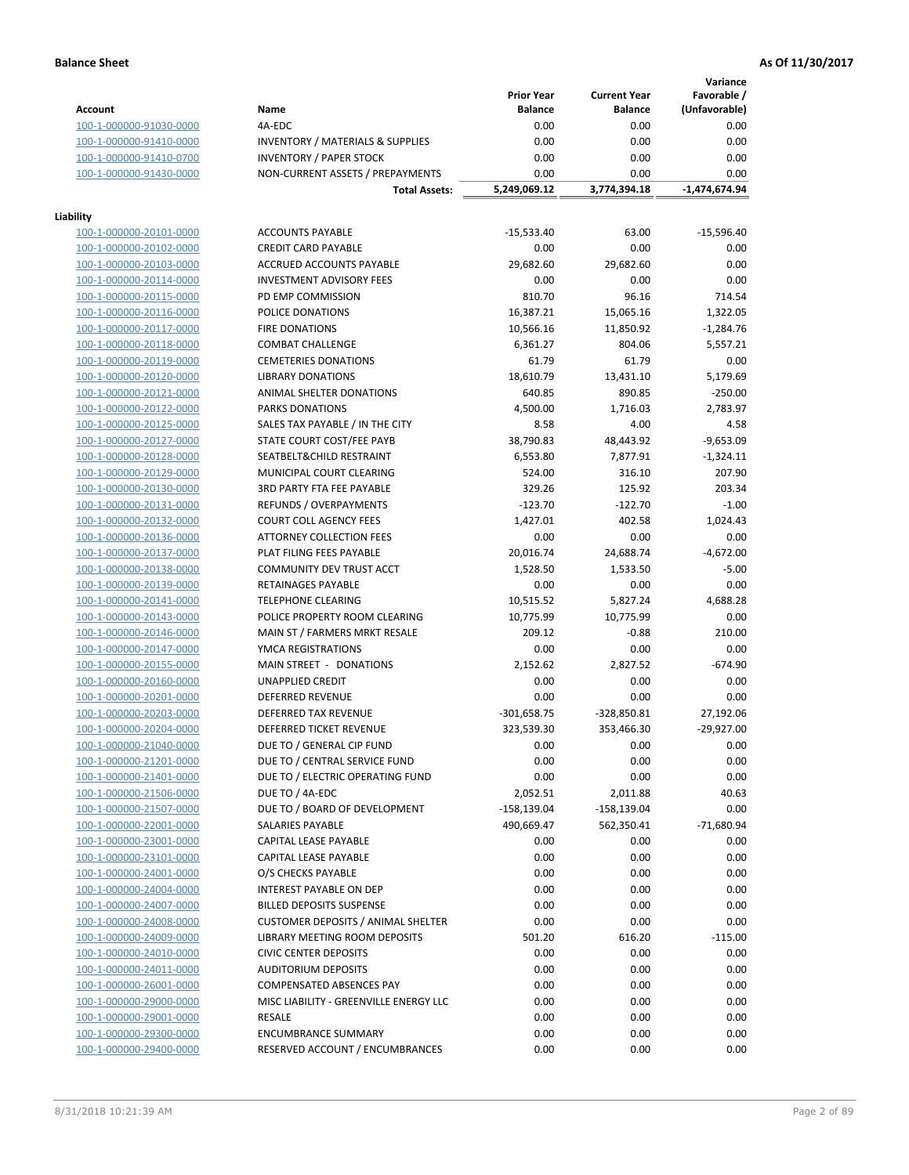**Variance**

|                                                    |                                             | <b>Prior Year</b>          | <b>Current Year</b> | Favorable /     |
|----------------------------------------------------|---------------------------------------------|----------------------------|---------------------|-----------------|
| <b>Account</b>                                     | Name                                        | <b>Balance</b>             | <b>Balance</b>      | (Unfavorable)   |
| 100-1-000000-91030-0000                            | 4A-EDC                                      | 0.00                       | 0.00                | 0.00            |
| 100-1-000000-91410-0000                            | <b>INVENTORY / MATERIALS &amp; SUPPLIES</b> | 0.00                       | 0.00                | 0.00            |
| 100-1-000000-91410-0700                            | <b>INVENTORY / PAPER STOCK</b>              | 0.00                       | 0.00                | 0.00            |
| 100-1-000000-91430-0000                            | NON-CURRENT ASSETS / PREPAYMENTS            | 0.00                       | 0.00                | 0.00            |
|                                                    | <b>Total Assets:</b>                        | 5,249,069.12               | 3,774,394.18        | $-1,474,674.94$ |
|                                                    |                                             |                            |                     |                 |
| Liability                                          |                                             |                            |                     |                 |
| 100-1-000000-20101-0000                            | <b>ACCOUNTS PAYABLE</b>                     | $-15,533.40$               | 63.00               | $-15,596.40$    |
| 100-1-000000-20102-0000                            | <b>CREDIT CARD PAYABLE</b>                  | 0.00                       | 0.00                | 0.00            |
| 100-1-000000-20103-0000                            | <b>ACCRUED ACCOUNTS PAYABLE</b>             | 29,682.60                  | 29,682.60           | 0.00            |
| 100-1-000000-20114-0000                            | <b>INVESTMENT ADVISORY FEES</b>             | 0.00                       | 0.00                | 0.00            |
| 100-1-000000-20115-0000                            | PD EMP COMMISSION                           | 810.70                     | 96.16               | 714.54          |
| 100-1-000000-20116-0000                            | POLICE DONATIONS                            | 16,387.21                  | 15,065.16           | 1,322.05        |
| 100-1-000000-20117-0000                            | <b>FIRE DONATIONS</b>                       | 10,566.16                  | 11,850.92           | $-1,284.76$     |
| 100-1-000000-20118-0000                            | <b>COMBAT CHALLENGE</b>                     | 6,361.27                   | 804.06              | 5,557.21        |
| 100-1-000000-20119-0000                            | <b>CEMETERIES DONATIONS</b>                 | 61.79                      | 61.79               | 0.00            |
| 100-1-000000-20120-0000                            | <b>LIBRARY DONATIONS</b>                    | 18,610.79                  | 13,431.10           | 5,179.69        |
| 100-1-000000-20121-0000                            | ANIMAL SHELTER DONATIONS                    | 640.85                     | 890.85              | $-250.00$       |
| 100-1-000000-20122-0000                            | PARKS DONATIONS                             | 4,500.00                   | 1,716.03            | 2,783.97        |
| 100-1-000000-20125-0000                            | SALES TAX PAYABLE / IN THE CITY             | 8.58                       | 4.00                | 4.58            |
| 100-1-000000-20127-0000                            | STATE COURT COST/FEE PAYB                   | 38,790.83                  | 48,443.92           | $-9,653.09$     |
| 100-1-000000-20128-0000                            | SEATBELT&CHILD RESTRAINT                    | 6,553.80                   | 7,877.91            | $-1,324.11$     |
| 100-1-000000-20129-0000                            | MUNICIPAL COURT CLEARING                    | 524.00                     | 316.10              | 207.90          |
| 100-1-000000-20130-0000                            | <b>3RD PARTY FTA FEE PAYABLE</b>            | 329.26                     | 125.92              | 203.34          |
| 100-1-000000-20131-0000                            | REFUNDS / OVERPAYMENTS                      | $-123.70$                  | $-122.70$           | $-1.00$         |
| 100-1-000000-20132-0000                            | <b>COURT COLL AGENCY FEES</b>               | 1,427.01                   | 402.58              | 1,024.43        |
| 100-1-000000-20136-0000                            | <b>ATTORNEY COLLECTION FEES</b>             | 0.00                       | 0.00                | 0.00            |
| 100-1-000000-20137-0000                            | PLAT FILING FEES PAYABLE                    | 20,016.74                  | 24,688.74           | $-4,672.00$     |
| 100-1-000000-20138-0000                            | COMMUNITY DEV TRUST ACCT                    | 1,528.50                   | 1,533.50            | $-5.00$         |
| 100-1-000000-20139-0000                            | RETAINAGES PAYABLE                          | 0.00                       | 0.00                | 0.00            |
| 100-1-000000-20141-0000                            | <b>TELEPHONE CLEARING</b>                   | 10,515.52                  | 5,827.24            | 4,688.28        |
| 100-1-000000-20143-0000                            | POLICE PROPERTY ROOM CLEARING               | 10,775.99                  | 10,775.99           | 0.00            |
| 100-1-000000-20146-0000                            | MAIN ST / FARMERS MRKT RESALE               | 209.12                     | $-0.88$             | 210.00          |
| 100-1-000000-20147-0000                            | YMCA REGISTRATIONS                          | 0.00                       | 0.00                | 0.00            |
| 100-1-000000-20155-0000                            | MAIN STREET - DONATIONS                     | 2,152.62                   | 2,827.52            | $-674.90$       |
| 100-1-000000-20160-0000                            | <b>UNAPPLIED CREDIT</b>                     | 0.00                       | 0.00                | 0.00            |
| 100-1-000000-20201-0000                            | <b>DEFERRED REVENUE</b>                     | 0.00                       | 0.00                | 0.00            |
| 100-1-000000-20203-0000                            | DEFERRED TAX REVENUE                        | $-301,658.75$              | -328,850.81         | 27,192.06       |
| 100-1-000000-20204-0000                            | DEFERRED TICKET REVENUE                     | 323,539.30                 | 353,466.30          | $-29,927.00$    |
| 100-1-000000-21040-0000                            | DUE TO / GENERAL CIP FUND                   | 0.00                       | 0.00                | 0.00            |
| 100-1-000000-21201-0000                            | DUE TO / CENTRAL SERVICE FUND               | 0.00                       | 0.00                | 0.00            |
|                                                    | DUE TO / ELECTRIC OPERATING FUND            | 0.00                       | 0.00                | 0.00            |
| 100-1-000000-21401-0000<br>100-1-000000-21506-0000 | DUE TO / 4A-EDC                             |                            |                     | 40.63           |
| 100-1-000000-21507-0000                            |                                             | 2,052.51<br>$-158, 139.04$ | 2,011.88            |                 |
|                                                    | DUE TO / BOARD OF DEVELOPMENT               |                            | -158,139.04         | 0.00            |
| 100-1-000000-22001-0000                            | SALARIES PAYABLE                            | 490,669.47                 | 562,350.41          | $-71,680.94$    |
| 100-1-000000-23001-0000                            | CAPITAL LEASE PAYABLE                       | 0.00                       | 0.00                | 0.00            |
| 100-1-000000-23101-0000                            | CAPITAL LEASE PAYABLE                       | 0.00                       | 0.00                | 0.00            |
| 100-1-000000-24001-0000                            | O/S CHECKS PAYABLE                          | 0.00                       | 0.00                | 0.00            |
| 100-1-000000-24004-0000                            | INTEREST PAYABLE ON DEP                     | 0.00                       | 0.00                | 0.00            |
| 100-1-000000-24007-0000                            | <b>BILLED DEPOSITS SUSPENSE</b>             | 0.00                       | 0.00                | 0.00            |
| 100-1-000000-24008-0000                            | <b>CUSTOMER DEPOSITS / ANIMAL SHELTER</b>   | 0.00                       | 0.00                | 0.00            |
| 100-1-000000-24009-0000                            | LIBRARY MEETING ROOM DEPOSITS               | 501.20                     | 616.20              | $-115.00$       |
| 100-1-000000-24010-0000                            | <b>CIVIC CENTER DEPOSITS</b>                | 0.00                       | 0.00                | 0.00            |
| 100-1-000000-24011-0000                            | <b>AUDITORIUM DEPOSITS</b>                  | 0.00                       | 0.00                | 0.00            |
| 100-1-000000-26001-0000                            | <b>COMPENSATED ABSENCES PAY</b>             | 0.00                       | 0.00                | 0.00            |
| 100-1-000000-29000-0000                            | MISC LIABILITY - GREENVILLE ENERGY LLC      | 0.00                       | 0.00                | 0.00            |
| 100-1-000000-29001-0000                            | RESALE                                      | 0.00                       | 0.00                | 0.00            |
| 100-1-000000-29300-0000                            | <b>ENCUMBRANCE SUMMARY</b>                  | 0.00                       | 0.00                | 0.00            |
| 100-1-000000-29400-0000                            | RESERVED ACCOUNT / ENCUMBRANCES             | 0.00                       | 0.00                | 0.00            |
|                                                    |                                             |                            |                     |                 |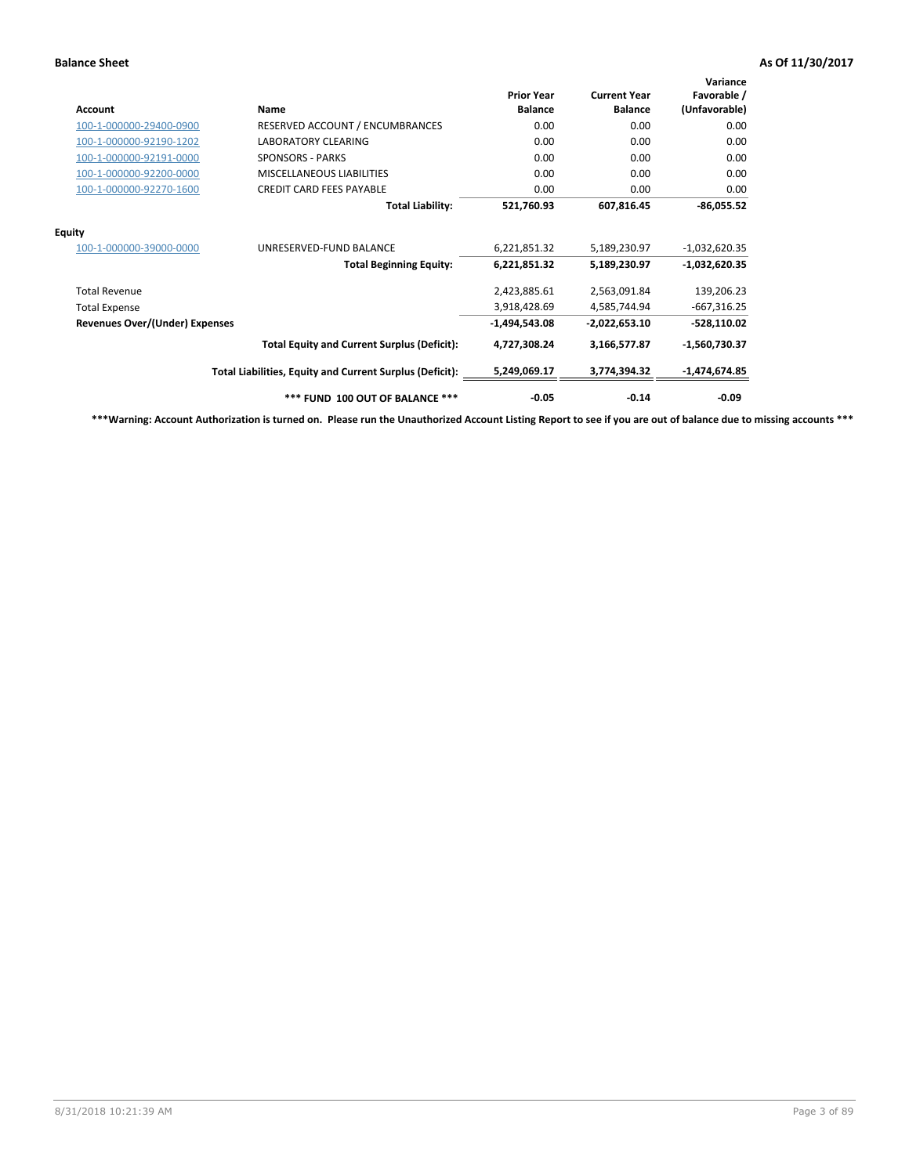| Account                               | Name                                                     | <b>Prior Year</b><br><b>Balance</b> | <b>Current Year</b><br><b>Balance</b> | Variance<br>Favorable /<br>(Unfavorable) |
|---------------------------------------|----------------------------------------------------------|-------------------------------------|---------------------------------------|------------------------------------------|
| 100-1-000000-29400-0900               | RESERVED ACCOUNT / ENCUMBRANCES                          | 0.00                                | 0.00                                  | 0.00                                     |
| 100-1-000000-92190-1202               | <b>LABORATORY CLEARING</b>                               | 0.00                                | 0.00                                  | 0.00                                     |
| 100-1-000000-92191-0000               | <b>SPONSORS - PARKS</b>                                  | 0.00                                | 0.00                                  | 0.00                                     |
| 100-1-000000-92200-0000               | <b>MISCELLANEOUS LIABILITIES</b>                         | 0.00                                | 0.00                                  | 0.00                                     |
| 100-1-000000-92270-1600               | <b>CREDIT CARD FEES PAYABLE</b>                          | 0.00                                | 0.00                                  | 0.00                                     |
|                                       | <b>Total Liability:</b>                                  | 521,760.93                          | 607,816.45                            | $-86,055.52$                             |
| <b>Equity</b>                         |                                                          |                                     |                                       |                                          |
| 100-1-000000-39000-0000               | UNRESERVED-FUND BALANCE                                  | 6,221,851.32                        | 5,189,230.97                          | $-1,032,620.35$                          |
|                                       | <b>Total Beginning Equity:</b>                           | 6,221,851.32                        | 5,189,230.97                          | $-1,032,620.35$                          |
| <b>Total Revenue</b>                  |                                                          | 2,423,885.61                        | 2,563,091.84                          | 139,206.23                               |
| <b>Total Expense</b>                  |                                                          | 3,918,428.69                        | 4,585,744.94                          | $-667,316.25$                            |
| <b>Revenues Over/(Under) Expenses</b> |                                                          | $-1,494,543.08$                     | $-2,022,653.10$                       | $-528,110.02$                            |
|                                       | <b>Total Equity and Current Surplus (Deficit):</b>       | 4,727,308.24                        | 3,166,577.87                          | $-1,560,730.37$                          |
|                                       | Total Liabilities, Equity and Current Surplus (Deficit): | 5,249,069.17                        | 3,774,394.32                          | $-1,474,674.85$                          |
|                                       | *** FUND 100 OUT OF BALANCE ***                          | $-0.05$                             | $-0.14$                               | $-0.09$                                  |

**\*\*\*Warning: Account Authorization is turned on. Please run the Unauthorized Account Listing Report to see if you are out of balance due to missing accounts \*\*\***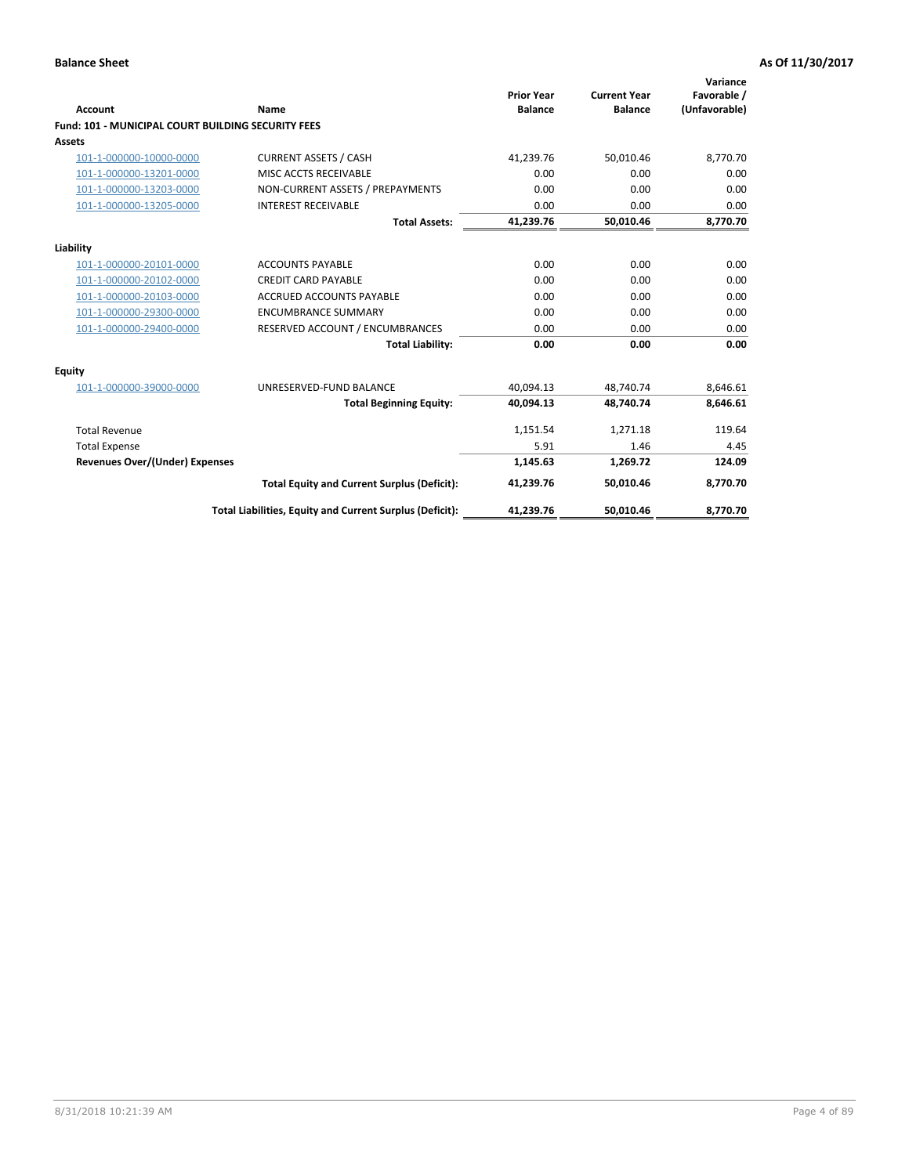| <b>Account</b>                                            | Name                                                     | <b>Prior Year</b><br><b>Balance</b> | <b>Current Year</b><br><b>Balance</b> | Variance<br>Favorable /<br>(Unfavorable) |
|-----------------------------------------------------------|----------------------------------------------------------|-------------------------------------|---------------------------------------|------------------------------------------|
| <b>Fund: 101 - MUNICIPAL COURT BUILDING SECURITY FEES</b> |                                                          |                                     |                                       |                                          |
| Assets                                                    |                                                          |                                     |                                       |                                          |
| 101-1-000000-10000-0000                                   | <b>CURRENT ASSETS / CASH</b>                             | 41,239.76                           | 50,010.46                             | 8,770.70                                 |
| 101-1-000000-13201-0000                                   | MISC ACCTS RECEIVABLE                                    | 0.00                                | 0.00                                  | 0.00                                     |
| 101-1-000000-13203-0000                                   | NON-CURRENT ASSETS / PREPAYMENTS                         | 0.00                                | 0.00                                  | 0.00                                     |
| 101-1-000000-13205-0000                                   | <b>INTEREST RECEIVABLE</b>                               | 0.00                                | 0.00                                  | 0.00                                     |
|                                                           | <b>Total Assets:</b>                                     | 41,239.76                           | 50,010.46                             | 8,770.70                                 |
| Liability                                                 |                                                          |                                     |                                       |                                          |
| 101-1-000000-20101-0000                                   | <b>ACCOUNTS PAYABLE</b>                                  | 0.00                                | 0.00                                  | 0.00                                     |
| 101-1-000000-20102-0000                                   | <b>CREDIT CARD PAYABLE</b>                               | 0.00                                | 0.00                                  | 0.00                                     |
| 101-1-000000-20103-0000                                   | <b>ACCRUED ACCOUNTS PAYABLE</b>                          | 0.00                                | 0.00                                  | 0.00                                     |
| 101-1-000000-29300-0000                                   | <b>ENCUMBRANCE SUMMARY</b>                               | 0.00                                | 0.00                                  | 0.00                                     |
| 101-1-000000-29400-0000                                   | RESERVED ACCOUNT / ENCUMBRANCES                          | 0.00                                | 0.00                                  | 0.00                                     |
|                                                           | <b>Total Liability:</b>                                  | 0.00                                | 0.00                                  | 0.00                                     |
| Equity                                                    |                                                          |                                     |                                       |                                          |
| 101-1-000000-39000-0000                                   | UNRESERVED-FUND BALANCE                                  | 40,094.13                           | 48,740.74                             | 8,646.61                                 |
|                                                           | <b>Total Beginning Equity:</b>                           | 40,094.13                           | 48.740.74                             | 8,646.61                                 |
| <b>Total Revenue</b>                                      |                                                          | 1,151.54                            | 1,271.18                              | 119.64                                   |
| <b>Total Expense</b>                                      |                                                          | 5.91                                | 1.46                                  | 4.45                                     |
| <b>Revenues Over/(Under) Expenses</b>                     |                                                          | 1,145.63                            | 1,269.72                              | 124.09                                   |
|                                                           | <b>Total Equity and Current Surplus (Deficit):</b>       | 41.239.76                           | 50.010.46                             | 8,770.70                                 |
|                                                           | Total Liabilities, Equity and Current Surplus (Deficit): | 41,239.76                           | 50,010.46                             | 8,770.70                                 |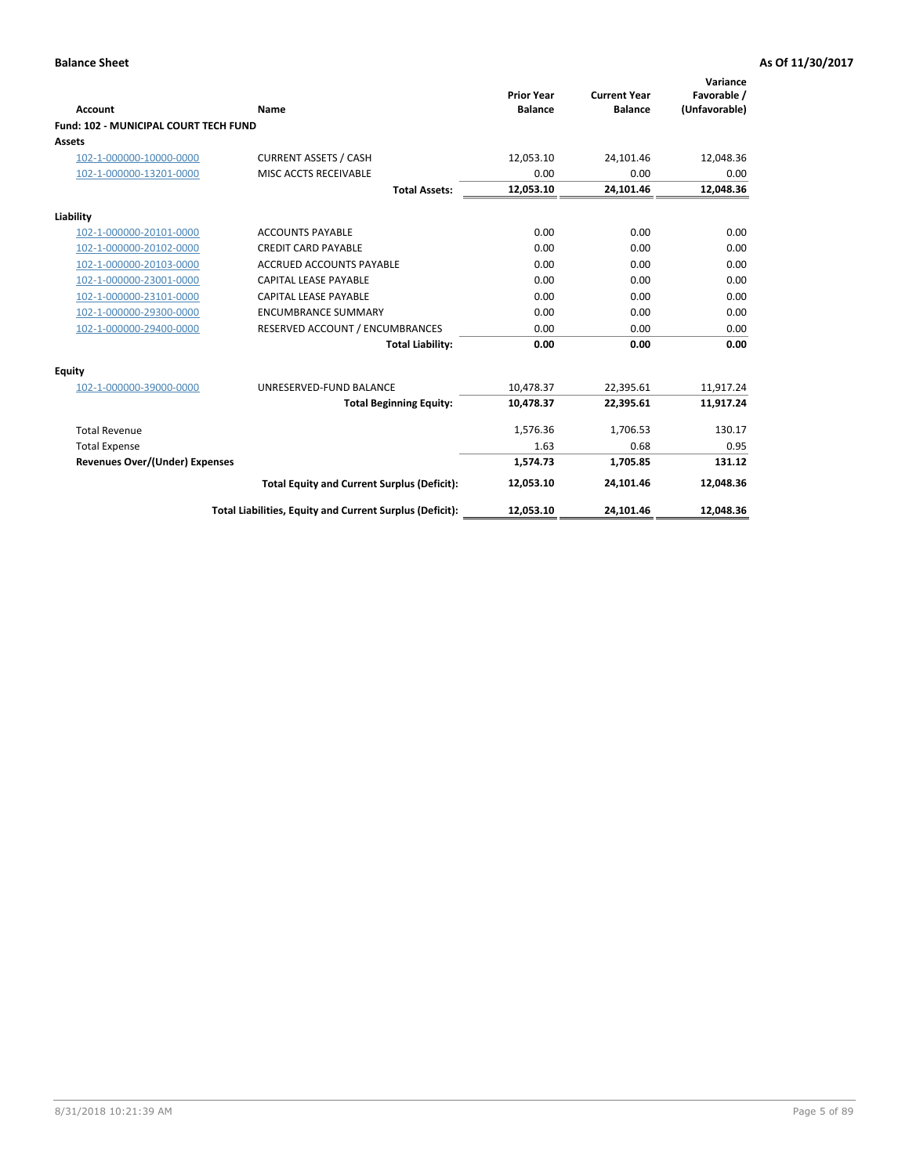| <b>Account</b>                               | Name                                                     | <b>Prior Year</b><br><b>Balance</b> | <b>Current Year</b><br><b>Balance</b> | Variance<br>Favorable /<br>(Unfavorable) |
|----------------------------------------------|----------------------------------------------------------|-------------------------------------|---------------------------------------|------------------------------------------|
| <b>Fund: 102 - MUNICIPAL COURT TECH FUND</b> |                                                          |                                     |                                       |                                          |
| Assets                                       |                                                          |                                     |                                       |                                          |
| 102-1-000000-10000-0000                      | <b>CURRENT ASSETS / CASH</b>                             | 12,053.10                           | 24,101.46                             | 12,048.36                                |
| 102-1-000000-13201-0000                      | MISC ACCTS RECEIVABLE                                    | 0.00                                | 0.00                                  | 0.00                                     |
|                                              | <b>Total Assets:</b>                                     | 12,053.10                           | 24,101.46                             | 12,048.36                                |
| Liability                                    |                                                          |                                     |                                       |                                          |
| 102-1-000000-20101-0000                      | <b>ACCOUNTS PAYABLE</b>                                  | 0.00                                | 0.00                                  | 0.00                                     |
| 102-1-000000-20102-0000                      | <b>CREDIT CARD PAYABLE</b>                               | 0.00                                | 0.00                                  | 0.00                                     |
| 102-1-000000-20103-0000                      | <b>ACCRUED ACCOUNTS PAYABLE</b>                          | 0.00                                | 0.00                                  | 0.00                                     |
| 102-1-000000-23001-0000                      | <b>CAPITAL LEASE PAYABLE</b>                             | 0.00                                | 0.00                                  | 0.00                                     |
| 102-1-000000-23101-0000                      | <b>CAPITAL LEASE PAYABLE</b>                             | 0.00                                | 0.00                                  | 0.00                                     |
| 102-1-000000-29300-0000                      | <b>ENCUMBRANCE SUMMARY</b>                               | 0.00                                | 0.00                                  | 0.00                                     |
| 102-1-000000-29400-0000                      | RESERVED ACCOUNT / ENCUMBRANCES                          | 0.00                                | 0.00                                  | 0.00                                     |
|                                              | <b>Total Liability:</b>                                  | 0.00                                | 0.00                                  | 0.00                                     |
| Equity                                       |                                                          |                                     |                                       |                                          |
| 102-1-000000-39000-0000                      | UNRESERVED-FUND BALANCE                                  | 10,478.37                           | 22,395.61                             | 11,917.24                                |
|                                              | <b>Total Beginning Equity:</b>                           | 10,478.37                           | 22,395.61                             | 11,917.24                                |
| <b>Total Revenue</b>                         |                                                          | 1,576.36                            | 1,706.53                              | 130.17                                   |
| <b>Total Expense</b>                         |                                                          | 1.63                                | 0.68                                  | 0.95                                     |
| <b>Revenues Over/(Under) Expenses</b>        |                                                          | 1,574.73                            | 1,705.85                              | 131.12                                   |
|                                              | <b>Total Equity and Current Surplus (Deficit):</b>       | 12,053.10                           | 24,101.46                             | 12,048.36                                |
|                                              | Total Liabilities, Equity and Current Surplus (Deficit): | 12,053.10                           | 24,101.46                             | 12,048.36                                |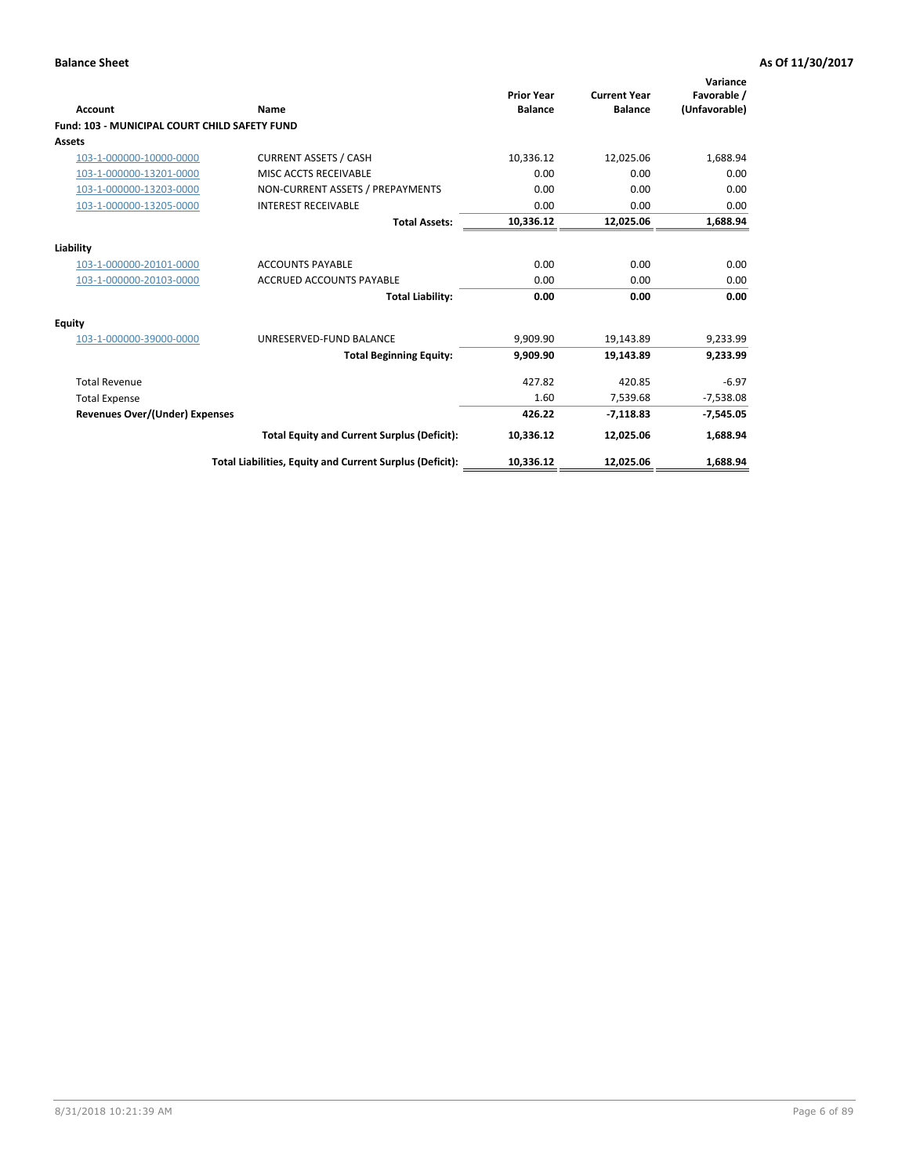| <b>Account</b>                                       | Name                                                     | <b>Prior Year</b><br><b>Balance</b> | <b>Current Year</b><br><b>Balance</b> | Variance<br>Favorable /<br>(Unfavorable) |
|------------------------------------------------------|----------------------------------------------------------|-------------------------------------|---------------------------------------|------------------------------------------|
| <b>Fund: 103 - MUNICIPAL COURT CHILD SAFETY FUND</b> |                                                          |                                     |                                       |                                          |
| <b>Assets</b>                                        |                                                          |                                     |                                       |                                          |
| 103-1-000000-10000-0000                              | <b>CURRENT ASSETS / CASH</b>                             | 10,336.12                           | 12,025.06                             | 1,688.94                                 |
| 103-1-000000-13201-0000                              | MISC ACCTS RECEIVABLE                                    | 0.00                                | 0.00                                  | 0.00                                     |
| 103-1-000000-13203-0000                              | NON-CURRENT ASSETS / PREPAYMENTS                         | 0.00                                | 0.00                                  | 0.00                                     |
| 103-1-000000-13205-0000                              | <b>INTEREST RECEIVABLE</b>                               | 0.00                                | 0.00                                  | 0.00                                     |
|                                                      | <b>Total Assets:</b>                                     | 10,336.12                           | 12,025.06                             | 1,688.94                                 |
| Liability                                            |                                                          |                                     |                                       |                                          |
| 103-1-000000-20101-0000                              | <b>ACCOUNTS PAYABLE</b>                                  | 0.00                                | 0.00                                  | 0.00                                     |
| 103-1-000000-20103-0000                              | <b>ACCRUED ACCOUNTS PAYABLE</b>                          | 0.00                                | 0.00                                  | 0.00                                     |
|                                                      | <b>Total Liability:</b>                                  | 0.00                                | 0.00                                  | 0.00                                     |
| Equity                                               |                                                          |                                     |                                       |                                          |
| 103-1-000000-39000-0000                              | UNRESERVED-FUND BALANCE                                  | 9,909.90                            | 19,143.89                             | 9,233.99                                 |
|                                                      | <b>Total Beginning Equity:</b>                           | 9,909.90                            | 19,143.89                             | 9,233.99                                 |
| <b>Total Revenue</b>                                 |                                                          | 427.82                              | 420.85                                | $-6.97$                                  |
| <b>Total Expense</b>                                 |                                                          | 1.60                                | 7,539.68                              | $-7,538.08$                              |
| Revenues Over/(Under) Expenses                       |                                                          | 426.22                              | $-7,118.83$                           | $-7,545.05$                              |
|                                                      | <b>Total Equity and Current Surplus (Deficit):</b>       | 10,336.12                           | 12,025.06                             | 1,688.94                                 |
|                                                      | Total Liabilities, Equity and Current Surplus (Deficit): | 10,336.12                           | 12,025.06                             | 1.688.94                                 |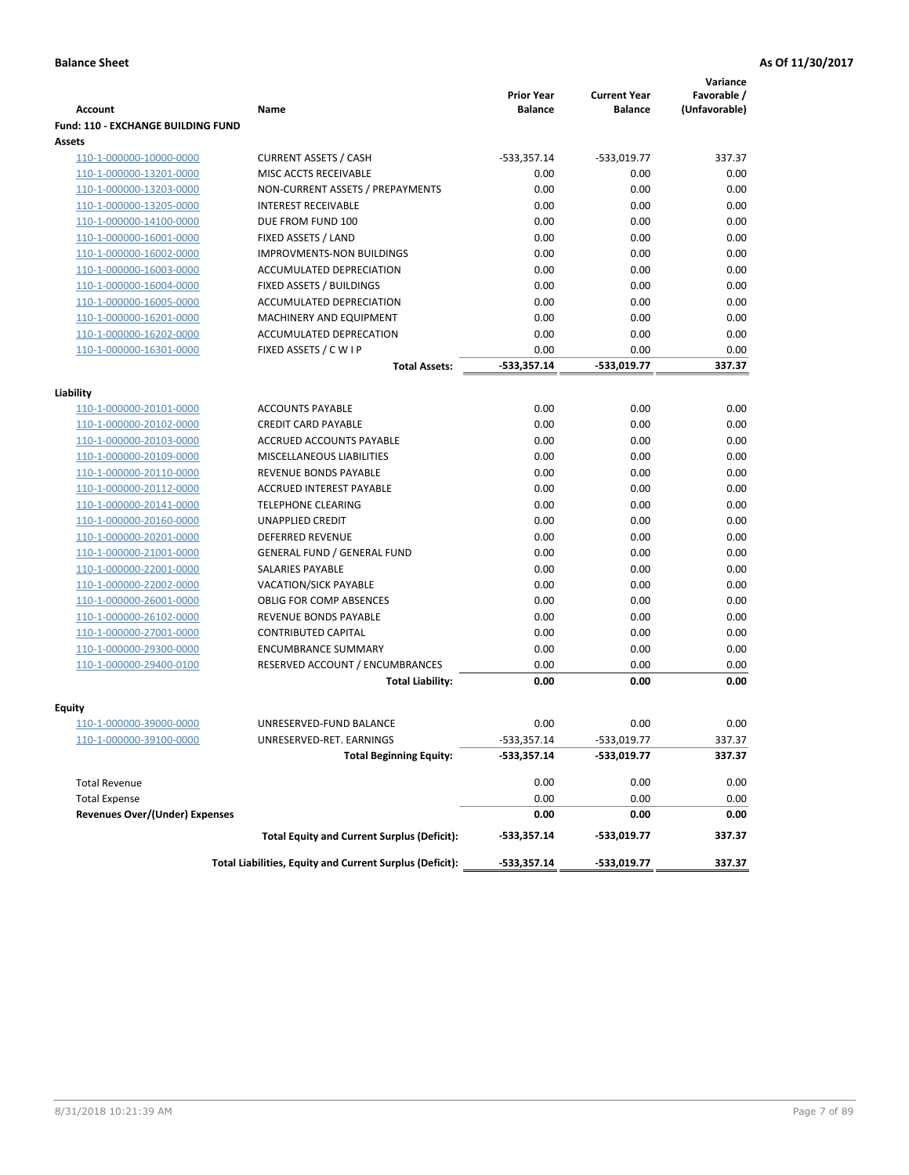|                                           |                                                          | <b>Prior Year</b> | <b>Current Year</b> | Variance<br>Favorable / |
|-------------------------------------------|----------------------------------------------------------|-------------------|---------------------|-------------------------|
| Account                                   | Name                                                     | <b>Balance</b>    | <b>Balance</b>      | (Unfavorable)           |
| <b>Fund: 110 - EXCHANGE BUILDING FUND</b> |                                                          |                   |                     |                         |
| <b>Assets</b>                             |                                                          |                   |                     |                         |
| 110-1-000000-10000-0000                   | <b>CURRENT ASSETS / CASH</b>                             | $-533,357.14$     | $-533,019.77$       | 337.37                  |
| 110-1-000000-13201-0000                   | MISC ACCTS RECEIVABLE                                    | 0.00              | 0.00                | 0.00                    |
| 110-1-000000-13203-0000                   | NON-CURRENT ASSETS / PREPAYMENTS                         | 0.00              | 0.00                | 0.00                    |
| 110-1-000000-13205-0000                   | <b>INTEREST RECEIVABLE</b>                               | 0.00              | 0.00                | 0.00                    |
| 110-1-000000-14100-0000                   | DUE FROM FUND 100                                        | 0.00              | 0.00                | 0.00                    |
| 110-1-000000-16001-0000                   | FIXED ASSETS / LAND                                      | 0.00              | 0.00                | 0.00                    |
| 110-1-000000-16002-0000                   | <b>IMPROVMENTS-NON BUILDINGS</b>                         | 0.00              | 0.00                | 0.00                    |
| 110-1-000000-16003-0000                   | ACCUMULATED DEPRECIATION                                 | 0.00              | 0.00                | 0.00                    |
| 110-1-000000-16004-0000                   | <b>FIXED ASSETS / BUILDINGS</b>                          | 0.00              | 0.00                | 0.00                    |
| 110-1-000000-16005-0000                   | ACCUMULATED DEPRECIATION                                 | 0.00              | 0.00                | 0.00                    |
| 110-1-000000-16201-0000                   | MACHINERY AND EQUIPMENT                                  | 0.00              | 0.00                | 0.00                    |
| 110-1-000000-16202-0000                   | ACCUMULATED DEPRECATION                                  | 0.00              | 0.00                | 0.00                    |
| 110-1-000000-16301-0000                   | FIXED ASSETS / C W I P                                   | 0.00              | 0.00                | 0.00                    |
|                                           | <b>Total Assets:</b>                                     | $-533,357.14$     | -533,019.77         | 337.37                  |
| Liability                                 |                                                          |                   |                     |                         |
| 110-1-000000-20101-0000                   | <b>ACCOUNTS PAYABLE</b>                                  | 0.00              | 0.00                | 0.00                    |
| 110-1-000000-20102-0000                   | <b>CREDIT CARD PAYABLE</b>                               | 0.00              | 0.00                | 0.00                    |
| 110-1-000000-20103-0000                   | <b>ACCRUED ACCOUNTS PAYABLE</b>                          | 0.00              | 0.00                | 0.00                    |
| 110-1-000000-20109-0000                   | MISCELLANEOUS LIABILITIES                                | 0.00              | 0.00                | 0.00                    |
| 110-1-000000-20110-0000                   | REVENUE BONDS PAYABLE                                    | 0.00              | 0.00                | 0.00                    |
| 110-1-000000-20112-0000                   | ACCRUED INTEREST PAYABLE                                 | 0.00              | 0.00                | 0.00                    |
| 110-1-000000-20141-0000                   | <b>TELEPHONE CLEARING</b>                                | 0.00              | 0.00                | 0.00                    |
| 110-1-000000-20160-0000                   | <b>UNAPPLIED CREDIT</b>                                  | 0.00              | 0.00                | 0.00                    |
| 110-1-000000-20201-0000                   | <b>DEFERRED REVENUE</b>                                  | 0.00              | 0.00                | 0.00                    |
| 110-1-000000-21001-0000                   | <b>GENERAL FUND / GENERAL FUND</b>                       | 0.00              | 0.00                | 0.00                    |
| 110-1-000000-22001-0000                   | <b>SALARIES PAYABLE</b>                                  | 0.00              | 0.00                | 0.00                    |
| 110-1-000000-22002-0000                   | VACATION/SICK PAYABLE                                    | 0.00              | 0.00                | 0.00                    |
| 110-1-000000-26001-0000                   | <b>OBLIG FOR COMP ABSENCES</b>                           | 0.00              | 0.00                | 0.00                    |
| 110-1-000000-26102-0000                   | REVENUE BONDS PAYABLE                                    | 0.00              | 0.00                | 0.00                    |
| 110-1-000000-27001-0000                   | <b>CONTRIBUTED CAPITAL</b>                               | 0.00              | 0.00                | 0.00                    |
| 110-1-000000-29300-0000                   | <b>ENCUMBRANCE SUMMARY</b>                               | 0.00              | 0.00                | 0.00                    |
| 110-1-000000-29400-0100                   | RESERVED ACCOUNT / ENCUMBRANCES                          | 0.00              | 0.00                | 0.00                    |
|                                           | <b>Total Liability:</b>                                  | 0.00              | 0.00                | 0.00                    |
| Equity                                    |                                                          |                   |                     |                         |
| 110-1-000000-39000-0000                   | UNRESERVED-FUND BALANCE                                  | 0.00              | 0.00                | 0.00                    |
| <u>110-1-000000-39100-0000</u>            | UNRESERVED-RET. EARNINGS                                 | $-533,357.14$     | -533,019.77         | 337.37                  |
|                                           | <b>Total Beginning Equity:</b>                           | $-533,357.14$     | -533,019.77         | 337.37                  |
|                                           |                                                          |                   |                     |                         |
| <b>Total Revenue</b>                      |                                                          | 0.00              | 0.00                | 0.00                    |
| <b>Total Expense</b>                      |                                                          | 0.00              | 0.00                | 0.00                    |
| <b>Revenues Over/(Under) Expenses</b>     |                                                          | 0.00              | 0.00                | 0.00                    |
|                                           | <b>Total Equity and Current Surplus (Deficit):</b>       | $-533,357.14$     | -533,019.77         | 337.37                  |
|                                           | Total Liabilities, Equity and Current Surplus (Deficit): | $-533,357.14$     | -533,019.77         | 337.37                  |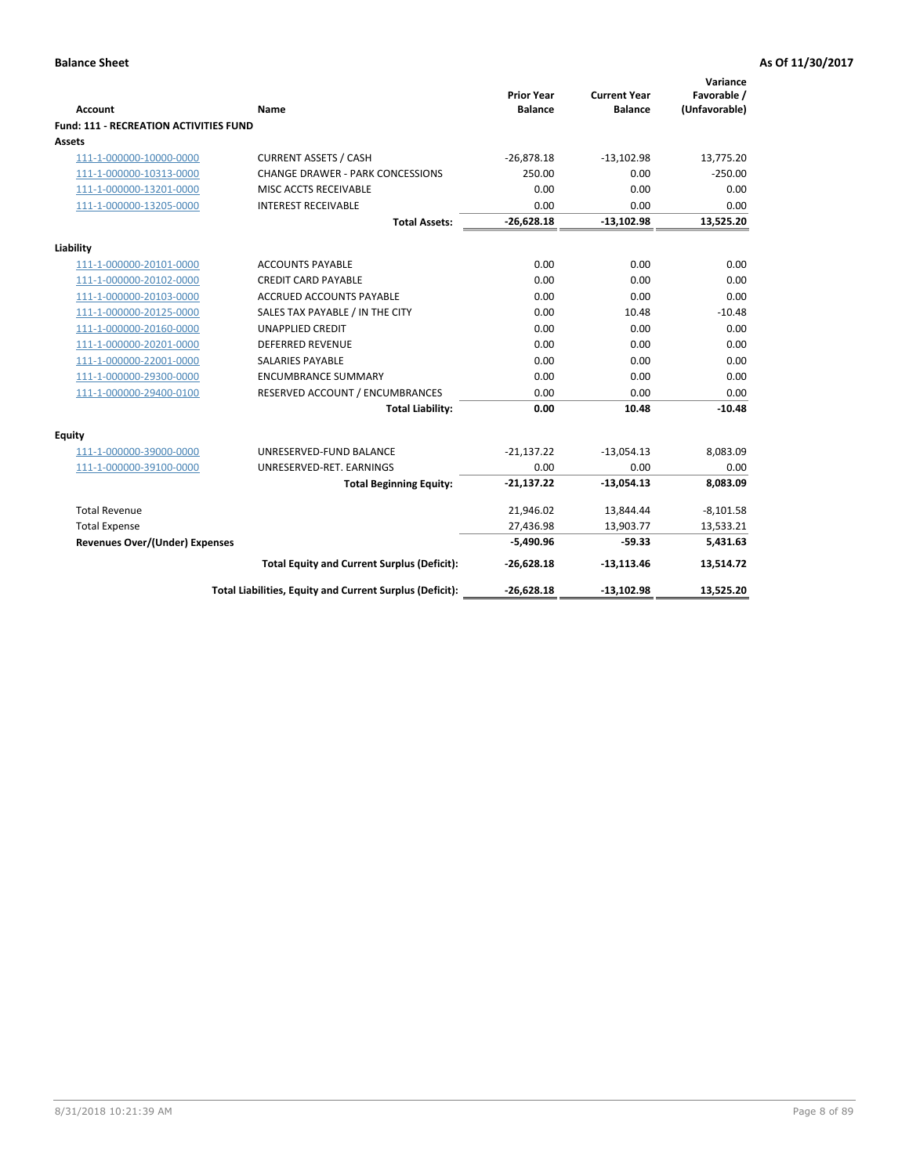|                                        |                                                          | <b>Prior Year</b> | <b>Current Year</b> | Variance<br>Favorable / |
|----------------------------------------|----------------------------------------------------------|-------------------|---------------------|-------------------------|
| <b>Account</b>                         | Name                                                     | <b>Balance</b>    | <b>Balance</b>      | (Unfavorable)           |
| Fund: 111 - RECREATION ACTIVITIES FUND |                                                          |                   |                     |                         |
| Assets                                 |                                                          |                   |                     |                         |
| 111-1-000000-10000-0000                | <b>CURRENT ASSETS / CASH</b>                             | $-26,878.18$      | $-13,102.98$        | 13,775.20               |
| 111-1-000000-10313-0000                | <b>CHANGE DRAWER - PARK CONCESSIONS</b>                  | 250.00            | 0.00                | $-250.00$               |
| 111-1-000000-13201-0000                | MISC ACCTS RECEIVABLE                                    | 0.00              | 0.00                | 0.00                    |
| 111-1-000000-13205-0000                | <b>INTEREST RECEIVABLE</b>                               | 0.00              | 0.00                | 0.00                    |
|                                        | <b>Total Assets:</b>                                     | $-26,628.18$      | $-13,102.98$        | 13,525.20               |
| Liability                              |                                                          |                   |                     |                         |
| 111-1-000000-20101-0000                | <b>ACCOUNTS PAYABLE</b>                                  | 0.00              | 0.00                | 0.00                    |
| 111-1-000000-20102-0000                | <b>CREDIT CARD PAYABLE</b>                               | 0.00              | 0.00                | 0.00                    |
| 111-1-000000-20103-0000                | <b>ACCRUED ACCOUNTS PAYABLE</b>                          | 0.00              | 0.00                | 0.00                    |
| 111-1-000000-20125-0000                | SALES TAX PAYABLE / IN THE CITY                          | 0.00              | 10.48               | $-10.48$                |
| 111-1-000000-20160-0000                | <b>UNAPPLIED CREDIT</b>                                  | 0.00              | 0.00                | 0.00                    |
| 111-1-000000-20201-0000                | <b>DEFERRED REVENUE</b>                                  | 0.00              | 0.00                | 0.00                    |
| 111-1-000000-22001-0000                | <b>SALARIES PAYABLE</b>                                  | 0.00              | 0.00                | 0.00                    |
| 111-1-000000-29300-0000                | <b>ENCUMBRANCE SUMMARY</b>                               | 0.00              | 0.00                | 0.00                    |
| 111-1-000000-29400-0100                | RESERVED ACCOUNT / ENCUMBRANCES                          | 0.00              | 0.00                | 0.00                    |
|                                        | <b>Total Liability:</b>                                  | 0.00              | 10.48               | $-10.48$                |
| Equity                                 |                                                          |                   |                     |                         |
| 111-1-000000-39000-0000                | UNRESERVED-FUND BALANCE                                  | $-21,137.22$      | $-13,054.13$        | 8,083.09                |
| 111-1-000000-39100-0000                | UNRESERVED-RET. EARNINGS                                 | 0.00              | 0.00                | 0.00                    |
|                                        | <b>Total Beginning Equity:</b>                           | $-21,137.22$      | $-13,054.13$        | 8,083.09                |
| <b>Total Revenue</b>                   |                                                          | 21,946.02         | 13,844.44           | $-8,101.58$             |
| <b>Total Expense</b>                   |                                                          | 27,436.98         | 13,903.77           | 13,533.21               |
| <b>Revenues Over/(Under) Expenses</b>  |                                                          | $-5.490.96$       | $-59.33$            | 5.431.63                |
|                                        | <b>Total Equity and Current Surplus (Deficit):</b>       | $-26,628.18$      | $-13,113.46$        | 13,514.72               |
|                                        | Total Liabilities, Equity and Current Surplus (Deficit): | $-26,628.18$      | $-13,102.98$        | 13,525.20               |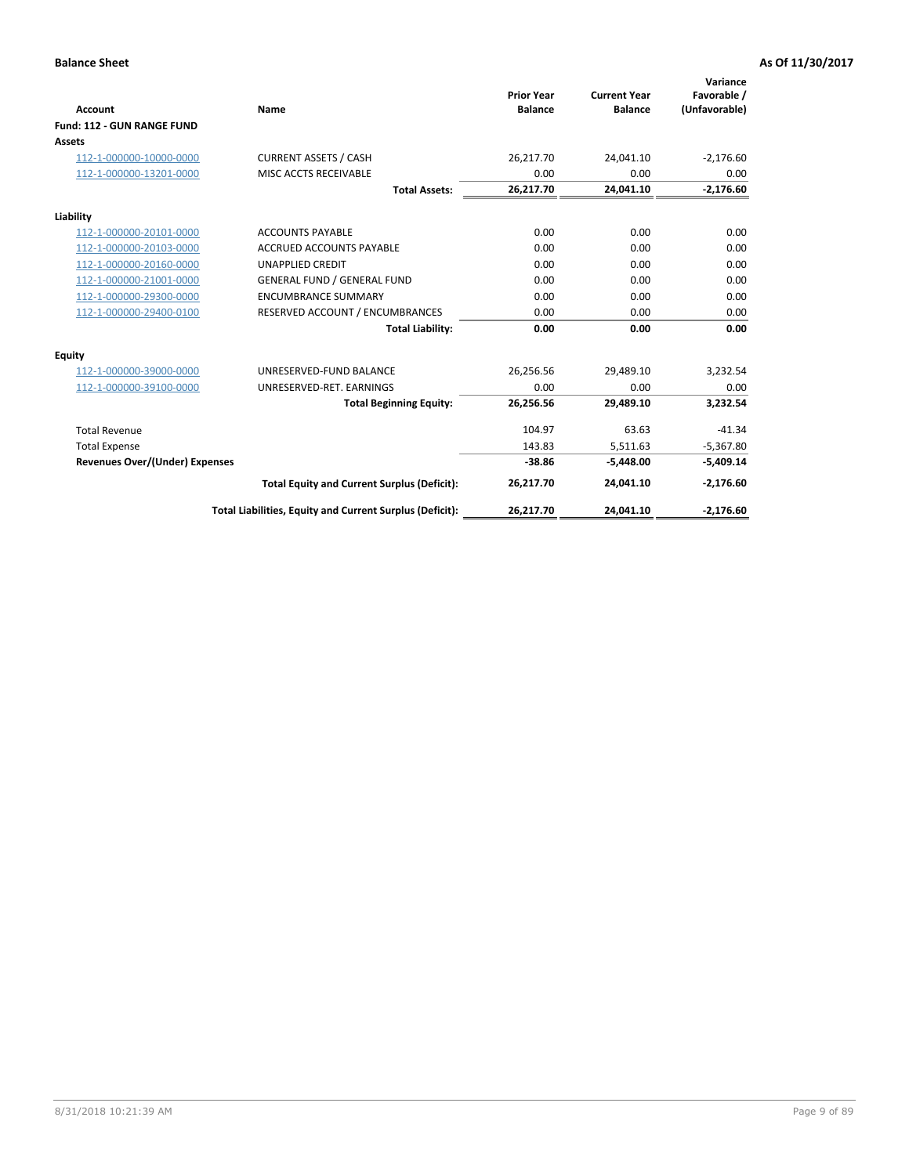|                                       |                                                          |                                     |                                       | Variance                     |
|---------------------------------------|----------------------------------------------------------|-------------------------------------|---------------------------------------|------------------------------|
| <b>Account</b>                        | Name                                                     | <b>Prior Year</b><br><b>Balance</b> | <b>Current Year</b><br><b>Balance</b> | Favorable /<br>(Unfavorable) |
| Fund: 112 - GUN RANGE FUND            |                                                          |                                     |                                       |                              |
| <b>Assets</b>                         |                                                          |                                     |                                       |                              |
| 112-1-000000-10000-0000               | <b>CURRENT ASSETS / CASH</b>                             | 26,217.70                           | 24,041.10                             | $-2,176.60$                  |
| 112-1-000000-13201-0000               | MISC ACCTS RECEIVABLE                                    | 0.00                                | 0.00                                  | 0.00                         |
|                                       | <b>Total Assets:</b>                                     | 26,217.70                           | 24,041.10                             | $-2,176.60$                  |
| Liability                             |                                                          |                                     |                                       |                              |
| 112-1-000000-20101-0000               | <b>ACCOUNTS PAYABLE</b>                                  | 0.00                                | 0.00                                  | 0.00                         |
| 112-1-000000-20103-0000               | <b>ACCRUED ACCOUNTS PAYABLE</b>                          | 0.00                                | 0.00                                  | 0.00                         |
| 112-1-000000-20160-0000               | <b>UNAPPLIED CREDIT</b>                                  | 0.00                                | 0.00                                  | 0.00                         |
| 112-1-000000-21001-0000               | <b>GENERAL FUND / GENERAL FUND</b>                       | 0.00                                | 0.00                                  | 0.00                         |
| 112-1-000000-29300-0000               | <b>ENCUMBRANCE SUMMARY</b>                               | 0.00                                | 0.00                                  | 0.00                         |
| 112-1-000000-29400-0100               | RESERVED ACCOUNT / ENCUMBRANCES                          | 0.00                                | 0.00                                  | 0.00                         |
|                                       | <b>Total Liability:</b>                                  | 0.00                                | 0.00                                  | 0.00                         |
| Equity                                |                                                          |                                     |                                       |                              |
| 112-1-000000-39000-0000               | UNRESERVED-FUND BALANCE                                  | 26,256.56                           | 29,489.10                             | 3,232.54                     |
| 112-1-000000-39100-0000               | UNRESERVED-RET. EARNINGS                                 | 0.00                                | 0.00                                  | 0.00                         |
|                                       | <b>Total Beginning Equity:</b>                           | 26,256.56                           | 29,489.10                             | 3,232.54                     |
| <b>Total Revenue</b>                  |                                                          | 104.97                              | 63.63                                 | $-41.34$                     |
| <b>Total Expense</b>                  |                                                          | 143.83                              | 5,511.63                              | $-5,367.80$                  |
| <b>Revenues Over/(Under) Expenses</b> |                                                          | $-38.86$                            | $-5,448.00$                           | $-5,409.14$                  |
|                                       | <b>Total Equity and Current Surplus (Deficit):</b>       | 26,217.70                           | 24,041.10                             | $-2,176.60$                  |
|                                       | Total Liabilities, Equity and Current Surplus (Deficit): | 26,217.70                           | 24,041.10                             | $-2,176.60$                  |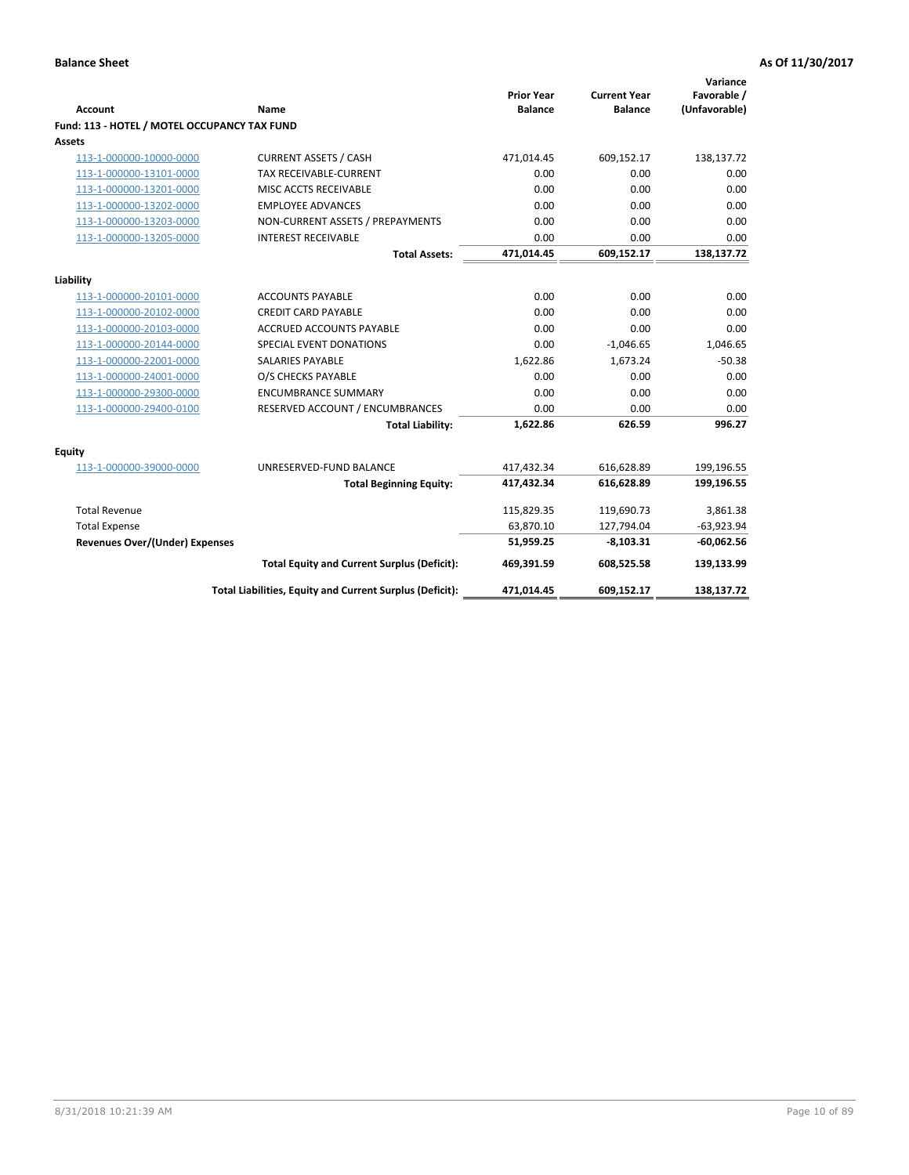| <b>Account</b>                               | Name                                                     | <b>Prior Year</b><br><b>Balance</b> | <b>Current Year</b><br><b>Balance</b> | Variance<br>Favorable /<br>(Unfavorable) |
|----------------------------------------------|----------------------------------------------------------|-------------------------------------|---------------------------------------|------------------------------------------|
| Fund: 113 - HOTEL / MOTEL OCCUPANCY TAX FUND |                                                          |                                     |                                       |                                          |
| Assets                                       |                                                          |                                     |                                       |                                          |
| 113-1-000000-10000-0000                      | <b>CURRENT ASSETS / CASH</b>                             | 471,014.45                          | 609,152.17                            | 138,137.72                               |
| 113-1-000000-13101-0000                      | TAX RECEIVABLE-CURRENT                                   | 0.00                                | 0.00                                  | 0.00                                     |
| 113-1-000000-13201-0000                      | MISC ACCTS RECEIVABLE                                    | 0.00                                | 0.00                                  | 0.00                                     |
| 113-1-000000-13202-0000                      | <b>EMPLOYEE ADVANCES</b>                                 | 0.00                                | 0.00                                  | 0.00                                     |
| 113-1-000000-13203-0000                      | NON-CURRENT ASSETS / PREPAYMENTS                         | 0.00                                | 0.00                                  | 0.00                                     |
| 113-1-000000-13205-0000                      | <b>INTEREST RECEIVABLE</b>                               | 0.00                                | 0.00                                  | 0.00                                     |
|                                              | <b>Total Assets:</b>                                     | 471,014.45                          | 609,152.17                            | 138,137.72                               |
|                                              |                                                          |                                     |                                       |                                          |
| Liability                                    |                                                          |                                     |                                       |                                          |
| 113-1-000000-20101-0000                      | <b>ACCOUNTS PAYABLE</b>                                  | 0.00<br>0.00                        | 0.00                                  | 0.00<br>0.00                             |
| 113-1-000000-20102-0000                      | <b>CREDIT CARD PAYABLE</b>                               |                                     | 0.00                                  |                                          |
| 113-1-000000-20103-0000                      | ACCRUED ACCOUNTS PAYABLE                                 | 0.00                                | 0.00                                  | 0.00                                     |
| 113-1-000000-20144-0000                      | SPECIAL EVENT DONATIONS                                  | 0.00                                | $-1,046.65$                           | 1,046.65                                 |
| 113-1-000000-22001-0000                      | <b>SALARIES PAYABLE</b>                                  | 1,622.86                            | 1,673.24                              | $-50.38$                                 |
| 113-1-000000-24001-0000                      | O/S CHECKS PAYABLE                                       | 0.00                                | 0.00                                  | 0.00                                     |
| 113-1-000000-29300-0000                      | <b>ENCUMBRANCE SUMMARY</b>                               | 0.00                                | 0.00                                  | 0.00                                     |
| 113-1-000000-29400-0100                      | RESERVED ACCOUNT / ENCUMBRANCES                          | 0.00                                | 0.00                                  | 0.00                                     |
|                                              | <b>Total Liability:</b>                                  | 1,622.86                            | 626.59                                | 996.27                                   |
| Equity                                       |                                                          |                                     |                                       |                                          |
| 113-1-000000-39000-0000                      | UNRESERVED-FUND BALANCE                                  | 417,432.34                          | 616,628.89                            | 199,196.55                               |
|                                              | <b>Total Beginning Equity:</b>                           | 417,432.34                          | 616,628.89                            | 199,196.55                               |
| <b>Total Revenue</b>                         |                                                          | 115,829.35                          | 119,690.73                            | 3,861.38                                 |
| <b>Total Expense</b>                         |                                                          | 63,870.10                           | 127,794.04                            | $-63,923.94$                             |
| Revenues Over/(Under) Expenses               |                                                          | 51,959.25                           | $-8,103.31$                           | $-60,062.56$                             |
|                                              | <b>Total Equity and Current Surplus (Deficit):</b>       | 469,391.59                          | 608,525.58                            | 139,133.99                               |
|                                              | Total Liabilities, Equity and Current Surplus (Deficit): | 471,014.45                          | 609,152.17                            | 138,137.72                               |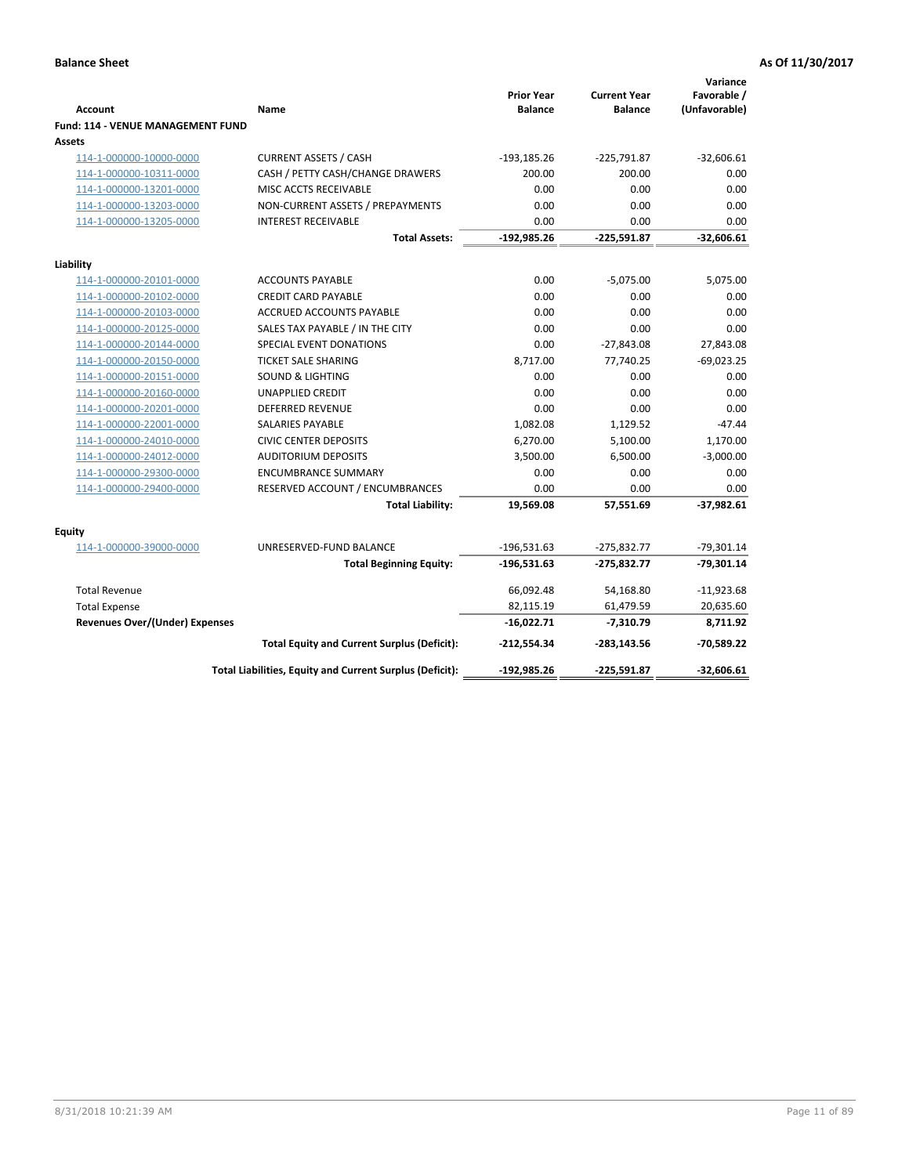| <b>Account</b>                                     | Name                                                     | <b>Prior Year</b><br><b>Balance</b> | <b>Current Year</b><br><b>Balance</b> | Variance<br>Favorable /<br>(Unfavorable) |
|----------------------------------------------------|----------------------------------------------------------|-------------------------------------|---------------------------------------|------------------------------------------|
| <b>Fund: 114 - VENUE MANAGEMENT FUND</b><br>Assets |                                                          |                                     |                                       |                                          |
| 114-1-000000-10000-0000                            | <b>CURRENT ASSETS / CASH</b>                             | $-193,185.26$                       | $-225,791.87$                         | $-32,606.61$                             |
| 114-1-000000-10311-0000                            | CASH / PETTY CASH/CHANGE DRAWERS                         | 200.00                              | 200.00                                | 0.00                                     |
| 114-1-000000-13201-0000                            | MISC ACCTS RECEIVABLE                                    | 0.00                                | 0.00                                  | 0.00                                     |
| 114-1-000000-13203-0000                            | NON-CURRENT ASSETS / PREPAYMENTS                         | 0.00                                | 0.00                                  | 0.00                                     |
| 114-1-000000-13205-0000                            | <b>INTEREST RECEIVABLE</b>                               | 0.00                                | 0.00                                  | 0.00                                     |
|                                                    | <b>Total Assets:</b>                                     | $-192,985.26$                       | $-225,591.87$                         | $-32,606.61$                             |
| Liability                                          |                                                          |                                     |                                       |                                          |
| 114-1-000000-20101-0000                            | <b>ACCOUNTS PAYABLE</b>                                  | 0.00                                | $-5,075.00$                           | 5,075.00                                 |
| 114-1-000000-20102-0000                            | <b>CREDIT CARD PAYABLE</b>                               | 0.00                                | 0.00                                  | 0.00                                     |
| 114-1-000000-20103-0000                            | <b>ACCRUED ACCOUNTS PAYABLE</b>                          | 0.00                                | 0.00                                  | 0.00                                     |
| 114-1-000000-20125-0000                            | SALES TAX PAYABLE / IN THE CITY                          | 0.00                                | 0.00                                  | 0.00                                     |
| 114-1-000000-20144-0000                            | SPECIAL EVENT DONATIONS                                  | 0.00                                | $-27,843.08$                          | 27,843.08                                |
| 114-1-000000-20150-0000                            | <b>TICKET SALE SHARING</b>                               | 8,717.00                            | 77,740.25                             | $-69,023.25$                             |
| 114-1-000000-20151-0000                            | <b>SOUND &amp; LIGHTING</b>                              | 0.00                                | 0.00                                  | 0.00                                     |
| 114-1-000000-20160-0000                            | <b>UNAPPLIED CREDIT</b>                                  | 0.00                                | 0.00                                  | 0.00                                     |
| 114-1-000000-20201-0000                            | <b>DEFERRED REVENUE</b>                                  | 0.00                                | 0.00                                  | 0.00                                     |
| 114-1-000000-22001-0000                            | <b>SALARIES PAYABLE</b>                                  | 1,082.08                            | 1,129.52                              | $-47.44$                                 |
| 114-1-000000-24010-0000                            | <b>CIVIC CENTER DEPOSITS</b>                             | 6,270.00                            | 5,100.00                              | 1,170.00                                 |
| 114-1-000000-24012-0000                            | <b>AUDITORIUM DEPOSITS</b>                               | 3,500.00                            | 6,500.00                              | $-3,000.00$                              |
| 114-1-000000-29300-0000                            | <b>ENCUMBRANCE SUMMARY</b>                               | 0.00                                | 0.00                                  | 0.00                                     |
| 114-1-000000-29400-0000                            | RESERVED ACCOUNT / ENCUMBRANCES                          | 0.00                                | 0.00                                  | 0.00                                     |
|                                                    | <b>Total Liability:</b>                                  | 19,569.08                           | 57,551.69                             | $-37,982.61$                             |
| Equity                                             |                                                          |                                     |                                       |                                          |
| 114-1-000000-39000-0000                            | UNRESERVED-FUND BALANCE                                  | $-196,531.63$                       | $-275,832.77$                         | $-79,301.14$                             |
|                                                    | <b>Total Beginning Equity:</b>                           | $-196,531.63$                       | $-275,832.77$                         | $-79,301.14$                             |
| <b>Total Revenue</b>                               |                                                          | 66,092.48                           | 54,168.80                             | $-11,923.68$                             |
| <b>Total Expense</b>                               |                                                          | 82,115.19                           | 61,479.59                             | 20,635.60                                |
| <b>Revenues Over/(Under) Expenses</b>              |                                                          | $-16,022.71$                        | $-7,310.79$                           | 8,711.92                                 |
|                                                    | <b>Total Equity and Current Surplus (Deficit):</b>       | $-212,554.34$                       | $-283,143.56$                         | -70,589.22                               |
|                                                    | Total Liabilities, Equity and Current Surplus (Deficit): | $-192,985.26$                       | $-225,591.87$                         | $-32.606.61$                             |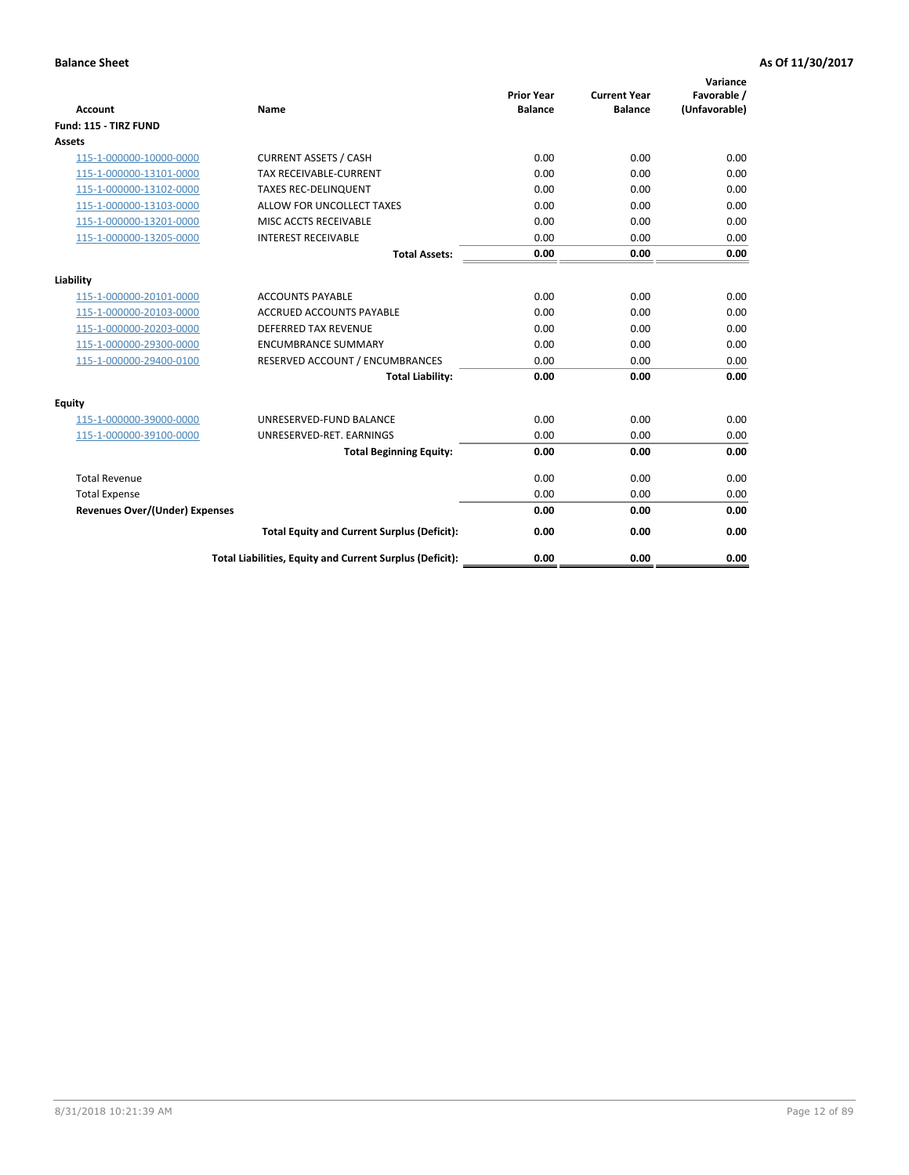| <b>Account</b>                        | <b>Name</b>                                              | <b>Prior Year</b><br><b>Balance</b> | <b>Current Year</b><br><b>Balance</b> | Variance<br>Favorable /<br>(Unfavorable) |
|---------------------------------------|----------------------------------------------------------|-------------------------------------|---------------------------------------|------------------------------------------|
| Fund: 115 - TIRZ FUND                 |                                                          |                                     |                                       |                                          |
| <b>Assets</b>                         |                                                          |                                     |                                       |                                          |
| 115-1-000000-10000-0000               | <b>CURRENT ASSETS / CASH</b>                             | 0.00                                | 0.00                                  | 0.00                                     |
| 115-1-000000-13101-0000               | <b>TAX RECEIVABLE-CURRENT</b>                            | 0.00                                | 0.00                                  | 0.00                                     |
| 115-1-000000-13102-0000               | <b>TAXES REC-DELINQUENT</b>                              | 0.00                                | 0.00                                  | 0.00                                     |
| 115-1-000000-13103-0000               | ALLOW FOR UNCOLLECT TAXES                                | 0.00                                | 0.00                                  | 0.00                                     |
| 115-1-000000-13201-0000               | MISC ACCTS RECEIVABLE                                    | 0.00                                | 0.00                                  | 0.00                                     |
| 115-1-000000-13205-0000               | <b>INTEREST RECEIVABLE</b>                               | 0.00                                | 0.00                                  | 0.00                                     |
|                                       | <b>Total Assets:</b>                                     | 0.00                                | 0.00                                  | 0.00                                     |
| Liability                             |                                                          |                                     |                                       |                                          |
| 115-1-000000-20101-0000               | <b>ACCOUNTS PAYABLE</b>                                  | 0.00                                | 0.00                                  | 0.00                                     |
| 115-1-000000-20103-0000               | <b>ACCRUED ACCOUNTS PAYABLE</b>                          | 0.00                                | 0.00                                  | 0.00                                     |
| 115-1-000000-20203-0000               | <b>DEFERRED TAX REVENUE</b>                              | 0.00                                | 0.00                                  | 0.00                                     |
| 115-1-000000-29300-0000               | <b>ENCUMBRANCE SUMMARY</b>                               | 0.00                                | 0.00                                  | 0.00                                     |
| 115-1-000000-29400-0100               | RESERVED ACCOUNT / ENCUMBRANCES                          | 0.00                                | 0.00                                  | 0.00                                     |
|                                       | <b>Total Liability:</b>                                  | 0.00                                | 0.00                                  | 0.00                                     |
| <b>Equity</b>                         |                                                          |                                     |                                       |                                          |
| 115-1-000000-39000-0000               | UNRESERVED-FUND BALANCE                                  | 0.00                                | 0.00                                  | 0.00                                     |
| 115-1-000000-39100-0000               | UNRESERVED-RET. EARNINGS                                 | 0.00                                | 0.00                                  | 0.00                                     |
|                                       | <b>Total Beginning Equity:</b>                           | 0.00                                | 0.00                                  | 0.00                                     |
| <b>Total Revenue</b>                  |                                                          | 0.00                                | 0.00                                  | 0.00                                     |
| <b>Total Expense</b>                  |                                                          | 0.00                                | 0.00                                  | 0.00                                     |
| <b>Revenues Over/(Under) Expenses</b> |                                                          | 0.00                                | 0.00                                  | 0.00                                     |
|                                       | <b>Total Equity and Current Surplus (Deficit):</b>       | 0.00                                | 0.00                                  | 0.00                                     |
|                                       | Total Liabilities, Equity and Current Surplus (Deficit): | 0.00                                | 0.00                                  | 0.00                                     |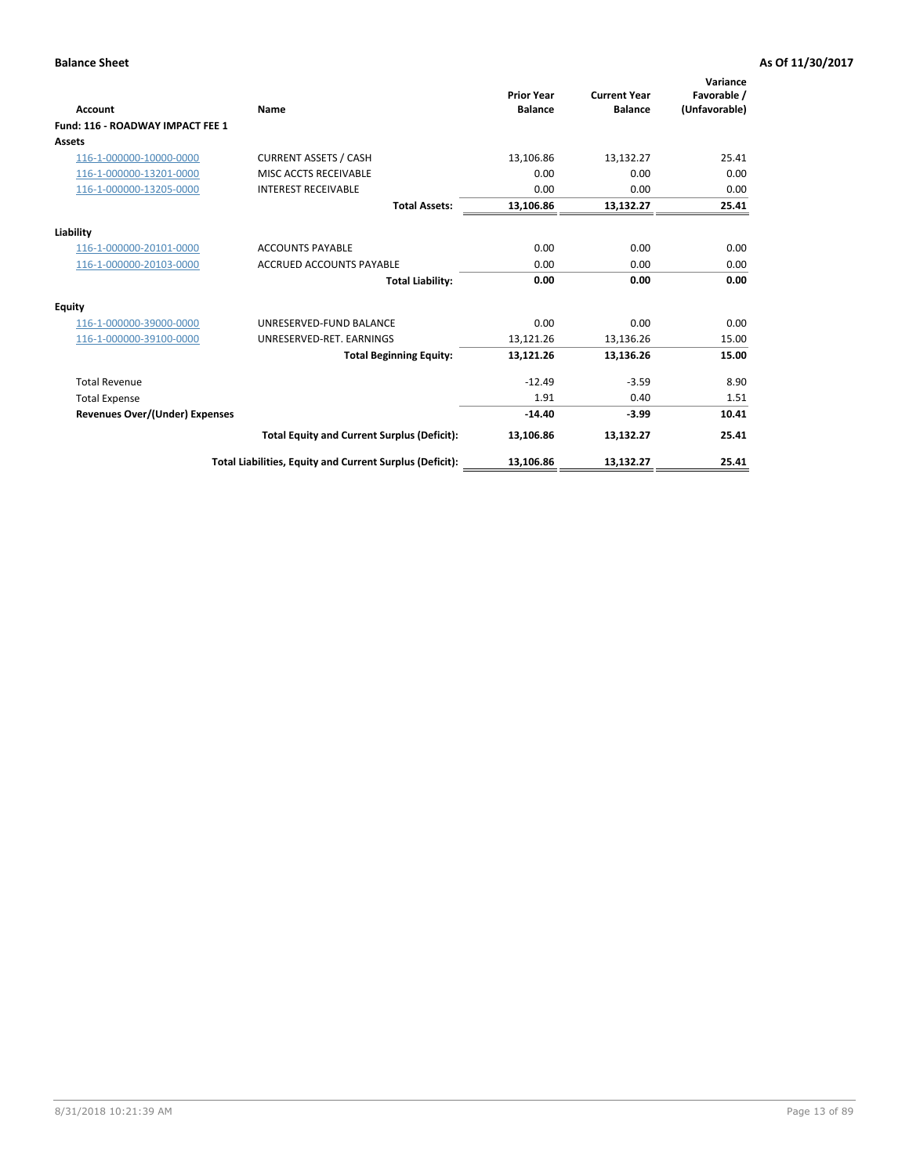| <b>Account</b>                        | Name                                                     | <b>Prior Year</b><br><b>Balance</b> | <b>Current Year</b><br><b>Balance</b> | Variance<br>Favorable /<br>(Unfavorable) |
|---------------------------------------|----------------------------------------------------------|-------------------------------------|---------------------------------------|------------------------------------------|
| Fund: 116 - ROADWAY IMPACT FEE 1      |                                                          |                                     |                                       |                                          |
| Assets                                |                                                          |                                     |                                       |                                          |
| 116-1-000000-10000-0000               | <b>CURRENT ASSETS / CASH</b>                             | 13,106.86                           | 13,132.27                             | 25.41                                    |
| 116-1-000000-13201-0000               | MISC ACCTS RECEIVABLE                                    | 0.00                                | 0.00                                  | 0.00                                     |
| 116-1-000000-13205-0000               | <b>INTEREST RECEIVABLE</b>                               | 0.00                                | 0.00                                  | 0.00                                     |
|                                       | <b>Total Assets:</b>                                     | 13,106.86                           | 13,132.27                             | 25.41                                    |
| Liability                             |                                                          |                                     |                                       |                                          |
| 116-1-000000-20101-0000               | <b>ACCOUNTS PAYABLE</b>                                  | 0.00                                | 0.00                                  | 0.00                                     |
| 116-1-000000-20103-0000               | <b>ACCRUED ACCOUNTS PAYABLE</b>                          | 0.00                                | 0.00                                  | 0.00                                     |
|                                       | <b>Total Liability:</b>                                  | 0.00                                | 0.00                                  | 0.00                                     |
| Equity                                |                                                          |                                     |                                       |                                          |
| 116-1-000000-39000-0000               | UNRESERVED-FUND BALANCE                                  | 0.00                                | 0.00                                  | 0.00                                     |
| 116-1-000000-39100-0000               | UNRESERVED-RET. EARNINGS                                 | 13,121.26                           | 13,136.26                             | 15.00                                    |
|                                       | <b>Total Beginning Equity:</b>                           | 13,121.26                           | 13,136.26                             | 15.00                                    |
| <b>Total Revenue</b>                  |                                                          | $-12.49$                            | $-3.59$                               | 8.90                                     |
| <b>Total Expense</b>                  |                                                          | 1.91                                | 0.40                                  | 1.51                                     |
| <b>Revenues Over/(Under) Expenses</b> |                                                          | $-14.40$                            | $-3.99$                               | 10.41                                    |
|                                       | <b>Total Equity and Current Surplus (Deficit):</b>       | 13,106.86                           | 13,132.27                             | 25.41                                    |
|                                       | Total Liabilities, Equity and Current Surplus (Deficit): | 13,106.86                           | 13,132.27                             | 25.41                                    |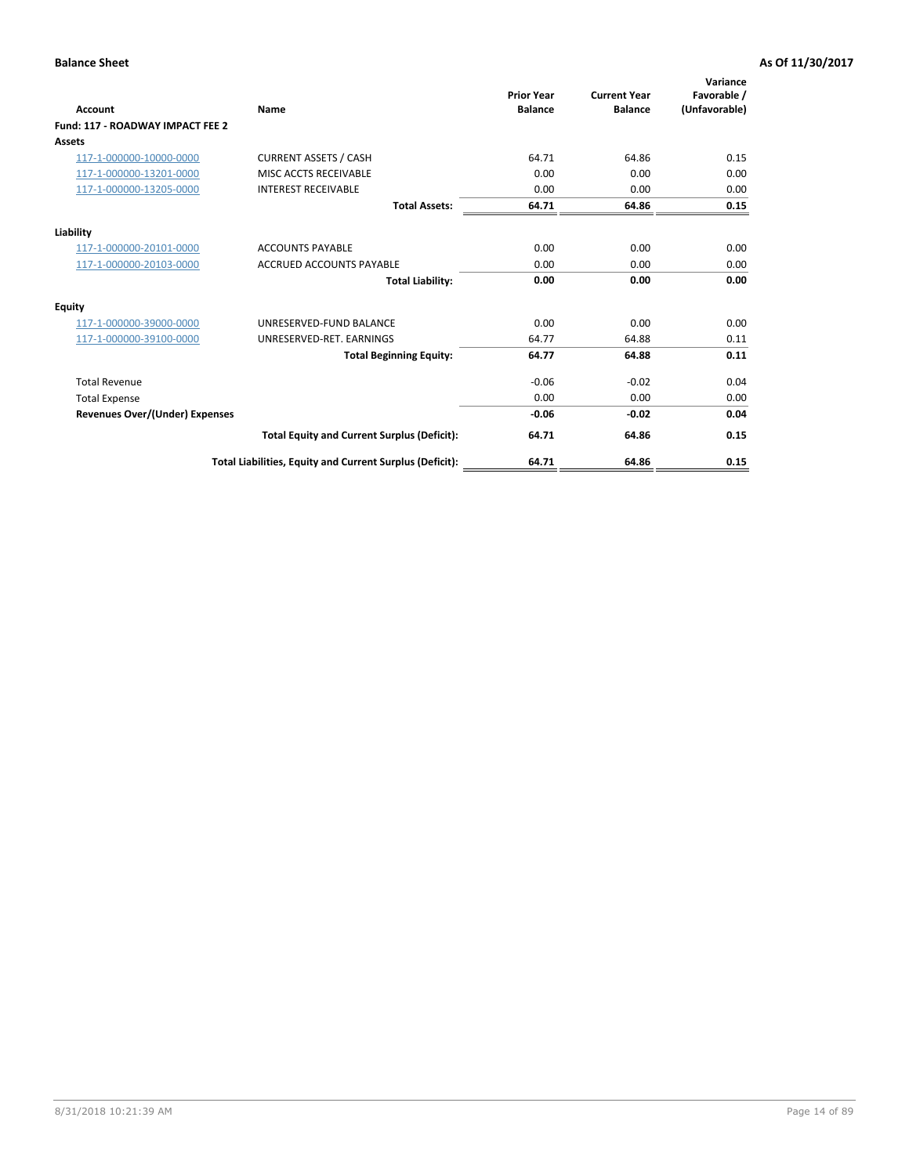| <b>Account</b>                        | Name                                                     | <b>Prior Year</b><br><b>Balance</b> | <b>Current Year</b><br><b>Balance</b> | Variance<br>Favorable /<br>(Unfavorable) |
|---------------------------------------|----------------------------------------------------------|-------------------------------------|---------------------------------------|------------------------------------------|
| Fund: 117 - ROADWAY IMPACT FEE 2      |                                                          |                                     |                                       |                                          |
| Assets                                |                                                          |                                     |                                       |                                          |
| 117-1-000000-10000-0000               | <b>CURRENT ASSETS / CASH</b>                             | 64.71                               | 64.86                                 | 0.15                                     |
| 117-1-000000-13201-0000               | MISC ACCTS RECEIVABLE                                    | 0.00                                | 0.00                                  | 0.00                                     |
| 117-1-000000-13205-0000               | <b>INTEREST RECEIVABLE</b>                               | 0.00                                | 0.00                                  | 0.00                                     |
|                                       | <b>Total Assets:</b>                                     | 64.71                               | 64.86                                 | 0.15                                     |
| Liability                             |                                                          |                                     |                                       |                                          |
| 117-1-000000-20101-0000               | <b>ACCOUNTS PAYABLE</b>                                  | 0.00                                | 0.00                                  | 0.00                                     |
| 117-1-000000-20103-0000               | <b>ACCRUED ACCOUNTS PAYABLE</b>                          | 0.00                                | 0.00                                  | 0.00                                     |
|                                       | <b>Total Liability:</b>                                  | 0.00                                | 0.00                                  | 0.00                                     |
| <b>Equity</b>                         |                                                          |                                     |                                       |                                          |
| 117-1-000000-39000-0000               | UNRESERVED-FUND BALANCE                                  | 0.00                                | 0.00                                  | 0.00                                     |
| 117-1-000000-39100-0000               | UNRESERVED-RET, EARNINGS                                 | 64.77                               | 64.88                                 | 0.11                                     |
|                                       | <b>Total Beginning Equity:</b>                           | 64.77                               | 64.88                                 | 0.11                                     |
| <b>Total Revenue</b>                  |                                                          | $-0.06$                             | $-0.02$                               | 0.04                                     |
| <b>Total Expense</b>                  |                                                          | 0.00                                | 0.00                                  | 0.00                                     |
| <b>Revenues Over/(Under) Expenses</b> |                                                          | $-0.06$                             | $-0.02$                               | 0.04                                     |
|                                       | <b>Total Equity and Current Surplus (Deficit):</b>       | 64.71                               | 64.86                                 | 0.15                                     |
|                                       | Total Liabilities, Equity and Current Surplus (Deficit): | 64.71                               | 64.86                                 | 0.15                                     |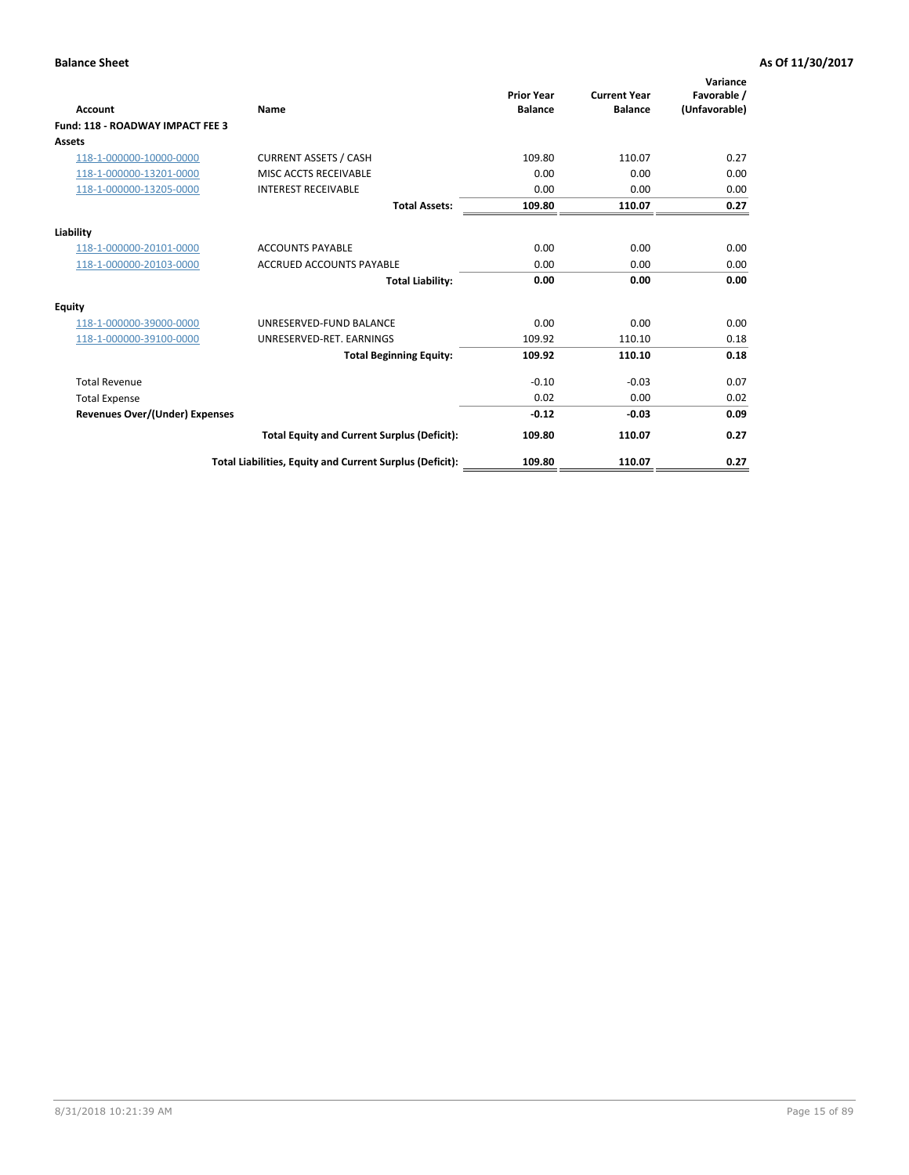| <b>Account</b>                          | <b>Name</b>                                              | <b>Prior Year</b><br><b>Balance</b> | <b>Current Year</b><br><b>Balance</b> | Variance<br>Favorable /<br>(Unfavorable) |
|-----------------------------------------|----------------------------------------------------------|-------------------------------------|---------------------------------------|------------------------------------------|
| <b>Fund: 118 - ROADWAY IMPACT FEE 3</b> |                                                          |                                     |                                       |                                          |
| Assets                                  |                                                          |                                     |                                       |                                          |
| 118-1-000000-10000-0000                 | <b>CURRENT ASSETS / CASH</b>                             | 109.80                              | 110.07                                | 0.27                                     |
| 118-1-000000-13201-0000                 | MISC ACCTS RECEIVABLE                                    | 0.00                                | 0.00                                  | 0.00                                     |
| 118-1-000000-13205-0000                 | <b>INTEREST RECEIVABLE</b>                               | 0.00                                | 0.00                                  | 0.00                                     |
|                                         | <b>Total Assets:</b>                                     | 109.80                              | 110.07                                | 0.27                                     |
| Liability                               |                                                          |                                     |                                       |                                          |
| 118-1-000000-20101-0000                 | <b>ACCOUNTS PAYABLE</b>                                  | 0.00                                | 0.00                                  | 0.00                                     |
| 118-1-000000-20103-0000                 | <b>ACCRUED ACCOUNTS PAYABLE</b>                          | 0.00                                | 0.00                                  | 0.00                                     |
|                                         | <b>Total Liability:</b>                                  | 0.00                                | 0.00                                  | 0.00                                     |
| <b>Equity</b>                           |                                                          |                                     |                                       |                                          |
| 118-1-000000-39000-0000                 | UNRESERVED-FUND BALANCE                                  | 0.00                                | 0.00                                  | 0.00                                     |
| 118-1-000000-39100-0000                 | UNRESERVED-RET, EARNINGS                                 | 109.92                              | 110.10                                | 0.18                                     |
|                                         | <b>Total Beginning Equity:</b>                           | 109.92                              | 110.10                                | 0.18                                     |
| <b>Total Revenue</b>                    |                                                          | $-0.10$                             | $-0.03$                               | 0.07                                     |
| <b>Total Expense</b>                    |                                                          | 0.02                                | 0.00                                  | 0.02                                     |
| <b>Revenues Over/(Under) Expenses</b>   |                                                          | $-0.12$                             | $-0.03$                               | 0.09                                     |
|                                         | <b>Total Equity and Current Surplus (Deficit):</b>       | 109.80                              | 110.07                                | 0.27                                     |
|                                         | Total Liabilities, Equity and Current Surplus (Deficit): | 109.80                              | 110.07                                | 0.27                                     |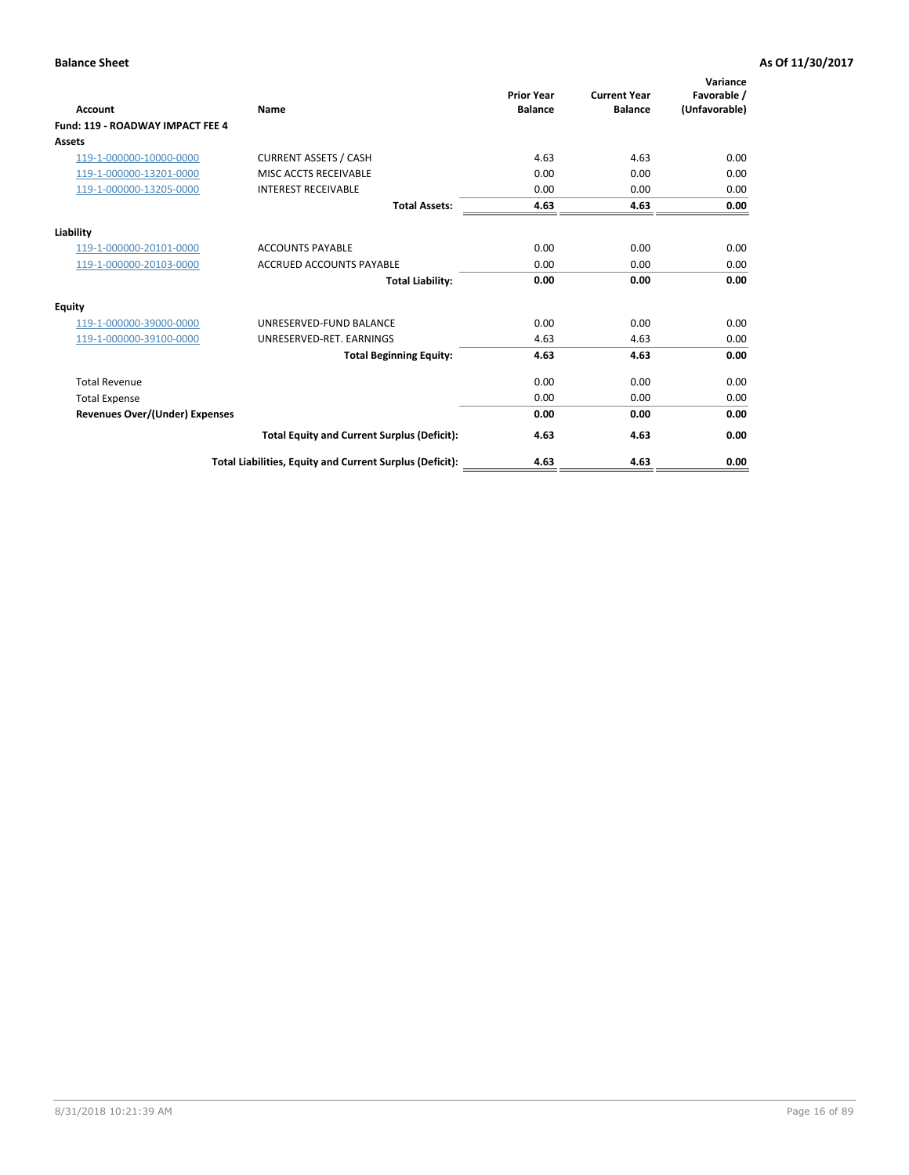| Account                               | Name                                                     | <b>Prior Year</b><br><b>Balance</b> | <b>Current Year</b><br><b>Balance</b> | Variance<br>Favorable /<br>(Unfavorable) |
|---------------------------------------|----------------------------------------------------------|-------------------------------------|---------------------------------------|------------------------------------------|
| Fund: 119 - ROADWAY IMPACT FEE 4      |                                                          |                                     |                                       |                                          |
| Assets                                |                                                          |                                     |                                       |                                          |
| 119-1-000000-10000-0000               | <b>CURRENT ASSETS / CASH</b>                             | 4.63                                | 4.63                                  | 0.00                                     |
| 119-1-000000-13201-0000               | MISC ACCTS RECEIVABLE                                    | 0.00                                | 0.00                                  | 0.00                                     |
| 119-1-000000-13205-0000               | <b>INTEREST RECEIVABLE</b>                               | 0.00                                | 0.00                                  | 0.00                                     |
|                                       | <b>Total Assets:</b>                                     | 4.63                                | 4.63                                  | 0.00                                     |
| Liability                             |                                                          |                                     |                                       |                                          |
| 119-1-000000-20101-0000               | <b>ACCOUNTS PAYABLE</b>                                  | 0.00                                | 0.00                                  | 0.00                                     |
| 119-1-000000-20103-0000               | <b>ACCRUED ACCOUNTS PAYABLE</b>                          | 0.00                                | 0.00                                  | 0.00                                     |
|                                       | <b>Total Liability:</b>                                  | 0.00                                | 0.00                                  | 0.00                                     |
| Equity                                |                                                          |                                     |                                       |                                          |
| 119-1-000000-39000-0000               | UNRESERVED-FUND BALANCE                                  | 0.00                                | 0.00                                  | 0.00                                     |
| 119-1-000000-39100-0000               | UNRESERVED-RET. EARNINGS                                 | 4.63                                | 4.63                                  | 0.00                                     |
|                                       | <b>Total Beginning Equity:</b>                           | 4.63                                | 4.63                                  | 0.00                                     |
| <b>Total Revenue</b>                  |                                                          | 0.00                                | 0.00                                  | 0.00                                     |
| <b>Total Expense</b>                  |                                                          | 0.00                                | 0.00                                  | 0.00                                     |
| <b>Revenues Over/(Under) Expenses</b> |                                                          | 0.00                                | 0.00                                  | 0.00                                     |
|                                       | <b>Total Equity and Current Surplus (Deficit):</b>       | 4.63                                | 4.63                                  | 0.00                                     |
|                                       | Total Liabilities, Equity and Current Surplus (Deficit): | 4.63                                | 4.63                                  | 0.00                                     |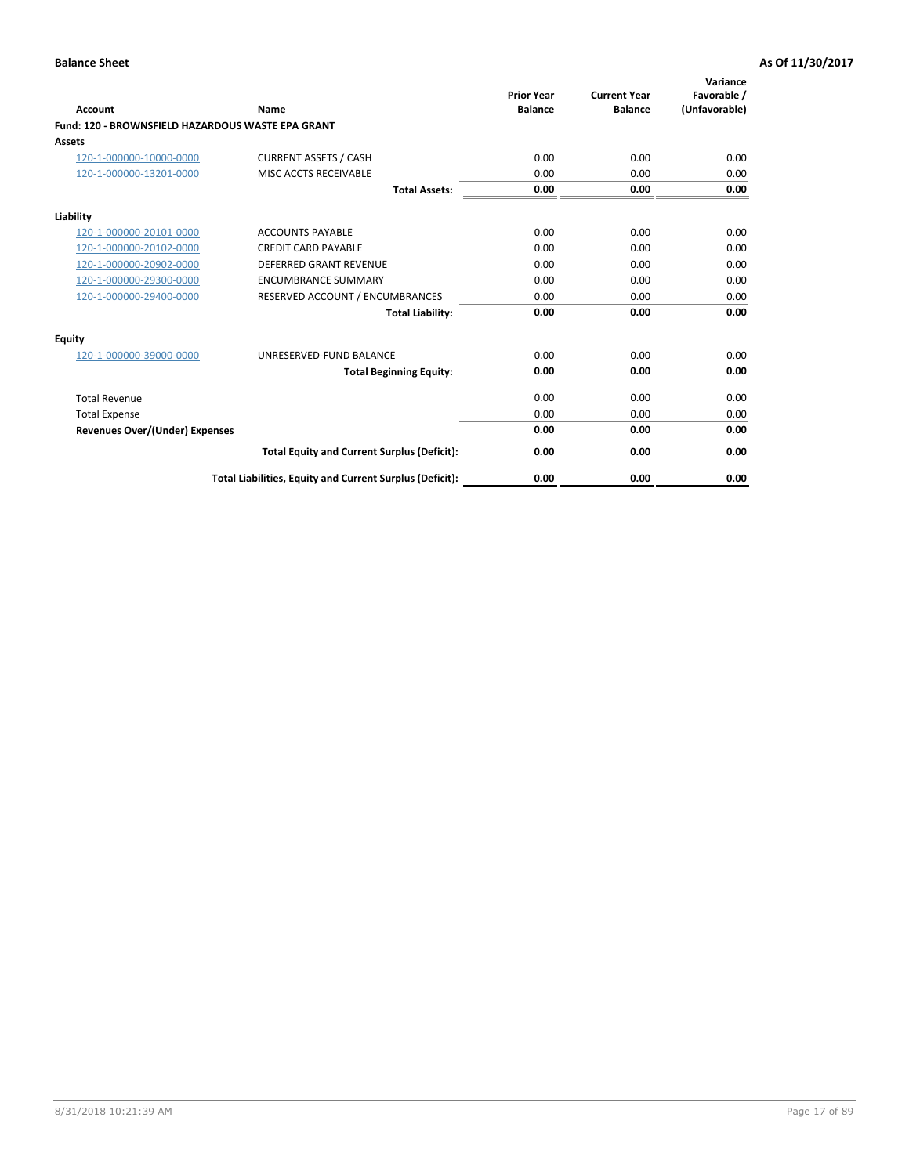| Account                                                  | Name                                                     | <b>Prior Year</b><br><b>Balance</b> | <b>Current Year</b><br><b>Balance</b> | Variance<br>Favorable /<br>(Unfavorable) |
|----------------------------------------------------------|----------------------------------------------------------|-------------------------------------|---------------------------------------|------------------------------------------|
| <b>Fund: 120 - BROWNSFIELD HAZARDOUS WASTE EPA GRANT</b> |                                                          |                                     |                                       |                                          |
| <b>Assets</b>                                            |                                                          |                                     |                                       |                                          |
| 120-1-000000-10000-0000                                  | <b>CURRENT ASSETS / CASH</b>                             | 0.00                                | 0.00                                  | 0.00                                     |
| 120-1-000000-13201-0000                                  | MISC ACCTS RECEIVABLE                                    | 0.00                                | 0.00                                  | 0.00                                     |
|                                                          | <b>Total Assets:</b>                                     | 0.00                                | 0.00                                  | 0.00                                     |
| Liability                                                |                                                          |                                     |                                       |                                          |
| 120-1-000000-20101-0000                                  | <b>ACCOUNTS PAYABLE</b>                                  | 0.00                                | 0.00                                  | 0.00                                     |
| 120-1-000000-20102-0000                                  | <b>CREDIT CARD PAYABLE</b>                               | 0.00                                | 0.00                                  | 0.00                                     |
| 120-1-000000-20902-0000                                  | <b>DEFERRED GRANT REVENUE</b>                            | 0.00                                | 0.00                                  | 0.00                                     |
| 120-1-000000-29300-0000                                  | <b>ENCUMBRANCE SUMMARY</b>                               | 0.00                                | 0.00                                  | 0.00                                     |
| 120-1-000000-29400-0000                                  | RESERVED ACCOUNT / ENCUMBRANCES                          | 0.00                                | 0.00                                  | 0.00                                     |
|                                                          | <b>Total Liability:</b>                                  | 0.00                                | 0.00                                  | 0.00                                     |
| <b>Equity</b>                                            |                                                          |                                     |                                       |                                          |
| 120-1-000000-39000-0000                                  | UNRESERVED-FUND BALANCE                                  | 0.00                                | 0.00                                  | 0.00                                     |
|                                                          | <b>Total Beginning Equity:</b>                           | 0.00                                | 0.00                                  | 0.00                                     |
| <b>Total Revenue</b>                                     |                                                          | 0.00                                | 0.00                                  | 0.00                                     |
| <b>Total Expense</b>                                     |                                                          | 0.00                                | 0.00                                  | 0.00                                     |
| <b>Revenues Over/(Under) Expenses</b>                    |                                                          | 0.00                                | 0.00                                  | 0.00                                     |
|                                                          | <b>Total Equity and Current Surplus (Deficit):</b>       | 0.00                                | 0.00                                  | 0.00                                     |
|                                                          | Total Liabilities, Equity and Current Surplus (Deficit): | 0.00                                | 0.00                                  | 0.00                                     |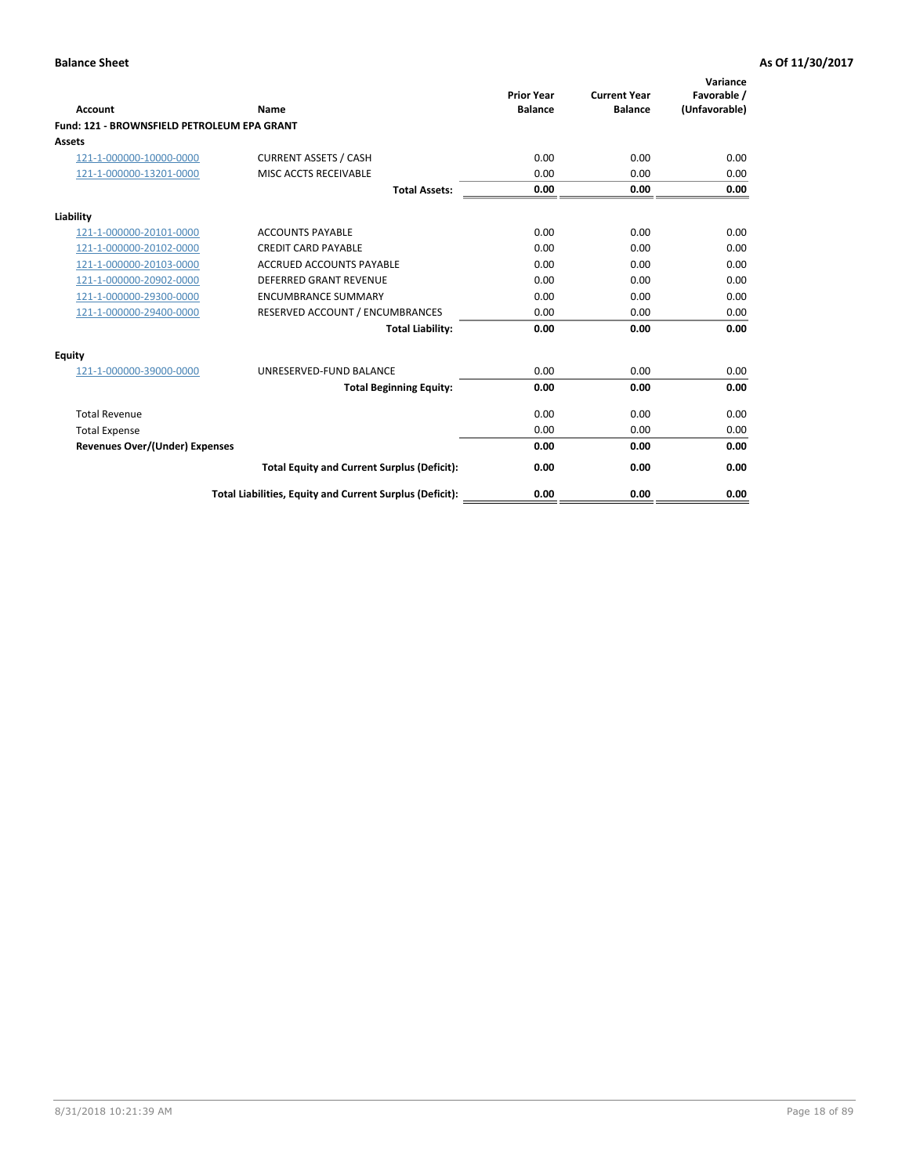| Account                                     | Name                                                     | <b>Prior Year</b><br><b>Balance</b> | <b>Current Year</b><br><b>Balance</b> | Variance<br>Favorable /<br>(Unfavorable) |
|---------------------------------------------|----------------------------------------------------------|-------------------------------------|---------------------------------------|------------------------------------------|
| Fund: 121 - BROWNSFIELD PETROLEUM EPA GRANT |                                                          |                                     |                                       |                                          |
| <b>Assets</b>                               |                                                          |                                     |                                       |                                          |
| 121-1-000000-10000-0000                     | <b>CURRENT ASSETS / CASH</b>                             | 0.00                                | 0.00                                  | 0.00                                     |
| 121-1-000000-13201-0000                     | MISC ACCTS RECEIVABLE                                    | 0.00                                | 0.00                                  | 0.00                                     |
|                                             | <b>Total Assets:</b>                                     | 0.00                                | 0.00                                  | 0.00                                     |
| Liability                                   |                                                          |                                     |                                       |                                          |
| 121-1-000000-20101-0000                     | <b>ACCOUNTS PAYABLE</b>                                  | 0.00                                | 0.00                                  | 0.00                                     |
| 121-1-000000-20102-0000                     | <b>CREDIT CARD PAYABLE</b>                               | 0.00                                | 0.00                                  | 0.00                                     |
| 121-1-000000-20103-0000                     | <b>ACCRUED ACCOUNTS PAYABLE</b>                          | 0.00                                | 0.00                                  | 0.00                                     |
| 121-1-000000-20902-0000                     | DEFERRED GRANT REVENUE                                   | 0.00                                | 0.00                                  | 0.00                                     |
| 121-1-000000-29300-0000                     | <b>ENCUMBRANCE SUMMARY</b>                               | 0.00                                | 0.00                                  | 0.00                                     |
| 121-1-000000-29400-0000                     | RESERVED ACCOUNT / ENCUMBRANCES                          | 0.00                                | 0.00                                  | 0.00                                     |
|                                             | <b>Total Liability:</b>                                  | 0.00                                | 0.00                                  | 0.00                                     |
| <b>Equity</b>                               |                                                          |                                     |                                       |                                          |
| 121-1-000000-39000-0000                     | UNRESERVED-FUND BALANCE                                  | 0.00                                | 0.00                                  | 0.00                                     |
|                                             | <b>Total Beginning Equity:</b>                           | 0.00                                | 0.00                                  | 0.00                                     |
| <b>Total Revenue</b>                        |                                                          | 0.00                                | 0.00                                  | 0.00                                     |
| <b>Total Expense</b>                        |                                                          | 0.00                                | 0.00                                  | 0.00                                     |
| <b>Revenues Over/(Under) Expenses</b>       |                                                          | 0.00                                | 0.00                                  | 0.00                                     |
|                                             | <b>Total Equity and Current Surplus (Deficit):</b>       | 0.00                                | 0.00                                  | 0.00                                     |
|                                             | Total Liabilities, Equity and Current Surplus (Deficit): | 0.00                                | 0.00                                  | 0.00                                     |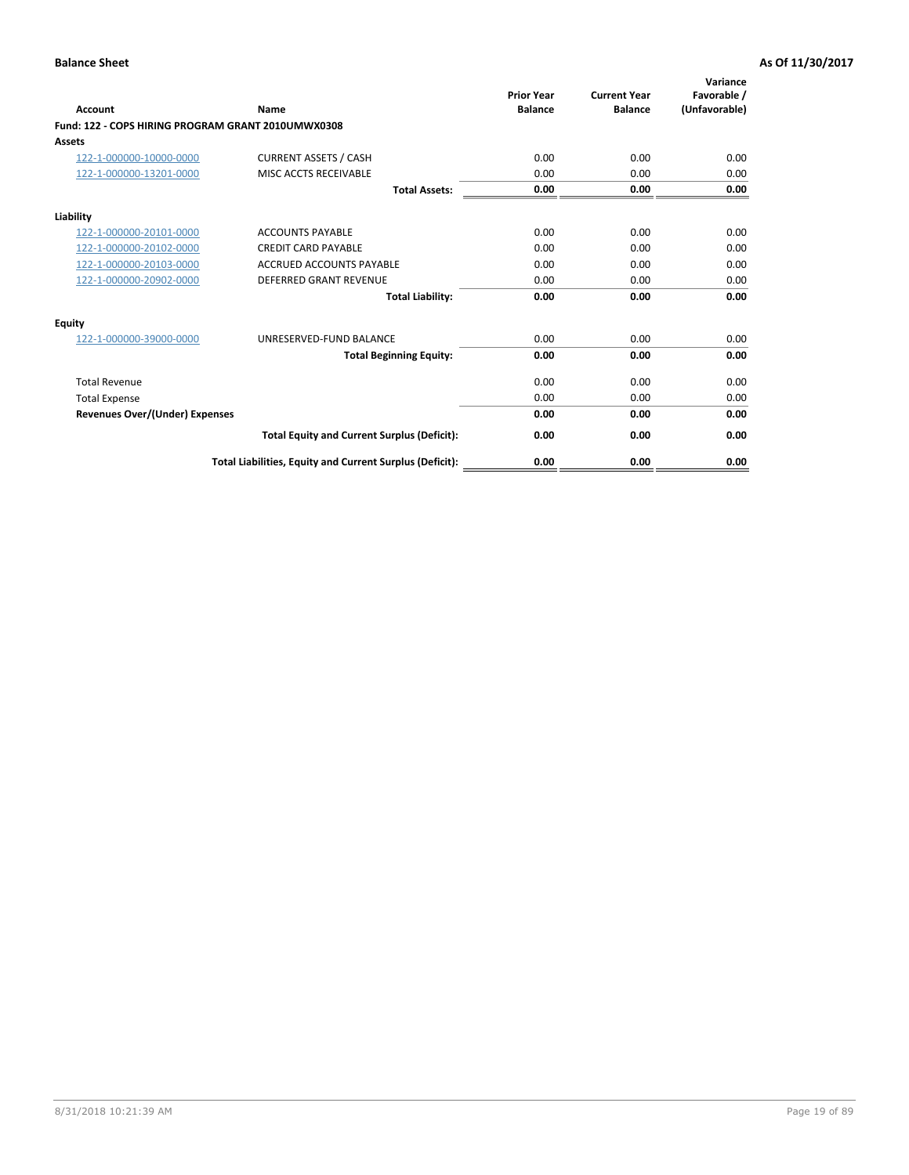| <b>Account</b>                                     | Name                                                     | <b>Prior Year</b><br><b>Balance</b> | <b>Current Year</b><br><b>Balance</b> | Variance<br>Favorable /<br>(Unfavorable) |
|----------------------------------------------------|----------------------------------------------------------|-------------------------------------|---------------------------------------|------------------------------------------|
| Fund: 122 - COPS HIRING PROGRAM GRANT 2010UMWX0308 |                                                          |                                     |                                       |                                          |
| Assets                                             |                                                          |                                     |                                       |                                          |
| 122-1-000000-10000-0000                            | <b>CURRENT ASSETS / CASH</b>                             | 0.00                                | 0.00                                  | 0.00                                     |
| 122-1-000000-13201-0000                            | MISC ACCTS RECEIVABLE                                    | 0.00                                | 0.00                                  | 0.00                                     |
|                                                    | <b>Total Assets:</b>                                     | 0.00                                | 0.00                                  | 0.00                                     |
| Liability                                          |                                                          |                                     |                                       |                                          |
| 122-1-000000-20101-0000                            | <b>ACCOUNTS PAYABLE</b>                                  | 0.00                                | 0.00                                  | 0.00                                     |
| 122-1-000000-20102-0000                            | <b>CREDIT CARD PAYABLE</b>                               | 0.00                                | 0.00                                  | 0.00                                     |
| 122-1-000000-20103-0000                            | <b>ACCRUED ACCOUNTS PAYABLE</b>                          | 0.00                                | 0.00                                  | 0.00                                     |
| 122-1-000000-20902-0000                            | <b>DEFERRED GRANT REVENUE</b>                            | 0.00                                | 0.00                                  | 0.00                                     |
|                                                    | <b>Total Liability:</b>                                  | 0.00                                | 0.00                                  | 0.00                                     |
| Equity                                             |                                                          |                                     |                                       |                                          |
| 122-1-000000-39000-0000                            | UNRESERVED-FUND BALANCE                                  | 0.00                                | 0.00                                  | 0.00                                     |
|                                                    | <b>Total Beginning Equity:</b>                           | 0.00                                | 0.00                                  | 0.00                                     |
| <b>Total Revenue</b>                               |                                                          | 0.00                                | 0.00                                  | 0.00                                     |
| <b>Total Expense</b>                               |                                                          | 0.00                                | 0.00                                  | 0.00                                     |
| <b>Revenues Over/(Under) Expenses</b>              |                                                          | 0.00                                | 0.00                                  | 0.00                                     |
|                                                    | <b>Total Equity and Current Surplus (Deficit):</b>       | 0.00                                | 0.00                                  | 0.00                                     |
|                                                    | Total Liabilities, Equity and Current Surplus (Deficit): | 0.00                                | 0.00                                  | 0.00                                     |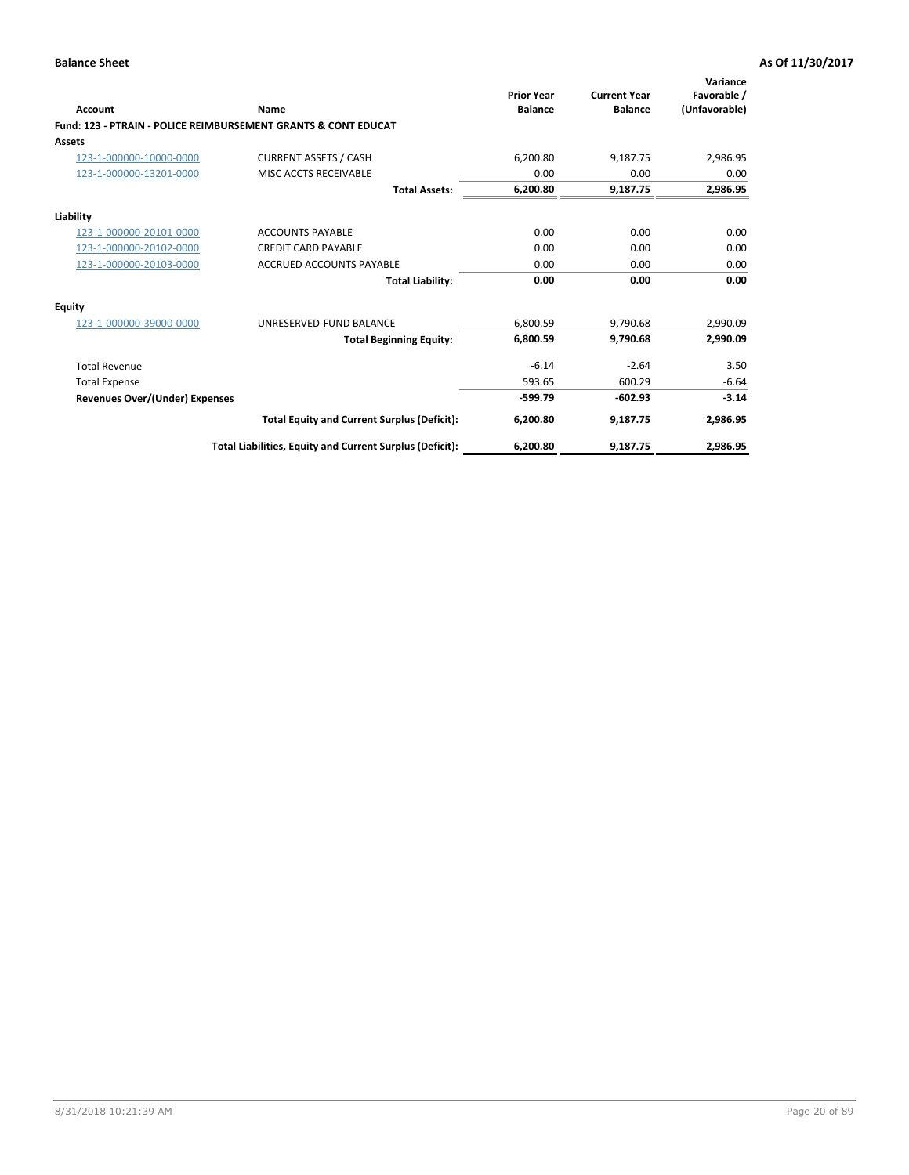| Account                        | Name                                                           | <b>Prior Year</b><br><b>Balance</b> | <b>Current Year</b><br><b>Balance</b> | Variance<br>Favorable /<br>(Unfavorable) |
|--------------------------------|----------------------------------------------------------------|-------------------------------------|---------------------------------------|------------------------------------------|
|                                | Fund: 123 - PTRAIN - POLICE REIMBURSEMENT GRANTS & CONT EDUCAT |                                     |                                       |                                          |
| Assets                         |                                                                |                                     |                                       |                                          |
| 123-1-000000-10000-0000        | <b>CURRENT ASSETS / CASH</b>                                   | 6,200.80                            | 9,187.75                              | 2,986.95                                 |
| 123-1-000000-13201-0000        | MISC ACCTS RECEIVABLE                                          | 0.00                                | 0.00                                  | 0.00                                     |
|                                | <b>Total Assets:</b>                                           | 6,200.80                            | 9,187.75                              | 2,986.95                                 |
| Liability                      |                                                                |                                     |                                       |                                          |
| 123-1-000000-20101-0000        | <b>ACCOUNTS PAYABLE</b>                                        | 0.00                                | 0.00                                  | 0.00                                     |
| 123-1-000000-20102-0000        | <b>CREDIT CARD PAYABLE</b>                                     | 0.00                                | 0.00                                  | 0.00                                     |
| 123-1-000000-20103-0000        | <b>ACCRUED ACCOUNTS PAYABLE</b>                                | 0.00                                | 0.00                                  | 0.00                                     |
|                                | <b>Total Liability:</b>                                        | 0.00                                | 0.00                                  | 0.00                                     |
| Equity                         |                                                                |                                     |                                       |                                          |
| 123-1-000000-39000-0000        | UNRESERVED-FUND BALANCE                                        | 6,800.59                            | 9,790.68                              | 2,990.09                                 |
|                                | <b>Total Beginning Equity:</b>                                 | 6,800.59                            | 9,790.68                              | 2,990.09                                 |
| <b>Total Revenue</b>           |                                                                | $-6.14$                             | $-2.64$                               | 3.50                                     |
| <b>Total Expense</b>           |                                                                | 593.65                              | 600.29                                | $-6.64$                                  |
| Revenues Over/(Under) Expenses |                                                                | $-599.79$                           | $-602.93$                             | $-3.14$                                  |
|                                | <b>Total Equity and Current Surplus (Deficit):</b>             | 6,200.80                            | 9,187.75                              | 2,986.95                                 |
|                                | Total Liabilities, Equity and Current Surplus (Deficit):       | 6,200.80                            | 9,187.75                              | 2,986.95                                 |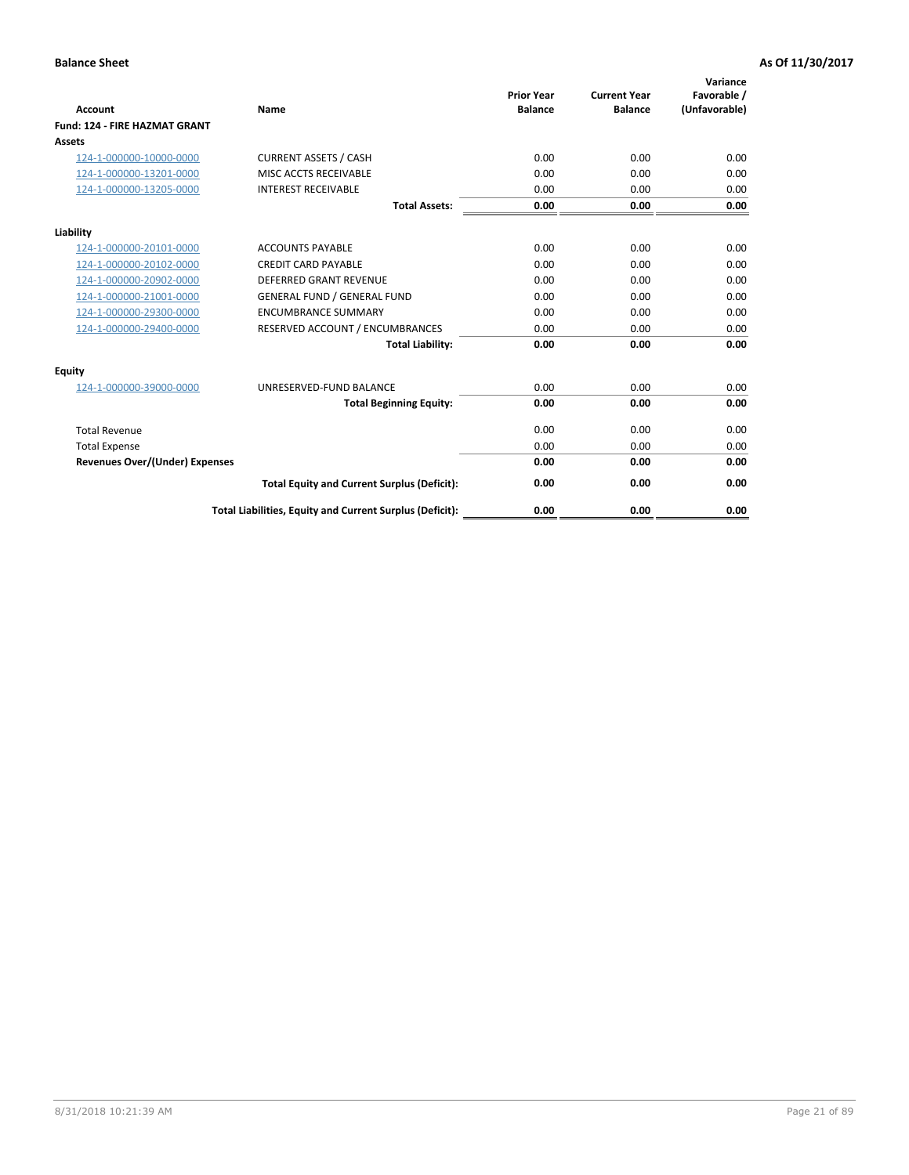|                                      |                                                          | <b>Prior Year</b> | <b>Current Year</b> | Variance<br>Favorable / |
|--------------------------------------|----------------------------------------------------------|-------------------|---------------------|-------------------------|
| <b>Account</b>                       | Name                                                     | <b>Balance</b>    | <b>Balance</b>      | (Unfavorable)           |
| <b>Fund: 124 - FIRE HAZMAT GRANT</b> |                                                          |                   |                     |                         |
| <b>Assets</b>                        |                                                          |                   |                     |                         |
| 124-1-000000-10000-0000              | <b>CURRENT ASSETS / CASH</b>                             | 0.00              | 0.00                | 0.00                    |
| 124-1-000000-13201-0000              | MISC ACCTS RECEIVABLE                                    | 0.00              | 0.00                | 0.00                    |
| 124-1-000000-13205-0000              | <b>INTEREST RECEIVABLE</b>                               | 0.00              | 0.00                | 0.00                    |
|                                      | <b>Total Assets:</b>                                     | 0.00              | 0.00                | 0.00                    |
| Liability                            |                                                          |                   |                     |                         |
| 124-1-000000-20101-0000              | <b>ACCOUNTS PAYABLE</b>                                  | 0.00              | 0.00                | 0.00                    |
| 124-1-000000-20102-0000              | <b>CREDIT CARD PAYABLE</b>                               | 0.00              | 0.00                | 0.00                    |
| 124-1-000000-20902-0000              | <b>DEFERRED GRANT REVENUE</b>                            | 0.00              | 0.00                | 0.00                    |
| 124-1-000000-21001-0000              | <b>GENERAL FUND / GENERAL FUND</b>                       | 0.00              | 0.00                | 0.00                    |
| 124-1-000000-29300-0000              | <b>ENCUMBRANCE SUMMARY</b>                               | 0.00              | 0.00                | 0.00                    |
| 124-1-000000-29400-0000              | RESERVED ACCOUNT / ENCUMBRANCES                          | 0.00              | 0.00                | 0.00                    |
|                                      | <b>Total Liability:</b>                                  | 0.00              | 0.00                | 0.00                    |
| <b>Equity</b>                        |                                                          |                   |                     |                         |
| 124-1-000000-39000-0000              | UNRESERVED-FUND BALANCE                                  | 0.00              | 0.00                | 0.00                    |
|                                      | <b>Total Beginning Equity:</b>                           | 0.00              | 0.00                | 0.00                    |
| <b>Total Revenue</b>                 |                                                          | 0.00              | 0.00                | 0.00                    |
| <b>Total Expense</b>                 |                                                          | 0.00              | 0.00                | 0.00                    |
| Revenues Over/(Under) Expenses       |                                                          | 0.00              | 0.00                | 0.00                    |
|                                      | <b>Total Equity and Current Surplus (Deficit):</b>       | 0.00              | 0.00                | 0.00                    |
|                                      | Total Liabilities, Equity and Current Surplus (Deficit): | 0.00              | 0.00                | 0.00                    |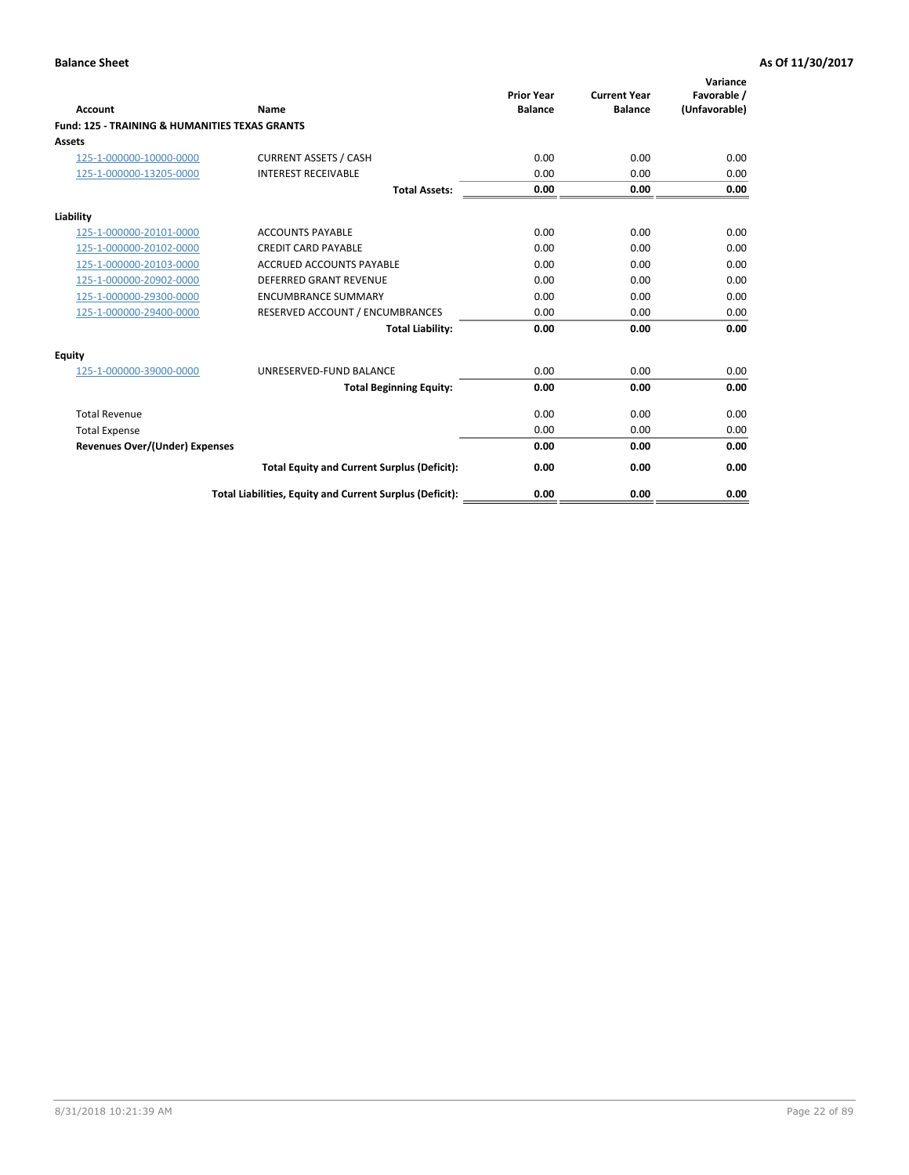| Account                                                   | Name                                                     | <b>Prior Year</b><br><b>Balance</b> | <b>Current Year</b><br><b>Balance</b> | Variance<br>Favorable /<br>(Unfavorable) |
|-----------------------------------------------------------|----------------------------------------------------------|-------------------------------------|---------------------------------------|------------------------------------------|
| <b>Fund: 125 - TRAINING &amp; HUMANITIES TEXAS GRANTS</b> |                                                          |                                     |                                       |                                          |
| <b>Assets</b>                                             |                                                          |                                     |                                       |                                          |
| 125-1-000000-10000-0000                                   | <b>CURRENT ASSETS / CASH</b>                             | 0.00                                | 0.00                                  | 0.00                                     |
| 125-1-000000-13205-0000                                   | <b>INTEREST RECEIVABLE</b>                               | 0.00                                | 0.00                                  | 0.00                                     |
|                                                           | <b>Total Assets:</b>                                     | 0.00                                | 0.00                                  | 0.00                                     |
| Liability                                                 |                                                          |                                     |                                       |                                          |
| 125-1-000000-20101-0000                                   | <b>ACCOUNTS PAYABLE</b>                                  | 0.00                                | 0.00                                  | 0.00                                     |
| 125-1-000000-20102-0000                                   | <b>CREDIT CARD PAYABLE</b>                               | 0.00                                | 0.00                                  | 0.00                                     |
| 125-1-000000-20103-0000                                   | <b>ACCRUED ACCOUNTS PAYABLE</b>                          | 0.00                                | 0.00                                  | 0.00                                     |
| 125-1-000000-20902-0000                                   | DEFERRED GRANT REVENUE                                   | 0.00                                | 0.00                                  | 0.00                                     |
| 125-1-000000-29300-0000                                   | <b>ENCUMBRANCE SUMMARY</b>                               | 0.00                                | 0.00                                  | 0.00                                     |
| 125-1-000000-29400-0000                                   | RESERVED ACCOUNT / ENCUMBRANCES                          | 0.00                                | 0.00                                  | 0.00                                     |
|                                                           | <b>Total Liability:</b>                                  | 0.00                                | 0.00                                  | 0.00                                     |
| <b>Equity</b>                                             |                                                          |                                     |                                       |                                          |
| 125-1-000000-39000-0000                                   | UNRESERVED-FUND BALANCE                                  | 0.00                                | 0.00                                  | 0.00                                     |
|                                                           | <b>Total Beginning Equity:</b>                           | 0.00                                | 0.00                                  | 0.00                                     |
| <b>Total Revenue</b>                                      |                                                          | 0.00                                | 0.00                                  | 0.00                                     |
| <b>Total Expense</b>                                      |                                                          | 0.00                                | 0.00                                  | 0.00                                     |
| <b>Revenues Over/(Under) Expenses</b>                     |                                                          | 0.00                                | 0.00                                  | 0.00                                     |
|                                                           | <b>Total Equity and Current Surplus (Deficit):</b>       | 0.00                                | 0.00                                  | 0.00                                     |
|                                                           | Total Liabilities, Equity and Current Surplus (Deficit): | 0.00                                | 0.00                                  | 0.00                                     |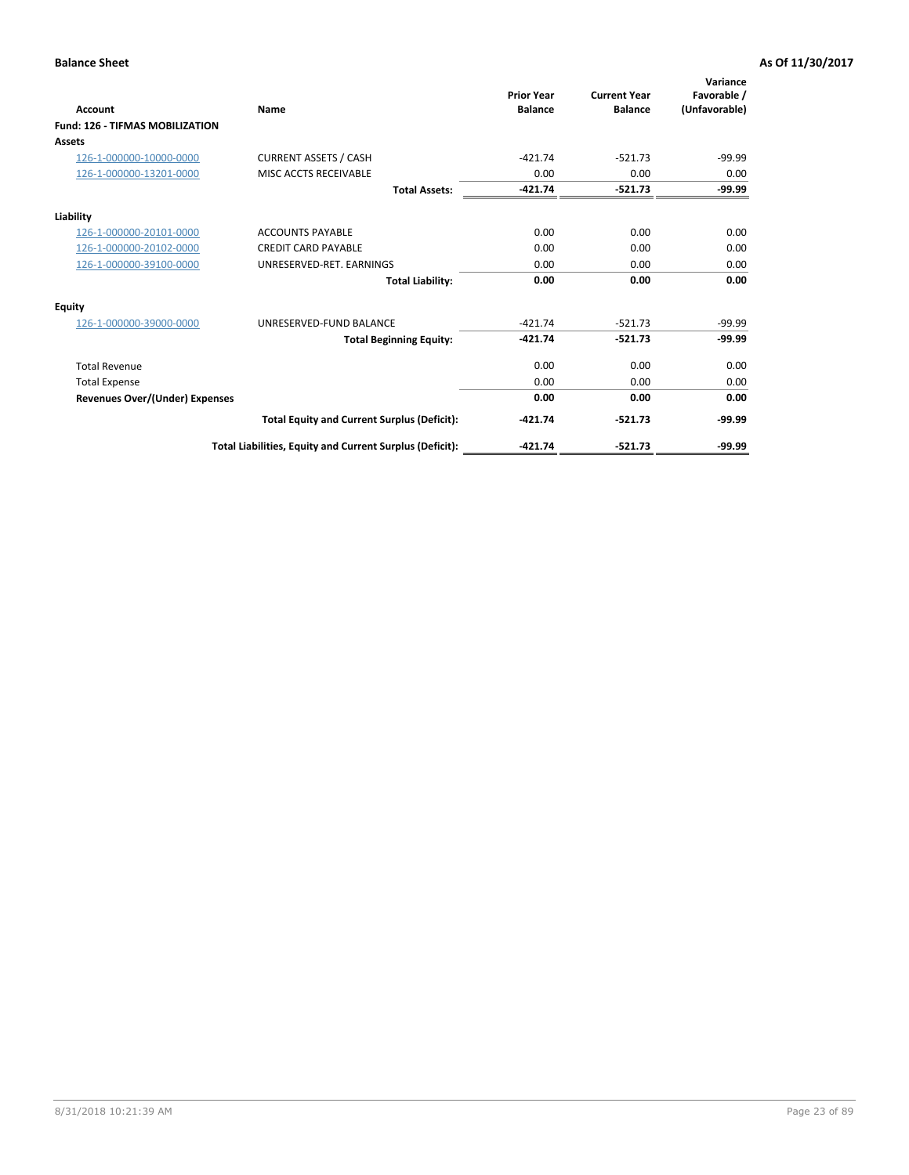| Account                                | Name                                                     | <b>Prior Year</b><br><b>Balance</b> | <b>Current Year</b><br><b>Balance</b> | Variance<br>Favorable /<br>(Unfavorable) |
|----------------------------------------|----------------------------------------------------------|-------------------------------------|---------------------------------------|------------------------------------------|
| <b>Fund: 126 - TIFMAS MOBILIZATION</b> |                                                          |                                     |                                       |                                          |
| Assets                                 |                                                          |                                     |                                       |                                          |
| 126-1-000000-10000-0000                | <b>CURRENT ASSETS / CASH</b>                             | $-421.74$                           | $-521.73$                             | $-99.99$                                 |
| 126-1-000000-13201-0000                | MISC ACCTS RECEIVABLE                                    | 0.00                                | 0.00                                  | 0.00                                     |
|                                        | <b>Total Assets:</b>                                     | $-421.74$                           | $-521.73$                             | $-99.99$                                 |
| Liability                              |                                                          |                                     |                                       |                                          |
| 126-1-000000-20101-0000                | <b>ACCOUNTS PAYABLE</b>                                  | 0.00                                | 0.00                                  | 0.00                                     |
| 126-1-000000-20102-0000                | <b>CREDIT CARD PAYABLE</b>                               | 0.00                                | 0.00                                  | 0.00                                     |
| 126-1-000000-39100-0000                | UNRESERVED-RET. EARNINGS                                 | 0.00                                | 0.00                                  | 0.00                                     |
|                                        | <b>Total Liability:</b>                                  | 0.00                                | 0.00                                  | 0.00                                     |
| Equity                                 |                                                          |                                     |                                       |                                          |
| 126-1-000000-39000-0000                | UNRESERVED-FUND BALANCE                                  | $-421.74$                           | $-521.73$                             | $-99.99$                                 |
|                                        | <b>Total Beginning Equity:</b>                           | $-421.74$                           | $-521.73$                             | $-99.99$                                 |
| <b>Total Revenue</b>                   |                                                          | 0.00                                | 0.00                                  | 0.00                                     |
| <b>Total Expense</b>                   |                                                          | 0.00                                | 0.00                                  | 0.00                                     |
| Revenues Over/(Under) Expenses         |                                                          | 0.00                                | 0.00                                  | 0.00                                     |
|                                        | <b>Total Equity and Current Surplus (Deficit):</b>       | $-421.74$                           | $-521.73$                             | $-99.99$                                 |
|                                        | Total Liabilities, Equity and Current Surplus (Deficit): | $-421.74$                           | $-521.73$                             | $-99.99$                                 |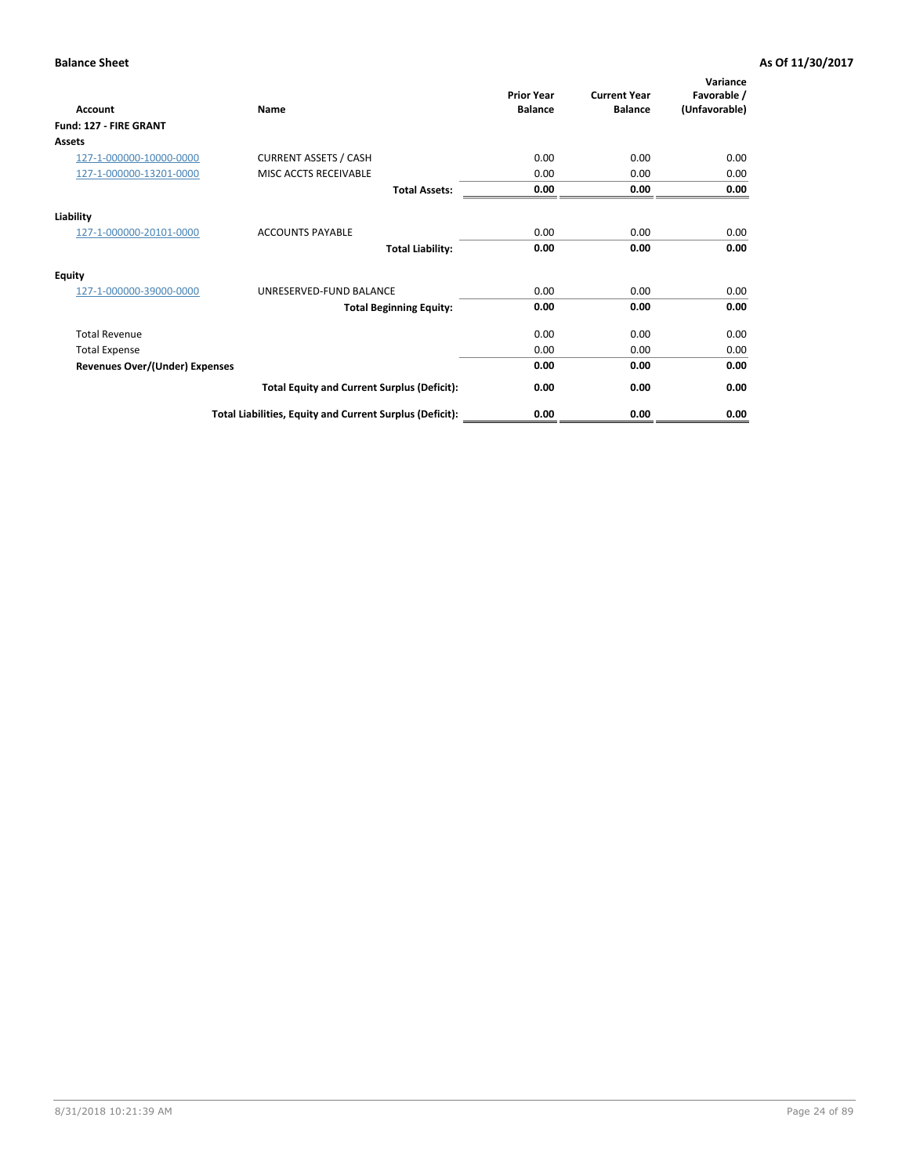| <b>Account</b>                        | Name                                                     | <b>Prior Year</b><br><b>Balance</b> | <b>Current Year</b><br><b>Balance</b> | Variance<br>Favorable /<br>(Unfavorable) |
|---------------------------------------|----------------------------------------------------------|-------------------------------------|---------------------------------------|------------------------------------------|
| Fund: 127 - FIRE GRANT                |                                                          |                                     |                                       |                                          |
| Assets                                |                                                          |                                     |                                       |                                          |
| 127-1-000000-10000-0000               | <b>CURRENT ASSETS / CASH</b>                             | 0.00                                | 0.00                                  | 0.00                                     |
| 127-1-000000-13201-0000               | MISC ACCTS RECEIVABLE                                    | 0.00                                | 0.00                                  | 0.00                                     |
|                                       | <b>Total Assets:</b>                                     | 0.00                                | 0.00                                  | 0.00                                     |
| Liability                             |                                                          |                                     |                                       |                                          |
| 127-1-000000-20101-0000               | <b>ACCOUNTS PAYABLE</b>                                  | 0.00                                | 0.00                                  | 0.00                                     |
|                                       | <b>Total Liability:</b>                                  | 0.00                                | 0.00                                  | 0.00                                     |
| <b>Equity</b>                         |                                                          |                                     |                                       |                                          |
| 127-1-000000-39000-0000               | UNRESERVED-FUND BALANCE                                  | 0.00                                | 0.00                                  | 0.00                                     |
|                                       | <b>Total Beginning Equity:</b>                           | 0.00                                | 0.00                                  | 0.00                                     |
| <b>Total Revenue</b>                  |                                                          | 0.00                                | 0.00                                  | 0.00                                     |
| <b>Total Expense</b>                  |                                                          | 0.00                                | 0.00                                  | 0.00                                     |
| <b>Revenues Over/(Under) Expenses</b> |                                                          | 0.00                                | 0.00                                  | 0.00                                     |
|                                       | <b>Total Equity and Current Surplus (Deficit):</b>       | 0.00                                | 0.00                                  | 0.00                                     |
|                                       | Total Liabilities, Equity and Current Surplus (Deficit): | 0.00                                | 0.00                                  | 0.00                                     |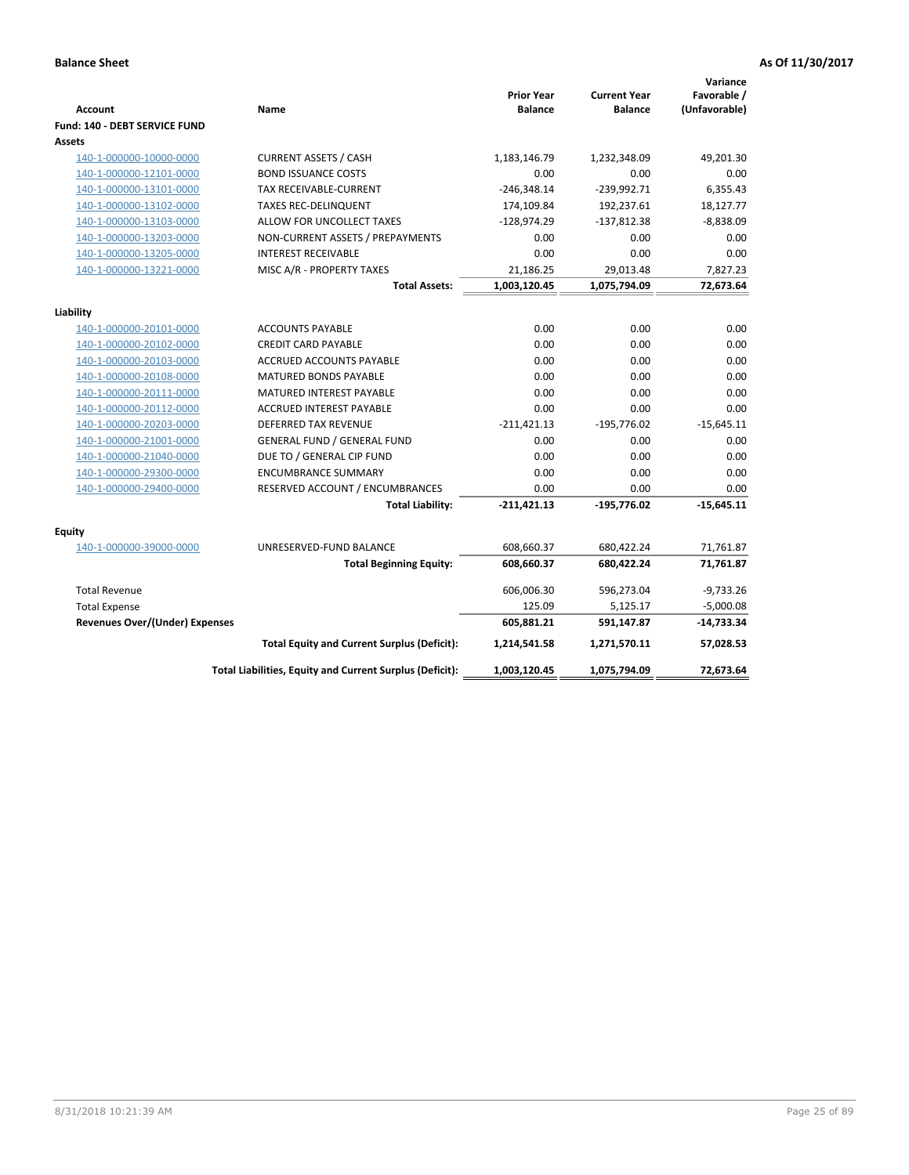| <b>Account</b>                        | Name                                                     | <b>Prior Year</b><br><b>Balance</b> | <b>Current Year</b><br><b>Balance</b> | Variance<br>Favorable /<br>(Unfavorable) |
|---------------------------------------|----------------------------------------------------------|-------------------------------------|---------------------------------------|------------------------------------------|
| Fund: 140 - DEBT SERVICE FUND         |                                                          |                                     |                                       |                                          |
| Assets                                |                                                          |                                     |                                       |                                          |
| 140-1-000000-10000-0000               | <b>CURRENT ASSETS / CASH</b>                             | 1,183,146.79                        | 1,232,348.09                          | 49,201.30                                |
| 140-1-000000-12101-0000               | <b>BOND ISSUANCE COSTS</b>                               | 0.00                                | 0.00                                  | 0.00                                     |
| 140-1-000000-13101-0000               | <b>TAX RECEIVABLE-CURRENT</b>                            | $-246,348.14$                       | $-239,992.71$                         | 6,355.43                                 |
| 140-1-000000-13102-0000               | <b>TAXES REC-DELINQUENT</b>                              | 174,109.84                          | 192,237.61                            | 18,127.77                                |
| 140-1-000000-13103-0000               | ALLOW FOR UNCOLLECT TAXES                                | $-128,974.29$                       | $-137,812.38$                         | $-8,838.09$                              |
| 140-1-000000-13203-0000               | NON-CURRENT ASSETS / PREPAYMENTS                         | 0.00                                | 0.00                                  | 0.00                                     |
| 140-1-000000-13205-0000               | <b>INTEREST RECEIVABLE</b>                               | 0.00                                | 0.00                                  | 0.00                                     |
| 140-1-000000-13221-0000               | MISC A/R - PROPERTY TAXES                                | 21,186.25                           | 29,013.48                             | 7,827.23                                 |
|                                       | <b>Total Assets:</b>                                     | 1,003,120.45                        | 1,075,794.09                          | 72,673.64                                |
| Liability                             |                                                          |                                     |                                       |                                          |
| 140-1-000000-20101-0000               | <b>ACCOUNTS PAYABLE</b>                                  | 0.00                                | 0.00                                  | 0.00                                     |
| 140-1-000000-20102-0000               | <b>CREDIT CARD PAYABLE</b>                               | 0.00                                | 0.00                                  | 0.00                                     |
| 140-1-000000-20103-0000               | ACCRUED ACCOUNTS PAYABLE                                 | 0.00                                | 0.00                                  | 0.00                                     |
| 140-1-000000-20108-0000               | <b>MATURED BONDS PAYABLE</b>                             | 0.00                                | 0.00                                  | 0.00                                     |
| 140-1-000000-20111-0000               | MATURED INTEREST PAYABLE                                 | 0.00                                | 0.00                                  | 0.00                                     |
| 140-1-000000-20112-0000               | <b>ACCRUED INTEREST PAYABLE</b>                          | 0.00                                | 0.00                                  | 0.00                                     |
| 140-1-000000-20203-0000               | <b>DEFERRED TAX REVENUE</b>                              | $-211,421.13$                       | $-195,776.02$                         | $-15,645.11$                             |
| 140-1-000000-21001-0000               | <b>GENERAL FUND / GENERAL FUND</b>                       | 0.00                                | 0.00                                  | 0.00                                     |
| 140-1-000000-21040-0000               | DUE TO / GENERAL CIP FUND                                | 0.00                                | 0.00                                  | 0.00                                     |
| 140-1-000000-29300-0000               | <b>ENCUMBRANCE SUMMARY</b>                               | 0.00                                | 0.00                                  | 0.00                                     |
| 140-1-000000-29400-0000               | RESERVED ACCOUNT / ENCUMBRANCES                          | 0.00                                | 0.00                                  | 0.00                                     |
|                                       | <b>Total Liability:</b>                                  | $-211,421.13$                       | $-195,776.02$                         | $-15,645.11$                             |
| Fquity                                |                                                          |                                     |                                       |                                          |
| 140-1-000000-39000-0000               | UNRESERVED-FUND BALANCE                                  | 608,660.37                          | 680,422.24                            | 71,761.87                                |
|                                       | <b>Total Beginning Equity:</b>                           | 608,660.37                          | 680,422.24                            | 71,761.87                                |
| <b>Total Revenue</b>                  |                                                          | 606,006.30                          | 596,273.04                            | $-9,733.26$                              |
| <b>Total Expense</b>                  |                                                          | 125.09                              | 5,125.17                              | $-5,000.08$                              |
| <b>Revenues Over/(Under) Expenses</b> |                                                          | 605,881.21                          | 591,147.87                            | $-14,733.34$                             |
|                                       | <b>Total Equity and Current Surplus (Deficit):</b>       | 1,214,541.58                        | 1,271,570.11                          | 57,028.53                                |
|                                       | Total Liabilities, Equity and Current Surplus (Deficit): | 1,003,120.45                        | 1,075,794.09                          | 72,673.64                                |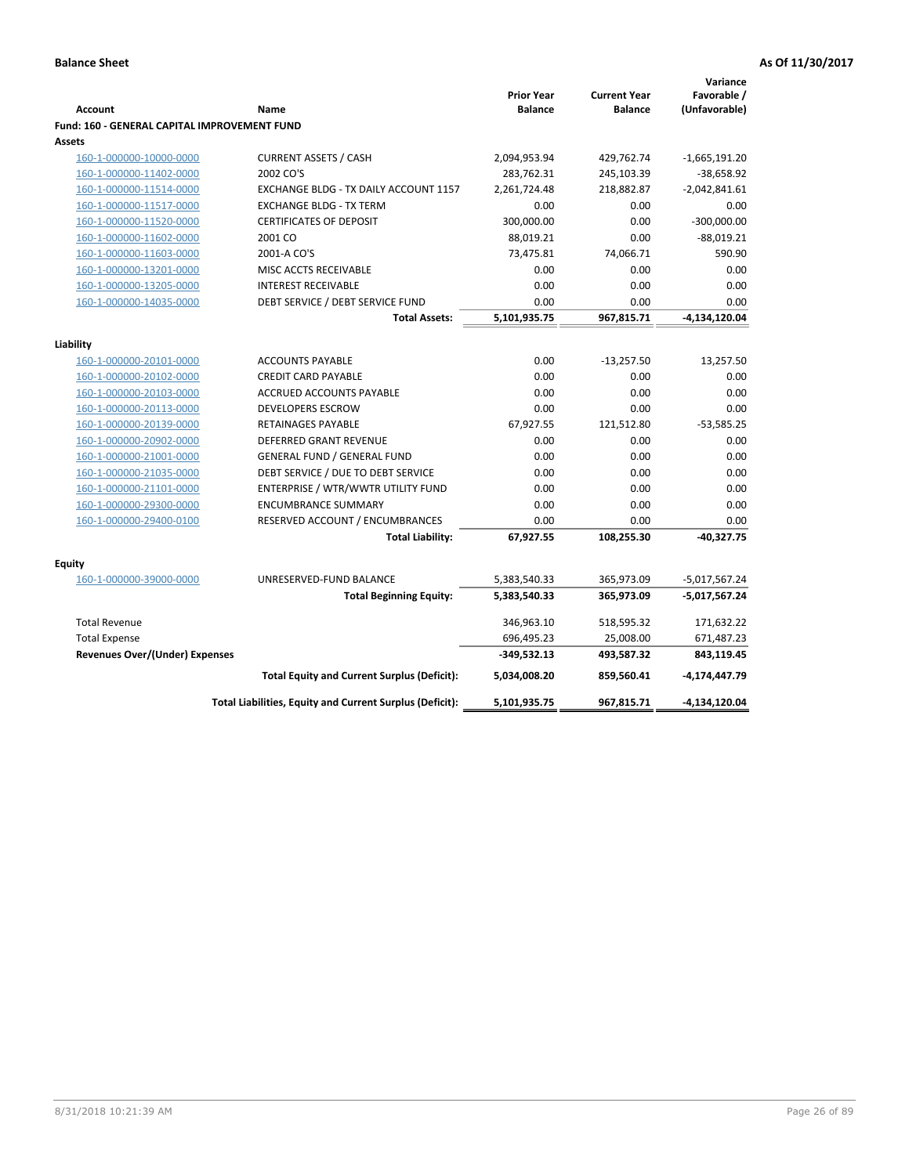|                                              |                                                          |                   |                     | Variance        |
|----------------------------------------------|----------------------------------------------------------|-------------------|---------------------|-----------------|
|                                              |                                                          | <b>Prior Year</b> | <b>Current Year</b> | Favorable /     |
| <b>Account</b>                               | Name                                                     | <b>Balance</b>    | <b>Balance</b>      | (Unfavorable)   |
| Fund: 160 - GENERAL CAPITAL IMPROVEMENT FUND |                                                          |                   |                     |                 |
| <b>Assets</b>                                |                                                          |                   |                     |                 |
| 160-1-000000-10000-0000                      | <b>CURRENT ASSETS / CASH</b>                             | 2,094,953.94      | 429,762.74          | $-1,665,191.20$ |
| 160-1-000000-11402-0000                      | 2002 CO'S                                                | 283,762.31        | 245,103.39          | $-38,658.92$    |
| 160-1-000000-11514-0000                      | EXCHANGE BLDG - TX DAILY ACCOUNT 1157                    | 2,261,724.48      | 218,882.87          | $-2,042,841.61$ |
| 160-1-000000-11517-0000                      | <b>EXCHANGE BLDG - TX TERM</b>                           | 0.00              | 0.00                | 0.00            |
| 160-1-000000-11520-0000                      | <b>CERTIFICATES OF DEPOSIT</b>                           | 300,000.00        | 0.00                | $-300,000.00$   |
| 160-1-000000-11602-0000                      | 2001 CO                                                  | 88,019.21         | 0.00                | $-88,019.21$    |
| 160-1-000000-11603-0000                      | 2001-A CO'S                                              | 73,475.81         | 74,066.71           | 590.90          |
| 160-1-000000-13201-0000                      | MISC ACCTS RECEIVABLE                                    | 0.00              | 0.00                | 0.00            |
| 160-1-000000-13205-0000                      | <b>INTEREST RECEIVABLE</b>                               | 0.00              | 0.00                | 0.00            |
| 160-1-000000-14035-0000                      | DEBT SERVICE / DEBT SERVICE FUND                         | 0.00              | 0.00                | 0.00            |
|                                              | <b>Total Assets:</b>                                     | 5,101,935.75      | 967,815.71          | -4,134,120.04   |
| Liability                                    |                                                          |                   |                     |                 |
|                                              |                                                          | 0.00              |                     |                 |
| 160-1-000000-20101-0000                      | <b>ACCOUNTS PAYABLE</b>                                  |                   | $-13,257.50$        | 13,257.50       |
| 160-1-000000-20102-0000                      | <b>CREDIT CARD PAYABLE</b>                               | 0.00              | 0.00                | 0.00            |
| 160-1-000000-20103-0000                      | ACCRUED ACCOUNTS PAYABLE                                 | 0.00              | 0.00<br>0.00        | 0.00            |
| 160-1-000000-20113-0000                      | <b>DEVELOPERS ESCROW</b>                                 | 0.00              |                     | 0.00            |
| 160-1-000000-20139-0000                      | RETAINAGES PAYABLE                                       | 67,927.55         | 121,512.80          | $-53,585.25$    |
| 160-1-000000-20902-0000                      | <b>DEFERRED GRANT REVENUE</b>                            | 0.00              | 0.00                | 0.00            |
| 160-1-000000-21001-0000                      | <b>GENERAL FUND / GENERAL FUND</b>                       | 0.00              | 0.00                | 0.00            |
| 160-1-000000-21035-0000                      | DEBT SERVICE / DUE TO DEBT SERVICE                       | 0.00              | 0.00                | 0.00            |
| 160-1-000000-21101-0000                      | ENTERPRISE / WTR/WWTR UTILITY FUND                       | 0.00              | 0.00                | 0.00            |
| 160-1-000000-29300-0000                      | <b>ENCUMBRANCE SUMMARY</b>                               | 0.00              | 0.00                | 0.00            |
| 160-1-000000-29400-0100                      | RESERVED ACCOUNT / ENCUMBRANCES                          | 0.00              | 0.00                | 0.00            |
|                                              | <b>Total Liability:</b>                                  | 67,927.55         | 108,255.30          | $-40,327.75$    |
| <b>Equity</b>                                |                                                          |                   |                     |                 |
| 160-1-000000-39000-0000                      | UNRESERVED-FUND BALANCE                                  | 5,383,540.33      | 365,973.09          | $-5,017,567.24$ |
|                                              | <b>Total Beginning Equity:</b>                           | 5,383,540.33      | 365,973.09          | -5,017,567.24   |
|                                              |                                                          |                   |                     |                 |
| <b>Total Revenue</b>                         |                                                          | 346,963.10        | 518,595.32          | 171,632.22      |
| <b>Total Expense</b>                         |                                                          | 696,495.23        | 25,008.00           | 671,487.23      |
| Revenues Over/(Under) Expenses               |                                                          | $-349,532.13$     | 493,587.32          | 843,119.45      |
|                                              | <b>Total Equity and Current Surplus (Deficit):</b>       | 5,034,008.20      | 859,560.41          | $-4,174,447.79$ |
|                                              | Total Liabilities, Equity and Current Surplus (Deficit): | 5,101,935.75      | 967,815.71          | $-4,134,120.04$ |
|                                              |                                                          |                   |                     |                 |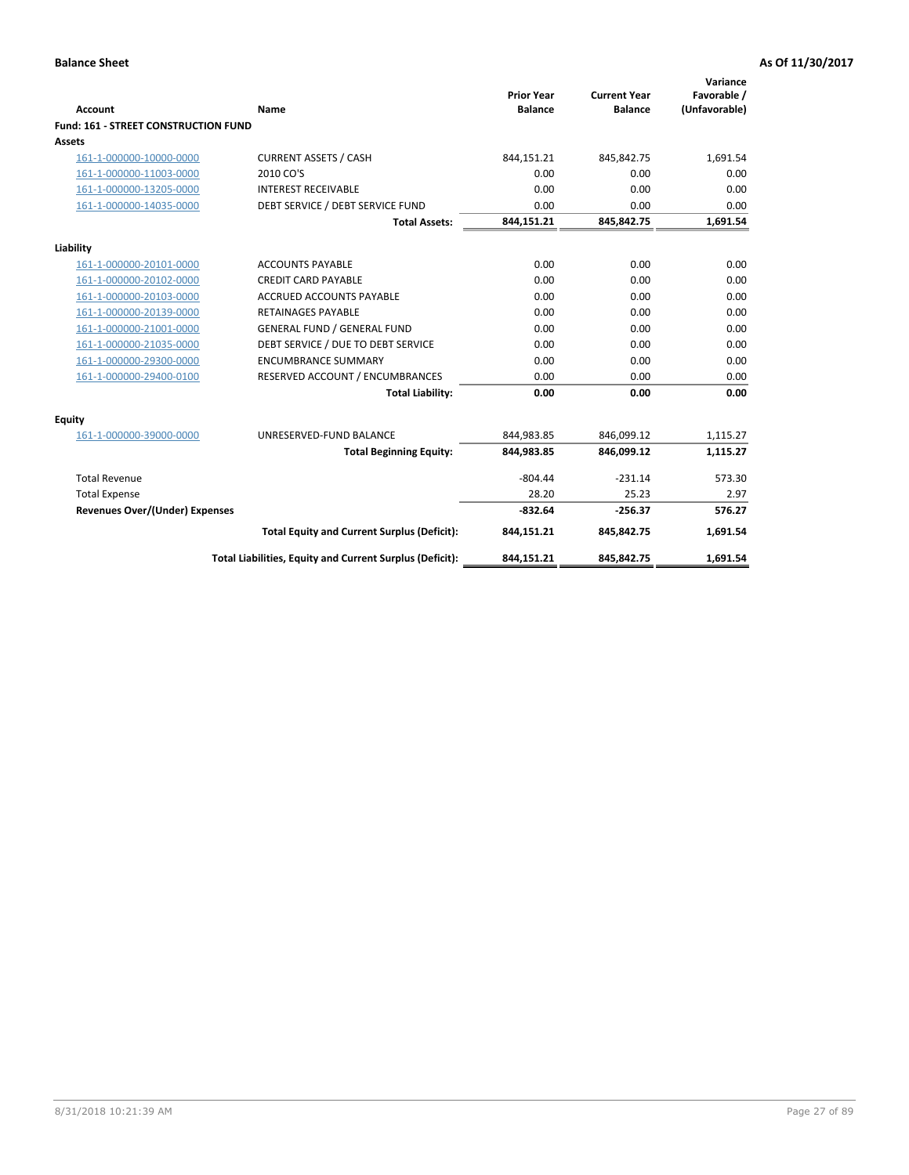| <b>Account</b>                              | Name                                                     | <b>Prior Year</b><br><b>Balance</b> | <b>Current Year</b><br><b>Balance</b> | Variance<br>Favorable /<br>(Unfavorable) |
|---------------------------------------------|----------------------------------------------------------|-------------------------------------|---------------------------------------|------------------------------------------|
| <b>Fund: 161 - STREET CONSTRUCTION FUND</b> |                                                          |                                     |                                       |                                          |
| <b>Assets</b>                               |                                                          |                                     |                                       |                                          |
| 161-1-000000-10000-0000                     | <b>CURRENT ASSETS / CASH</b>                             | 844,151.21                          | 845,842.75                            | 1,691.54                                 |
| 161-1-000000-11003-0000                     | 2010 CO'S                                                | 0.00                                | 0.00                                  | 0.00                                     |
| 161-1-000000-13205-0000                     | <b>INTEREST RECEIVABLE</b>                               | 0.00                                | 0.00                                  | 0.00                                     |
| 161-1-000000-14035-0000                     | DEBT SERVICE / DEBT SERVICE FUND                         | 0.00                                | 0.00                                  | 0.00                                     |
|                                             | <b>Total Assets:</b>                                     | 844,151.21                          | 845,842.75                            | 1,691.54                                 |
| Liability                                   |                                                          |                                     |                                       |                                          |
| 161-1-000000-20101-0000                     | <b>ACCOUNTS PAYABLE</b>                                  | 0.00                                | 0.00                                  | 0.00                                     |
| 161-1-000000-20102-0000                     | <b>CREDIT CARD PAYABLE</b>                               | 0.00                                | 0.00                                  | 0.00                                     |
| 161-1-000000-20103-0000                     | <b>ACCRUED ACCOUNTS PAYABLE</b>                          | 0.00                                | 0.00                                  | 0.00                                     |
| 161-1-000000-20139-0000                     | <b>RETAINAGES PAYABLE</b>                                | 0.00                                | 0.00                                  | 0.00                                     |
| 161-1-000000-21001-0000                     | <b>GENERAL FUND / GENERAL FUND</b>                       | 0.00                                | 0.00                                  | 0.00                                     |
| 161-1-000000-21035-0000                     | DEBT SERVICE / DUE TO DEBT SERVICE                       | 0.00                                | 0.00                                  | 0.00                                     |
| 161-1-000000-29300-0000                     | <b>ENCUMBRANCE SUMMARY</b>                               | 0.00                                | 0.00                                  | 0.00                                     |
| 161-1-000000-29400-0100                     | RESERVED ACCOUNT / ENCUMBRANCES                          | 0.00                                | 0.00                                  | 0.00                                     |
|                                             | <b>Total Liability:</b>                                  | 0.00                                | 0.00                                  | 0.00                                     |
| <b>Equity</b>                               |                                                          |                                     |                                       |                                          |
| 161-1-000000-39000-0000                     | UNRESERVED-FUND BALANCE                                  | 844,983.85                          | 846,099.12                            | 1,115.27                                 |
|                                             | <b>Total Beginning Equity:</b>                           | 844,983.85                          | 846,099.12                            | 1,115.27                                 |
| <b>Total Revenue</b>                        |                                                          | $-804.44$                           | $-231.14$                             | 573.30                                   |
| <b>Total Expense</b>                        |                                                          | 28.20                               | 25.23                                 | 2.97                                     |
| Revenues Over/(Under) Expenses              |                                                          | $-832.64$                           | $-256.37$                             | 576.27                                   |
|                                             | <b>Total Equity and Current Surplus (Deficit):</b>       | 844,151.21                          | 845,842.75                            | 1,691.54                                 |
|                                             | Total Liabilities, Equity and Current Surplus (Deficit): | 844,151.21                          | 845,842.75                            | 1,691.54                                 |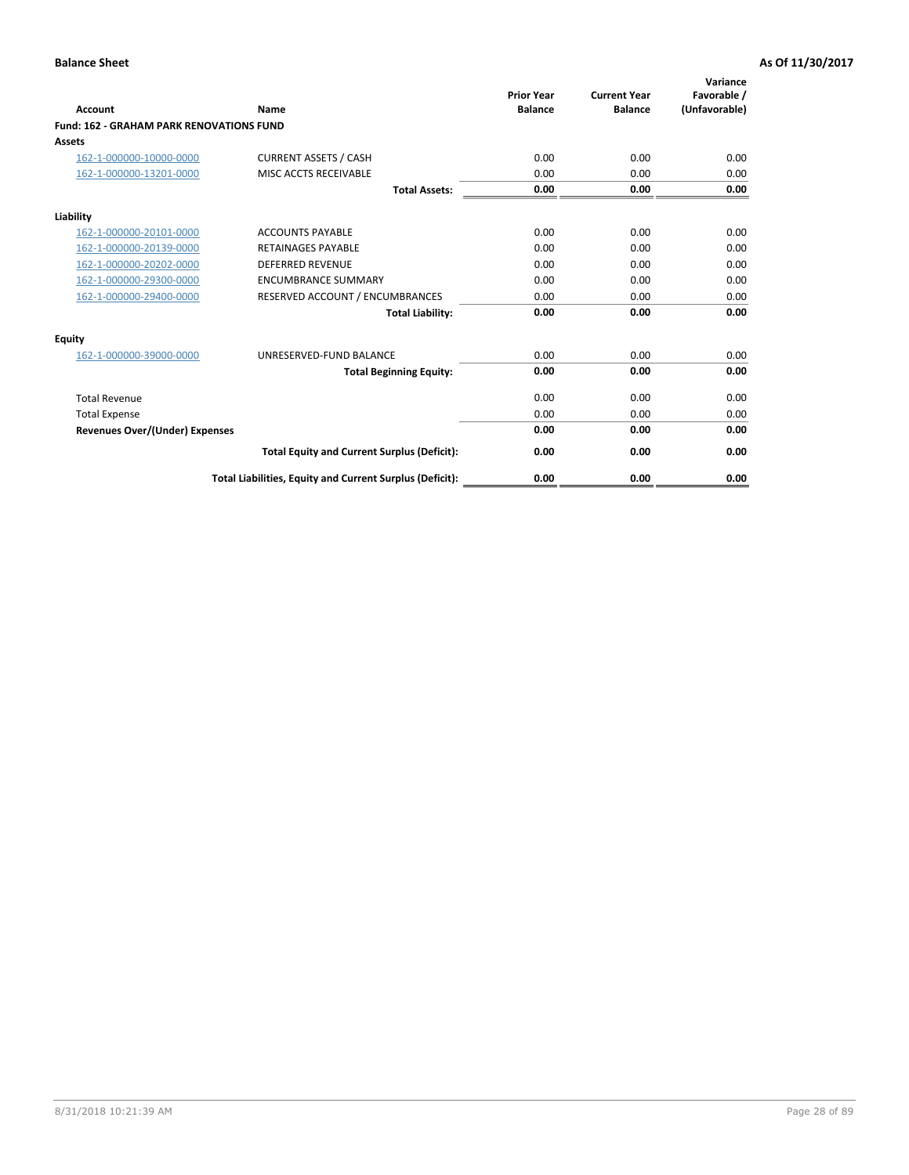|                                                 |                                                          | <b>Prior Year</b><br><b>Balance</b> | <b>Current Year</b> | Variance<br>Favorable / |
|-------------------------------------------------|----------------------------------------------------------|-------------------------------------|---------------------|-------------------------|
| <b>Account</b>                                  | Name                                                     |                                     | <b>Balance</b>      | (Unfavorable)           |
| <b>Fund: 162 - GRAHAM PARK RENOVATIONS FUND</b> |                                                          |                                     |                     |                         |
| <b>Assets</b>                                   |                                                          |                                     |                     |                         |
| 162-1-000000-10000-0000                         | <b>CURRENT ASSETS / CASH</b>                             | 0.00                                | 0.00                | 0.00                    |
| 162-1-000000-13201-0000                         | MISC ACCTS RECEIVABLE                                    | 0.00                                | 0.00                | 0.00                    |
|                                                 | <b>Total Assets:</b>                                     | 0.00                                | 0.00                | 0.00                    |
| Liability                                       |                                                          |                                     |                     |                         |
| 162-1-000000-20101-0000                         | <b>ACCOUNTS PAYABLE</b>                                  | 0.00                                | 0.00                | 0.00                    |
| 162-1-000000-20139-0000                         | <b>RETAINAGES PAYABLE</b>                                | 0.00                                | 0.00                | 0.00                    |
| 162-1-000000-20202-0000                         | <b>DEFERRED REVENUE</b>                                  | 0.00                                | 0.00                | 0.00                    |
| 162-1-000000-29300-0000                         | <b>ENCUMBRANCE SUMMARY</b>                               | 0.00                                | 0.00                | 0.00                    |
| 162-1-000000-29400-0000                         | RESERVED ACCOUNT / ENCUMBRANCES                          | 0.00                                | 0.00                | 0.00                    |
|                                                 | <b>Total Liability:</b>                                  | 0.00                                | 0.00                | 0.00                    |
| Equity                                          |                                                          |                                     |                     |                         |
| 162-1-000000-39000-0000                         | UNRESERVED-FUND BALANCE                                  | 0.00                                | 0.00                | 0.00                    |
|                                                 | <b>Total Beginning Equity:</b>                           | 0.00                                | 0.00                | 0.00                    |
| <b>Total Revenue</b>                            |                                                          | 0.00                                | 0.00                | 0.00                    |
| <b>Total Expense</b>                            |                                                          | 0.00                                | 0.00                | 0.00                    |
| Revenues Over/(Under) Expenses                  |                                                          | 0.00                                | 0.00                | 0.00                    |
|                                                 | <b>Total Equity and Current Surplus (Deficit):</b>       | 0.00                                | 0.00                | 0.00                    |
|                                                 | Total Liabilities, Equity and Current Surplus (Deficit): | 0.00                                | 0.00                | 0.00                    |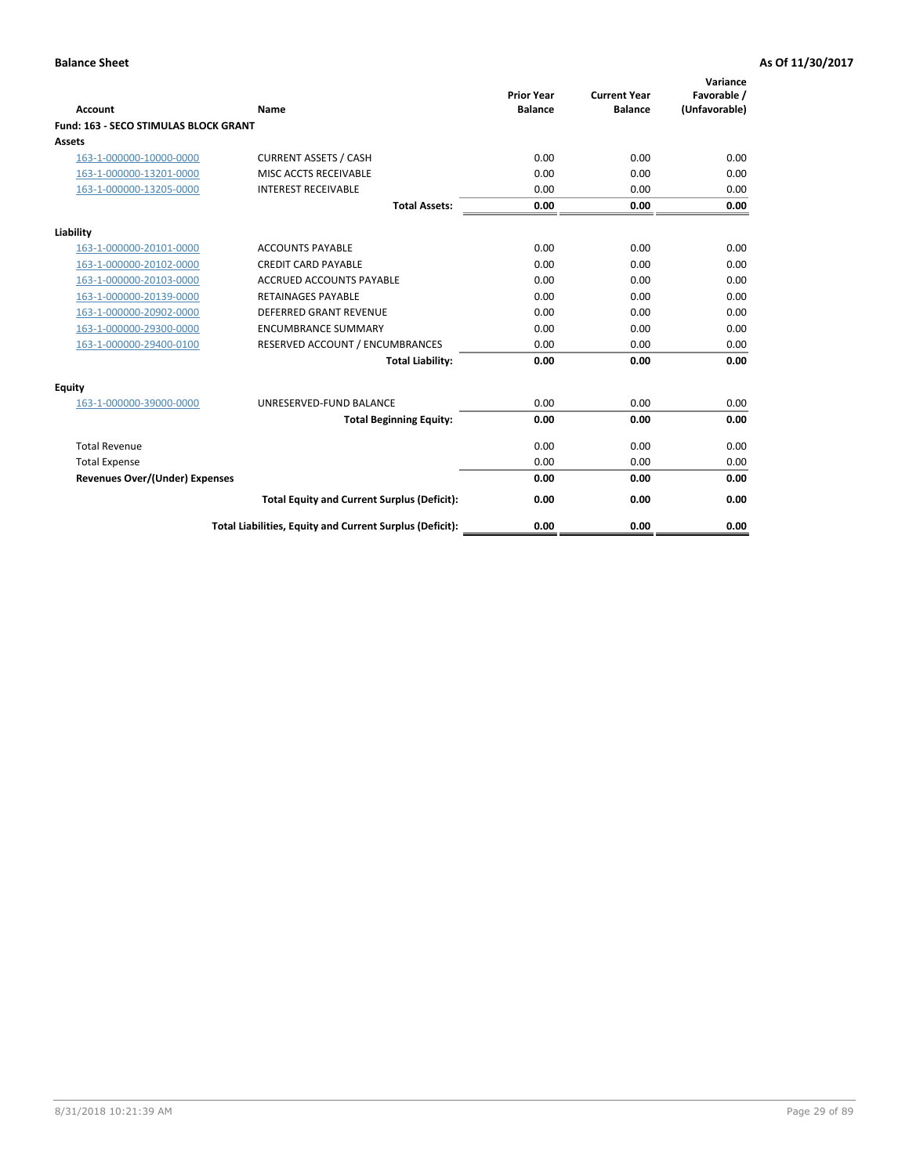|                                              |                                                          | <b>Prior Year</b> | <b>Current Year</b> | Variance<br>Favorable / |
|----------------------------------------------|----------------------------------------------------------|-------------------|---------------------|-------------------------|
| <b>Account</b>                               | Name                                                     | <b>Balance</b>    | <b>Balance</b>      | (Unfavorable)           |
| <b>Fund: 163 - SECO STIMULAS BLOCK GRANT</b> |                                                          |                   |                     |                         |
| Assets                                       |                                                          |                   |                     |                         |
| 163-1-000000-10000-0000                      | <b>CURRENT ASSETS / CASH</b>                             | 0.00              | 0.00                | 0.00                    |
| 163-1-000000-13201-0000                      | MISC ACCTS RECEIVABLE                                    | 0.00              | 0.00                | 0.00                    |
| 163-1-000000-13205-0000                      | <b>INTEREST RECEIVABLE</b>                               | 0.00              | 0.00                | 0.00                    |
|                                              | <b>Total Assets:</b>                                     | 0.00              | 0.00                | 0.00                    |
| Liability                                    |                                                          |                   |                     |                         |
| 163-1-000000-20101-0000                      | <b>ACCOUNTS PAYABLE</b>                                  | 0.00              | 0.00                | 0.00                    |
| 163-1-000000-20102-0000                      | <b>CREDIT CARD PAYABLE</b>                               | 0.00              | 0.00                | 0.00                    |
| 163-1-000000-20103-0000                      | <b>ACCRUED ACCOUNTS PAYABLE</b>                          | 0.00              | 0.00                | 0.00                    |
| 163-1-000000-20139-0000                      | <b>RETAINAGES PAYABLE</b>                                | 0.00              | 0.00                | 0.00                    |
| 163-1-000000-20902-0000                      | <b>DEFERRED GRANT REVENUE</b>                            | 0.00              | 0.00                | 0.00                    |
| 163-1-000000-29300-0000                      | <b>ENCUMBRANCE SUMMARY</b>                               | 0.00              | 0.00                | 0.00                    |
| 163-1-000000-29400-0100                      | RESERVED ACCOUNT / ENCUMBRANCES                          | 0.00              | 0.00                | 0.00                    |
|                                              | <b>Total Liability:</b>                                  | 0.00              | 0.00                | 0.00                    |
| <b>Equity</b>                                |                                                          |                   |                     |                         |
| 163-1-000000-39000-0000                      | UNRESERVED-FUND BALANCE                                  | 0.00              | 0.00                | 0.00                    |
|                                              | <b>Total Beginning Equity:</b>                           | 0.00              | 0.00                | 0.00                    |
| <b>Total Revenue</b>                         |                                                          | 0.00              | 0.00                | 0.00                    |
| <b>Total Expense</b>                         |                                                          | 0.00              | 0.00                | 0.00                    |
| Revenues Over/(Under) Expenses               |                                                          | 0.00              | 0.00                | 0.00                    |
|                                              | <b>Total Equity and Current Surplus (Deficit):</b>       | 0.00              | 0.00                | 0.00                    |
|                                              | Total Liabilities, Equity and Current Surplus (Deficit): | 0.00              | 0.00                | 0.00                    |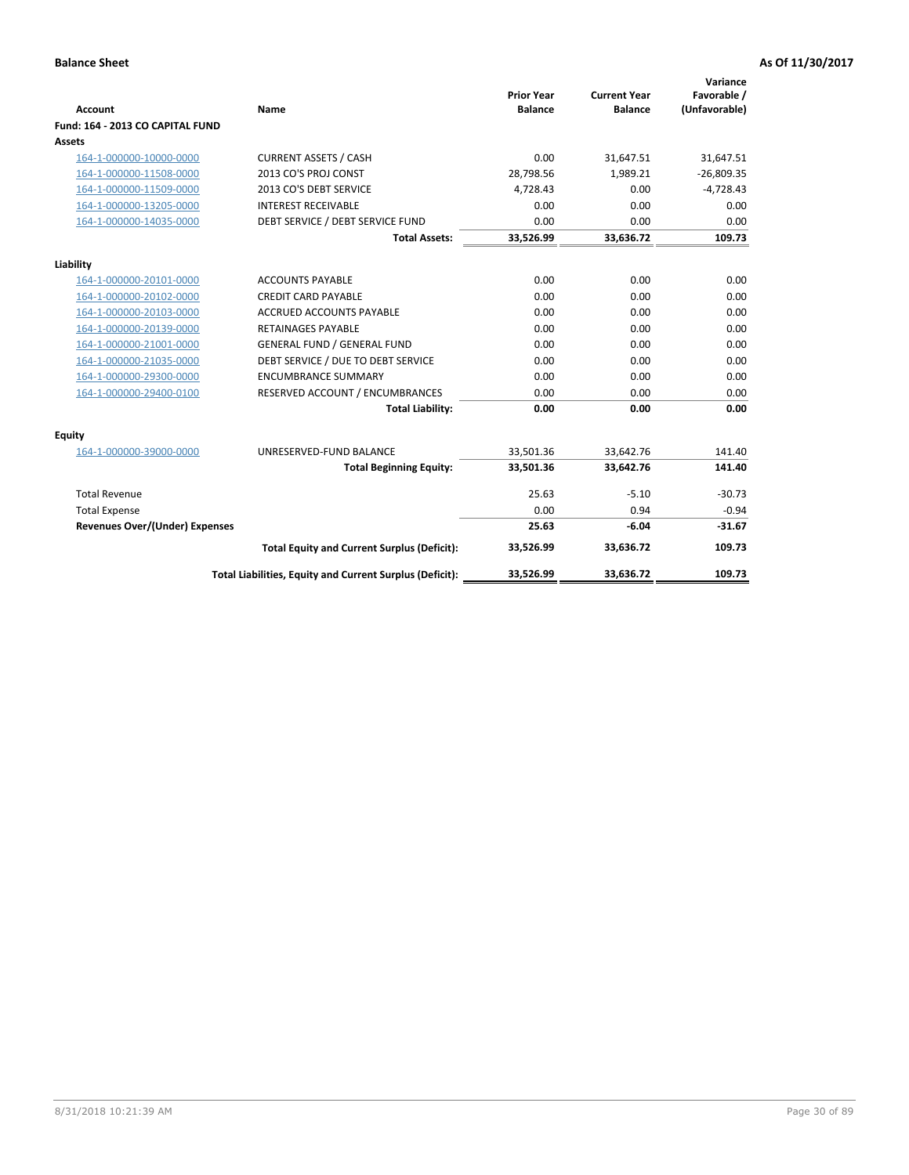| <b>Account</b>                        | <b>Name</b>                                              | <b>Prior Year</b><br><b>Balance</b> | <b>Current Year</b><br><b>Balance</b> | Variance<br>Favorable /<br>(Unfavorable) |
|---------------------------------------|----------------------------------------------------------|-------------------------------------|---------------------------------------|------------------------------------------|
| Fund: 164 - 2013 CO CAPITAL FUND      |                                                          |                                     |                                       |                                          |
| Assets                                |                                                          |                                     |                                       |                                          |
| 164-1-000000-10000-0000               | <b>CURRENT ASSETS / CASH</b>                             | 0.00                                | 31,647.51                             | 31,647.51                                |
| 164-1-000000-11508-0000               | 2013 CO'S PROJ CONST                                     | 28,798.56                           | 1,989.21                              | $-26,809.35$                             |
| 164-1-000000-11509-0000               | 2013 CO'S DEBT SERVICE                                   | 4,728.43                            | 0.00                                  | $-4,728.43$                              |
| 164-1-000000-13205-0000               | <b>INTEREST RECEIVABLE</b>                               | 0.00                                | 0.00                                  | 0.00                                     |
| 164-1-000000-14035-0000               | DEBT SERVICE / DEBT SERVICE FUND                         | 0.00                                | 0.00                                  | 0.00                                     |
|                                       | <b>Total Assets:</b>                                     | 33,526.99                           | 33,636.72                             | 109.73                                   |
| Liability                             |                                                          |                                     |                                       |                                          |
| 164-1-000000-20101-0000               | <b>ACCOUNTS PAYABLE</b>                                  | 0.00                                | 0.00                                  | 0.00                                     |
| 164-1-000000-20102-0000               | <b>CREDIT CARD PAYABLE</b>                               | 0.00                                | 0.00                                  | 0.00                                     |
| 164-1-000000-20103-0000               | <b>ACCRUED ACCOUNTS PAYABLE</b>                          | 0.00                                | 0.00                                  | 0.00                                     |
| 164-1-000000-20139-0000               | <b>RETAINAGES PAYABLE</b>                                | 0.00                                | 0.00                                  | 0.00                                     |
| 164-1-000000-21001-0000               | <b>GENERAL FUND / GENERAL FUND</b>                       | 0.00                                | 0.00                                  | 0.00                                     |
| 164-1-000000-21035-0000               | DEBT SERVICE / DUE TO DEBT SERVICE                       | 0.00                                | 0.00                                  | 0.00                                     |
| 164-1-000000-29300-0000               | <b>ENCUMBRANCE SUMMARY</b>                               | 0.00                                | 0.00                                  | 0.00                                     |
| 164-1-000000-29400-0100               | RESERVED ACCOUNT / ENCUMBRANCES                          | 0.00                                | 0.00                                  | 0.00                                     |
|                                       | <b>Total Liability:</b>                                  | 0.00                                | 0.00                                  | 0.00                                     |
| Equity                                |                                                          |                                     |                                       |                                          |
| 164-1-000000-39000-0000               | UNRESERVED-FUND BALANCE                                  | 33,501.36                           | 33,642.76                             | 141.40                                   |
|                                       | <b>Total Beginning Equity:</b>                           | 33,501.36                           | 33,642.76                             | 141.40                                   |
| <b>Total Revenue</b>                  |                                                          | 25.63                               | $-5.10$                               | $-30.73$                                 |
| <b>Total Expense</b>                  |                                                          | 0.00                                | 0.94                                  | $-0.94$                                  |
| <b>Revenues Over/(Under) Expenses</b> |                                                          | 25.63                               | $-6.04$                               | $-31.67$                                 |
|                                       | <b>Total Equity and Current Surplus (Deficit):</b>       | 33,526.99                           | 33,636.72                             | 109.73                                   |
|                                       | Total Liabilities, Equity and Current Surplus (Deficit): | 33,526.99                           | 33.636.72                             | 109.73                                   |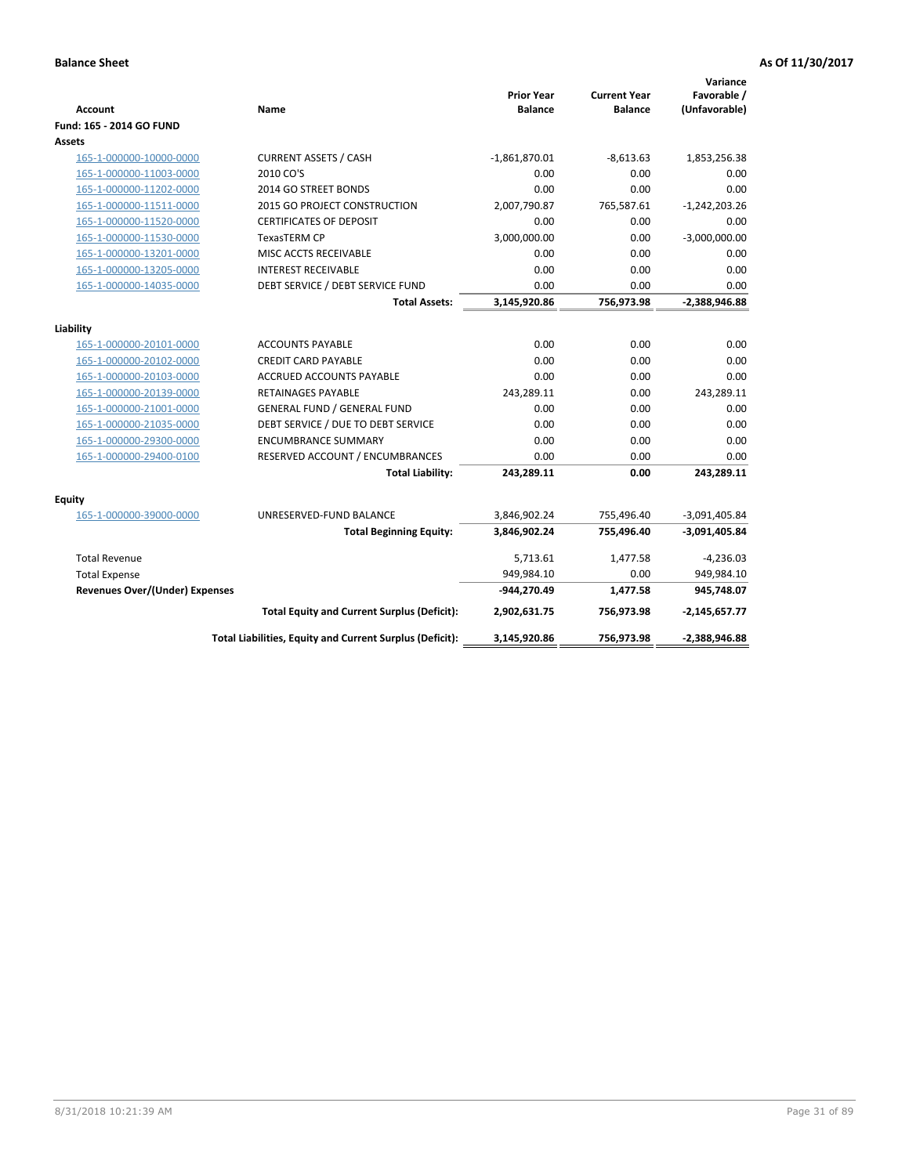| <b>Account</b>                        | Name                                                     | <b>Prior Year</b><br><b>Balance</b> | <b>Current Year</b><br><b>Balance</b> | Variance<br>Favorable /<br>(Unfavorable) |
|---------------------------------------|----------------------------------------------------------|-------------------------------------|---------------------------------------|------------------------------------------|
| Fund: 165 - 2014 GO FUND              |                                                          |                                     |                                       |                                          |
| Assets                                |                                                          |                                     |                                       |                                          |
| 165-1-000000-10000-0000               | <b>CURRENT ASSETS / CASH</b>                             | $-1,861,870.01$                     | $-8,613.63$                           | 1,853,256.38                             |
| 165-1-000000-11003-0000               | 2010 CO'S                                                | 0.00                                | 0.00                                  | 0.00                                     |
| 165-1-000000-11202-0000               | 2014 GO STREET BONDS                                     | 0.00                                | 0.00                                  | 0.00                                     |
| 165-1-000000-11511-0000               | <b>2015 GO PROJECT CONSTRUCTION</b>                      | 2,007,790.87                        | 765,587.61                            | $-1,242,203.26$                          |
| 165-1-000000-11520-0000               | <b>CERTIFICATES OF DEPOSIT</b>                           | 0.00                                | 0.00                                  | 0.00                                     |
| 165-1-000000-11530-0000               | <b>TexasTERM CP</b>                                      | 3,000,000.00                        | 0.00                                  | $-3,000,000.00$                          |
| 165-1-000000-13201-0000               | MISC ACCTS RECEIVABLE                                    | 0.00                                | 0.00                                  | 0.00                                     |
| 165-1-000000-13205-0000               | <b>INTEREST RECEIVABLE</b>                               | 0.00                                | 0.00                                  | 0.00                                     |
| 165-1-000000-14035-0000               | DEBT SERVICE / DEBT SERVICE FUND                         | 0.00                                | 0.00                                  | 0.00                                     |
|                                       | <b>Total Assets:</b>                                     | 3,145,920.86                        | 756,973.98                            | $-2,388,946.88$                          |
| Liability                             |                                                          |                                     |                                       |                                          |
| 165-1-000000-20101-0000               | <b>ACCOUNTS PAYABLE</b>                                  | 0.00                                | 0.00                                  | 0.00                                     |
| 165-1-000000-20102-0000               | <b>CREDIT CARD PAYABLE</b>                               | 0.00                                | 0.00                                  | 0.00                                     |
| 165-1-000000-20103-0000               | <b>ACCRUED ACCOUNTS PAYABLE</b>                          | 0.00                                | 0.00                                  | 0.00                                     |
| 165-1-000000-20139-0000               | RETAINAGES PAYABLE                                       | 243,289.11                          | 0.00                                  | 243,289.11                               |
| 165-1-000000-21001-0000               | <b>GENERAL FUND / GENERAL FUND</b>                       | 0.00                                | 0.00                                  | 0.00                                     |
| 165-1-000000-21035-0000               | DEBT SERVICE / DUE TO DEBT SERVICE                       | 0.00                                | 0.00                                  | 0.00                                     |
| 165-1-000000-29300-0000               | <b>ENCUMBRANCE SUMMARY</b>                               | 0.00                                | 0.00                                  | 0.00                                     |
| 165-1-000000-29400-0100               | RESERVED ACCOUNT / ENCUMBRANCES                          | 0.00                                | 0.00                                  | 0.00                                     |
|                                       | <b>Total Liability:</b>                                  | 243,289.11                          | 0.00                                  | 243,289.11                               |
| <b>Equity</b>                         |                                                          |                                     |                                       |                                          |
| 165-1-000000-39000-0000               | UNRESERVED-FUND BALANCE                                  | 3,846,902.24                        | 755,496.40                            | $-3,091,405.84$                          |
|                                       | <b>Total Beginning Equity:</b>                           | 3,846,902.24                        | 755,496.40                            | $-3,091,405.84$                          |
| <b>Total Revenue</b>                  |                                                          | 5,713.61                            | 1,477.58                              | $-4,236.03$                              |
| <b>Total Expense</b>                  |                                                          | 949,984.10                          | 0.00                                  | 949,984.10                               |
| <b>Revenues Over/(Under) Expenses</b> |                                                          | -944,270.49                         | 1,477.58                              | 945,748.07                               |
|                                       | <b>Total Equity and Current Surplus (Deficit):</b>       | 2,902,631.75                        | 756,973.98                            | $-2,145,657.77$                          |
|                                       | Total Liabilities, Equity and Current Surplus (Deficit): | 3,145,920.86                        | 756,973.98                            | -2,388,946.88                            |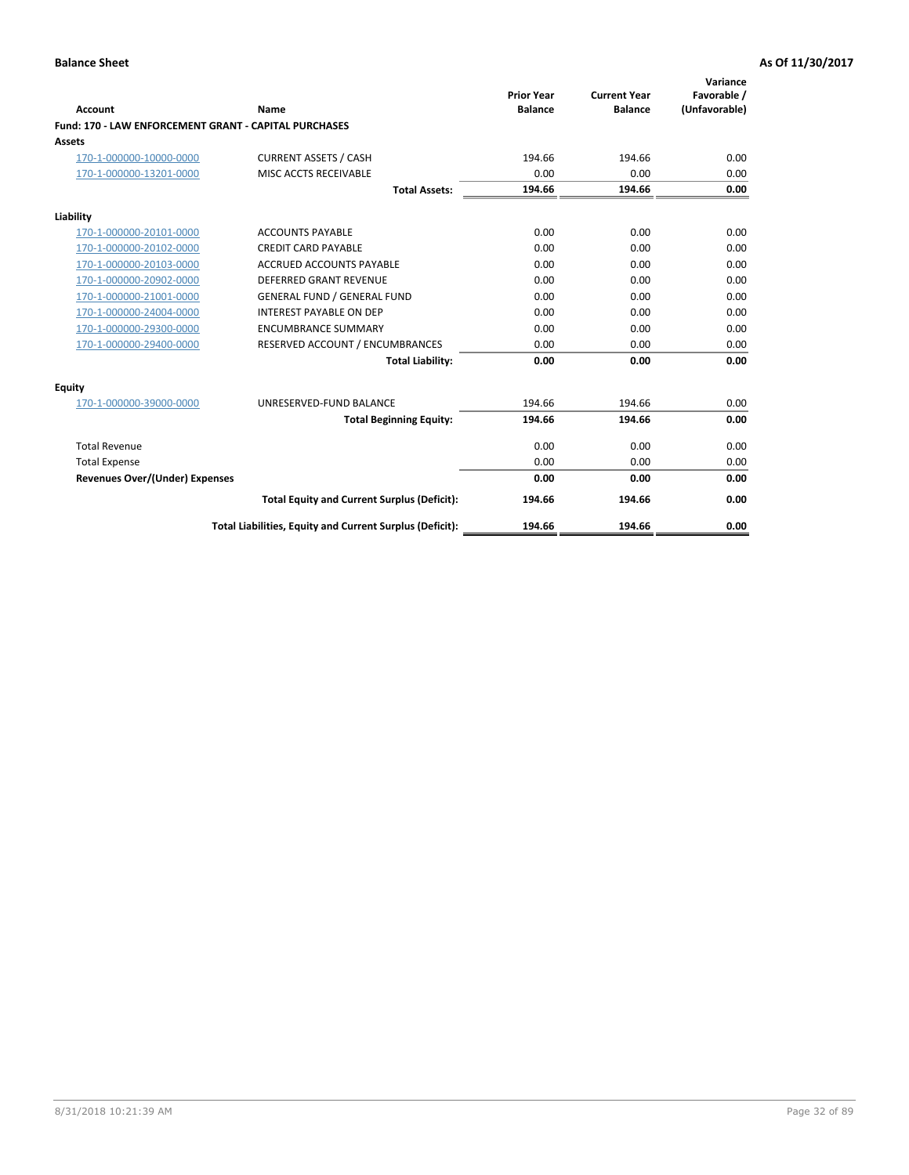| Account                                               | Name                                                     | <b>Prior Year</b><br><b>Balance</b> | <b>Current Year</b><br><b>Balance</b> | Variance<br>Favorable /<br>(Unfavorable) |
|-------------------------------------------------------|----------------------------------------------------------|-------------------------------------|---------------------------------------|------------------------------------------|
| Fund: 170 - LAW ENFORCEMENT GRANT - CAPITAL PURCHASES |                                                          |                                     |                                       |                                          |
| <b>Assets</b>                                         |                                                          |                                     |                                       |                                          |
| 170-1-000000-10000-0000                               | <b>CURRENT ASSETS / CASH</b>                             | 194.66                              | 194.66                                | 0.00                                     |
| 170-1-000000-13201-0000                               | MISC ACCTS RECEIVABLE                                    | 0.00                                | 0.00                                  | 0.00                                     |
|                                                       | <b>Total Assets:</b>                                     | 194.66                              | 194.66                                | 0.00                                     |
| Liability                                             |                                                          |                                     |                                       |                                          |
| 170-1-000000-20101-0000                               | <b>ACCOUNTS PAYABLE</b>                                  | 0.00                                | 0.00                                  | 0.00                                     |
| 170-1-000000-20102-0000                               | <b>CREDIT CARD PAYABLE</b>                               | 0.00                                | 0.00                                  | 0.00                                     |
| 170-1-000000-20103-0000                               | <b>ACCRUED ACCOUNTS PAYABLE</b>                          | 0.00                                | 0.00                                  | 0.00                                     |
| 170-1-000000-20902-0000                               | <b>DEFERRED GRANT REVENUE</b>                            | 0.00                                | 0.00                                  | 0.00                                     |
| 170-1-000000-21001-0000                               | <b>GENERAL FUND / GENERAL FUND</b>                       | 0.00                                | 0.00                                  | 0.00                                     |
| 170-1-000000-24004-0000                               | <b>INTEREST PAYABLE ON DEP</b>                           | 0.00                                | 0.00                                  | 0.00                                     |
| 170-1-000000-29300-0000                               | <b>ENCUMBRANCE SUMMARY</b>                               | 0.00                                | 0.00                                  | 0.00                                     |
| 170-1-000000-29400-0000                               | RESERVED ACCOUNT / ENCUMBRANCES                          | 0.00                                | 0.00                                  | 0.00                                     |
|                                                       | <b>Total Liability:</b>                                  | 0.00                                | 0.00                                  | 0.00                                     |
| <b>Equity</b>                                         |                                                          |                                     |                                       |                                          |
| 170-1-000000-39000-0000                               | UNRESERVED-FUND BALANCE                                  | 194.66                              | 194.66                                | 0.00                                     |
|                                                       | <b>Total Beginning Equity:</b>                           | 194.66                              | 194.66                                | 0.00                                     |
| <b>Total Revenue</b>                                  |                                                          | 0.00                                | 0.00                                  | 0.00                                     |
| <b>Total Expense</b>                                  |                                                          | 0.00                                | 0.00                                  | 0.00                                     |
| <b>Revenues Over/(Under) Expenses</b>                 |                                                          | 0.00                                | 0.00                                  | 0.00                                     |
|                                                       | <b>Total Equity and Current Surplus (Deficit):</b>       | 194.66                              | 194.66                                | 0.00                                     |
|                                                       | Total Liabilities, Equity and Current Surplus (Deficit): | 194.66                              | 194.66                                | 0.00                                     |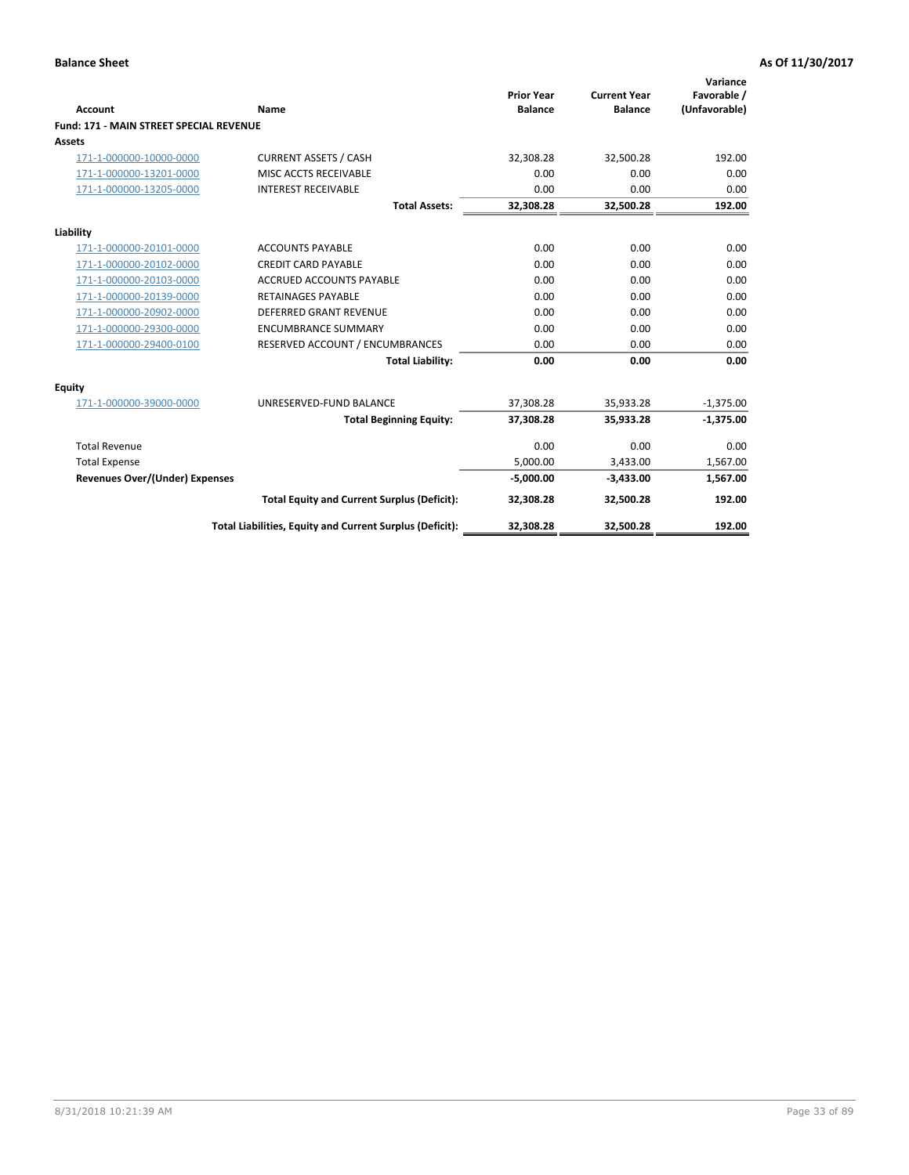| Account                                        | Name                                                     | <b>Prior Year</b><br><b>Balance</b> | <b>Current Year</b><br><b>Balance</b> | Variance<br>Favorable /<br>(Unfavorable) |
|------------------------------------------------|----------------------------------------------------------|-------------------------------------|---------------------------------------|------------------------------------------|
| <b>Fund: 171 - MAIN STREET SPECIAL REVENUE</b> |                                                          |                                     |                                       |                                          |
| <b>Assets</b>                                  |                                                          |                                     |                                       |                                          |
| 171-1-000000-10000-0000                        | <b>CURRENT ASSETS / CASH</b>                             | 32,308.28                           | 32,500.28                             | 192.00                                   |
| 171-1-000000-13201-0000                        | MISC ACCTS RECEIVABLE                                    | 0.00                                | 0.00                                  | 0.00                                     |
| 171-1-000000-13205-0000                        | <b>INTEREST RECEIVABLE</b>                               | 0.00                                | 0.00                                  | 0.00                                     |
|                                                | <b>Total Assets:</b>                                     | 32.308.28                           | 32.500.28                             | 192.00                                   |
| Liability                                      |                                                          |                                     |                                       |                                          |
| 171-1-000000-20101-0000                        | <b>ACCOUNTS PAYABLE</b>                                  | 0.00                                | 0.00                                  | 0.00                                     |
| 171-1-000000-20102-0000                        | <b>CREDIT CARD PAYABLE</b>                               | 0.00                                | 0.00                                  | 0.00                                     |
| 171-1-000000-20103-0000                        | <b>ACCRUED ACCOUNTS PAYABLE</b>                          | 0.00                                | 0.00                                  | 0.00                                     |
| 171-1-000000-20139-0000                        | <b>RETAINAGES PAYABLE</b>                                | 0.00                                | 0.00                                  | 0.00                                     |
| 171-1-000000-20902-0000                        | DEFERRED GRANT REVENUE                                   | 0.00                                | 0.00                                  | 0.00                                     |
| 171-1-000000-29300-0000                        | <b>ENCUMBRANCE SUMMARY</b>                               | 0.00                                | 0.00                                  | 0.00                                     |
| 171-1-000000-29400-0100                        | RESERVED ACCOUNT / ENCUMBRANCES                          | 0.00                                | 0.00                                  | 0.00                                     |
|                                                | <b>Total Liability:</b>                                  | 0.00                                | 0.00                                  | 0.00                                     |
| <b>Equity</b>                                  |                                                          |                                     |                                       |                                          |
| 171-1-000000-39000-0000                        | UNRESERVED-FUND BALANCE                                  | 37,308.28                           | 35,933.28                             | $-1,375.00$                              |
|                                                | <b>Total Beginning Equity:</b>                           | 37,308.28                           | 35,933.28                             | $-1,375.00$                              |
| <b>Total Revenue</b>                           |                                                          | 0.00                                | 0.00                                  | 0.00                                     |
| <b>Total Expense</b>                           |                                                          | 5,000.00                            | 3,433.00                              | 1,567.00                                 |
| Revenues Over/(Under) Expenses                 |                                                          | $-5,000.00$                         | $-3,433.00$                           | 1,567.00                                 |
|                                                | <b>Total Equity and Current Surplus (Deficit):</b>       | 32,308.28                           | 32,500.28                             | 192.00                                   |
|                                                | Total Liabilities, Equity and Current Surplus (Deficit): | 32,308.28                           | 32,500.28                             | 192.00                                   |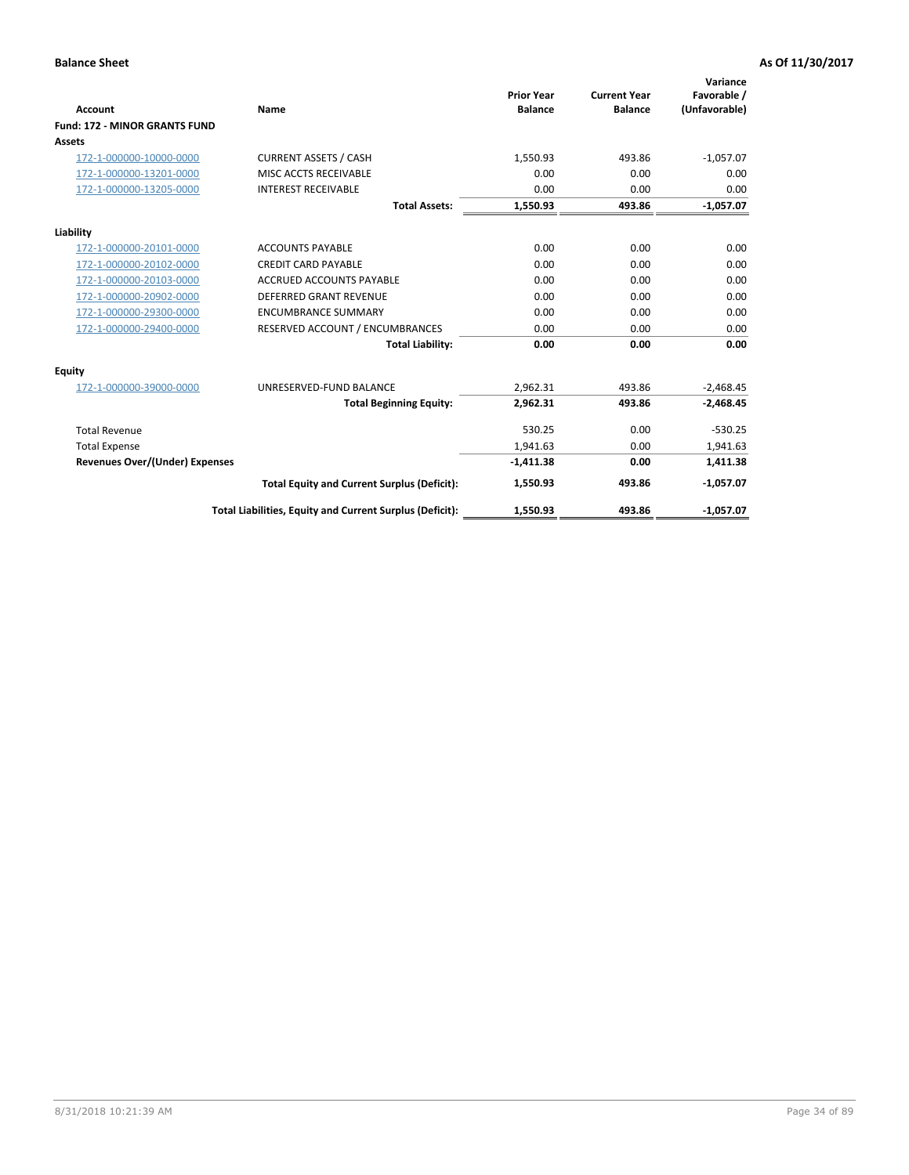|                                       |                                                          |                                     |                                       | Variance                     |
|---------------------------------------|----------------------------------------------------------|-------------------------------------|---------------------------------------|------------------------------|
| <b>Account</b>                        | Name                                                     | <b>Prior Year</b><br><b>Balance</b> | <b>Current Year</b><br><b>Balance</b> | Favorable /<br>(Unfavorable) |
| <b>Fund: 172 - MINOR GRANTS FUND</b>  |                                                          |                                     |                                       |                              |
| <b>Assets</b>                         |                                                          |                                     |                                       |                              |
| 172-1-000000-10000-0000               | <b>CURRENT ASSETS / CASH</b>                             | 1,550.93                            | 493.86                                | $-1,057.07$                  |
| 172-1-000000-13201-0000               | MISC ACCTS RECEIVABLE                                    | 0.00                                | 0.00                                  | 0.00                         |
| 172-1-000000-13205-0000               | <b>INTEREST RECEIVABLE</b>                               | 0.00                                | 0.00                                  | 0.00                         |
|                                       | <b>Total Assets:</b>                                     | 1,550.93                            | 493.86                                | $-1,057.07$                  |
| Liability                             |                                                          |                                     |                                       |                              |
| 172-1-000000-20101-0000               | <b>ACCOUNTS PAYABLE</b>                                  | 0.00                                | 0.00                                  | 0.00                         |
| 172-1-000000-20102-0000               | <b>CREDIT CARD PAYABLE</b>                               | 0.00                                | 0.00                                  | 0.00                         |
| 172-1-000000-20103-0000               | <b>ACCRUED ACCOUNTS PAYABLE</b>                          | 0.00                                | 0.00                                  | 0.00                         |
| 172-1-000000-20902-0000               | DEFERRED GRANT REVENUE                                   | 0.00                                | 0.00                                  | 0.00                         |
| 172-1-000000-29300-0000               | <b>ENCUMBRANCE SUMMARY</b>                               | 0.00                                | 0.00                                  | 0.00                         |
| 172-1-000000-29400-0000               | RESERVED ACCOUNT / ENCUMBRANCES                          | 0.00                                | 0.00                                  | 0.00                         |
|                                       | <b>Total Liability:</b>                                  | 0.00                                | 0.00                                  | 0.00                         |
| <b>Equity</b>                         |                                                          |                                     |                                       |                              |
| 172-1-000000-39000-0000               | UNRESERVED-FUND BALANCE                                  | 2,962.31                            | 493.86                                | $-2,468.45$                  |
|                                       | <b>Total Beginning Equity:</b>                           | 2,962.31                            | 493.86                                | $-2,468.45$                  |
| <b>Total Revenue</b>                  |                                                          | 530.25                              | 0.00                                  | $-530.25$                    |
| <b>Total Expense</b>                  |                                                          | 1,941.63                            | 0.00                                  | 1,941.63                     |
| <b>Revenues Over/(Under) Expenses</b> |                                                          | $-1,411.38$                         | 0.00                                  | 1,411.38                     |
|                                       | <b>Total Equity and Current Surplus (Deficit):</b>       | 1,550.93                            | 493.86                                | $-1,057.07$                  |
|                                       | Total Liabilities, Equity and Current Surplus (Deficit): | 1,550.93                            | 493.86                                | $-1,057.07$                  |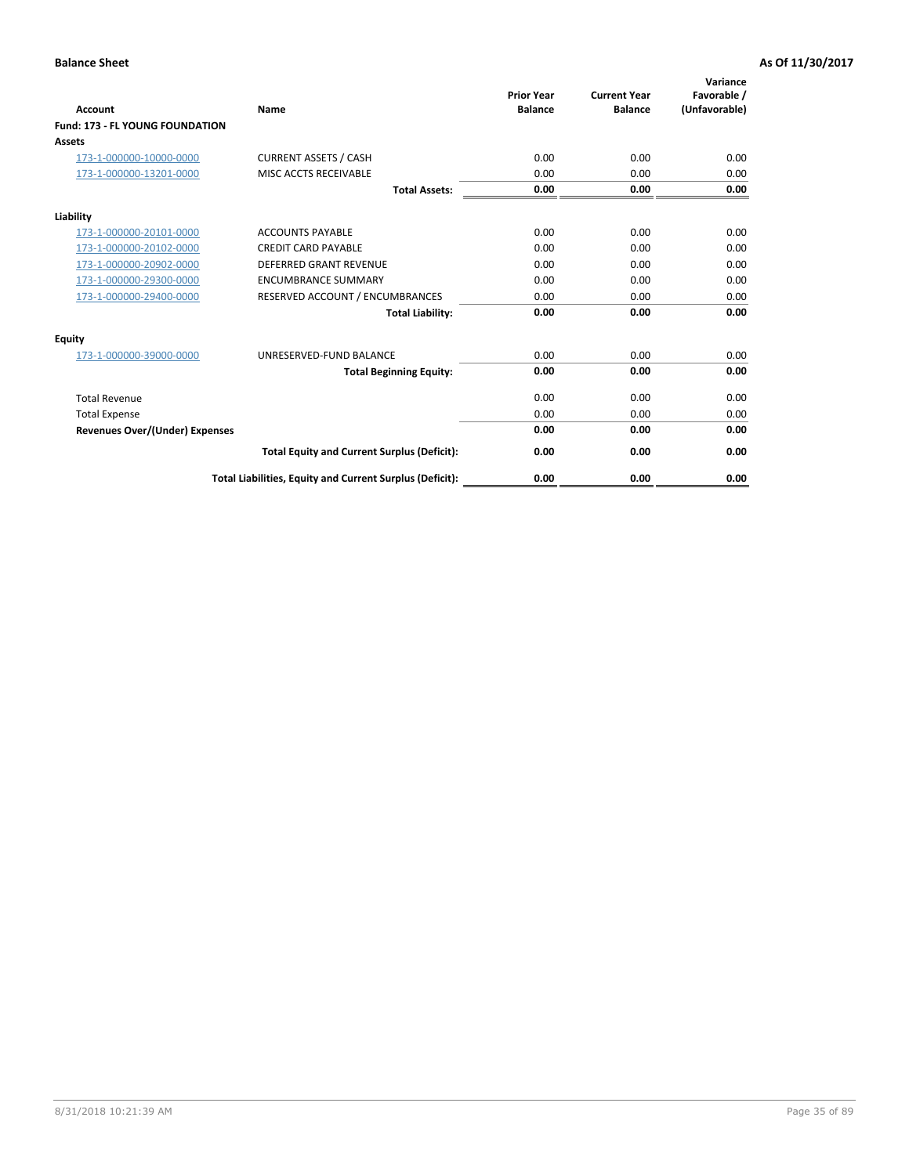| <b>Account</b>                         | <b>Name</b>                                              | <b>Prior Year</b><br><b>Balance</b> | <b>Current Year</b><br><b>Balance</b> | Variance<br>Favorable /<br>(Unfavorable) |
|----------------------------------------|----------------------------------------------------------|-------------------------------------|---------------------------------------|------------------------------------------|
| <b>Fund: 173 - FL YOUNG FOUNDATION</b> |                                                          |                                     |                                       |                                          |
| Assets                                 |                                                          |                                     |                                       |                                          |
| 173-1-000000-10000-0000                | <b>CURRENT ASSETS / CASH</b>                             | 0.00                                | 0.00                                  | 0.00                                     |
| 173-1-000000-13201-0000                | MISC ACCTS RECEIVABLE                                    | 0.00                                | 0.00                                  | 0.00                                     |
|                                        | <b>Total Assets:</b>                                     | 0.00                                | 0.00                                  | 0.00                                     |
| Liability                              |                                                          |                                     |                                       |                                          |
| 173-1-000000-20101-0000                | <b>ACCOUNTS PAYABLE</b>                                  | 0.00                                | 0.00                                  | 0.00                                     |
| 173-1-000000-20102-0000                | <b>CREDIT CARD PAYABLE</b>                               | 0.00                                | 0.00                                  | 0.00                                     |
| 173-1-000000-20902-0000                | <b>DEFERRED GRANT REVENUE</b>                            | 0.00                                | 0.00                                  | 0.00                                     |
| 173-1-000000-29300-0000                | <b>ENCUMBRANCE SUMMARY</b>                               | 0.00                                | 0.00                                  | 0.00                                     |
| 173-1-000000-29400-0000                | RESERVED ACCOUNT / ENCUMBRANCES                          | 0.00                                | 0.00                                  | 0.00                                     |
|                                        | <b>Total Liability:</b>                                  | 0.00                                | 0.00                                  | 0.00                                     |
| Equity                                 |                                                          |                                     |                                       |                                          |
| 173-1-000000-39000-0000                | UNRESERVED-FUND BALANCE                                  | 0.00                                | 0.00                                  | 0.00                                     |
|                                        | <b>Total Beginning Equity:</b>                           | 0.00                                | 0.00                                  | 0.00                                     |
| <b>Total Revenue</b>                   |                                                          | 0.00                                | 0.00                                  | 0.00                                     |
| <b>Total Expense</b>                   |                                                          | 0.00                                | 0.00                                  | 0.00                                     |
| <b>Revenues Over/(Under) Expenses</b>  |                                                          | 0.00                                | 0.00                                  | 0.00                                     |
|                                        | <b>Total Equity and Current Surplus (Deficit):</b>       | 0.00                                | 0.00                                  | 0.00                                     |
|                                        | Total Liabilities, Equity and Current Surplus (Deficit): | 0.00                                | 0.00                                  | 0.00                                     |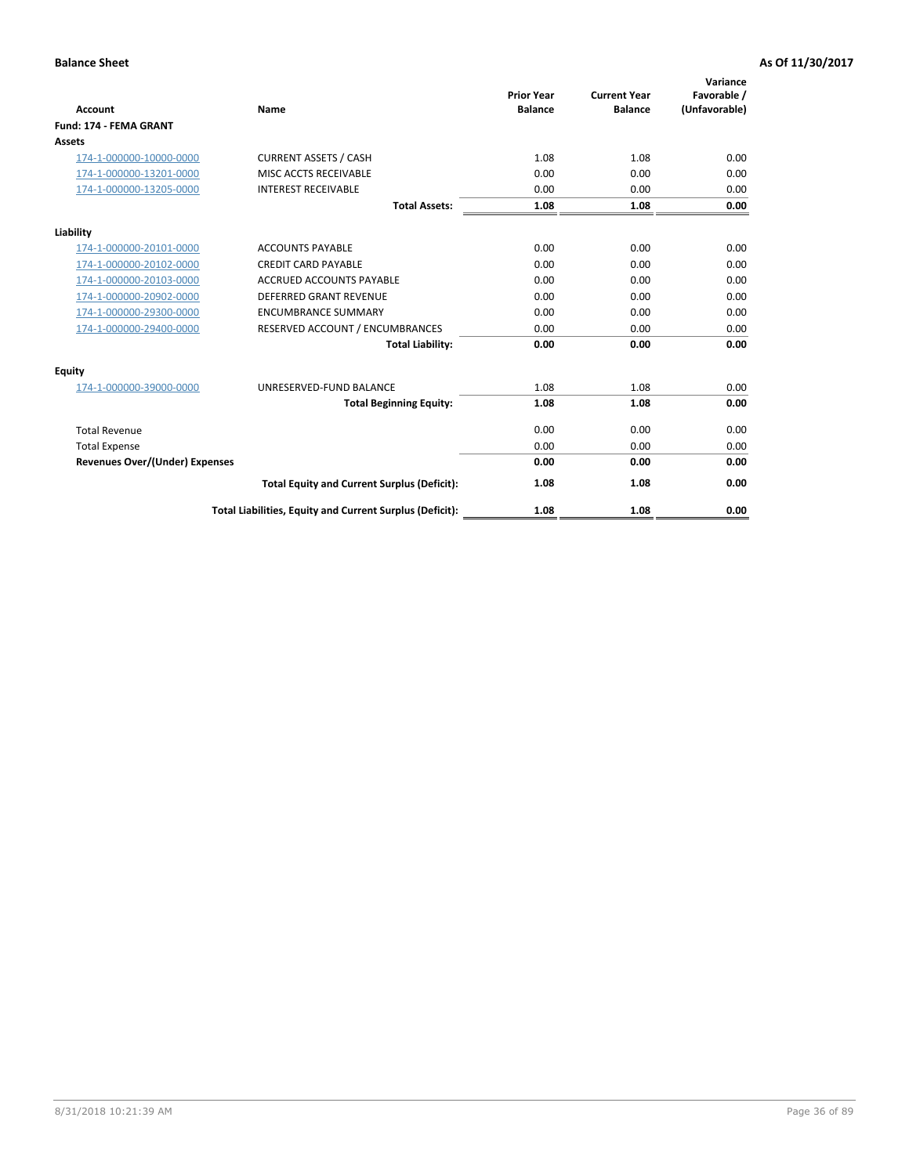| <b>Account</b>                        | Name                                                     | <b>Prior Year</b><br><b>Balance</b> | <b>Current Year</b><br><b>Balance</b> | Variance<br>Favorable /<br>(Unfavorable) |
|---------------------------------------|----------------------------------------------------------|-------------------------------------|---------------------------------------|------------------------------------------|
| Fund: 174 - FEMA GRANT                |                                                          |                                     |                                       |                                          |
| Assets                                |                                                          |                                     |                                       |                                          |
| 174-1-000000-10000-0000               | <b>CURRENT ASSETS / CASH</b>                             | 1.08                                | 1.08                                  | 0.00                                     |
| 174-1-000000-13201-0000               | MISC ACCTS RECEIVABLE                                    | 0.00                                | 0.00                                  | 0.00                                     |
| 174-1-000000-13205-0000               | <b>INTEREST RECEIVABLE</b>                               | 0.00                                | 0.00                                  | 0.00                                     |
|                                       | <b>Total Assets:</b>                                     | 1.08                                | 1.08                                  | 0.00                                     |
| Liability                             |                                                          |                                     |                                       |                                          |
| 174-1-000000-20101-0000               | <b>ACCOUNTS PAYABLE</b>                                  | 0.00                                | 0.00                                  | 0.00                                     |
| 174-1-000000-20102-0000               | <b>CREDIT CARD PAYABLE</b>                               | 0.00                                | 0.00                                  | 0.00                                     |
| 174-1-000000-20103-0000               | <b>ACCRUED ACCOUNTS PAYABLE</b>                          | 0.00                                | 0.00                                  | 0.00                                     |
| 174-1-000000-20902-0000               | <b>DEFERRED GRANT REVENUE</b>                            | 0.00                                | 0.00                                  | 0.00                                     |
| 174-1-000000-29300-0000               | <b>ENCUMBRANCE SUMMARY</b>                               | 0.00                                | 0.00                                  | 0.00                                     |
| 174-1-000000-29400-0000               | RESERVED ACCOUNT / ENCUMBRANCES                          | 0.00                                | 0.00                                  | 0.00                                     |
|                                       | <b>Total Liability:</b>                                  | 0.00                                | 0.00                                  | 0.00                                     |
| <b>Equity</b>                         |                                                          |                                     |                                       |                                          |
| 174-1-000000-39000-0000               | UNRESERVED-FUND BALANCE                                  | 1.08                                | 1.08                                  | 0.00                                     |
|                                       | <b>Total Beginning Equity:</b>                           | 1.08                                | 1.08                                  | 0.00                                     |
| <b>Total Revenue</b>                  |                                                          | 0.00                                | 0.00                                  | 0.00                                     |
| <b>Total Expense</b>                  |                                                          | 0.00                                | 0.00                                  | 0.00                                     |
| <b>Revenues Over/(Under) Expenses</b> |                                                          | 0.00                                | 0.00                                  | 0.00                                     |
|                                       | <b>Total Equity and Current Surplus (Deficit):</b>       | 1.08                                | 1.08                                  | 0.00                                     |
|                                       | Total Liabilities, Equity and Current Surplus (Deficit): | 1.08                                | 1.08                                  | 0.00                                     |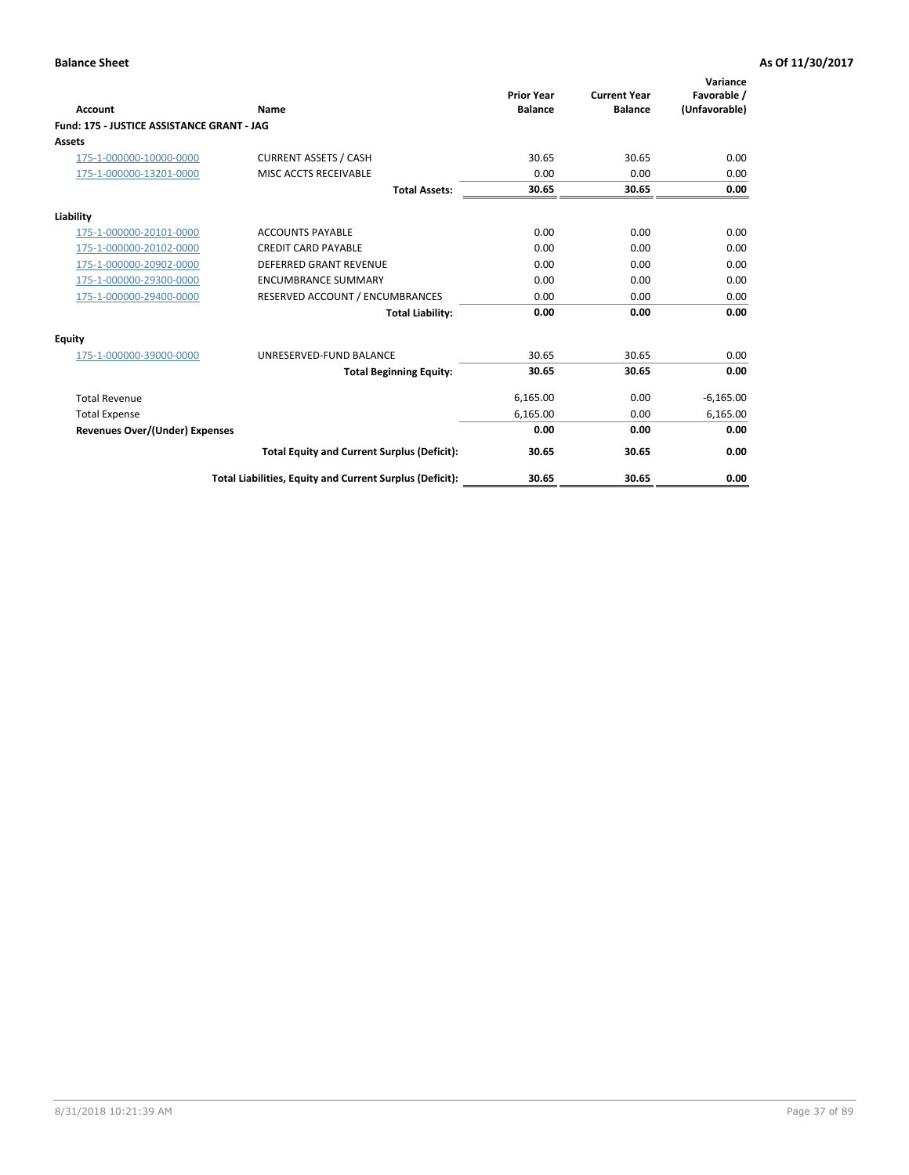|                                            |                                                          | <b>Prior Year</b> | <b>Current Year</b> | Variance<br>Favorable / |
|--------------------------------------------|----------------------------------------------------------|-------------------|---------------------|-------------------------|
| <b>Account</b>                             | Name                                                     | <b>Balance</b>    | <b>Balance</b>      | (Unfavorable)           |
| Fund: 175 - JUSTICE ASSISTANCE GRANT - JAG |                                                          |                   |                     |                         |
| <b>Assets</b>                              |                                                          |                   |                     |                         |
| 175-1-000000-10000-0000                    | <b>CURRENT ASSETS / CASH</b>                             | 30.65             | 30.65               | 0.00                    |
| 175-1-000000-13201-0000                    | MISC ACCTS RECEIVABLE                                    | 0.00              | 0.00                | 0.00                    |
|                                            | <b>Total Assets:</b>                                     | 30.65             | 30.65               | 0.00                    |
| Liability                                  |                                                          |                   |                     |                         |
| 175-1-000000-20101-0000                    | <b>ACCOUNTS PAYABLE</b>                                  | 0.00              | 0.00                | 0.00                    |
| 175-1-000000-20102-0000                    | <b>CREDIT CARD PAYABLE</b>                               | 0.00              | 0.00                | 0.00                    |
| 175-1-000000-20902-0000                    | <b>DEFERRED GRANT REVENUE</b>                            | 0.00              | 0.00                | 0.00                    |
| 175-1-000000-29300-0000                    | <b>ENCUMBRANCE SUMMARY</b>                               | 0.00              | 0.00                | 0.00                    |
| 175-1-000000-29400-0000                    | RESERVED ACCOUNT / ENCUMBRANCES                          | 0.00              | 0.00                | 0.00                    |
|                                            | <b>Total Liability:</b>                                  | 0.00              | 0.00                | 0.00                    |
| Equity                                     |                                                          |                   |                     |                         |
| 175-1-000000-39000-0000                    | UNRESERVED-FUND BALANCE                                  | 30.65             | 30.65               | 0.00                    |
|                                            | <b>Total Beginning Equity:</b>                           | 30.65             | 30.65               | 0.00                    |
| <b>Total Revenue</b>                       |                                                          | 6,165.00          | 0.00                | $-6,165.00$             |
| <b>Total Expense</b>                       |                                                          | 6,165.00          | 0.00                | 6,165.00                |
| <b>Revenues Over/(Under) Expenses</b>      |                                                          | 0.00              | 0.00                | 0.00                    |
|                                            | <b>Total Equity and Current Surplus (Deficit):</b>       | 30.65             | 30.65               | 0.00                    |
|                                            | Total Liabilities, Equity and Current Surplus (Deficit): | 30.65             | 30.65               | 0.00                    |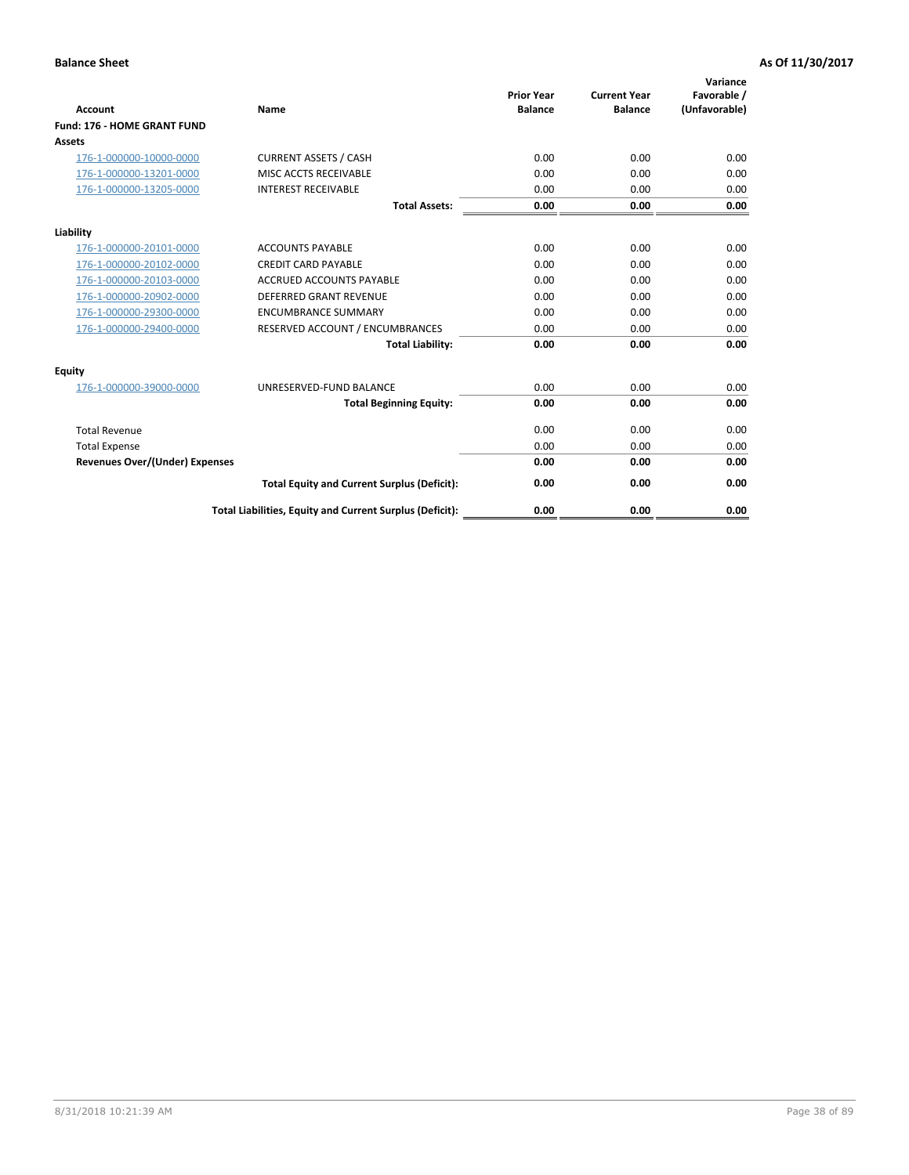|                                       |                                                          | <b>Prior Year</b> | <b>Current Year</b> | Variance<br>Favorable / |
|---------------------------------------|----------------------------------------------------------|-------------------|---------------------|-------------------------|
| <b>Account</b>                        | Name                                                     | <b>Balance</b>    | <b>Balance</b>      | (Unfavorable)           |
| <b>Fund: 176 - HOME GRANT FUND</b>    |                                                          |                   |                     |                         |
| <b>Assets</b>                         |                                                          |                   |                     |                         |
| 176-1-000000-10000-0000               | <b>CURRENT ASSETS / CASH</b>                             | 0.00              | 0.00                | 0.00                    |
| 176-1-000000-13201-0000               | MISC ACCTS RECEIVABLE                                    | 0.00              | 0.00                | 0.00                    |
| 176-1-000000-13205-0000               | <b>INTEREST RECEIVABLE</b>                               | 0.00              | 0.00                | 0.00                    |
|                                       | <b>Total Assets:</b>                                     | 0.00              | 0.00                | 0.00                    |
| Liability                             |                                                          |                   |                     |                         |
| 176-1-000000-20101-0000               | <b>ACCOUNTS PAYABLE</b>                                  | 0.00              | 0.00                | 0.00                    |
| 176-1-000000-20102-0000               | <b>CREDIT CARD PAYABLE</b>                               | 0.00              | 0.00                | 0.00                    |
| 176-1-000000-20103-0000               | <b>ACCRUED ACCOUNTS PAYABLE</b>                          | 0.00              | 0.00                | 0.00                    |
| 176-1-000000-20902-0000               | DEFERRED GRANT REVENUE                                   | 0.00              | 0.00                | 0.00                    |
| 176-1-000000-29300-0000               | <b>ENCUMBRANCE SUMMARY</b>                               | 0.00              | 0.00                | 0.00                    |
| 176-1-000000-29400-0000               | RESERVED ACCOUNT / ENCUMBRANCES                          | 0.00              | 0.00                | 0.00                    |
|                                       | <b>Total Liability:</b>                                  | 0.00              | 0.00                | 0.00                    |
| <b>Equity</b>                         |                                                          |                   |                     |                         |
| 176-1-000000-39000-0000               | UNRESERVED-FUND BALANCE                                  | 0.00              | 0.00                | 0.00                    |
|                                       | <b>Total Beginning Equity:</b>                           | 0.00              | 0.00                | 0.00                    |
| <b>Total Revenue</b>                  |                                                          | 0.00              | 0.00                | 0.00                    |
| <b>Total Expense</b>                  |                                                          | 0.00              | 0.00                | 0.00                    |
| <b>Revenues Over/(Under) Expenses</b> |                                                          | 0.00              | 0.00                | 0.00                    |
|                                       | <b>Total Equity and Current Surplus (Deficit):</b>       | 0.00              | 0.00                | 0.00                    |
|                                       | Total Liabilities, Equity and Current Surplus (Deficit): | 0.00              | 0.00                | 0.00                    |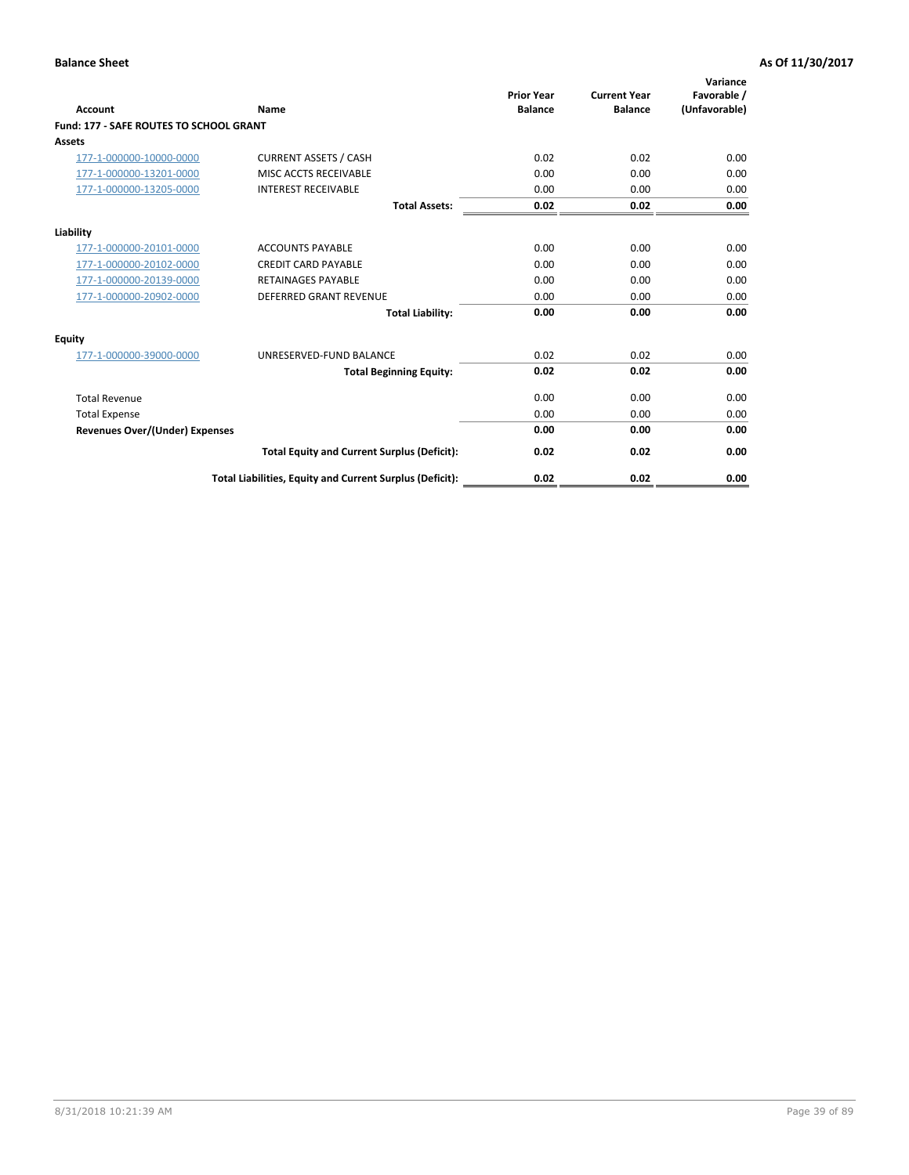| Account                                        | Name                                                     | <b>Prior Year</b><br><b>Balance</b> | <b>Current Year</b><br><b>Balance</b> | Variance<br>Favorable /<br>(Unfavorable) |
|------------------------------------------------|----------------------------------------------------------|-------------------------------------|---------------------------------------|------------------------------------------|
| <b>Fund: 177 - SAFE ROUTES TO SCHOOL GRANT</b> |                                                          |                                     |                                       |                                          |
| <b>Assets</b>                                  |                                                          |                                     |                                       |                                          |
| 177-1-000000-10000-0000                        | <b>CURRENT ASSETS / CASH</b>                             | 0.02                                | 0.02                                  | 0.00                                     |
| 177-1-000000-13201-0000                        | MISC ACCTS RECEIVABLE                                    | 0.00                                | 0.00                                  | 0.00                                     |
| 177-1-000000-13205-0000                        | <b>INTEREST RECEIVABLE</b>                               | 0.00                                | 0.00                                  | 0.00                                     |
|                                                | <b>Total Assets:</b>                                     | 0.02                                | 0.02                                  | 0.00                                     |
| Liability                                      |                                                          |                                     |                                       |                                          |
| 177-1-000000-20101-0000                        | <b>ACCOUNTS PAYABLE</b>                                  | 0.00                                | 0.00                                  | 0.00                                     |
| 177-1-000000-20102-0000                        | <b>CREDIT CARD PAYABLE</b>                               | 0.00                                | 0.00                                  | 0.00                                     |
| 177-1-000000-20139-0000                        | <b>RETAINAGES PAYABLE</b>                                | 0.00                                | 0.00                                  | 0.00                                     |
| 177-1-000000-20902-0000                        | <b>DEFERRED GRANT REVENUE</b>                            | 0.00                                | 0.00                                  | 0.00                                     |
|                                                | <b>Total Liability:</b>                                  | 0.00                                | 0.00                                  | 0.00                                     |
| Equity                                         |                                                          |                                     |                                       |                                          |
| 177-1-000000-39000-0000                        | UNRESERVED-FUND BALANCE                                  | 0.02                                | 0.02                                  | 0.00                                     |
|                                                | <b>Total Beginning Equity:</b>                           | 0.02                                | 0.02                                  | 0.00                                     |
| <b>Total Revenue</b>                           |                                                          | 0.00                                | 0.00                                  | 0.00                                     |
| <b>Total Expense</b>                           |                                                          | 0.00                                | 0.00                                  | 0.00                                     |
| <b>Revenues Over/(Under) Expenses</b>          |                                                          | 0.00                                | 0.00                                  | 0.00                                     |
|                                                | <b>Total Equity and Current Surplus (Deficit):</b>       | 0.02                                | 0.02                                  | 0.00                                     |
|                                                | Total Liabilities, Equity and Current Surplus (Deficit): | 0.02                                | 0.02                                  | 0.00                                     |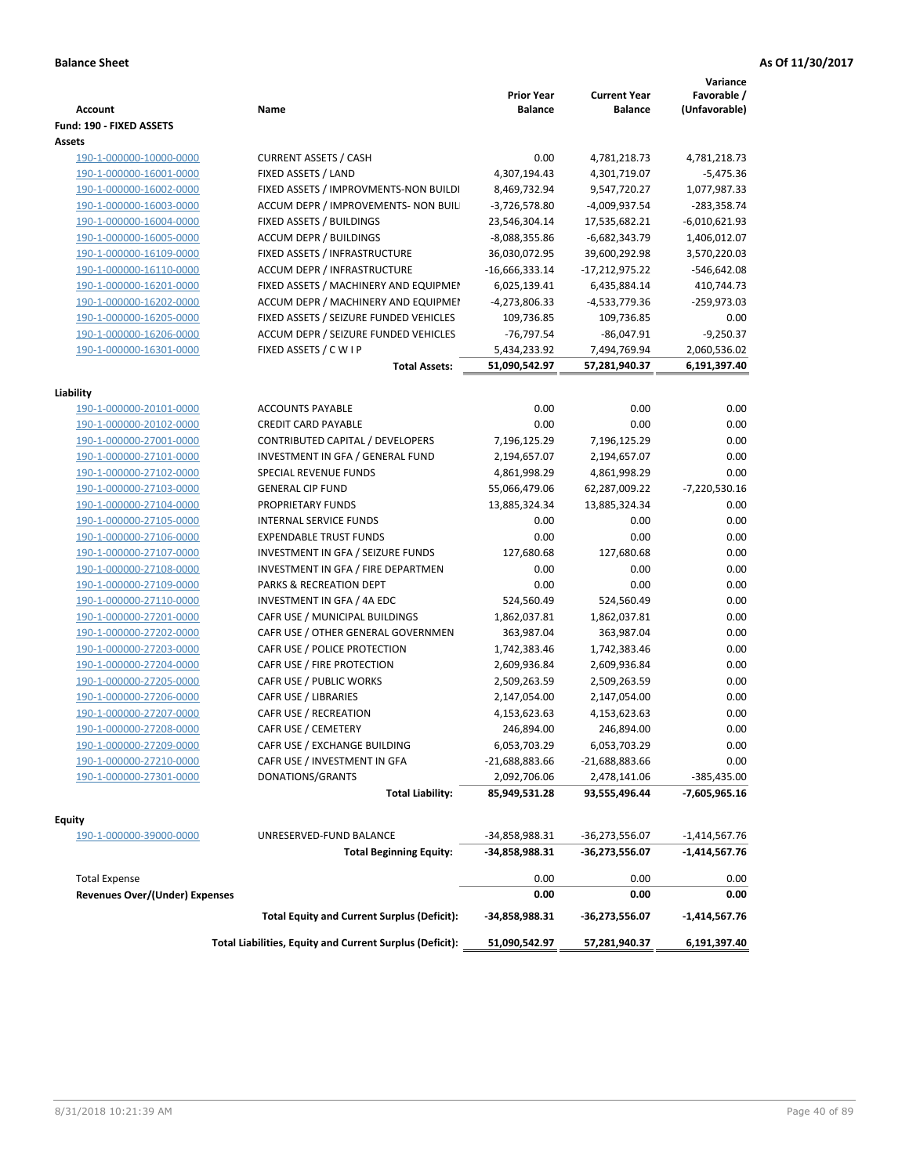| <b>Account</b>                                         | Name                                                     | <b>Prior Year</b><br><b>Balance</b> | <b>Current Year</b><br><b>Balance</b> | Variance<br>Favorable /<br>(Unfavorable) |
|--------------------------------------------------------|----------------------------------------------------------|-------------------------------------|---------------------------------------|------------------------------------------|
| Fund: 190 - FIXED ASSETS                               |                                                          |                                     |                                       |                                          |
| Assets                                                 |                                                          |                                     |                                       |                                          |
| 190-1-000000-10000-0000                                | <b>CURRENT ASSETS / CASH</b>                             | 0.00                                | 4,781,218.73                          | 4,781,218.73                             |
| 190-1-000000-16001-0000                                | FIXED ASSETS / LAND                                      | 4,307,194.43                        | 4,301,719.07                          | $-5,475.36$                              |
| 190-1-000000-16002-0000                                | FIXED ASSETS / IMPROVMENTS-NON BUILDI                    | 8,469,732.94                        | 9,547,720.27                          | 1,077,987.33                             |
| 190-1-000000-16003-0000                                | ACCUM DEPR / IMPROVEMENTS- NON BUIL                      | $-3,726,578.80$                     | -4,009,937.54                         | -283,358.74                              |
| 190-1-000000-16004-0000                                | FIXED ASSETS / BUILDINGS                                 | 23,546,304.14                       | 17,535,682.21                         | $-6,010,621.93$                          |
| 190-1-000000-16005-0000                                | <b>ACCUM DEPR / BUILDINGS</b>                            | $-8,088,355.86$                     | $-6,682,343.79$                       | 1,406,012.07                             |
| 190-1-000000-16109-0000                                | FIXED ASSETS / INFRASTRUCTURE                            | 36,030,072.95                       | 39,600,292.98                         | 3,570,220.03                             |
| 190-1-000000-16110-0000                                | ACCUM DEPR / INFRASTRUCTURE                              | $-16,666,333.14$                    | $-17,212,975.22$                      | $-546,642.08$                            |
| 190-1-000000-16201-0000                                | FIXED ASSETS / MACHINERY AND EQUIPMEN                    | 6,025,139.41                        | 6,435,884.14                          | 410,744.73                               |
| 190-1-000000-16202-0000                                | ACCUM DEPR / MACHINERY AND EQUIPMEI                      | -4,273,806.33                       | -4,533,779.36                         | -259,973.03                              |
| 190-1-000000-16205-0000                                | FIXED ASSETS / SEIZURE FUNDED VEHICLES                   | 109,736.85                          | 109,736.85                            | 0.00                                     |
| 190-1-000000-16206-0000                                | ACCUM DEPR / SEIZURE FUNDED VEHICLES                     | $-76,797.54$                        | $-86,047.91$                          | $-9,250.37$                              |
| 190-1-000000-16301-0000                                | FIXED ASSETS / C W I P                                   | 5,434,233.92                        | 7,494,769.94                          | 2,060,536.02                             |
|                                                        | <b>Total Assets:</b>                                     | 51,090,542.97                       | 57,281,940.37                         | 6,191,397.40                             |
| Liability                                              |                                                          |                                     |                                       |                                          |
| 190-1-000000-20101-0000                                | <b>ACCOUNTS PAYABLE</b>                                  | 0.00                                | 0.00                                  | 0.00                                     |
| 190-1-000000-20102-0000                                | <b>CREDIT CARD PAYABLE</b>                               | 0.00                                | 0.00                                  | 0.00                                     |
| 190-1-000000-27001-0000                                | CONTRIBUTED CAPITAL / DEVELOPERS                         | 7,196,125.29                        | 7,196,125.29                          | 0.00                                     |
| 190-1-000000-27101-0000                                | INVESTMENT IN GFA / GENERAL FUND                         | 2,194,657.07                        | 2,194,657.07                          | 0.00                                     |
| 190-1-000000-27102-0000                                | SPECIAL REVENUE FUNDS                                    | 4,861,998.29                        | 4,861,998.29                          | 0.00                                     |
| 190-1-000000-27103-0000                                | <b>GENERAL CIP FUND</b>                                  | 55,066,479.06                       | 62,287,009.22                         | -7,220,530.16                            |
| 190-1-000000-27104-0000                                | PROPRIETARY FUNDS                                        | 13,885,324.34                       | 13,885,324.34                         | 0.00                                     |
| 190-1-000000-27105-0000                                | <b>INTERNAL SERVICE FUNDS</b>                            | 0.00                                | 0.00                                  | 0.00                                     |
| 190-1-000000-27106-0000                                | <b>EXPENDABLE TRUST FUNDS</b>                            | 0.00                                | 0.00                                  | 0.00                                     |
| 190-1-000000-27107-0000                                | INVESTMENT IN GFA / SEIZURE FUNDS                        | 127,680.68                          | 127,680.68                            | 0.00                                     |
| 190-1-000000-27108-0000                                | INVESTMENT IN GFA / FIRE DEPARTMEN                       | 0.00                                | 0.00                                  | 0.00                                     |
| 190-1-000000-27109-0000                                | PARKS & RECREATION DEPT                                  | 0.00                                | 0.00                                  | 0.00                                     |
|                                                        | INVESTMENT IN GFA / 4A EDC                               | 524,560.49                          | 524,560.49                            | 0.00                                     |
| 190-1-000000-27110-0000                                |                                                          |                                     |                                       | 0.00                                     |
| 190-1-000000-27201-0000                                | CAFR USE / MUNICIPAL BUILDINGS                           | 1,862,037.81                        | 1,862,037.81                          |                                          |
| 190-1-000000-27202-0000                                | CAFR USE / OTHER GENERAL GOVERNMEN                       | 363,987.04                          | 363,987.04                            | 0.00                                     |
| 190-1-000000-27203-0000                                | CAFR USE / POLICE PROTECTION                             | 1,742,383.46                        | 1,742,383.46                          | 0.00                                     |
| 190-1-000000-27204-0000                                | CAFR USE / FIRE PROTECTION                               | 2,609,936.84                        | 2,609,936.84                          | 0.00                                     |
| 190-1-000000-27205-0000                                | CAFR USE / PUBLIC WORKS                                  | 2,509,263.59                        | 2,509,263.59                          | 0.00                                     |
| 190-1-000000-27206-0000                                | CAFR USE / LIBRARIES                                     | 2,147,054.00                        | 2,147,054.00                          | 0.00                                     |
| 190-1-000000-27207-0000                                | CAFR USE / RECREATION                                    | 4,153,623.63                        | 4,153,623.63                          | 0.00                                     |
| 190-1-000000-27208-0000                                | CAFR USE / CEMETERY                                      | 246,894.00                          | 246,894.00                            | 0.00                                     |
| 190-1-000000-27209-0000                                | CAFR USE / EXCHANGE BUILDING                             | 6,053,703.29                        | 6,053,703.29                          | 0.00                                     |
| 190-1-000000-27210-0000                                | CAFR USE / INVESTMENT IN GFA                             | -21,688,883.66                      | $-21,688,883.66$                      | 0.00                                     |
| 190-1-000000-27301-0000                                | DONATIONS/GRANTS                                         | 2,092,706.06                        | 2,478,141.06                          | -385,435.00                              |
|                                                        | <b>Total Liability:</b>                                  | 85,949,531.28                       | 93,555,496.44                         | -7,605,965.16                            |
| <b>Equity</b>                                          |                                                          |                                     |                                       |                                          |
| 190-1-000000-39000-0000                                | UNRESERVED-FUND BALANCE                                  | -34,858,988.31                      | -36,273,556.07                        | $-1,414,567.76$                          |
|                                                        | <b>Total Beginning Equity:</b>                           | -34,858,988.31                      | -36,273,556.07                        | -1,414,567.76                            |
|                                                        |                                                          |                                     |                                       |                                          |
| <b>Total Expense</b><br>Revenues Over/(Under) Expenses |                                                          | 0.00<br>0.00                        | 0.00<br>0.00                          | 0.00<br>0.00                             |
|                                                        | <b>Total Equity and Current Surplus (Deficit):</b>       | -34,858,988.31                      | -36,273,556.07                        | -1,414,567.76                            |
|                                                        |                                                          |                                     |                                       |                                          |
|                                                        | Total Liabilities, Equity and Current Surplus (Deficit): | 51,090,542.97                       | 57,281,940.37                         | 6,191,397.40                             |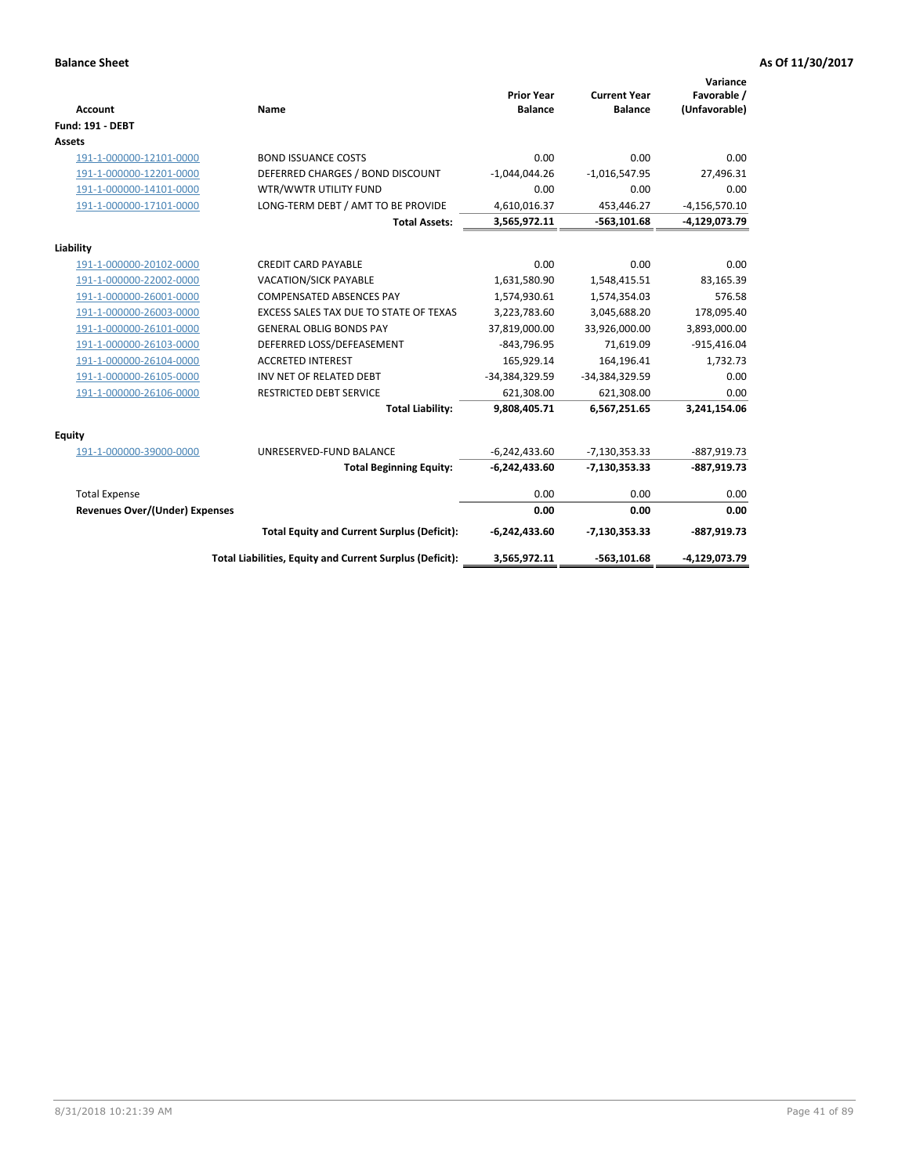| <b>Account</b>                 | Name                                                     | <b>Prior Year</b><br><b>Balance</b> | <b>Current Year</b><br><b>Balance</b> | Variance<br>Favorable /<br>(Unfavorable) |
|--------------------------------|----------------------------------------------------------|-------------------------------------|---------------------------------------|------------------------------------------|
| <b>Fund: 191 - DEBT</b>        |                                                          |                                     |                                       |                                          |
| <b>Assets</b>                  |                                                          |                                     |                                       |                                          |
| 191-1-000000-12101-0000        | <b>BOND ISSUANCE COSTS</b>                               | 0.00                                | 0.00                                  | 0.00                                     |
| 191-1-000000-12201-0000        | DEFERRED CHARGES / BOND DISCOUNT                         | $-1,044,044.26$                     | $-1,016,547.95$                       | 27,496.31                                |
| 191-1-000000-14101-0000        | WTR/WWTR UTILITY FUND                                    | 0.00                                | 0.00                                  | 0.00                                     |
| 191-1-000000-17101-0000        | LONG-TERM DEBT / AMT TO BE PROVIDE                       | 4,610,016.37                        | 453,446.27                            | $-4,156,570.10$                          |
|                                | <b>Total Assets:</b>                                     | 3,565,972.11                        | $-563, 101.68$                        | -4,129,073.79                            |
| Liability                      |                                                          |                                     |                                       |                                          |
| 191-1-000000-20102-0000        | <b>CREDIT CARD PAYABLE</b>                               | 0.00                                | 0.00                                  | 0.00                                     |
| 191-1-000000-22002-0000        | VACATION/SICK PAYABLE                                    | 1,631,580.90                        | 1,548,415.51                          | 83,165.39                                |
| 191-1-000000-26001-0000        | <b>COMPENSATED ABSENCES PAY</b>                          | 1,574,930.61                        | 1,574,354.03                          | 576.58                                   |
| 191-1-000000-26003-0000        | EXCESS SALES TAX DUE TO STATE OF TEXAS                   | 3,223,783.60                        | 3,045,688.20                          | 178,095.40                               |
| 191-1-000000-26101-0000        | <b>GENERAL OBLIG BONDS PAY</b>                           | 37,819,000.00                       | 33,926,000.00                         | 3,893,000.00                             |
| 191-1-000000-26103-0000        | DEFERRED LOSS/DEFEASEMENT                                | $-843,796.95$                       | 71,619.09                             | $-915,416.04$                            |
| 191-1-000000-26104-0000        | <b>ACCRETED INTEREST</b>                                 | 165,929.14                          | 164,196.41                            | 1,732.73                                 |
| 191-1-000000-26105-0000        | INV NET OF RELATED DEBT                                  | -34,384,329.59                      | -34,384,329.59                        | 0.00                                     |
| 191-1-000000-26106-0000        | <b>RESTRICTED DEBT SERVICE</b>                           | 621,308.00                          | 621,308.00                            | 0.00                                     |
|                                | <b>Total Liability:</b>                                  | 9,808,405.71                        | 6,567,251.65                          | 3,241,154.06                             |
| Equity                         |                                                          |                                     |                                       |                                          |
| 191-1-000000-39000-0000        | UNRESERVED-FUND BALANCE                                  | $-6,242,433.60$                     | $-7,130,353.33$                       | -887,919.73                              |
|                                | <b>Total Beginning Equity:</b>                           | $-6,242,433.60$                     | $-7,130,353.33$                       | $-887,919.73$                            |
| <b>Total Expense</b>           |                                                          | 0.00                                | 0.00                                  | 0.00                                     |
| Revenues Over/(Under) Expenses |                                                          | 0.00                                | 0.00                                  | 0.00                                     |
|                                | <b>Total Equity and Current Surplus (Deficit):</b>       | $-6,242,433.60$                     | $-7,130,353.33$                       | $-887,919.73$                            |
|                                | Total Liabilities, Equity and Current Surplus (Deficit): | 3,565,972.11                        | $-563, 101.68$                        | -4,129,073.79                            |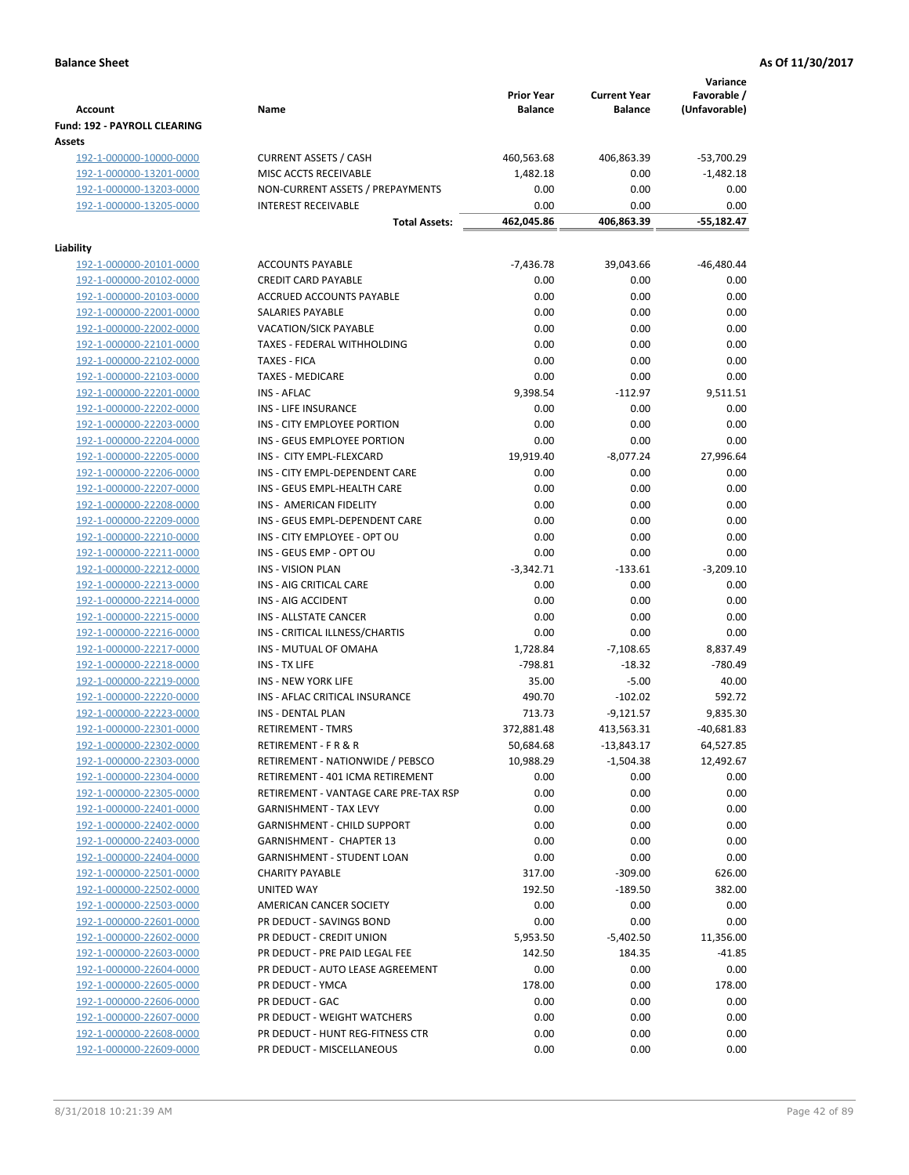|                                                    |                                                                      | <b>Prior Year</b> | <b>Current Year</b>    | Variance<br>Favorable / |
|----------------------------------------------------|----------------------------------------------------------------------|-------------------|------------------------|-------------------------|
| <b>Account</b>                                     | Name                                                                 | <b>Balance</b>    | <b>Balance</b>         | (Unfavorable)           |
| Fund: 192 - PAYROLL CLEARING<br>Assets             |                                                                      |                   |                        |                         |
| 192-1-000000-10000-0000                            | <b>CURRENT ASSETS / CASH</b>                                         | 460,563.68        | 406,863.39             | $-53,700.29$            |
| 192-1-000000-13201-0000                            | MISC ACCTS RECEIVABLE                                                | 1,482.18          | 0.00                   | $-1,482.18$             |
| 192-1-000000-13203-0000                            | NON-CURRENT ASSETS / PREPAYMENTS                                     | 0.00              | 0.00                   | 0.00                    |
| 192-1-000000-13205-0000                            | <b>INTEREST RECEIVABLE</b>                                           | 0.00              | 0.00                   | 0.00                    |
|                                                    | <b>Total Assets:</b>                                                 | 462,045.86        | 406,863.39             | $-55,182.47$            |
|                                                    |                                                                      |                   |                        |                         |
| Liability                                          |                                                                      |                   |                        |                         |
| 192-1-000000-20101-0000                            | <b>ACCOUNTS PAYABLE</b>                                              | $-7,436.78$       | 39,043.66              | $-46,480.44$            |
| 192-1-000000-20102-0000                            | <b>CREDIT CARD PAYABLE</b>                                           | 0.00              | 0.00                   | 0.00                    |
| 192-1-000000-20103-0000                            | ACCRUED ACCOUNTS PAYABLE<br>SALARIES PAYABLE                         | 0.00<br>0.00      | 0.00<br>0.00           | 0.00<br>0.00            |
| 192-1-000000-22001-0000<br>192-1-000000-22002-0000 | VACATION/SICK PAYABLE                                                | 0.00              | 0.00                   | 0.00                    |
| 192-1-000000-22101-0000                            | TAXES - FEDERAL WITHHOLDING                                          | 0.00              | 0.00                   | 0.00                    |
| 192-1-000000-22102-0000                            | <b>TAXES - FICA</b>                                                  | 0.00              | 0.00                   | 0.00                    |
| 192-1-000000-22103-0000                            | <b>TAXES - MEDICARE</b>                                              | 0.00              | 0.00                   | 0.00                    |
| 192-1-000000-22201-0000                            | <b>INS - AFLAC</b>                                                   | 9,398.54          | $-112.97$              | 9,511.51                |
| 192-1-000000-22202-0000                            | <b>INS - LIFE INSURANCE</b>                                          | 0.00              | 0.00                   | 0.00                    |
| 192-1-000000-22203-0000                            | INS - CITY EMPLOYEE PORTION                                          | 0.00              | 0.00                   | 0.00                    |
| 192-1-000000-22204-0000                            | INS - GEUS EMPLOYEE PORTION                                          | 0.00              | 0.00                   | 0.00                    |
| 192-1-000000-22205-0000                            | INS - CITY EMPL-FLEXCARD                                             | 19,919.40         | $-8,077.24$            | 27,996.64               |
| 192-1-000000-22206-0000                            | INS - CITY EMPL-DEPENDENT CARE                                       | 0.00              | 0.00                   | 0.00                    |
| 192-1-000000-22207-0000                            | INS - GEUS EMPL-HEALTH CARE                                          | 0.00              | 0.00                   | 0.00                    |
| 192-1-000000-22208-0000                            | INS - AMERICAN FIDELITY                                              | 0.00              | 0.00                   | 0.00                    |
| 192-1-000000-22209-0000                            | INS - GEUS EMPL-DEPENDENT CARE                                       | 0.00              | 0.00                   | 0.00                    |
| 192-1-000000-22210-0000                            | INS - CITY EMPLOYEE - OPT OU                                         | 0.00              | 0.00                   | 0.00                    |
| 192-1-000000-22211-0000                            | INS - GEUS EMP - OPT OU                                              | 0.00              | 0.00                   | 0.00                    |
| 192-1-000000-22212-0000                            | <b>INS - VISION PLAN</b>                                             | $-3,342.71$       | $-133.61$              | $-3,209.10$             |
| 192-1-000000-22213-0000                            | INS - AIG CRITICAL CARE                                              | 0.00              | 0.00                   | 0.00                    |
| 192-1-000000-22214-0000                            | INS - AIG ACCIDENT                                                   | 0.00              | 0.00                   | 0.00                    |
| 192-1-000000-22215-0000                            | INS - ALLSTATE CANCER                                                | 0.00              | 0.00                   | 0.00                    |
| 192-1-000000-22216-0000                            | INS - CRITICAL ILLNESS/CHARTIS                                       | 0.00              | 0.00                   | 0.00                    |
| 192-1-000000-22217-0000                            | INS - MUTUAL OF OMAHA                                                | 1,728.84          | $-7,108.65$            | 8,837.49                |
| 192-1-000000-22218-0000                            | INS - TX LIFE                                                        | $-798.81$         | $-18.32$               | $-780.49$               |
| 192-1-000000-22219-0000                            | <b>INS - NEW YORK LIFE</b>                                           | 35.00             | $-5.00$                | 40.00                   |
| 192-1-000000-22220-0000                            | INS - AFLAC CRITICAL INSURANCE                                       | 490.70            | $-102.02$              | 592.72                  |
| 192-1-000000-22223-0000                            | INS - DENTAL PLAN                                                    | 713.73            | $-9,121.57$            | 9,835.30                |
| 192-1-000000-22301-0000                            | <b>RETIREMENT - TMRS</b>                                             | 372,881.48        | 413,563.31             | $-40,681.83$            |
| 192-1-000000-22302-0000                            | RETIREMENT - F R & R                                                 | 50,684.68         | $-13,843.17$           | 64,527.85               |
| 192-1-000000-22303-0000                            | RETIREMENT - NATIONWIDE / PEBSCO                                     | 10,988.29         | $-1,504.38$            | 12,492.67               |
| 192-1-000000-22304-0000                            | RETIREMENT - 401 ICMA RETIREMENT                                     | 0.00              | 0.00                   | 0.00                    |
| 192-1-000000-22305-0000                            | RETIREMENT - VANTAGE CARE PRE-TAX RSP                                | 0.00              | 0.00                   | 0.00                    |
| 192-1-000000-22401-0000                            | <b>GARNISHMENT - TAX LEVY</b>                                        | 0.00              | 0.00                   | 0.00                    |
| 192-1-000000-22402-0000                            | <b>GARNISHMENT - CHILD SUPPORT</b>                                   | 0.00              | 0.00                   | 0.00                    |
| 192-1-000000-22403-0000                            | <b>GARNISHMENT - CHAPTER 13</b><br><b>GARNISHMENT - STUDENT LOAN</b> | 0.00              | 0.00                   | 0.00                    |
| 192-1-000000-22404-0000<br>192-1-000000-22501-0000 |                                                                      | 0.00              | 0.00                   | 0.00                    |
| 192-1-000000-22502-0000                            | <b>CHARITY PAYABLE</b><br>UNITED WAY                                 | 317.00<br>192.50  | $-309.00$<br>$-189.50$ | 626.00<br>382.00        |
| 192-1-000000-22503-0000                            | AMERICAN CANCER SOCIETY                                              | 0.00              | 0.00                   | 0.00                    |
| 192-1-000000-22601-0000                            | PR DEDUCT - SAVINGS BOND                                             | 0.00              | 0.00                   | 0.00                    |
| 192-1-000000-22602-0000                            | PR DEDUCT - CREDIT UNION                                             | 5,953.50          | $-5,402.50$            | 11,356.00               |
| 192-1-000000-22603-0000                            | PR DEDUCT - PRE PAID LEGAL FEE                                       | 142.50            | 184.35                 | $-41.85$                |
| 192-1-000000-22604-0000                            | PR DEDUCT - AUTO LEASE AGREEMENT                                     | 0.00              | 0.00                   | 0.00                    |
| 192-1-000000-22605-0000                            | PR DEDUCT - YMCA                                                     | 178.00            | 0.00                   | 178.00                  |
| 192-1-000000-22606-0000                            | PR DEDUCT - GAC                                                      | 0.00              | 0.00                   | 0.00                    |
| 192-1-000000-22607-0000                            | PR DEDUCT - WEIGHT WATCHERS                                          | 0.00              | 0.00                   | 0.00                    |
| 192-1-000000-22608-0000                            | PR DEDUCT - HUNT REG-FITNESS CTR                                     | 0.00              | 0.00                   | 0.00                    |
| 192-1-000000-22609-0000                            | PR DEDUCT - MISCELLANEOUS                                            | 0.00              | 0.00                   | 0.00                    |
|                                                    |                                                                      |                   |                        |                         |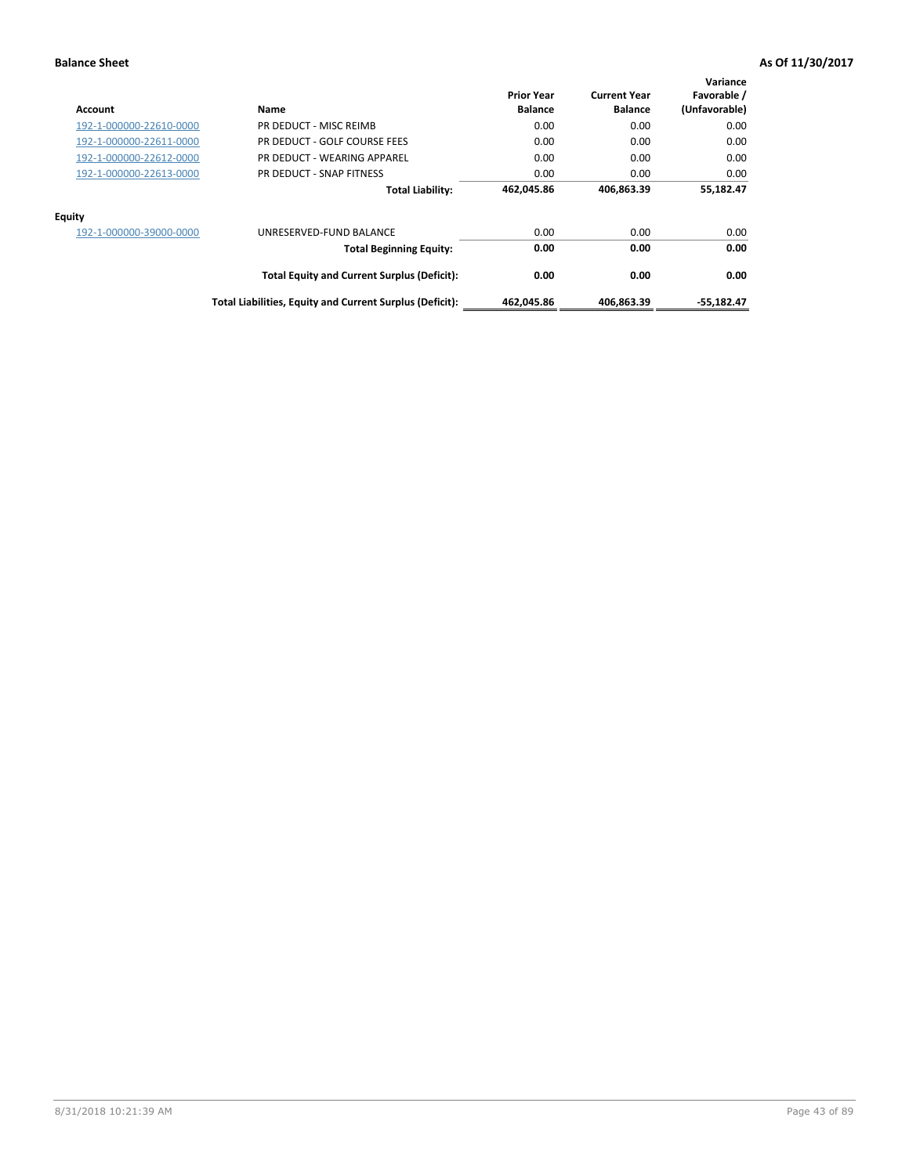| Account                 | Name                                                     | <b>Prior Year</b><br><b>Balance</b> | <b>Current Year</b><br><b>Balance</b> | Variance<br>Favorable /<br>(Unfavorable) |
|-------------------------|----------------------------------------------------------|-------------------------------------|---------------------------------------|------------------------------------------|
| 192-1-000000-22610-0000 | PR DEDUCT - MISC REIMB                                   | 0.00                                | 0.00                                  | 0.00                                     |
| 192-1-000000-22611-0000 | PR DEDUCT - GOLF COURSE FEES                             | 0.00                                | 0.00                                  | 0.00                                     |
| 192-1-000000-22612-0000 | PR DEDUCT - WEARING APPAREL                              | 0.00                                | 0.00                                  | 0.00                                     |
| 192-1-000000-22613-0000 | PR DEDUCT - SNAP FITNESS                                 | 0.00                                | 0.00                                  | 0.00                                     |
|                         | <b>Total Liability:</b>                                  | 462,045.86                          | 406,863.39                            | 55,182.47                                |
| Equity                  |                                                          |                                     |                                       |                                          |
| 192-1-000000-39000-0000 | UNRESERVED-FUND BALANCE                                  | 0.00                                | 0.00                                  | 0.00                                     |
|                         | <b>Total Beginning Equity:</b>                           | 0.00                                | 0.00                                  | 0.00                                     |
|                         | <b>Total Equity and Current Surplus (Deficit):</b>       | 0.00                                | 0.00                                  | 0.00                                     |
|                         | Total Liabilities, Equity and Current Surplus (Deficit): | 462,045.86                          | 406,863.39                            | $-55,182.47$                             |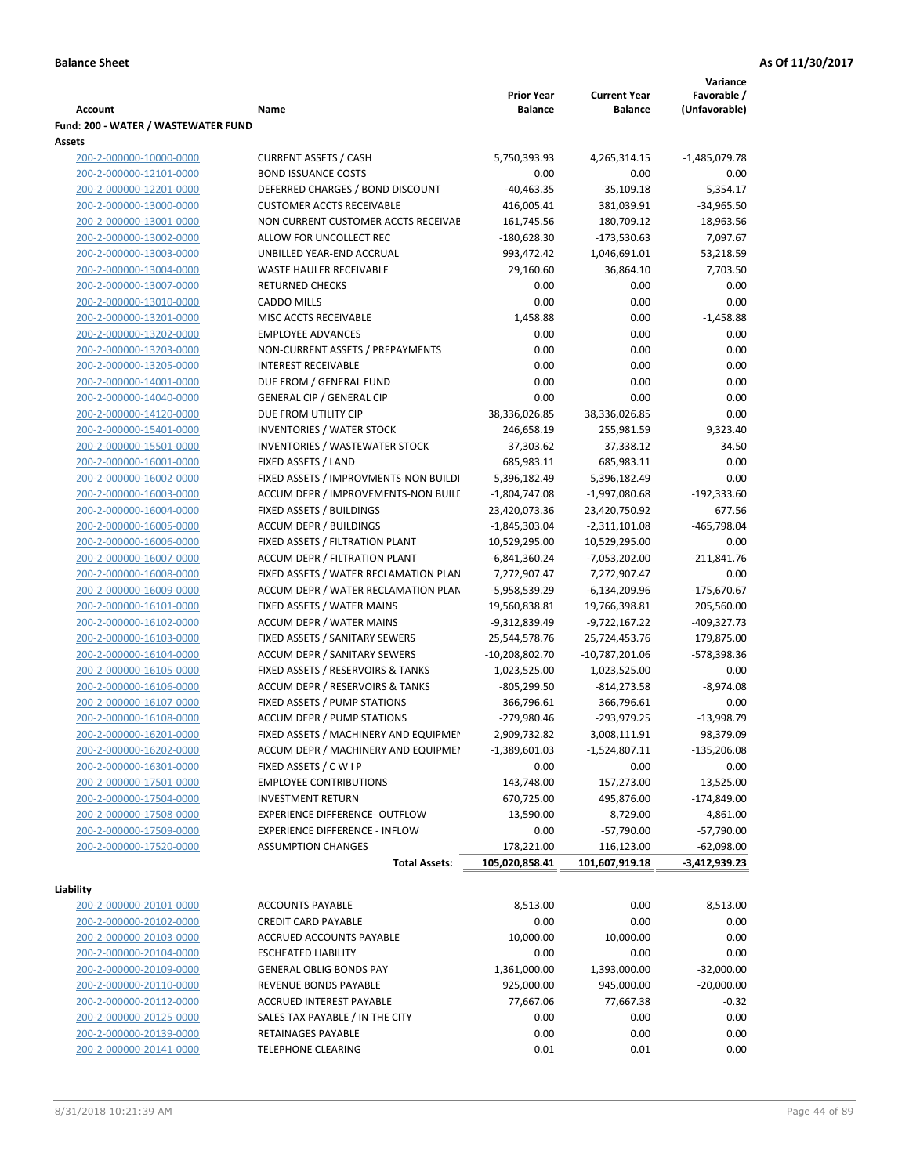|                                     |                                       |                         |                         | Variance              |
|-------------------------------------|---------------------------------------|-------------------------|-------------------------|-----------------------|
|                                     |                                       | <b>Prior Year</b>       | <b>Current Year</b>     | Favorable /           |
| <b>Account</b>                      | Name                                  | <b>Balance</b>          | <b>Balance</b>          | (Unfavorable)         |
| Fund: 200 - WATER / WASTEWATER FUND |                                       |                         |                         |                       |
| Assets                              |                                       |                         |                         |                       |
| 200-2-000000-10000-0000             | <b>CURRENT ASSETS / CASH</b>          | 5,750,393.93            | 4,265,314.15            | $-1,485,079.78$       |
| 200-2-000000-12101-0000             | <b>BOND ISSUANCE COSTS</b>            | 0.00                    | 0.00                    | 0.00                  |
| 200-2-000000-12201-0000             | DEFERRED CHARGES / BOND DISCOUNT      | $-40,463.35$            | $-35,109.18$            | 5,354.17              |
| 200-2-000000-13000-0000             | <b>CUSTOMER ACCTS RECEIVABLE</b>      | 416,005.41              | 381,039.91              | $-34,965.50$          |
| 200-2-000000-13001-0000             | NON CURRENT CUSTOMER ACCTS RECEIVAE   | 161,745.56              | 180,709.12              | 18,963.56             |
| 200-2-000000-13002-0000             | ALLOW FOR UNCOLLECT REC               | $-180,628.30$           | $-173,530.63$           | 7,097.67              |
| 200-2-000000-13003-0000             | UNBILLED YEAR-END ACCRUAL             | 993,472.42              | 1,046,691.01            | 53,218.59             |
| 200-2-000000-13004-0000             | <b>WASTE HAULER RECEIVABLE</b>        | 29,160.60               | 36,864.10               | 7,703.50              |
| 200-2-000000-13007-0000             | <b>RETURNED CHECKS</b>                | 0.00                    | 0.00                    | 0.00                  |
| 200-2-000000-13010-0000             | <b>CADDO MILLS</b>                    | 0.00                    | 0.00                    | 0.00                  |
| 200-2-000000-13201-0000             | MISC ACCTS RECEIVABLE                 | 1,458.88                | 0.00                    | $-1,458.88$           |
| 200-2-000000-13202-0000             | <b>EMPLOYEE ADVANCES</b>              | 0.00                    | 0.00                    | 0.00                  |
| 200-2-000000-13203-0000             | NON-CURRENT ASSETS / PREPAYMENTS      | 0.00                    | 0.00                    | 0.00                  |
| 200-2-000000-13205-0000             | <b>INTEREST RECEIVABLE</b>            | 0.00                    | 0.00                    | 0.00                  |
| 200-2-000000-14001-0000             | DUE FROM / GENERAL FUND               | 0.00                    | 0.00                    | 0.00                  |
| 200-2-000000-14040-0000             | <b>GENERAL CIP / GENERAL CIP</b>      | 0.00                    | 0.00                    | 0.00                  |
| 200-2-000000-14120-0000             | DUE FROM UTILITY CIP                  | 38,336,026.85           | 38,336,026.85           | 0.00                  |
| 200-2-000000-15401-0000             | <b>INVENTORIES / WATER STOCK</b>      | 246,658.19              | 255,981.59              | 9,323.40              |
| 200-2-000000-15501-0000             | <b>INVENTORIES / WASTEWATER STOCK</b> | 37,303.62               | 37,338.12               | 34.50                 |
| 200-2-000000-16001-0000             | FIXED ASSETS / LAND                   | 685,983.11              | 685,983.11              | 0.00                  |
| 200-2-000000-16002-0000             | FIXED ASSETS / IMPROVMENTS-NON BUILDI | 5,396,182.49            | 5,396,182.49            | 0.00                  |
| 200-2-000000-16003-0000             | ACCUM DEPR / IMPROVEMENTS-NON BUILL   | $-1,804,747.08$         | -1,997,080.68           | -192,333.60           |
| 200-2-000000-16004-0000             | FIXED ASSETS / BUILDINGS              | 23,420,073.36           | 23,420,750.92           | 677.56                |
| 200-2-000000-16005-0000             | <b>ACCUM DEPR / BUILDINGS</b>         | $-1,845,303.04$         | $-2,311,101.08$         | $-465,798.04$         |
| 200-2-000000-16006-0000             | FIXED ASSETS / FILTRATION PLANT       | 10,529,295.00           | 10,529,295.00           | 0.00                  |
| 200-2-000000-16007-0000             | ACCUM DEPR / FILTRATION PLANT         | -6,841,360.24           | -7,053,202.00           | $-211,841.76$         |
| 200-2-000000-16008-0000             | FIXED ASSETS / WATER RECLAMATION PLAN | 7,272,907.47            | 7,272,907.47            | 0.00                  |
| 200-2-000000-16009-0000             | ACCUM DEPR / WATER RECLAMATION PLAN   | -5,958,539.29           | $-6,134,209.96$         | $-175,670.67$         |
| 200-2-000000-16101-0000             | FIXED ASSETS / WATER MAINS            | 19,560,838.81           | 19,766,398.81           | 205,560.00            |
| 200-2-000000-16102-0000             | <b>ACCUM DEPR / WATER MAINS</b>       | -9,312,839.49           | -9,722,167.22           | -409,327.73           |
| 200-2-000000-16103-0000             | FIXED ASSETS / SANITARY SEWERS        | 25,544,578.76           | 25,724,453.76           | 179,875.00            |
| 200-2-000000-16104-0000             | <b>ACCUM DEPR / SANITARY SEWERS</b>   | -10,208,802.70          | $-10,787,201.06$        | -578,398.36           |
| 200-2-000000-16105-0000             | FIXED ASSETS / RESERVOIRS & TANKS     | 1,023,525.00            | 1,023,525.00            | 0.00                  |
| 200-2-000000-16106-0000             | ACCUM DEPR / RESERVOIRS & TANKS       | $-805,299.50$           | $-814,273.58$           | $-8,974.08$           |
| 200-2-000000-16107-0000             | FIXED ASSETS / PUMP STATIONS          | 366,796.61              | 366,796.61              | 0.00                  |
| 200-2-000000-16108-0000             | <b>ACCUM DEPR / PUMP STATIONS</b>     | -279,980.46             | $-293,979.25$           | $-13,998.79$          |
| 200-2-000000-16201-0000             | FIXED ASSETS / MACHINERY AND EQUIPMEN | 2,909,732.82            | 3,008,111.91            | 98,379.09             |
| 200-2-000000-16202-0000             | ACCUM DEPR / MACHINERY AND EQUIPMEI   |                         |                         |                       |
| 200-2-000000-16301-0000             | FIXED ASSETS / C W I P                | $-1,389,601.03$<br>0.00 | $-1,524,807.11$<br>0.00 | $-135,206.08$<br>0.00 |
| 200-2-000000-17501-0000             | <b>EMPLOYEE CONTRIBUTIONS</b>         |                         | 157,273.00              |                       |
|                                     |                                       | 143,748.00              |                         | 13,525.00             |
| 200-2-000000-17504-0000             | <b>INVESTMENT RETURN</b>              | 670,725.00              | 495,876.00              | $-174,849.00$         |
| 200-2-000000-17508-0000             | EXPERIENCE DIFFERENCE- OUTFLOW        | 13,590.00               | 8,729.00                | $-4,861.00$           |
| 200-2-000000-17509-0000             | <b>EXPERIENCE DIFFERENCE - INFLOW</b> | 0.00                    | $-57,790.00$            | $-57,790.00$          |
| 200-2-000000-17520-0000             | <b>ASSUMPTION CHANGES</b>             | 178,221.00              | 116,123.00              | $-62,098.00$          |
|                                     | <b>Total Assets:</b>                  | 105,020,858.41          | 101,607,919.18          | -3,412,939.23         |
| Liability                           |                                       |                         |                         |                       |
| 200-2-000000-20101-0000             | <b>ACCOUNTS PAYABLE</b>               | 8,513.00                | 0.00                    | 8,513.00              |
| 200-2-000000-20102-0000             | <b>CREDIT CARD PAYABLE</b>            | 0.00                    | 0.00                    | 0.00                  |
| 200-2-000000-20103-0000             | ACCRUED ACCOUNTS PAYABLE              | 10,000.00               | 10,000.00               | 0.00                  |
| 200-2-000000-20104-0000             | <b>ESCHEATED LIABILITY</b>            | 0.00                    | 0.00                    | 0.00                  |
| 200-2-000000-20109-0000             | <b>GENERAL OBLIG BONDS PAY</b>        | 1,361,000.00            | 1,393,000.00            | $-32,000.00$          |
| 200-2-000000-20110-0000             | REVENUE BONDS PAYABLE                 | 925,000.00              | 945,000.00              | $-20,000.00$          |
| 200-2-000000-20112-0000             | ACCRUED INTEREST PAYABLE              | 77,667.06               | 77,667.38               | $-0.32$               |
| 200-2-000000-20125-0000             | SALES TAX PAYABLE / IN THE CITY       | 0.00                    | 0.00                    | 0.00                  |
| 200-2-000000-20139-0000             | RETAINAGES PAYABLE                    | 0.00                    | 0.00                    | 0.00                  |
| 200-2-000000-20141-0000             | <b>TELEPHONE CLEARING</b>             | 0.01                    | 0.01                    | 0.00                  |
|                                     |                                       |                         |                         |                       |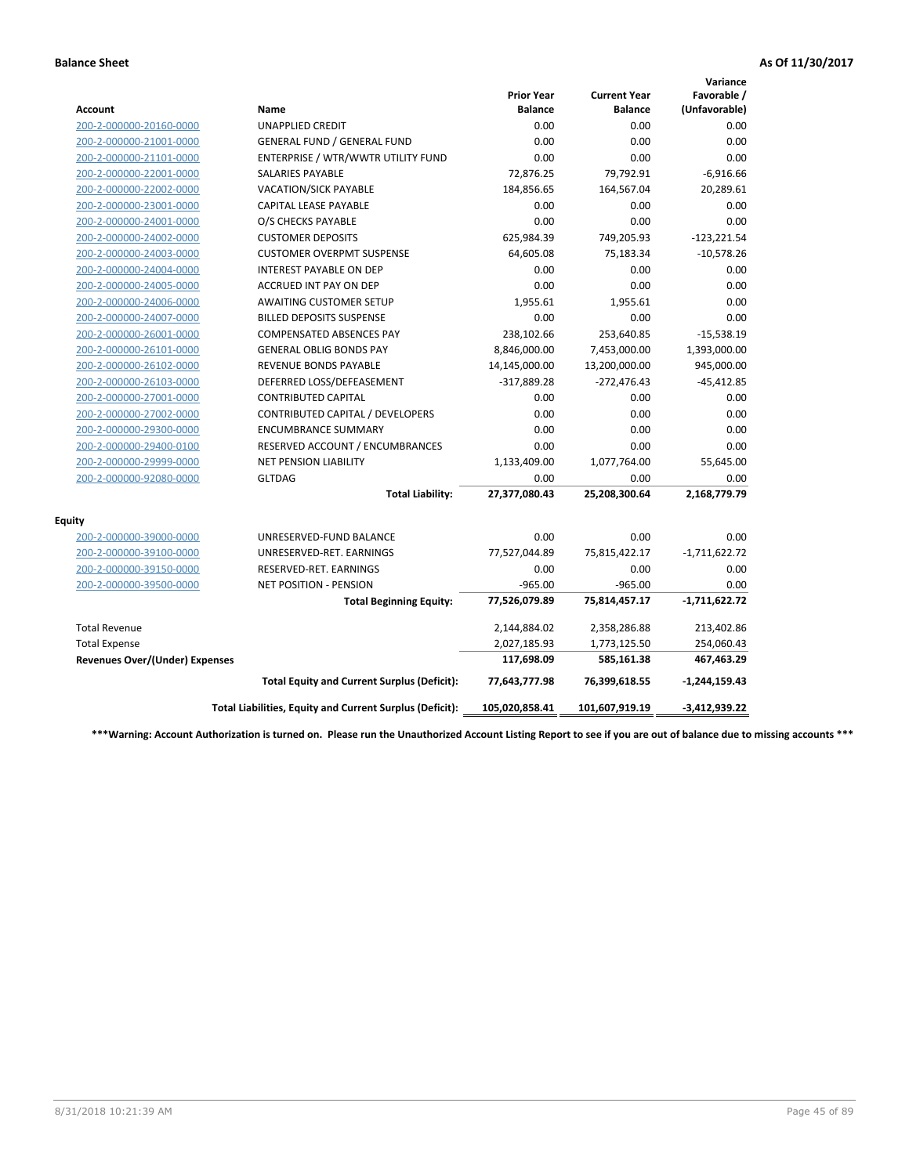|                                       |                                                          |                                     |                                       | Variance                     |
|---------------------------------------|----------------------------------------------------------|-------------------------------------|---------------------------------------|------------------------------|
| <b>Account</b>                        | Name                                                     | <b>Prior Year</b><br><b>Balance</b> | <b>Current Year</b><br><b>Balance</b> | Favorable /<br>(Unfavorable) |
| 200-2-000000-20160-0000               | <b>UNAPPLIED CREDIT</b>                                  | 0.00                                | 0.00                                  | 0.00                         |
| 200-2-000000-21001-0000               | <b>GENERAL FUND / GENERAL FUND</b>                       | 0.00                                | 0.00                                  | 0.00                         |
| 200-2-000000-21101-0000               | ENTERPRISE / WTR/WWTR UTILITY FUND                       | 0.00                                | 0.00                                  | 0.00                         |
| 200-2-000000-22001-0000               | <b>SALARIES PAYABLE</b>                                  | 72,876.25                           | 79,792.91                             | $-6,916.66$                  |
| 200-2-000000-22002-0000               | VACATION/SICK PAYABLE                                    | 184,856.65                          | 164,567.04                            | 20,289.61                    |
| 200-2-000000-23001-0000               | <b>CAPITAL LEASE PAYABLE</b>                             | 0.00                                | 0.00                                  | 0.00                         |
| 200-2-000000-24001-0000               | O/S CHECKS PAYABLE                                       | 0.00                                | 0.00                                  | 0.00                         |
| 200-2-000000-24002-0000               | <b>CUSTOMER DEPOSITS</b>                                 | 625,984.39                          | 749,205.93                            | $-123,221.54$                |
| 200-2-000000-24003-0000               | <b>CUSTOMER OVERPMT SUSPENSE</b>                         | 64,605.08                           | 75,183.34                             | $-10,578.26$                 |
| 200-2-000000-24004-0000               | <b>INTEREST PAYABLE ON DEP</b>                           | 0.00                                | 0.00                                  | 0.00                         |
| 200-2-000000-24005-0000               | <b>ACCRUED INT PAY ON DEP</b>                            | 0.00                                | 0.00                                  | 0.00                         |
| 200-2-000000-24006-0000               | <b>AWAITING CUSTOMER SETUP</b>                           | 1,955.61                            | 1,955.61                              | 0.00                         |
| 200-2-000000-24007-0000               | <b>BILLED DEPOSITS SUSPENSE</b>                          | 0.00                                | 0.00                                  | 0.00                         |
| 200-2-000000-26001-0000               | <b>COMPENSATED ABSENCES PAY</b>                          | 238,102.66                          | 253,640.85                            | $-15,538.19$                 |
| 200-2-000000-26101-0000               | <b>GENERAL OBLIG BONDS PAY</b>                           | 8,846,000.00                        | 7,453,000.00                          | 1,393,000.00                 |
| 200-2-000000-26102-0000               | <b>REVENUE BONDS PAYABLE</b>                             | 14,145,000.00                       | 13,200,000.00                         | 945,000.00                   |
| 200-2-000000-26103-0000               | DEFERRED LOSS/DEFEASEMENT                                | $-317,889.28$                       | $-272,476.43$                         | $-45,412.85$                 |
| 200-2-000000-27001-0000               | <b>CONTRIBUTED CAPITAL</b>                               | 0.00                                | 0.00                                  | 0.00                         |
| 200-2-000000-27002-0000               | CONTRIBUTED CAPITAL / DEVELOPERS                         | 0.00                                | 0.00                                  | 0.00                         |
| 200-2-000000-29300-0000               | <b>ENCUMBRANCE SUMMARY</b>                               | 0.00                                | 0.00                                  | 0.00                         |
| 200-2-000000-29400-0100               | RESERVED ACCOUNT / ENCUMBRANCES                          | 0.00                                | 0.00                                  | 0.00                         |
| 200-2-000000-29999-0000               | NET PENSION LIABILITY                                    | 1,133,409.00                        | 1,077,764.00                          | 55,645.00                    |
| 200-2-000000-92080-0000               | <b>GLTDAG</b>                                            | 0.00                                | 0.00                                  | 0.00                         |
|                                       | <b>Total Liability:</b>                                  | 27,377,080.43                       | 25,208,300.64                         | 2,168,779.79                 |
| <b>Equity</b>                         |                                                          |                                     |                                       |                              |
| 200-2-000000-39000-0000               | UNRESERVED-FUND BALANCE                                  | 0.00                                | 0.00                                  | 0.00                         |
| 200-2-000000-39100-0000               | UNRESERVED-RET. EARNINGS                                 | 77,527,044.89                       | 75,815,422.17                         | $-1,711,622.72$              |
| 200-2-000000-39150-0000               | RESERVED-RET. EARNINGS                                   | 0.00                                | 0.00                                  | 0.00                         |
| 200-2-000000-39500-0000               | <b>NET POSITION - PENSION</b>                            | $-965.00$                           | $-965.00$                             | 0.00                         |
|                                       | <b>Total Beginning Equity:</b>                           | 77,526,079.89                       | 75,814,457.17                         | $-1,711,622.72$              |
| <b>Total Revenue</b>                  |                                                          | 2,144,884.02                        | 2,358,286.88                          | 213,402.86                   |
| <b>Total Expense</b>                  |                                                          | 2,027,185.93                        | 1,773,125.50                          | 254,060.43                   |
| <b>Revenues Over/(Under) Expenses</b> |                                                          | 117,698.09                          | 585,161.38                            | 467,463.29                   |
|                                       | <b>Total Equity and Current Surplus (Deficit):</b>       | 77,643,777.98                       | 76,399,618.55                         | $-1,244,159.43$              |
|                                       | Total Liabilities, Equity and Current Surplus (Deficit): | 105,020,858.41                      | 101,607,919.19                        | $-3,412,939.22$              |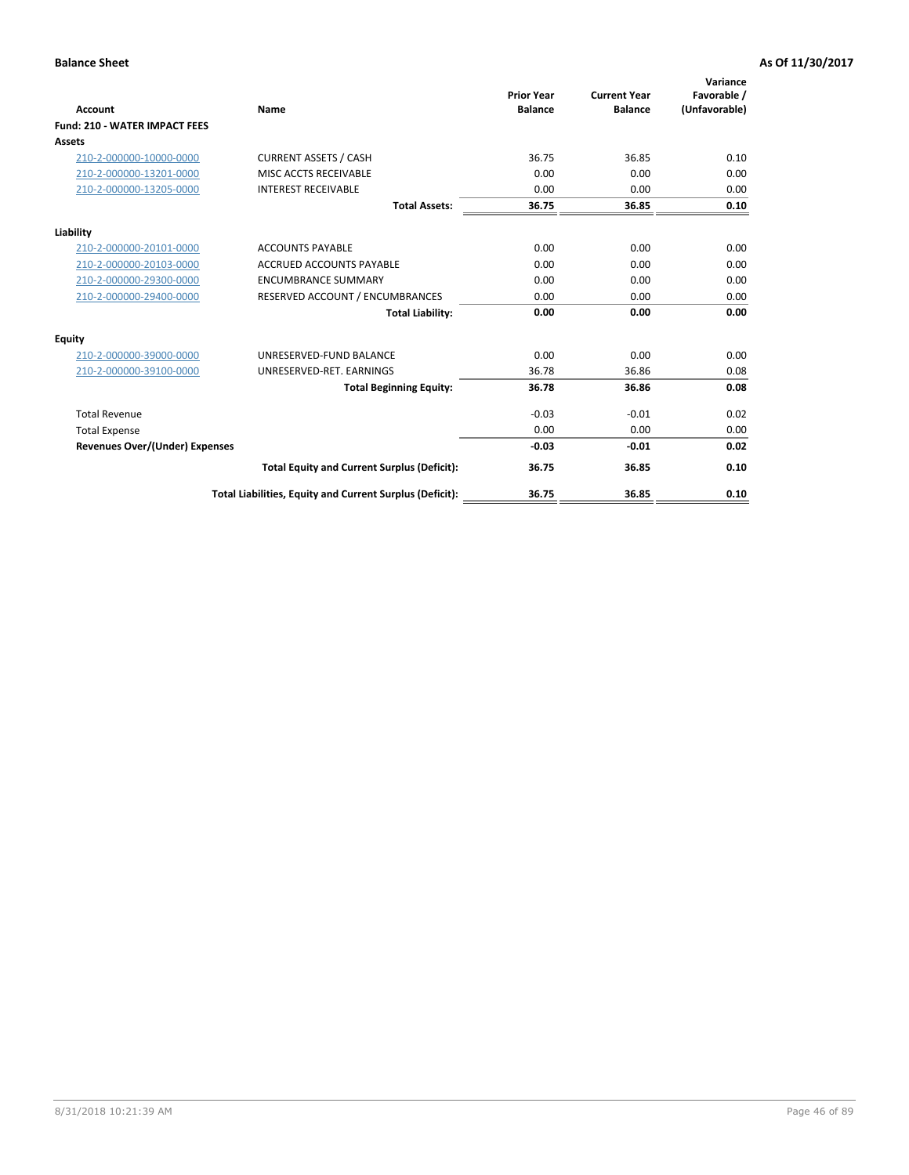| <b>Account</b>                        | Name                                                     | <b>Prior Year</b><br><b>Balance</b> | <b>Current Year</b><br><b>Balance</b> | Variance<br>Favorable /<br>(Unfavorable) |
|---------------------------------------|----------------------------------------------------------|-------------------------------------|---------------------------------------|------------------------------------------|
| <b>Fund: 210 - WATER IMPACT FEES</b>  |                                                          |                                     |                                       |                                          |
| <b>Assets</b>                         |                                                          |                                     |                                       |                                          |
| 210-2-000000-10000-0000               | <b>CURRENT ASSETS / CASH</b>                             | 36.75                               | 36.85                                 | 0.10                                     |
| 210-2-000000-13201-0000               | MISC ACCTS RECEIVABLE                                    | 0.00                                | 0.00                                  | 0.00                                     |
| 210-2-000000-13205-0000               | <b>INTEREST RECEIVABLE</b>                               | 0.00                                | 0.00                                  | 0.00                                     |
|                                       | <b>Total Assets:</b>                                     | 36.75                               | 36.85                                 | 0.10                                     |
| Liability                             |                                                          |                                     |                                       |                                          |
| 210-2-000000-20101-0000               | <b>ACCOUNTS PAYABLE</b>                                  | 0.00                                | 0.00                                  | 0.00                                     |
| 210-2-000000-20103-0000               | <b>ACCRUED ACCOUNTS PAYABLE</b>                          | 0.00                                | 0.00                                  | 0.00                                     |
| 210-2-000000-29300-0000               | <b>ENCUMBRANCE SUMMARY</b>                               | 0.00                                | 0.00                                  | 0.00                                     |
| 210-2-000000-29400-0000               | RESERVED ACCOUNT / ENCUMBRANCES                          | 0.00                                | 0.00                                  | 0.00                                     |
|                                       | <b>Total Liability:</b>                                  | 0.00                                | 0.00                                  | 0.00                                     |
| <b>Equity</b>                         |                                                          |                                     |                                       |                                          |
| 210-2-000000-39000-0000               | UNRESERVED-FUND BALANCE                                  | 0.00                                | 0.00                                  | 0.00                                     |
| 210-2-000000-39100-0000               | UNRESERVED-RET. EARNINGS                                 | 36.78                               | 36.86                                 | 0.08                                     |
|                                       | <b>Total Beginning Equity:</b>                           | 36.78                               | 36.86                                 | 0.08                                     |
| <b>Total Revenue</b>                  |                                                          | $-0.03$                             | $-0.01$                               | 0.02                                     |
| <b>Total Expense</b>                  |                                                          | 0.00                                | 0.00                                  | 0.00                                     |
| <b>Revenues Over/(Under) Expenses</b> |                                                          | $-0.03$                             | $-0.01$                               | 0.02                                     |
|                                       | <b>Total Equity and Current Surplus (Deficit):</b>       | 36.75                               | 36.85                                 | 0.10                                     |
|                                       | Total Liabilities, Equity and Current Surplus (Deficit): | 36.75                               | 36.85                                 | 0.10                                     |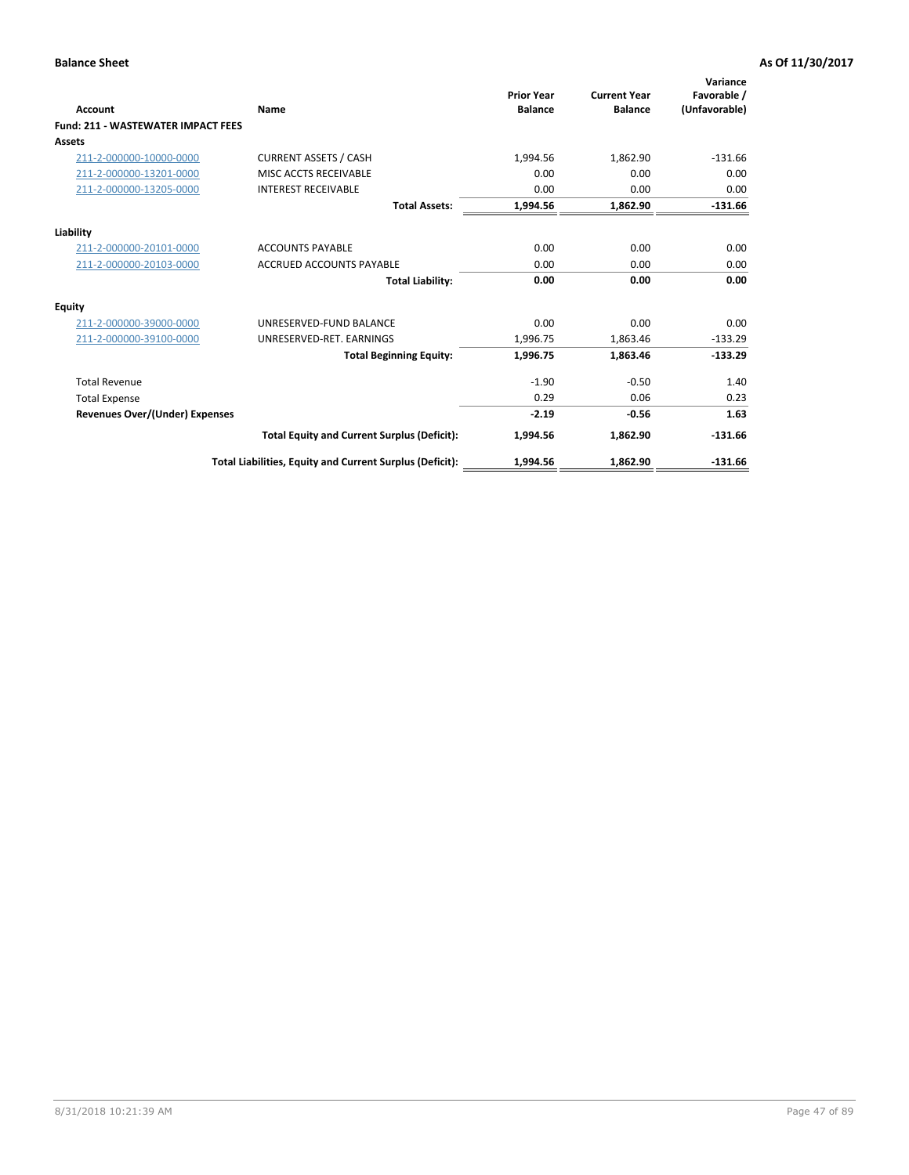| <b>Account</b>                            | Name                                                     | <b>Prior Year</b><br><b>Balance</b> | <b>Current Year</b><br><b>Balance</b> | Variance<br>Favorable /<br>(Unfavorable) |
|-------------------------------------------|----------------------------------------------------------|-------------------------------------|---------------------------------------|------------------------------------------|
| <b>Fund: 211 - WASTEWATER IMPACT FEES</b> |                                                          |                                     |                                       |                                          |
| <b>Assets</b>                             |                                                          |                                     |                                       |                                          |
| 211-2-000000-10000-0000                   | <b>CURRENT ASSETS / CASH</b>                             | 1,994.56                            | 1,862.90                              | $-131.66$                                |
| 211-2-000000-13201-0000                   | MISC ACCTS RECEIVABLE                                    | 0.00                                | 0.00                                  | 0.00                                     |
| 211-2-000000-13205-0000                   | <b>INTEREST RECEIVABLE</b>                               | 0.00                                | 0.00                                  | 0.00                                     |
|                                           | <b>Total Assets:</b>                                     | 1,994.56                            | 1,862.90                              | $-131.66$                                |
| Liability                                 |                                                          |                                     |                                       |                                          |
| 211-2-000000-20101-0000                   | <b>ACCOUNTS PAYABLE</b>                                  | 0.00                                | 0.00                                  | 0.00                                     |
| 211-2-000000-20103-0000                   | <b>ACCRUED ACCOUNTS PAYABLE</b>                          | 0.00                                | 0.00                                  | 0.00                                     |
|                                           | <b>Total Liability:</b>                                  | 0.00                                | 0.00                                  | 0.00                                     |
| <b>Equity</b>                             |                                                          |                                     |                                       |                                          |
| 211-2-000000-39000-0000                   | UNRESERVED-FUND BALANCE                                  | 0.00                                | 0.00                                  | 0.00                                     |
| 211-2-000000-39100-0000                   | UNRESERVED-RET. EARNINGS                                 | 1,996.75                            | 1,863.46                              | $-133.29$                                |
|                                           | <b>Total Beginning Equity:</b>                           | 1,996.75                            | 1.863.46                              | $-133.29$                                |
| <b>Total Revenue</b>                      |                                                          | $-1.90$                             | $-0.50$                               | 1.40                                     |
| <b>Total Expense</b>                      |                                                          | 0.29                                | 0.06                                  | 0.23                                     |
| <b>Revenues Over/(Under) Expenses</b>     |                                                          | $-2.19$                             | $-0.56$                               | 1.63                                     |
|                                           | <b>Total Equity and Current Surplus (Deficit):</b>       | 1,994.56                            | 1,862.90                              | $-131.66$                                |
|                                           | Total Liabilities, Equity and Current Surplus (Deficit): | 1,994.56                            | 1,862.90                              | $-131.66$                                |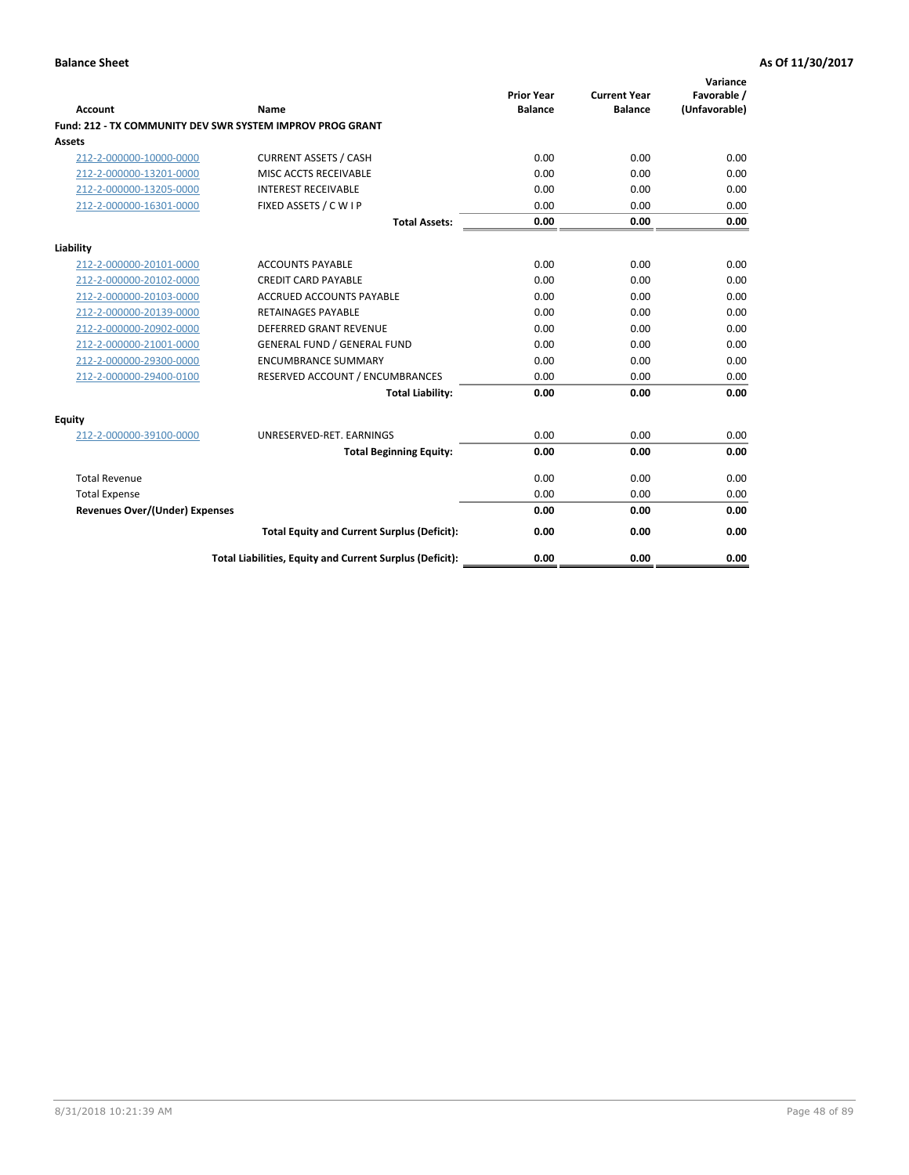| <b>Account</b>                        | Name                                                      | <b>Prior Year</b><br><b>Balance</b> | <b>Current Year</b><br><b>Balance</b> | Variance<br>Favorable /<br>(Unfavorable) |
|---------------------------------------|-----------------------------------------------------------|-------------------------------------|---------------------------------------|------------------------------------------|
|                                       | Fund: 212 - TX COMMUNITY DEV SWR SYSTEM IMPROV PROG GRANT |                                     |                                       |                                          |
| <b>Assets</b>                         |                                                           |                                     |                                       |                                          |
| 212-2-000000-10000-0000               | <b>CURRENT ASSETS / CASH</b>                              | 0.00                                | 0.00                                  | 0.00                                     |
| 212-2-000000-13201-0000               | MISC ACCTS RECEIVABLE                                     | 0.00                                | 0.00                                  | 0.00                                     |
| 212-2-000000-13205-0000               | <b>INTEREST RECEIVABLE</b>                                | 0.00                                | 0.00                                  | 0.00                                     |
| 212-2-000000-16301-0000               | FIXED ASSETS / C W I P                                    | 0.00                                | 0.00                                  | 0.00                                     |
|                                       | <b>Total Assets:</b>                                      | 0.00                                | 0.00                                  | 0.00                                     |
| Liability                             |                                                           |                                     |                                       |                                          |
| 212-2-000000-20101-0000               | <b>ACCOUNTS PAYABLE</b>                                   | 0.00                                | 0.00                                  | 0.00                                     |
| 212-2-000000-20102-0000               | <b>CREDIT CARD PAYABLE</b>                                | 0.00                                | 0.00                                  | 0.00                                     |
| 212-2-000000-20103-0000               | <b>ACCRUED ACCOUNTS PAYABLE</b>                           | 0.00                                | 0.00                                  | 0.00                                     |
| 212-2-000000-20139-0000               | <b>RETAINAGES PAYABLE</b>                                 | 0.00                                | 0.00                                  | 0.00                                     |
| 212-2-000000-20902-0000               | <b>DEFERRED GRANT REVENUE</b>                             | 0.00                                | 0.00                                  | 0.00                                     |
| 212-2-000000-21001-0000               | <b>GENERAL FUND / GENERAL FUND</b>                        | 0.00                                | 0.00                                  | 0.00                                     |
| 212-2-000000-29300-0000               | <b>ENCUMBRANCE SUMMARY</b>                                | 0.00                                | 0.00                                  | 0.00                                     |
| 212-2-000000-29400-0100               | RESERVED ACCOUNT / ENCUMBRANCES                           | 0.00                                | 0.00                                  | 0.00                                     |
|                                       | <b>Total Liability:</b>                                   | 0.00                                | 0.00                                  | 0.00                                     |
| Equity                                |                                                           |                                     |                                       |                                          |
| 212-2-000000-39100-0000               | UNRESERVED-RET. EARNINGS                                  | 0.00                                | 0.00                                  | 0.00                                     |
|                                       | <b>Total Beginning Equity:</b>                            | 0.00                                | 0.00                                  | 0.00                                     |
| <b>Total Revenue</b>                  |                                                           | 0.00                                | 0.00                                  | 0.00                                     |
| <b>Total Expense</b>                  |                                                           | 0.00                                | 0.00                                  | 0.00                                     |
| <b>Revenues Over/(Under) Expenses</b> |                                                           | 0.00                                | 0.00                                  | 0.00                                     |
|                                       | <b>Total Equity and Current Surplus (Deficit):</b>        | 0.00                                | 0.00                                  | 0.00                                     |
|                                       | Total Liabilities, Equity and Current Surplus (Deficit):  | 0.00                                | 0.00                                  | 0.00                                     |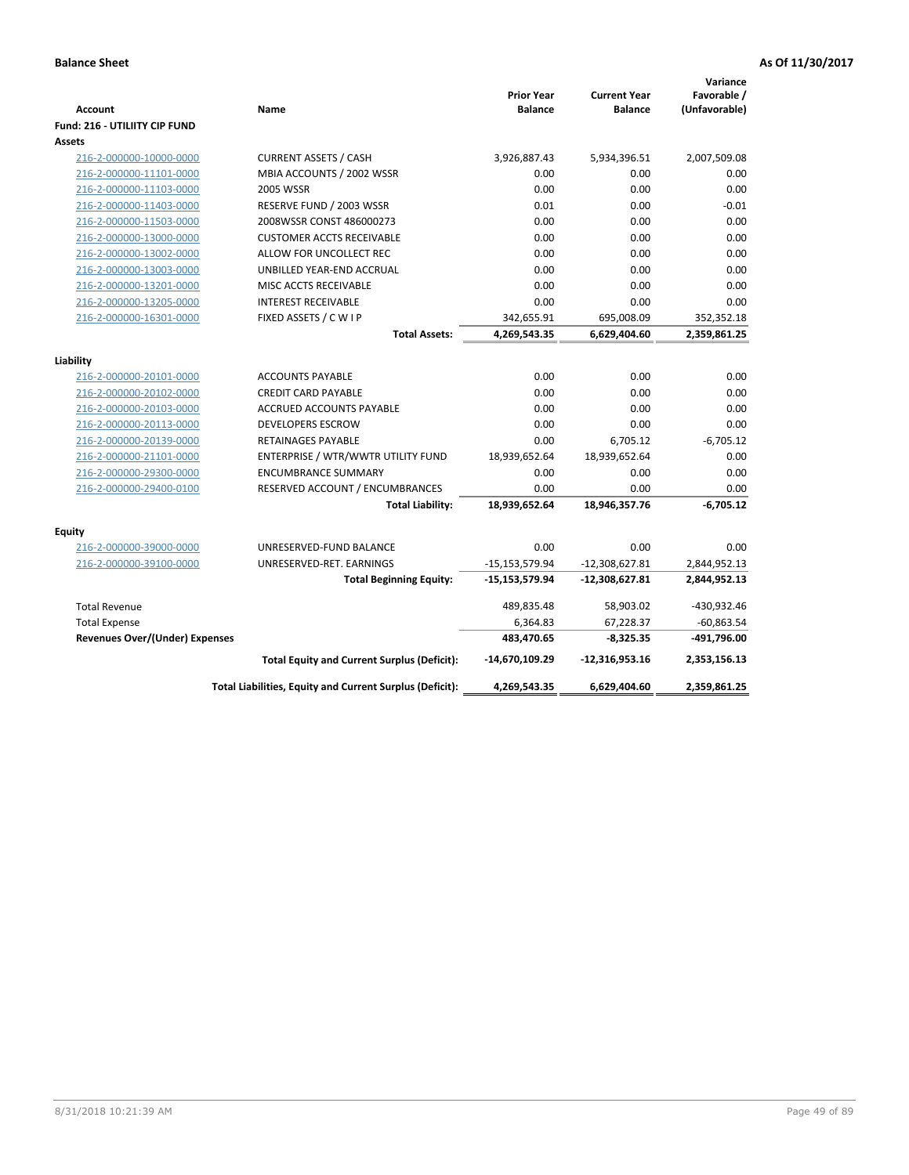| Account                               | Name                                                     | <b>Prior Year</b><br><b>Balance</b> | <b>Current Year</b><br><b>Balance</b> | Variance<br>Favorable /<br>(Unfavorable) |
|---------------------------------------|----------------------------------------------------------|-------------------------------------|---------------------------------------|------------------------------------------|
| Fund: 216 - UTILIITY CIP FUND         |                                                          |                                     |                                       |                                          |
| <b>Assets</b>                         |                                                          |                                     |                                       |                                          |
| 216-2-000000-10000-0000               | <b>CURRENT ASSETS / CASH</b>                             | 3,926,887.43                        | 5,934,396.51                          | 2,007,509.08                             |
| 216-2-000000-11101-0000               | MBIA ACCOUNTS / 2002 WSSR                                | 0.00                                | 0.00                                  | 0.00                                     |
| 216-2-000000-11103-0000               | <b>2005 WSSR</b>                                         | 0.00                                | 0.00                                  | 0.00                                     |
| 216-2-000000-11403-0000               | RESERVE FUND / 2003 WSSR                                 | 0.01                                | 0.00                                  | $-0.01$                                  |
| 216-2-000000-11503-0000               | 2008WSSR CONST 486000273                                 | 0.00                                | 0.00                                  | 0.00                                     |
| 216-2-000000-13000-0000               | <b>CUSTOMER ACCTS RECEIVABLE</b>                         | 0.00                                | 0.00                                  | 0.00                                     |
| 216-2-000000-13002-0000               | ALLOW FOR UNCOLLECT REC                                  | 0.00                                | 0.00                                  | 0.00                                     |
| 216-2-000000-13003-0000               | UNBILLED YEAR-END ACCRUAL                                | 0.00                                | 0.00                                  | 0.00                                     |
| 216-2-000000-13201-0000               | MISC ACCTS RECEIVABLE                                    | 0.00                                | 0.00                                  | 0.00                                     |
| 216-2-000000-13205-0000               | <b>INTEREST RECEIVABLE</b>                               | 0.00                                | 0.00                                  | 0.00                                     |
| 216-2-000000-16301-0000               | FIXED ASSETS / C W I P                                   | 342,655.91                          | 695,008.09                            | 352,352.18                               |
|                                       | <b>Total Assets:</b>                                     | 4,269,543.35                        | 6,629,404.60                          | 2,359,861.25                             |
| Liability                             |                                                          |                                     |                                       |                                          |
|                                       | <b>ACCOUNTS PAYABLE</b>                                  | 0.00                                | 0.00                                  |                                          |
| 216-2-000000-20101-0000               | <b>CREDIT CARD PAYABLE</b>                               | 0.00                                | 0.00                                  | 0.00<br>0.00                             |
| 216-2-000000-20102-0000               | ACCRUED ACCOUNTS PAYABLE                                 | 0.00                                | 0.00                                  | 0.00                                     |
| 216-2-000000-20103-0000               |                                                          |                                     |                                       |                                          |
| 216-2-000000-20113-0000               | <b>DEVELOPERS ESCROW</b>                                 | 0.00                                | 0.00                                  | 0.00                                     |
| 216-2-000000-20139-0000               | <b>RETAINAGES PAYABLE</b>                                | 0.00                                | 6,705.12                              | $-6,705.12$                              |
| 216-2-000000-21101-0000               | ENTERPRISE / WTR/WWTR UTILITY FUND                       | 18,939,652.64                       | 18,939,652.64                         | 0.00                                     |
| 216-2-000000-29300-0000               | <b>ENCUMBRANCE SUMMARY</b>                               | 0.00                                | 0.00                                  | 0.00                                     |
| 216-2-000000-29400-0100               | RESERVED ACCOUNT / ENCUMBRANCES                          | 0.00                                | 0.00                                  | 0.00                                     |
|                                       | <b>Total Liability:</b>                                  | 18,939,652.64                       | 18,946,357.76                         | -6,705.12                                |
| <b>Equity</b>                         |                                                          |                                     |                                       |                                          |
| 216-2-000000-39000-0000               | UNRESERVED-FUND BALANCE                                  | 0.00                                | 0.00                                  | 0.00                                     |
| 216-2-000000-39100-0000               | UNRESERVED-RET. EARNINGS                                 | -15,153,579.94                      | $-12,308,627.81$                      | 2,844,952.13                             |
|                                       | <b>Total Beginning Equity:</b>                           | $-15, 153, 579.94$                  | -12,308,627.81                        | 2,844,952.13                             |
| <b>Total Revenue</b>                  |                                                          | 489,835.48                          | 58,903.02                             | -430,932.46                              |
| <b>Total Expense</b>                  |                                                          | 6,364.83                            | 67,228.37                             | $-60,863.54$                             |
| <b>Revenues Over/(Under) Expenses</b> |                                                          | 483,470.65                          | $-8,325.35$                           | -491,796.00                              |
|                                       | <b>Total Equity and Current Surplus (Deficit):</b>       | -14,670,109.29                      | $-12,316,953.16$                      | 2,353,156.13                             |
|                                       | Total Liabilities, Equity and Current Surplus (Deficit): | 4,269,543.35                        | 6,629,404.60                          | 2,359,861.25                             |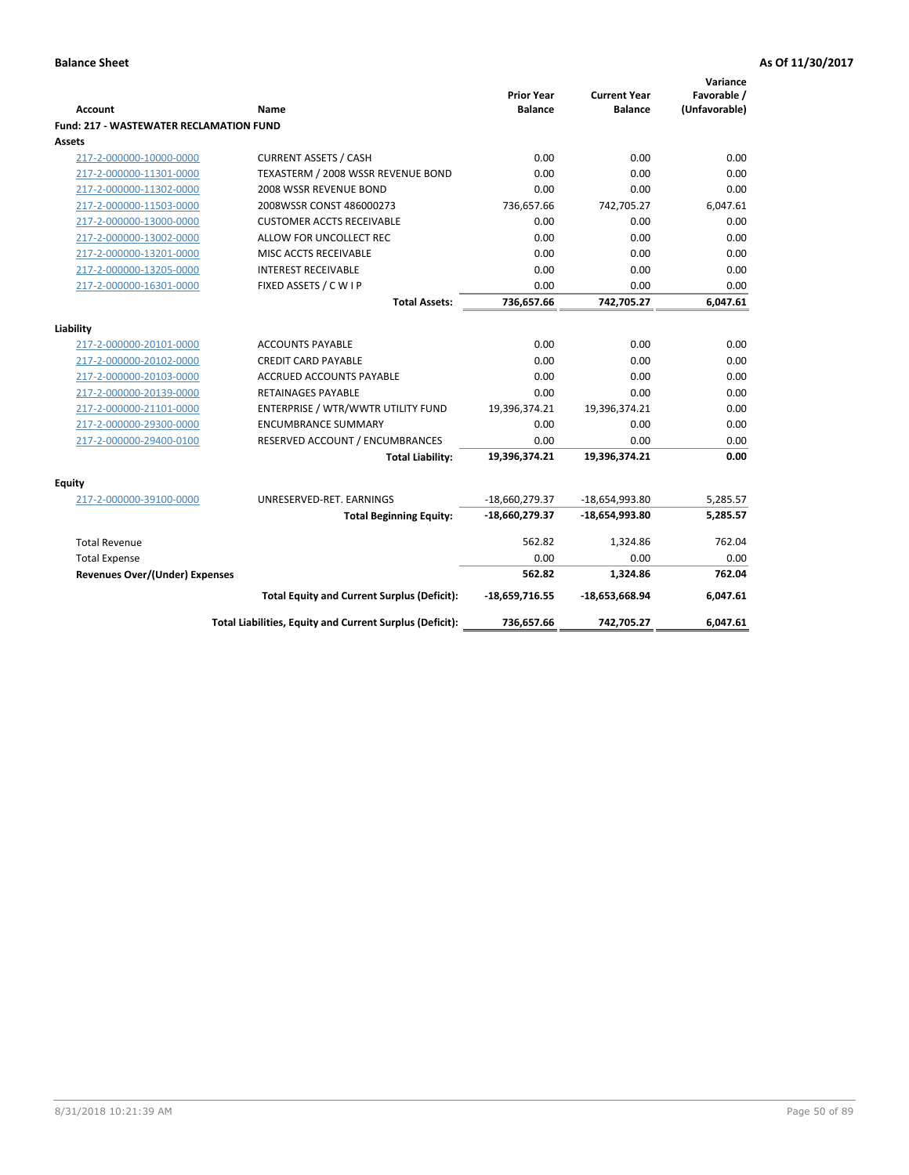| <b>Account</b>                                 | <b>Name</b>                                              | <b>Prior Year</b><br><b>Balance</b> | <b>Current Year</b><br><b>Balance</b> | Variance<br>Favorable /<br>(Unfavorable) |
|------------------------------------------------|----------------------------------------------------------|-------------------------------------|---------------------------------------|------------------------------------------|
| <b>Fund: 217 - WASTEWATER RECLAMATION FUND</b> |                                                          |                                     |                                       |                                          |
| Assets                                         |                                                          |                                     |                                       |                                          |
| 217-2-000000-10000-0000                        | <b>CURRENT ASSETS / CASH</b>                             | 0.00                                | 0.00                                  | 0.00                                     |
| 217-2-000000-11301-0000                        | TEXASTERM / 2008 WSSR REVENUE BOND                       | 0.00                                | 0.00                                  | 0.00                                     |
| 217-2-000000-11302-0000                        | 2008 WSSR REVENUE BOND                                   | 0.00                                | 0.00                                  | 0.00                                     |
| 217-2-000000-11503-0000                        | 2008WSSR CONST 486000273                                 | 736,657.66                          | 742,705.27                            | 6,047.61                                 |
| 217-2-000000-13000-0000                        | <b>CUSTOMER ACCTS RECEIVABLE</b>                         | 0.00                                | 0.00                                  | 0.00                                     |
| 217-2-000000-13002-0000                        | ALLOW FOR UNCOLLECT REC                                  | 0.00                                | 0.00                                  | 0.00                                     |
| 217-2-000000-13201-0000                        | MISC ACCTS RECEIVABLE                                    | 0.00                                | 0.00                                  | 0.00                                     |
| 217-2-000000-13205-0000                        | <b>INTEREST RECEIVABLE</b>                               | 0.00                                | 0.00                                  | 0.00                                     |
| 217-2-000000-16301-0000                        | FIXED ASSETS / C W I P                                   | 0.00                                | 0.00                                  | 0.00                                     |
|                                                | <b>Total Assets:</b>                                     | 736,657.66                          | 742,705.27                            | 6,047.61                                 |
|                                                |                                                          |                                     |                                       |                                          |
| Liability                                      |                                                          |                                     |                                       |                                          |
| 217-2-000000-20101-0000                        | <b>ACCOUNTS PAYABLE</b>                                  | 0.00                                | 0.00                                  | 0.00                                     |
| 217-2-000000-20102-0000                        | <b>CREDIT CARD PAYABLE</b>                               | 0.00                                | 0.00                                  | 0.00                                     |
| 217-2-000000-20103-0000                        | <b>ACCRUED ACCOUNTS PAYABLE</b>                          | 0.00                                | 0.00                                  | 0.00                                     |
| 217-2-000000-20139-0000                        | <b>RETAINAGES PAYABLE</b>                                | 0.00                                | 0.00                                  | 0.00                                     |
| 217-2-000000-21101-0000                        | ENTERPRISE / WTR/WWTR UTILITY FUND                       | 19,396,374.21                       | 19,396,374.21                         | 0.00                                     |
| 217-2-000000-29300-0000                        | <b>ENCUMBRANCE SUMMARY</b>                               | 0.00                                | 0.00                                  | 0.00                                     |
| 217-2-000000-29400-0100                        | RESERVED ACCOUNT / ENCUMBRANCES                          | 0.00                                | 0.00                                  | 0.00                                     |
|                                                | <b>Total Liability:</b>                                  | 19,396,374.21                       | 19,396,374.21                         | 0.00                                     |
| <b>Equity</b>                                  |                                                          |                                     |                                       |                                          |
| 217-2-000000-39100-0000                        | UNRESERVED-RET. EARNINGS                                 | $-18,660,279.37$                    | -18,654,993.80                        | 5,285.57                                 |
|                                                | <b>Total Beginning Equity:</b>                           | -18,660,279.37                      | $-18,654,993.80$                      | 5,285.57                                 |
| <b>Total Revenue</b>                           |                                                          | 562.82                              | 1,324.86                              | 762.04                                   |
| <b>Total Expense</b>                           |                                                          | 0.00                                | 0.00                                  | 0.00                                     |
| Revenues Over/(Under) Expenses                 |                                                          | 562.82                              | 1,324.86                              | 762.04                                   |
|                                                | <b>Total Equity and Current Surplus (Deficit):</b>       | $-18,659,716.55$                    | $-18,653,668.94$                      | 6,047.61                                 |
|                                                | Total Liabilities, Equity and Current Surplus (Deficit): | 736,657.66                          | 742,705.27                            | 6.047.61                                 |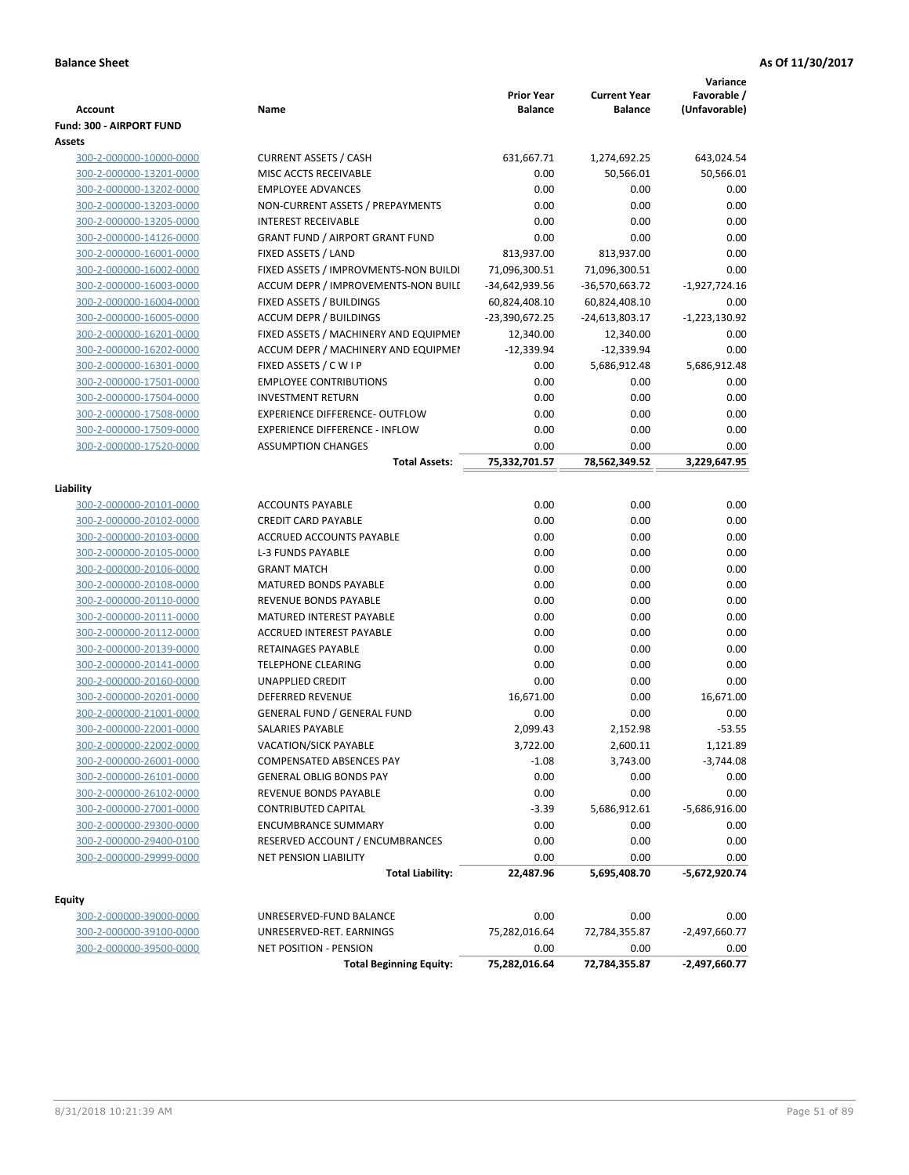|                                                    |                                                                    | <b>Prior Year</b>               | <b>Current Year</b>             | Variance<br>Favorable / |
|----------------------------------------------------|--------------------------------------------------------------------|---------------------------------|---------------------------------|-------------------------|
| <b>Account</b>                                     | Name                                                               | Balance                         | <b>Balance</b>                  | (Unfavorable)           |
| Fund: 300 - AIRPORT FUND                           |                                                                    |                                 |                                 |                         |
| Assets                                             |                                                                    |                                 |                                 |                         |
| 300-2-000000-10000-0000<br>300-2-000000-13201-0000 | <b>CURRENT ASSETS / CASH</b><br>MISC ACCTS RECEIVABLE              | 631,667.71<br>0.00              | 1,274,692.25                    | 643,024.54              |
|                                                    | <b>EMPLOYEE ADVANCES</b>                                           | 0.00                            | 50,566.01                       | 50,566.01<br>0.00       |
| 300-2-000000-13202-0000                            |                                                                    | 0.00                            | 0.00<br>0.00                    | 0.00                    |
| 300-2-000000-13203-0000<br>300-2-000000-13205-0000 | NON-CURRENT ASSETS / PREPAYMENTS<br><b>INTEREST RECEIVABLE</b>     | 0.00                            | 0.00                            | 0.00                    |
| 300-2-000000-14126-0000                            | <b>GRANT FUND / AIRPORT GRANT FUND</b>                             | 0.00                            | 0.00                            | 0.00                    |
| 300-2-000000-16001-0000                            | FIXED ASSETS / LAND                                                | 813,937.00                      | 813,937.00                      | 0.00                    |
| 300-2-000000-16002-0000                            |                                                                    |                                 |                                 | 0.00                    |
|                                                    | FIXED ASSETS / IMPROVMENTS-NON BUILDI                              | 71,096,300.51                   | 71,096,300.51                   |                         |
| 300-2-000000-16003-0000<br>300-2-000000-16004-0000 | ACCUM DEPR / IMPROVEMENTS-NON BUILI<br>FIXED ASSETS / BUILDINGS    | -34,642,939.56<br>60,824,408.10 | -36,570,663.72<br>60,824,408.10 | $-1,927,724.16$<br>0.00 |
| 300-2-000000-16005-0000                            | <b>ACCUM DEPR / BUILDINGS</b>                                      | -23,390,672.25                  |                                 | $-1,223,130.92$         |
| 300-2-000000-16201-0000                            | FIXED ASSETS / MACHINERY AND EQUIPMEN                              | 12,340.00                       | -24,613,803.17<br>12,340.00     | 0.00                    |
| 300-2-000000-16202-0000                            | ACCUM DEPR / MACHINERY AND EQUIPMEI                                | $-12,339.94$                    | $-12,339.94$                    | 0.00                    |
| 300-2-000000-16301-0000                            |                                                                    | 0.00                            |                                 |                         |
| 300-2-000000-17501-0000                            | FIXED ASSETS / C W I P<br><b>EMPLOYEE CONTRIBUTIONS</b>            | 0.00                            | 5,686,912.48<br>0.00            | 5,686,912.48<br>0.00    |
|                                                    | <b>INVESTMENT RETURN</b>                                           | 0.00                            | 0.00                            | 0.00                    |
| 300-2-000000-17504-0000                            | EXPERIENCE DIFFERENCE- OUTFLOW                                     | 0.00                            |                                 |                         |
| 300-2-000000-17508-0000                            |                                                                    |                                 | 0.00                            | 0.00                    |
| 300-2-000000-17509-0000                            | <b>EXPERIENCE DIFFERENCE - INFLOW</b><br><b>ASSUMPTION CHANGES</b> | 0.00                            | 0.00                            | 0.00                    |
| 300-2-000000-17520-0000                            |                                                                    | 0.00                            | 0.00                            | 0.00                    |
|                                                    | <b>Total Assets:</b>                                               | 75,332,701.57                   | 78,562,349.52                   | 3,229,647.95            |
| Liability                                          |                                                                    |                                 |                                 |                         |
| 300-2-000000-20101-0000                            | <b>ACCOUNTS PAYABLE</b>                                            | 0.00                            | 0.00                            | 0.00                    |
| 300-2-000000-20102-0000                            | <b>CREDIT CARD PAYABLE</b>                                         | 0.00                            | 0.00                            | 0.00                    |
| 300-2-000000-20103-0000                            | ACCRUED ACCOUNTS PAYABLE                                           | 0.00                            | 0.00                            | 0.00                    |
| 300-2-000000-20105-0000                            | <b>L-3 FUNDS PAYABLE</b>                                           | 0.00                            | 0.00                            | 0.00                    |
| 300-2-000000-20106-0000                            | <b>GRANT MATCH</b>                                                 | 0.00                            | 0.00                            | 0.00                    |
| 300-2-000000-20108-0000                            | MATURED BONDS PAYABLE                                              | 0.00                            | 0.00                            | 0.00                    |
| 300-2-000000-20110-0000                            | REVENUE BONDS PAYABLE                                              | 0.00                            | 0.00                            | 0.00                    |
| 300-2-000000-20111-0000                            | MATURED INTEREST PAYABLE                                           | 0.00                            | 0.00                            | 0.00                    |
| 300-2-000000-20112-0000                            | <b>ACCRUED INTEREST PAYABLE</b>                                    | 0.00                            | 0.00                            | 0.00                    |
| 300-2-000000-20139-0000                            | <b>RETAINAGES PAYABLE</b>                                          | 0.00                            | 0.00                            | 0.00                    |
| 300-2-000000-20141-0000                            | <b>TELEPHONE CLEARING</b>                                          | 0.00                            | 0.00                            | 0.00                    |
| 300-2-000000-20160-0000                            | <b>UNAPPLIED CREDIT</b>                                            | 0.00                            | 0.00                            | 0.00                    |
| 300-2-000000-20201-0000                            | <b>DEFERRED REVENUE</b>                                            | 16,671.00                       | 0.00                            | 16,671.00               |
| 300-2-000000-21001-0000                            | <b>GENERAL FUND / GENERAL FUND</b>                                 | 0.00                            | 0.00                            | 0.00                    |
| 300-2-000000-22001-0000                            | SALARIES PAYABLE                                                   | 2,099.43                        | 2,152.98                        | $-53.55$                |
| 300-2-000000-22002-0000                            | VACATION/SICK PAYABLE                                              | 3,722.00                        | 2,600.11                        | 1,121.89                |
| 300-2-000000-26001-0000                            | <b>COMPENSATED ABSENCES PAY</b>                                    | $-1.08$                         | 3,743.00                        | $-3,744.08$             |
| 300-2-000000-26101-0000                            | <b>GENERAL OBLIG BONDS PAY</b>                                     | 0.00                            | 0.00                            | 0.00                    |
| 300-2-000000-26102-0000                            | REVENUE BONDS PAYABLE                                              | 0.00                            | 0.00                            | 0.00                    |
| 300-2-000000-27001-0000                            | <b>CONTRIBUTED CAPITAL</b>                                         | $-3.39$                         | 5,686,912.61                    | $-5,686,916.00$         |
| 300-2-000000-29300-0000                            | <b>ENCUMBRANCE SUMMARY</b>                                         | 0.00                            | 0.00                            | 0.00                    |
| 300-2-000000-29400-0100                            | RESERVED ACCOUNT / ENCUMBRANCES                                    | 0.00                            | 0.00                            | 0.00                    |
| 300-2-000000-29999-0000                            | NET PENSION LIABILITY                                              | 0.00                            | 0.00                            | 0.00                    |
|                                                    | <b>Total Liability:</b>                                            | 22,487.96                       | 5,695,408.70                    | $-5,672,920.74$         |
|                                                    |                                                                    |                                 |                                 |                         |
| Equity                                             |                                                                    |                                 |                                 |                         |
| 300-2-000000-39000-0000                            | UNRESERVED-FUND BALANCE                                            | 0.00                            | 0.00                            | 0.00                    |
| 300-2-000000-39100-0000                            | UNRESERVED-RET. EARNINGS                                           | 75,282,016.64                   | 72,784,355.87                   | $-2,497,660.77$         |
| 300-2-000000-39500-0000                            | NET POSITION - PENSION                                             | 0.00                            | 0.00                            | 0.00                    |
|                                                    | <b>Total Beginning Equity:</b>                                     | 75,282,016.64                   | 72,784,355.87                   | $-2,497,660.77$         |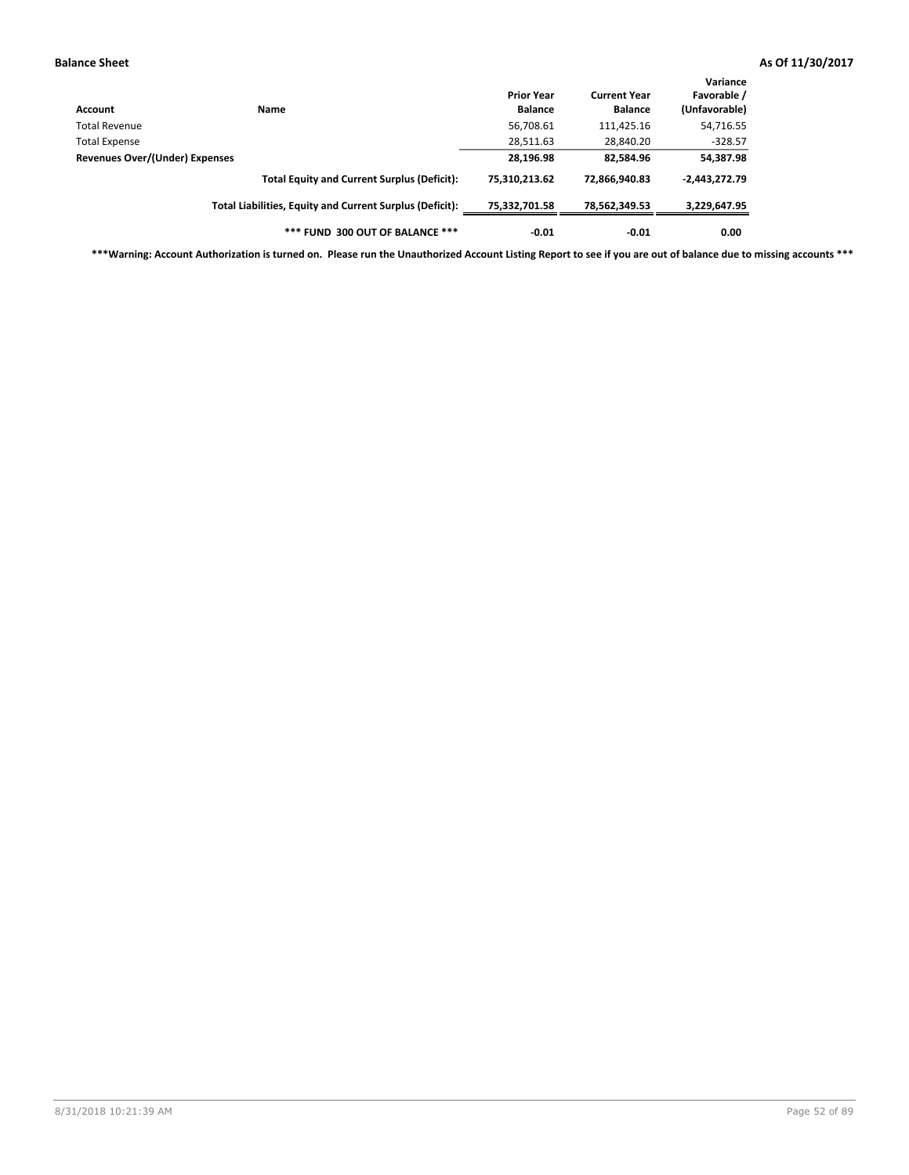| Account                        | <b>Name</b>                                              | <b>Prior Year</b><br><b>Balance</b> | <b>Current Year</b><br><b>Balance</b> | Variance<br>Favorable /<br>(Unfavorable) |
|--------------------------------|----------------------------------------------------------|-------------------------------------|---------------------------------------|------------------------------------------|
| Total Revenue                  |                                                          | 56,708.61                           | 111,425.16                            | 54,716.55                                |
| Total Expense                  |                                                          | 28,511.63                           | 28,840.20                             | $-328.57$                                |
| Revenues Over/(Under) Expenses |                                                          | 28,196.98                           | 82,584.96                             | 54,387.98                                |
|                                | <b>Total Equity and Current Surplus (Deficit):</b>       | 75.310.213.62                       | 72.866.940.83                         | $-2,443,272.79$                          |
|                                | Total Liabilities, Equity and Current Surplus (Deficit): | 75,332,701.58                       | 78,562,349.53                         | 3,229,647.95                             |
|                                | *** FUND 300 OUT OF BALANCE ***                          | $-0.01$                             | $-0.01$                               | 0.00                                     |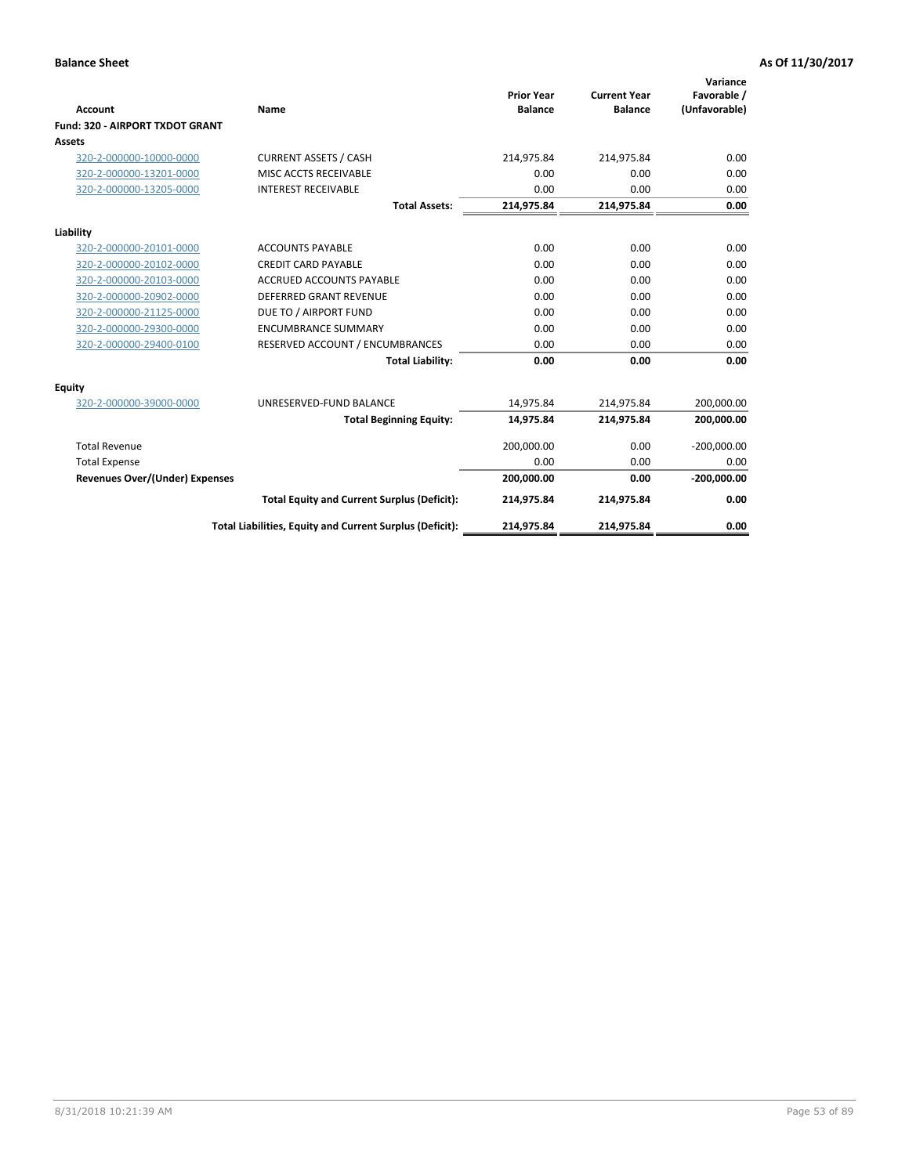|                                                   | Name                                                     | <b>Prior Year</b><br><b>Balance</b> | <b>Current Year</b><br><b>Balance</b> | Variance<br>Favorable / |
|---------------------------------------------------|----------------------------------------------------------|-------------------------------------|---------------------------------------|-------------------------|
| <b>Account</b><br>Fund: 320 - AIRPORT TXDOT GRANT |                                                          |                                     |                                       | (Unfavorable)           |
| Assets                                            |                                                          |                                     |                                       |                         |
| 320-2-000000-10000-0000                           | <b>CURRENT ASSETS / CASH</b>                             | 214,975.84                          | 214,975.84                            | 0.00                    |
| 320-2-000000-13201-0000                           | MISC ACCTS RECEIVABLE                                    | 0.00                                | 0.00                                  | 0.00                    |
| 320-2-000000-13205-0000                           | <b>INTEREST RECEIVABLE</b>                               | 0.00                                | 0.00                                  | 0.00                    |
|                                                   |                                                          |                                     |                                       |                         |
|                                                   | <b>Total Assets:</b>                                     | 214,975.84                          | 214,975.84                            | 0.00                    |
| Liability                                         |                                                          |                                     |                                       |                         |
| 320-2-000000-20101-0000                           | <b>ACCOUNTS PAYABLE</b>                                  | 0.00                                | 0.00                                  | 0.00                    |
| 320-2-000000-20102-0000                           | <b>CREDIT CARD PAYABLE</b>                               | 0.00                                | 0.00                                  | 0.00                    |
| 320-2-000000-20103-0000                           | <b>ACCRUED ACCOUNTS PAYABLE</b>                          | 0.00                                | 0.00                                  | 0.00                    |
| 320-2-000000-20902-0000                           | <b>DEFERRED GRANT REVENUE</b>                            | 0.00                                | 0.00                                  | 0.00                    |
| 320-2-000000-21125-0000                           | DUE TO / AIRPORT FUND                                    | 0.00                                | 0.00                                  | 0.00                    |
| 320-2-000000-29300-0000                           | <b>ENCUMBRANCE SUMMARY</b>                               | 0.00                                | 0.00                                  | 0.00                    |
| 320-2-000000-29400-0100                           | RESERVED ACCOUNT / ENCUMBRANCES                          | 0.00                                | 0.00                                  | 0.00                    |
|                                                   | <b>Total Liability:</b>                                  | 0.00                                | 0.00                                  | 0.00                    |
| <b>Equity</b>                                     |                                                          |                                     |                                       |                         |
| 320-2-000000-39000-0000                           | UNRESERVED-FUND BALANCE                                  | 14,975.84                           | 214,975.84                            | 200,000.00              |
|                                                   | <b>Total Beginning Equity:</b>                           | 14,975.84                           | 214,975.84                            | 200,000.00              |
| <b>Total Revenue</b>                              |                                                          | 200,000.00                          | 0.00                                  | $-200,000.00$           |
| <b>Total Expense</b>                              |                                                          | 0.00                                | 0.00                                  | 0.00                    |
| <b>Revenues Over/(Under) Expenses</b>             |                                                          | 200,000.00                          | 0.00                                  | $-200,000.00$           |
|                                                   | <b>Total Equity and Current Surplus (Deficit):</b>       | 214,975.84                          | 214,975.84                            | 0.00                    |
|                                                   | Total Liabilities, Equity and Current Surplus (Deficit): | 214,975.84                          | 214,975.84                            | 0.00                    |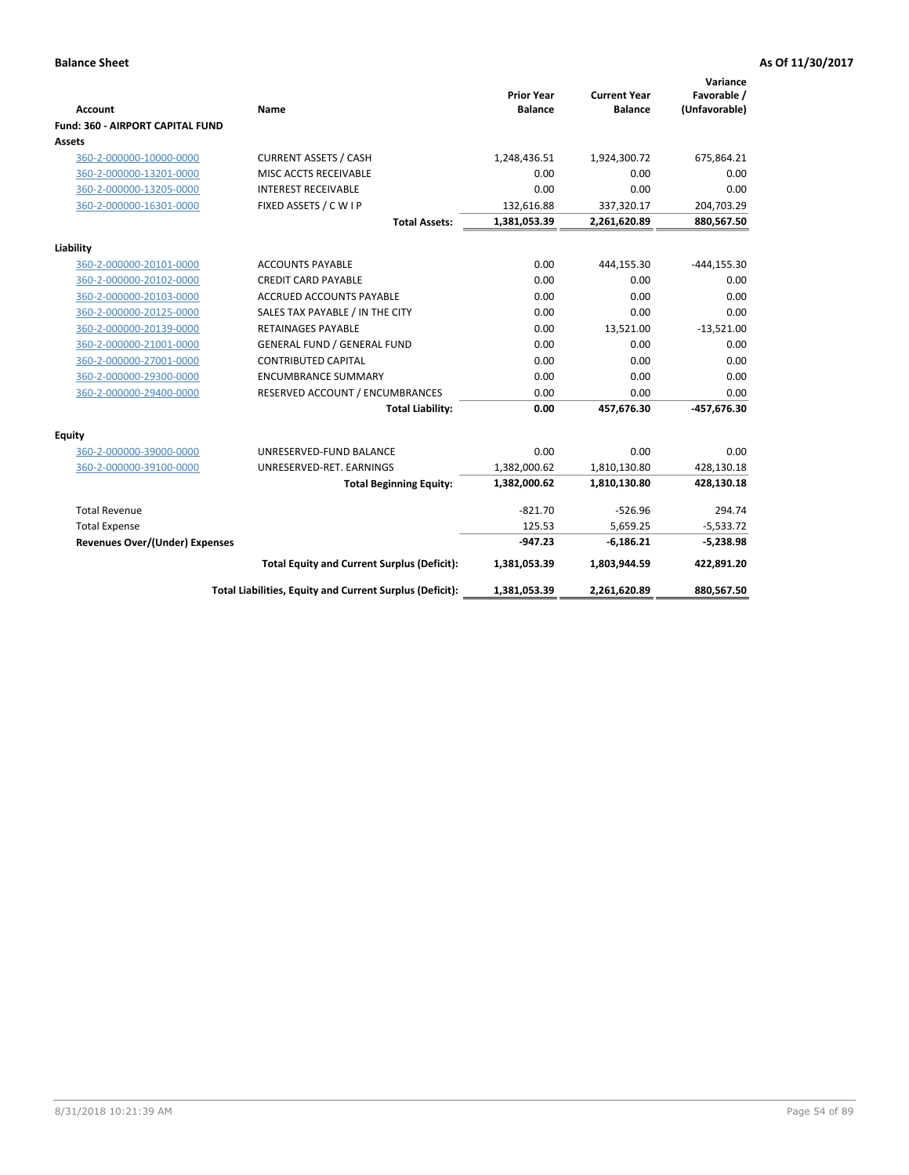| <b>Account</b>                        | Name                                                     | <b>Prior Year</b><br><b>Balance</b> | <b>Current Year</b><br><b>Balance</b> | Variance<br>Favorable /<br>(Unfavorable) |
|---------------------------------------|----------------------------------------------------------|-------------------------------------|---------------------------------------|------------------------------------------|
| Fund: 360 - AIRPORT CAPITAL FUND      |                                                          |                                     |                                       |                                          |
| Assets                                |                                                          |                                     |                                       |                                          |
| 360-2-000000-10000-0000               | <b>CURRENT ASSETS / CASH</b>                             | 1,248,436.51                        | 1,924,300.72                          | 675,864.21                               |
| 360-2-000000-13201-0000               | MISC ACCTS RECEIVABLE                                    | 0.00                                | 0.00                                  | 0.00                                     |
| 360-2-000000-13205-0000               | <b>INTEREST RECEIVABLE</b>                               | 0.00                                | 0.00                                  | 0.00                                     |
| 360-2-000000-16301-0000               | FIXED ASSETS / C W I P                                   | 132,616.88                          | 337,320.17                            | 204,703.29                               |
|                                       | <b>Total Assets:</b>                                     | 1,381,053.39                        | 2,261,620.89                          | 880,567.50                               |
| Liability                             |                                                          |                                     |                                       |                                          |
| 360-2-000000-20101-0000               | <b>ACCOUNTS PAYABLE</b>                                  | 0.00                                | 444,155.30                            | $-444, 155.30$                           |
| 360-2-000000-20102-0000               | <b>CREDIT CARD PAYABLE</b>                               | 0.00                                | 0.00                                  | 0.00                                     |
| 360-2-000000-20103-0000               | <b>ACCRUED ACCOUNTS PAYABLE</b>                          | 0.00                                | 0.00                                  | 0.00                                     |
| 360-2-000000-20125-0000               | SALES TAX PAYABLE / IN THE CITY                          | 0.00                                | 0.00                                  | 0.00                                     |
| 360-2-000000-20139-0000               | <b>RETAINAGES PAYABLE</b>                                | 0.00                                | 13,521.00                             | $-13,521.00$                             |
| 360-2-000000-21001-0000               | <b>GENERAL FUND / GENERAL FUND</b>                       | 0.00                                | 0.00                                  | 0.00                                     |
| 360-2-000000-27001-0000               | <b>CONTRIBUTED CAPITAL</b>                               | 0.00                                | 0.00                                  | 0.00                                     |
| 360-2-000000-29300-0000               | <b>ENCUMBRANCE SUMMARY</b>                               | 0.00                                | 0.00                                  | 0.00                                     |
| 360-2-000000-29400-0000               | RESERVED ACCOUNT / ENCUMBRANCES                          | 0.00                                | 0.00                                  | 0.00                                     |
|                                       | <b>Total Liability:</b>                                  | 0.00                                | 457,676.30                            | -457,676.30                              |
| Equity                                |                                                          |                                     |                                       |                                          |
| 360-2-000000-39000-0000               | UNRESERVED-FUND BALANCE                                  | 0.00                                | 0.00                                  | 0.00                                     |
| 360-2-000000-39100-0000               | UNRESERVED-RET. EARNINGS                                 | 1,382,000.62                        | 1,810,130.80                          | 428,130.18                               |
|                                       | <b>Total Beginning Equity:</b>                           | 1,382,000.62                        | 1,810,130.80                          | 428,130.18                               |
| <b>Total Revenue</b>                  |                                                          | $-821.70$                           | $-526.96$                             | 294.74                                   |
| <b>Total Expense</b>                  |                                                          | 125.53                              | 5,659.25                              | $-5,533.72$                              |
| <b>Revenues Over/(Under) Expenses</b> |                                                          | $-947.23$                           | $-6,186.21$                           | $-5,238.98$                              |
|                                       |                                                          |                                     |                                       |                                          |
|                                       | <b>Total Equity and Current Surplus (Deficit):</b>       | 1,381,053.39                        | 1,803,944.59                          | 422,891.20                               |
|                                       | Total Liabilities, Equity and Current Surplus (Deficit): | 1,381,053.39                        | 2,261,620.89                          | 880,567.50                               |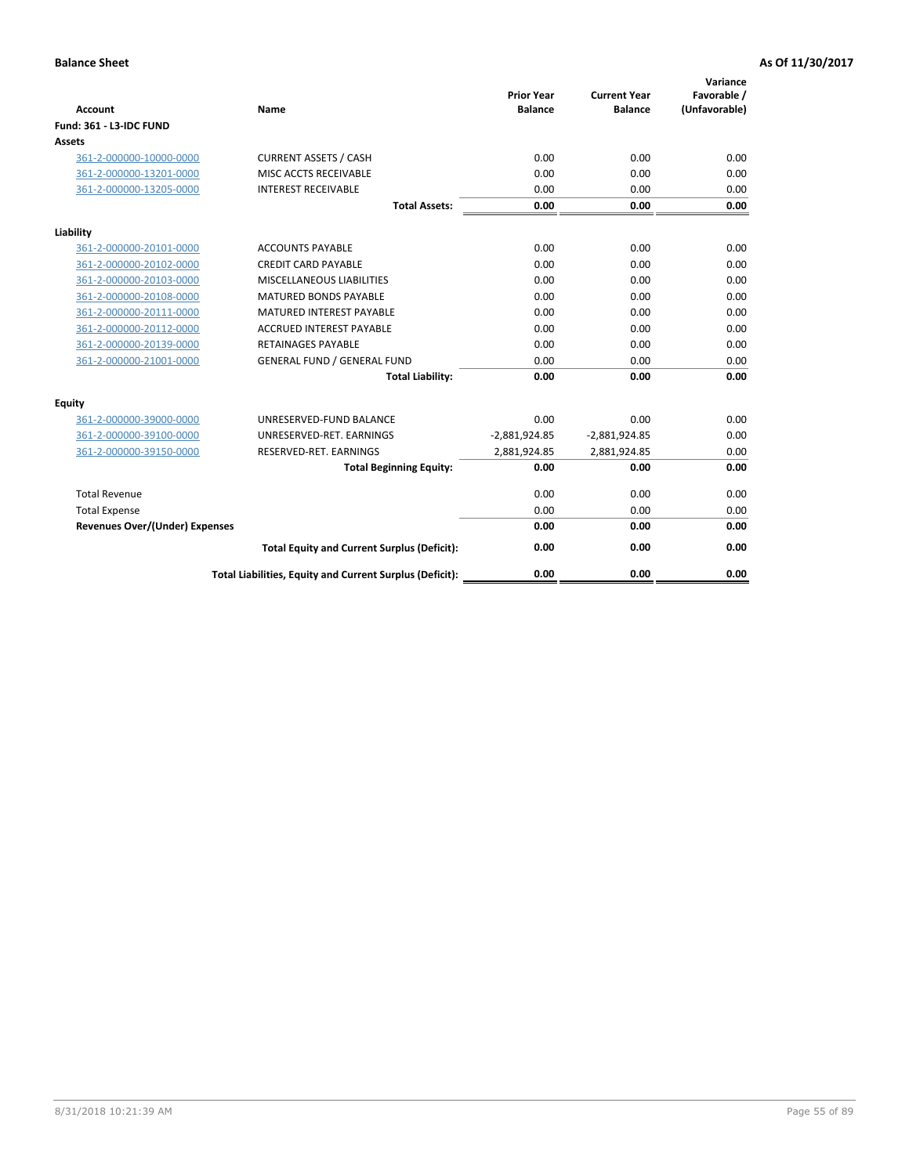| <b>Account</b>                        | Name                                                     | <b>Prior Year</b><br><b>Balance</b> | <b>Current Year</b><br><b>Balance</b> | Variance<br>Favorable /<br>(Unfavorable) |
|---------------------------------------|----------------------------------------------------------|-------------------------------------|---------------------------------------|------------------------------------------|
| <b>Fund: 361 - L3-IDC FUND</b>        |                                                          |                                     |                                       |                                          |
| Assets                                |                                                          |                                     |                                       |                                          |
| 361-2-000000-10000-0000               | <b>CURRENT ASSETS / CASH</b>                             | 0.00                                | 0.00                                  | 0.00                                     |
| 361-2-000000-13201-0000               | MISC ACCTS RECEIVABLE                                    | 0.00                                | 0.00                                  | 0.00                                     |
| 361-2-000000-13205-0000               | <b>INTEREST RECEIVABLE</b>                               | 0.00                                | 0.00                                  | 0.00                                     |
|                                       | <b>Total Assets:</b>                                     | 0.00                                | 0.00                                  | 0.00                                     |
| Liability                             |                                                          |                                     |                                       |                                          |
| 361-2-000000-20101-0000               | <b>ACCOUNTS PAYABLE</b>                                  | 0.00                                | 0.00                                  | 0.00                                     |
| 361-2-000000-20102-0000               | <b>CREDIT CARD PAYABLE</b>                               | 0.00                                | 0.00                                  | 0.00                                     |
| 361-2-000000-20103-0000               | <b>MISCELLANEOUS LIABILITIES</b>                         | 0.00                                | 0.00                                  | 0.00                                     |
| 361-2-000000-20108-0000               | <b>MATURED BONDS PAYABLE</b>                             | 0.00                                | 0.00                                  | 0.00                                     |
| 361-2-000000-20111-0000               | <b>MATURED INTEREST PAYABLE</b>                          | 0.00                                | 0.00                                  | 0.00                                     |
| 361-2-000000-20112-0000               | <b>ACCRUED INTEREST PAYABLE</b>                          | 0.00                                | 0.00                                  | 0.00                                     |
| 361-2-000000-20139-0000               | <b>RETAINAGES PAYABLE</b>                                | 0.00                                | 0.00                                  | 0.00                                     |
| 361-2-000000-21001-0000               | <b>GENERAL FUND / GENERAL FUND</b>                       | 0.00                                | 0.00                                  | 0.00                                     |
|                                       | <b>Total Liability:</b>                                  | 0.00                                | 0.00                                  | 0.00                                     |
| Equity                                |                                                          |                                     |                                       |                                          |
| 361-2-000000-39000-0000               | UNRESERVED-FUND BALANCE                                  | 0.00                                | 0.00                                  | 0.00                                     |
| 361-2-000000-39100-0000               | UNRESERVED-RET. EARNINGS                                 | $-2,881,924.85$                     | $-2,881,924.85$                       | 0.00                                     |
| 361-2-000000-39150-0000               | RESERVED-RET. EARNINGS                                   | 2,881,924.85                        | 2,881,924.85                          | 0.00                                     |
|                                       | <b>Total Beginning Equity:</b>                           | 0.00                                | 0.00                                  | 0.00                                     |
| <b>Total Revenue</b>                  |                                                          | 0.00                                | 0.00                                  | 0.00                                     |
| <b>Total Expense</b>                  |                                                          | 0.00                                | 0.00                                  | 0.00                                     |
| <b>Revenues Over/(Under) Expenses</b> |                                                          | 0.00                                | 0.00                                  | 0.00                                     |
|                                       | <b>Total Equity and Current Surplus (Deficit):</b>       | 0.00                                | 0.00                                  | 0.00                                     |
|                                       | Total Liabilities, Equity and Current Surplus (Deficit): | 0.00                                | 0.00                                  | 0.00                                     |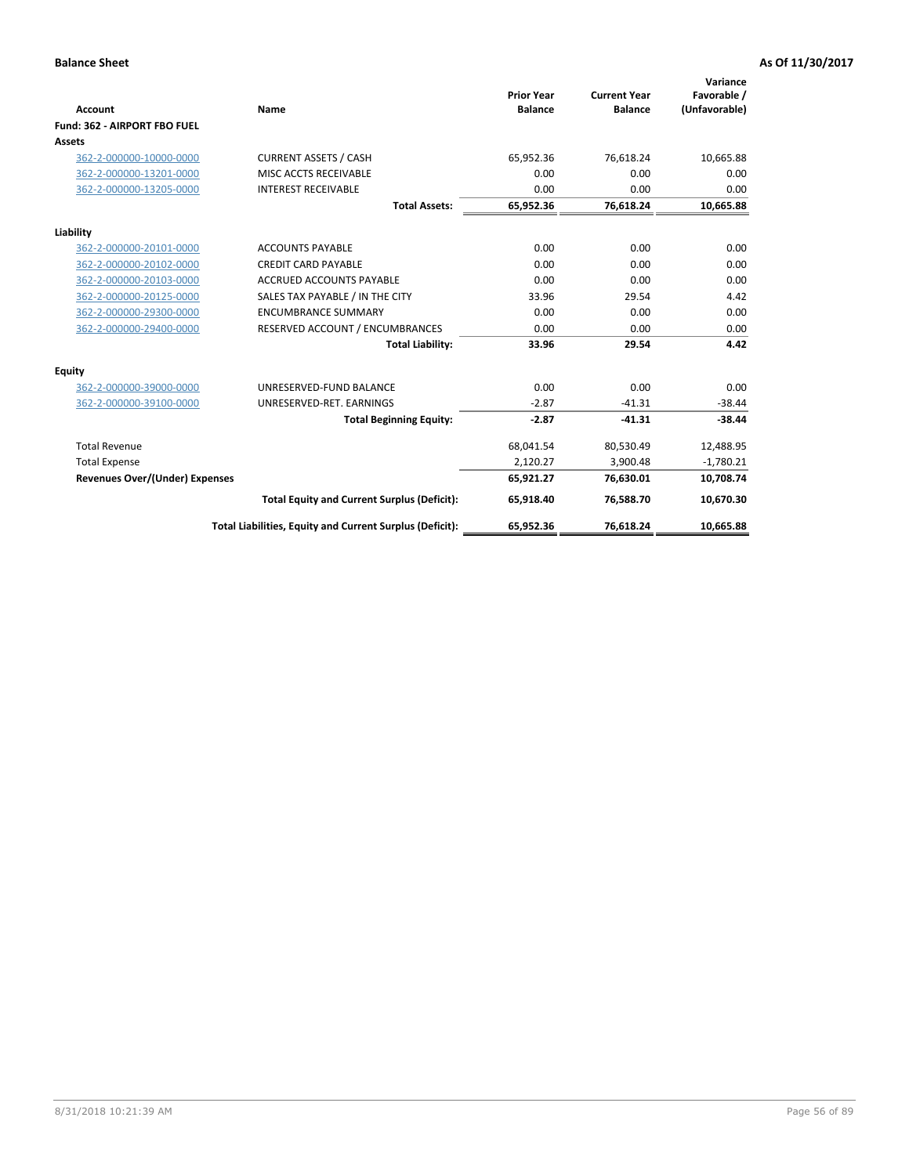|                                |                                                          |                                     |                                       | Variance                     |
|--------------------------------|----------------------------------------------------------|-------------------------------------|---------------------------------------|------------------------------|
| Account                        | Name                                                     | <b>Prior Year</b><br><b>Balance</b> | <b>Current Year</b><br><b>Balance</b> | Favorable /<br>(Unfavorable) |
| Fund: 362 - AIRPORT FBO FUEL   |                                                          |                                     |                                       |                              |
| Assets                         |                                                          |                                     |                                       |                              |
| 362-2-000000-10000-0000        | <b>CURRENT ASSETS / CASH</b>                             | 65,952.36                           | 76,618.24                             | 10,665.88                    |
| 362-2-000000-13201-0000        | MISC ACCTS RECEIVABLE                                    | 0.00                                | 0.00                                  | 0.00                         |
| 362-2-000000-13205-0000        | <b>INTEREST RECEIVABLE</b>                               | 0.00                                | 0.00                                  | 0.00                         |
|                                | <b>Total Assets:</b>                                     | 65,952.36                           | 76,618.24                             | 10,665.88                    |
| Liability                      |                                                          |                                     |                                       |                              |
| 362-2-000000-20101-0000        | <b>ACCOUNTS PAYABLE</b>                                  | 0.00                                | 0.00                                  | 0.00                         |
| 362-2-000000-20102-0000        | <b>CREDIT CARD PAYABLE</b>                               | 0.00                                | 0.00                                  | 0.00                         |
| 362-2-000000-20103-0000        | <b>ACCRUED ACCOUNTS PAYABLE</b>                          | 0.00                                | 0.00                                  | 0.00                         |
| 362-2-000000-20125-0000        | SALES TAX PAYABLE / IN THE CITY                          | 33.96                               | 29.54                                 | 4.42                         |
| 362-2-000000-29300-0000        | <b>ENCUMBRANCE SUMMARY</b>                               | 0.00                                | 0.00                                  | 0.00                         |
| 362-2-000000-29400-0000        | RESERVED ACCOUNT / ENCUMBRANCES                          | 0.00                                | 0.00                                  | 0.00                         |
|                                | <b>Total Liability:</b>                                  | 33.96                               | 29.54                                 | 4.42                         |
| Equity                         |                                                          |                                     |                                       |                              |
| 362-2-000000-39000-0000        | UNRESERVED-FUND BALANCE                                  | 0.00                                | 0.00                                  | 0.00                         |
| 362-2-000000-39100-0000        | UNRESERVED-RET. EARNINGS                                 | $-2.87$                             | $-41.31$                              | $-38.44$                     |
|                                | <b>Total Beginning Equity:</b>                           | $-2.87$                             | $-41.31$                              | $-38.44$                     |
| <b>Total Revenue</b>           |                                                          | 68,041.54                           | 80,530.49                             | 12,488.95                    |
| <b>Total Expense</b>           |                                                          | 2,120.27                            | 3,900.48                              | $-1,780.21$                  |
| Revenues Over/(Under) Expenses |                                                          | 65,921.27                           | 76,630.01                             | 10,708.74                    |
|                                | <b>Total Equity and Current Surplus (Deficit):</b>       | 65,918.40                           | 76,588.70                             | 10,670.30                    |
|                                | Total Liabilities, Equity and Current Surplus (Deficit): | 65,952.36                           | 76,618.24                             | 10,665.88                    |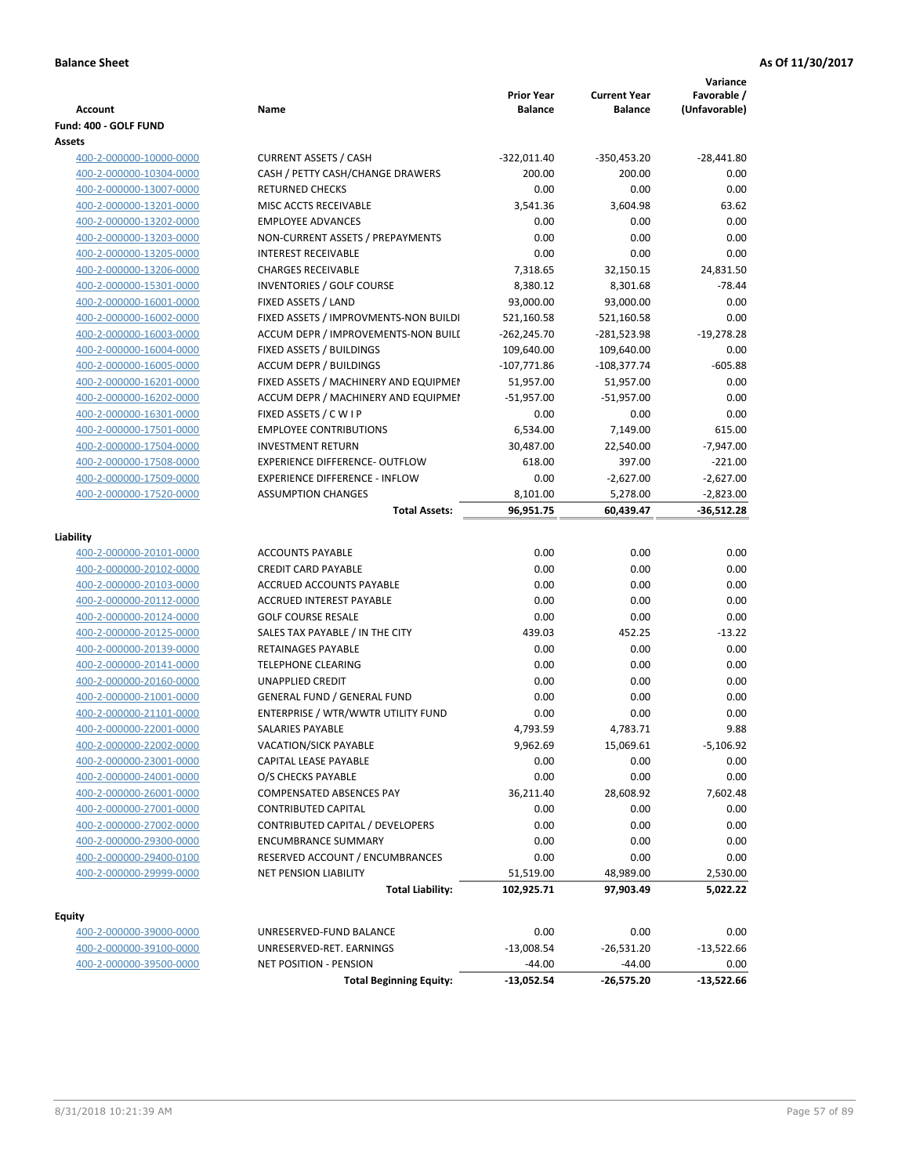| <b>Account</b>                  | Name                                  | <b>Prior Year</b><br><b>Balance</b> | <b>Current Year</b><br><b>Balance</b> | Variance<br>Favorable /<br>(Unfavorable) |
|---------------------------------|---------------------------------------|-------------------------------------|---------------------------------------|------------------------------------------|
| Fund: 400 - GOLF FUND<br>Assets |                                       |                                     |                                       |                                          |
| 400-2-000000-10000-0000         | <b>CURRENT ASSETS / CASH</b>          | $-322,011.40$                       | -350,453.20                           | $-28,441.80$                             |
| 400-2-000000-10304-0000         | CASH / PETTY CASH/CHANGE DRAWERS      | 200.00                              | 200.00                                | 0.00                                     |
| 400-2-000000-13007-0000         | <b>RETURNED CHECKS</b>                | 0.00                                | 0.00                                  | 0.00                                     |
| 400-2-000000-13201-0000         | MISC ACCTS RECEIVABLE                 | 3,541.36                            | 3,604.98                              | 63.62                                    |
| 400-2-000000-13202-0000         | <b>EMPLOYEE ADVANCES</b>              | 0.00                                | 0.00                                  | 0.00                                     |
| 400-2-000000-13203-0000         | NON-CURRENT ASSETS / PREPAYMENTS      | 0.00                                | 0.00                                  | 0.00                                     |
| 400-2-000000-13205-0000         | <b>INTEREST RECEIVABLE</b>            | 0.00                                | 0.00                                  | 0.00                                     |
| 400-2-000000-13206-0000         | <b>CHARGES RECEIVABLE</b>             | 7,318.65                            | 32,150.15                             | 24,831.50                                |
| 400-2-000000-15301-0000         | INVENTORIES / GOLF COURSE             | 8,380.12                            | 8,301.68                              | $-78.44$                                 |
| 400-2-000000-16001-0000         | FIXED ASSETS / LAND                   | 93,000.00                           | 93,000.00                             | 0.00                                     |
| 400-2-000000-16002-0000         | FIXED ASSETS / IMPROVMENTS-NON BUILDI | 521,160.58                          | 521,160.58                            | 0.00                                     |
| 400-2-000000-16003-0000         | ACCUM DEPR / IMPROVEMENTS-NON BUILI   | $-262,245.70$                       | -281,523.98                           | $-19,278.28$                             |
| 400-2-000000-16004-0000         | FIXED ASSETS / BUILDINGS              | 109,640.00                          | 109,640.00                            | 0.00                                     |
| 400-2-000000-16005-0000         | <b>ACCUM DEPR / BUILDINGS</b>         | $-107,771.86$                       | $-108,377.74$                         | $-605.88$                                |
| 400-2-000000-16201-0000         | FIXED ASSETS / MACHINERY AND EQUIPMEN | 51,957.00                           | 51,957.00                             | 0.00                                     |
| 400-2-000000-16202-0000         | ACCUM DEPR / MACHINERY AND EQUIPMEI   | $-51,957.00$                        | $-51,957.00$                          | 0.00                                     |
| 400-2-000000-16301-0000         | FIXED ASSETS / C W I P                | 0.00                                | 0.00                                  | 0.00                                     |
| 400-2-000000-17501-0000         | <b>EMPLOYEE CONTRIBUTIONS</b>         | 6,534.00                            | 7,149.00                              | 615.00                                   |
| 400-2-000000-17504-0000         | <b>INVESTMENT RETURN</b>              | 30,487.00                           | 22,540.00                             | $-7,947.00$                              |
| 400-2-000000-17508-0000         | <b>EXPERIENCE DIFFERENCE- OUTFLOW</b> | 618.00                              | 397.00                                | $-221.00$                                |
| 400-2-000000-17509-0000         | <b>EXPERIENCE DIFFERENCE - INFLOW</b> | 0.00                                | $-2,627.00$                           | $-2,627.00$                              |
| 400-2-000000-17520-0000         | <b>ASSUMPTION CHANGES</b>             | 8,101.00                            | 5,278.00                              | $-2,823.00$                              |
|                                 | <b>Total Assets:</b>                  | 96,951.75                           | 60,439.47                             | $-36,512.28$                             |
|                                 |                                       |                                     |                                       |                                          |
| Liability                       |                                       |                                     |                                       |                                          |
| 400-2-000000-20101-0000         | <b>ACCOUNTS PAYABLE</b>               | 0.00                                | 0.00                                  | 0.00                                     |
| 400-2-000000-20102-0000         | <b>CREDIT CARD PAYABLE</b>            | 0.00                                | 0.00                                  | 0.00                                     |
| 400-2-000000-20103-0000         | ACCRUED ACCOUNTS PAYABLE              | 0.00                                | 0.00                                  | 0.00                                     |
| 400-2-000000-20112-0000         | <b>ACCRUED INTEREST PAYABLE</b>       | 0.00                                | 0.00                                  | 0.00                                     |
| 400-2-000000-20124-0000         | <b>GOLF COURSE RESALE</b>             | 0.00                                | 0.00                                  | 0.00                                     |
| 400-2-000000-20125-0000         | SALES TAX PAYABLE / IN THE CITY       | 439.03                              | 452.25                                | $-13.22$                                 |
| 400-2-000000-20139-0000         | RETAINAGES PAYABLE                    | 0.00                                | 0.00                                  | 0.00                                     |
| 400-2-000000-20141-0000         | <b>TELEPHONE CLEARING</b>             | 0.00                                | 0.00                                  | 0.00                                     |
| 400-2-000000-20160-0000         | <b>UNAPPLIED CREDIT</b>               | 0.00                                | 0.00                                  | 0.00                                     |
| 400-2-000000-21001-0000         | <b>GENERAL FUND / GENERAL FUND</b>    | 0.00                                | 0.00                                  | 0.00                                     |
| 400-2-000000-21101-0000         | ENTERPRISE / WTR/WWTR UTILITY FUND    | 0.00                                | 0.00                                  | 0.00                                     |
| 400-2-000000-22001-0000         | <b>SALARIES PAYABLE</b>               | 4.793.59                            | 4,783.71                              | 9.88                                     |
| 400-2-000000-22002-0000         | VACATION/SICK PAYABLE                 | 9,962.69                            | 15,069.61                             | -5,106.92                                |
| 400-2-000000-23001-0000         | CAPITAL LEASE PAYABLE                 | 0.00                                | 0.00                                  | 0.00                                     |
| 400-2-000000-24001-0000         | O/S CHECKS PAYABLE                    | 0.00                                | 0.00                                  | 0.00                                     |
| 400-2-000000-26001-0000         | <b>COMPENSATED ABSENCES PAY</b>       | 36,211.40                           | 28,608.92                             | 7,602.48                                 |
| 400-2-000000-27001-0000         | <b>CONTRIBUTED CAPITAL</b>            | 0.00                                | 0.00                                  | 0.00                                     |
| 400-2-000000-27002-0000         | CONTRIBUTED CAPITAL / DEVELOPERS      | 0.00                                | 0.00                                  | 0.00                                     |
| 400-2-000000-29300-0000         | <b>ENCUMBRANCE SUMMARY</b>            | 0.00                                | 0.00                                  | 0.00                                     |
| 400-2-000000-29400-0100         | RESERVED ACCOUNT / ENCUMBRANCES       | 0.00                                | 0.00                                  | 0.00                                     |
| 400-2-000000-29999-0000         | <b>NET PENSION LIABILITY</b>          | 51,519.00                           | 48,989.00                             | 2,530.00                                 |
|                                 | <b>Total Liability:</b>               | 102,925.71                          | 97,903.49                             | 5,022.22                                 |
| <b>Equity</b>                   |                                       |                                     |                                       |                                          |
| 400-2-000000-39000-0000         | UNRESERVED-FUND BALANCE               | 0.00                                | 0.00                                  | 0.00                                     |
| 400-2-000000-39100-0000         | UNRESERVED-RET. EARNINGS              | $-13,008.54$                        | $-26,531.20$                          | $-13,522.66$                             |
| 400-2-000000-39500-0000         | NET POSITION - PENSION                | $-44.00$                            | $-44.00$                              | 0.00                                     |
|                                 | <b>Total Beginning Equity:</b>        | -13,052.54                          | -26,575.20                            | $-13,522.66$                             |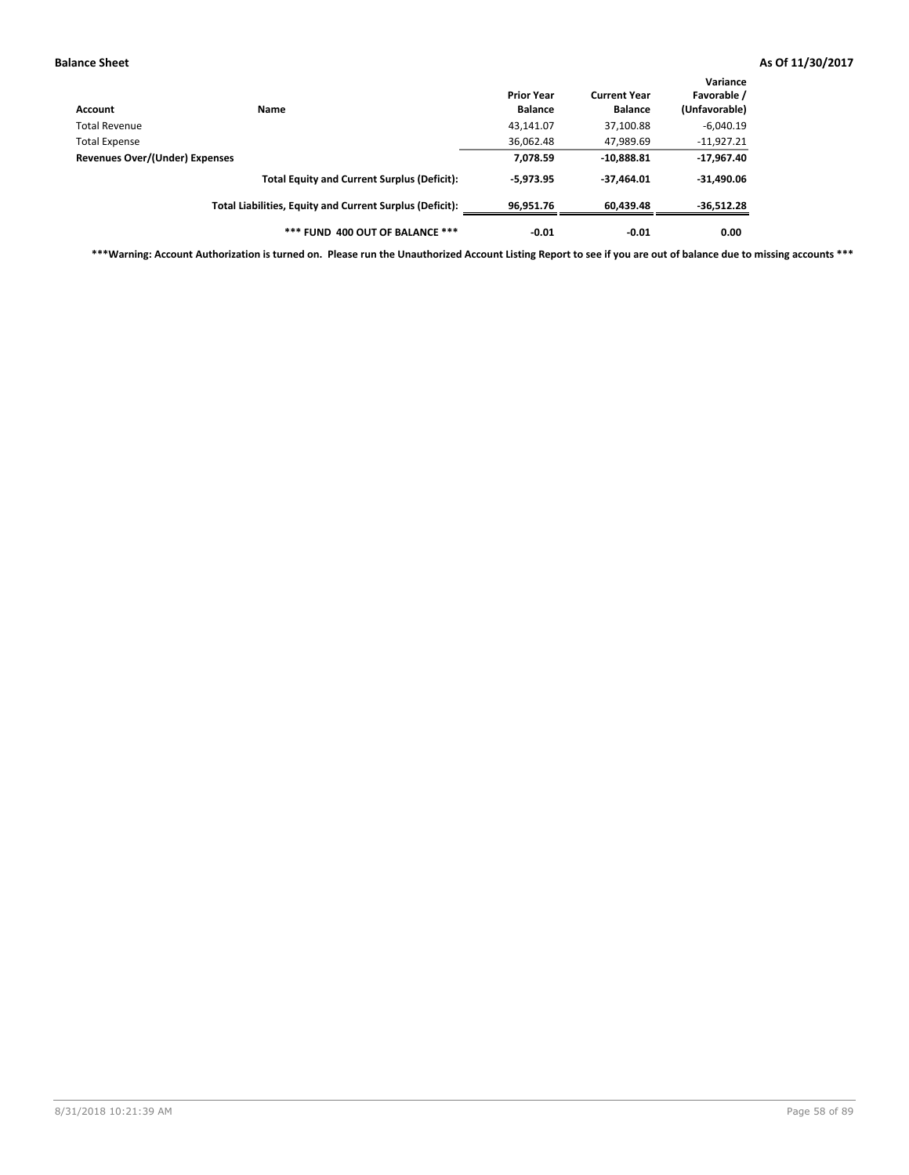| Account                               | Name                                                     | <b>Prior Year</b><br><b>Balance</b> | <b>Current Year</b><br><b>Balance</b> | Variance<br>Favorable /<br>(Unfavorable) |
|---------------------------------------|----------------------------------------------------------|-------------------------------------|---------------------------------------|------------------------------------------|
| Total Revenue                         |                                                          | 43,141.07                           | 37,100.88                             | $-6,040.19$                              |
| <b>Total Expense</b>                  |                                                          | 36,062.48                           | 47,989.69                             | $-11,927.21$                             |
| <b>Revenues Over/(Under) Expenses</b> |                                                          | 7,078.59                            | $-10,888.81$                          | $-17,967.40$                             |
|                                       | <b>Total Equity and Current Surplus (Deficit):</b>       | $-5.973.95$                         | $-37.464.01$                          | $-31,490.06$                             |
|                                       | Total Liabilities, Equity and Current Surplus (Deficit): | 96,951.76                           | 60,439.48                             | $-36,512.28$                             |
|                                       | *** FUND 400 OUT OF BALANCE ***                          | $-0.01$                             | $-0.01$                               | 0.00                                     |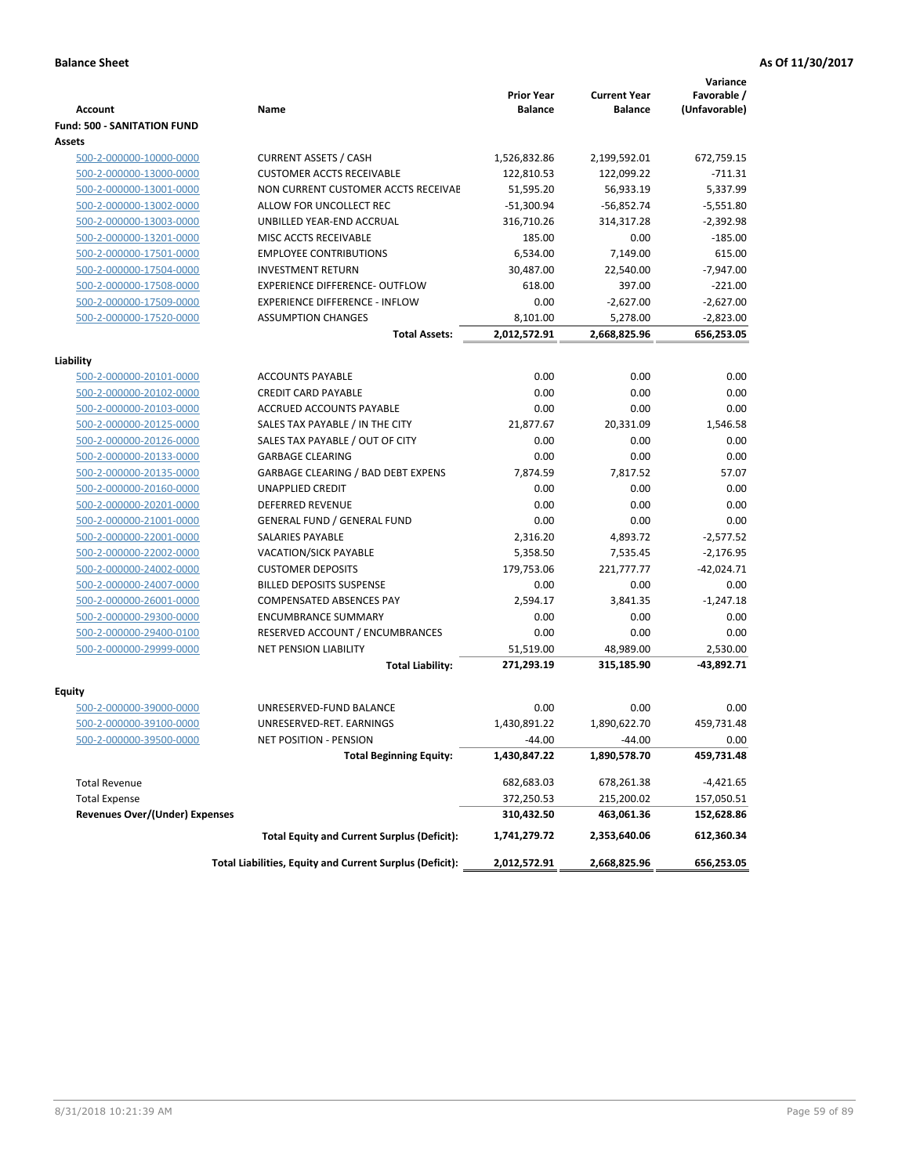|                                                    |                                                          |                                     |                                       | Variance                     |
|----------------------------------------------------|----------------------------------------------------------|-------------------------------------|---------------------------------------|------------------------------|
| <b>Account</b>                                     | Name                                                     | <b>Prior Year</b><br><b>Balance</b> | <b>Current Year</b><br><b>Balance</b> | Favorable /<br>(Unfavorable) |
| <b>Fund: 500 - SANITATION FUND</b>                 |                                                          |                                     |                                       |                              |
| Assets                                             |                                                          |                                     |                                       |                              |
| 500-2-000000-10000-0000                            | <b>CURRENT ASSETS / CASH</b>                             | 1,526,832.86                        | 2,199,592.01                          | 672,759.15                   |
| 500-2-000000-13000-0000                            | <b>CUSTOMER ACCTS RECEIVABLE</b>                         | 122,810.53                          | 122,099.22                            | $-711.31$                    |
| 500-2-000000-13001-0000                            | NON CURRENT CUSTOMER ACCTS RECEIVAE                      | 51,595.20                           | 56,933.19                             | 5,337.99                     |
| 500-2-000000-13002-0000                            | ALLOW FOR UNCOLLECT REC                                  | $-51,300.94$                        | $-56,852.74$                          | $-5,551.80$                  |
| 500-2-000000-13003-0000                            | UNBILLED YEAR-END ACCRUAL                                | 316,710.26                          | 314,317.28                            | $-2,392.98$                  |
| 500-2-000000-13201-0000                            | MISC ACCTS RECEIVABLE                                    | 185.00                              | 0.00                                  | $-185.00$                    |
| 500-2-000000-17501-0000                            | <b>EMPLOYEE CONTRIBUTIONS</b>                            | 6,534.00                            | 7,149.00                              | 615.00                       |
| 500-2-000000-17504-0000                            | <b>INVESTMENT RETURN</b>                                 | 30,487.00                           | 22,540.00                             | $-7,947.00$                  |
| 500-2-000000-17508-0000                            | <b>EXPERIENCE DIFFERENCE- OUTFLOW</b>                    | 618.00                              | 397.00                                | $-221.00$                    |
| 500-2-000000-17509-0000                            | <b>EXPERIENCE DIFFERENCE - INFLOW</b>                    | 0.00                                | $-2,627.00$                           | $-2,627.00$                  |
| 500-2-000000-17520-0000                            | <b>ASSUMPTION CHANGES</b>                                | 8,101.00                            | 5,278.00                              | $-2,823.00$                  |
|                                                    | <b>Total Assets:</b>                                     | 2,012,572.91                        | 2,668,825.96                          | 656,253.05                   |
|                                                    |                                                          |                                     |                                       |                              |
| Liability                                          |                                                          |                                     |                                       |                              |
| 500-2-000000-20101-0000                            | <b>ACCOUNTS PAYABLE</b><br><b>CREDIT CARD PAYABLE</b>    | 0.00                                | 0.00                                  | 0.00                         |
| 500-2-000000-20102-0000<br>500-2-000000-20103-0000 | ACCRUED ACCOUNTS PAYABLE                                 | 0.00<br>0.00                        | 0.00<br>0.00                          | 0.00<br>0.00                 |
| 500-2-000000-20125-0000                            | SALES TAX PAYABLE / IN THE CITY                          | 21,877.67                           | 20,331.09                             | 1,546.58                     |
| 500-2-000000-20126-0000                            | SALES TAX PAYABLE / OUT OF CITY                          | 0.00                                | 0.00                                  | 0.00                         |
| 500-2-000000-20133-0000                            | <b>GARBAGE CLEARING</b>                                  | 0.00                                | 0.00                                  | 0.00                         |
| 500-2-000000-20135-0000                            | GARBAGE CLEARING / BAD DEBT EXPENS                       | 7,874.59                            | 7,817.52                              | 57.07                        |
| 500-2-000000-20160-0000                            | <b>UNAPPLIED CREDIT</b>                                  | 0.00                                | 0.00                                  | 0.00                         |
| 500-2-000000-20201-0000                            | <b>DEFERRED REVENUE</b>                                  | 0.00                                | 0.00                                  | 0.00                         |
| 500-2-000000-21001-0000                            | <b>GENERAL FUND / GENERAL FUND</b>                       | 0.00                                | 0.00                                  | 0.00                         |
| 500-2-000000-22001-0000                            | SALARIES PAYABLE                                         | 2,316.20                            | 4,893.72                              | $-2,577.52$                  |
| 500-2-000000-22002-0000                            | <b>VACATION/SICK PAYABLE</b>                             | 5,358.50                            | 7,535.45                              | $-2,176.95$                  |
| 500-2-000000-24002-0000                            | <b>CUSTOMER DEPOSITS</b>                                 | 179,753.06                          | 221,777.77                            | $-42,024.71$                 |
| 500-2-000000-24007-0000                            | <b>BILLED DEPOSITS SUSPENSE</b>                          | 0.00                                | 0.00                                  | 0.00                         |
| 500-2-000000-26001-0000                            | <b>COMPENSATED ABSENCES PAY</b>                          | 2,594.17                            | 3,841.35                              | $-1,247.18$                  |
| 500-2-000000-29300-0000                            | <b>ENCUMBRANCE SUMMARY</b>                               | 0.00                                | 0.00                                  | 0.00                         |
| 500-2-000000-29400-0100                            | RESERVED ACCOUNT / ENCUMBRANCES                          | 0.00                                | 0.00                                  | 0.00                         |
| 500-2-000000-29999-0000                            | <b>NET PENSION LIABILITY</b>                             | 51,519.00                           | 48,989.00                             | 2,530.00                     |
|                                                    | <b>Total Liability:</b>                                  | 271,293.19                          | 315,185.90                            | $-43,892.71$                 |
|                                                    |                                                          |                                     |                                       |                              |
| <b>Equity</b><br>500-2-000000-39000-0000           | UNRESERVED-FUND BALANCE                                  | 0.00                                | 0.00                                  | 0.00                         |
| 500-2-000000-39100-0000                            | UNRESERVED-RET. EARNINGS                                 | 1,430,891.22                        | 1,890,622.70                          | 459,731.48                   |
| <u>500-2-000000-39500-0000</u>                     | NET POSITION - PENSION                                   | $-44.00$                            | $-44.00$                              | 0.00                         |
|                                                    | <b>Total Beginning Equity:</b>                           | 1,430,847.22                        | 1,890,578.70                          | 459,731.48                   |
|                                                    |                                                          |                                     |                                       |                              |
| <b>Total Revenue</b>                               |                                                          | 682,683.03                          | 678,261.38                            | $-4,421.65$                  |
| <b>Total Expense</b>                               |                                                          | 372,250.53                          | 215,200.02                            | 157,050.51                   |
| <b>Revenues Over/(Under) Expenses</b>              |                                                          | 310,432.50                          | 463,061.36                            | 152,628.86                   |
|                                                    | <b>Total Equity and Current Surplus (Deficit):</b>       | 1,741,279.72                        | 2,353,640.06                          | 612,360.34                   |
|                                                    | Total Liabilities, Equity and Current Surplus (Deficit): | 2,012,572.91                        | 2,668,825.96                          | 656,253.05                   |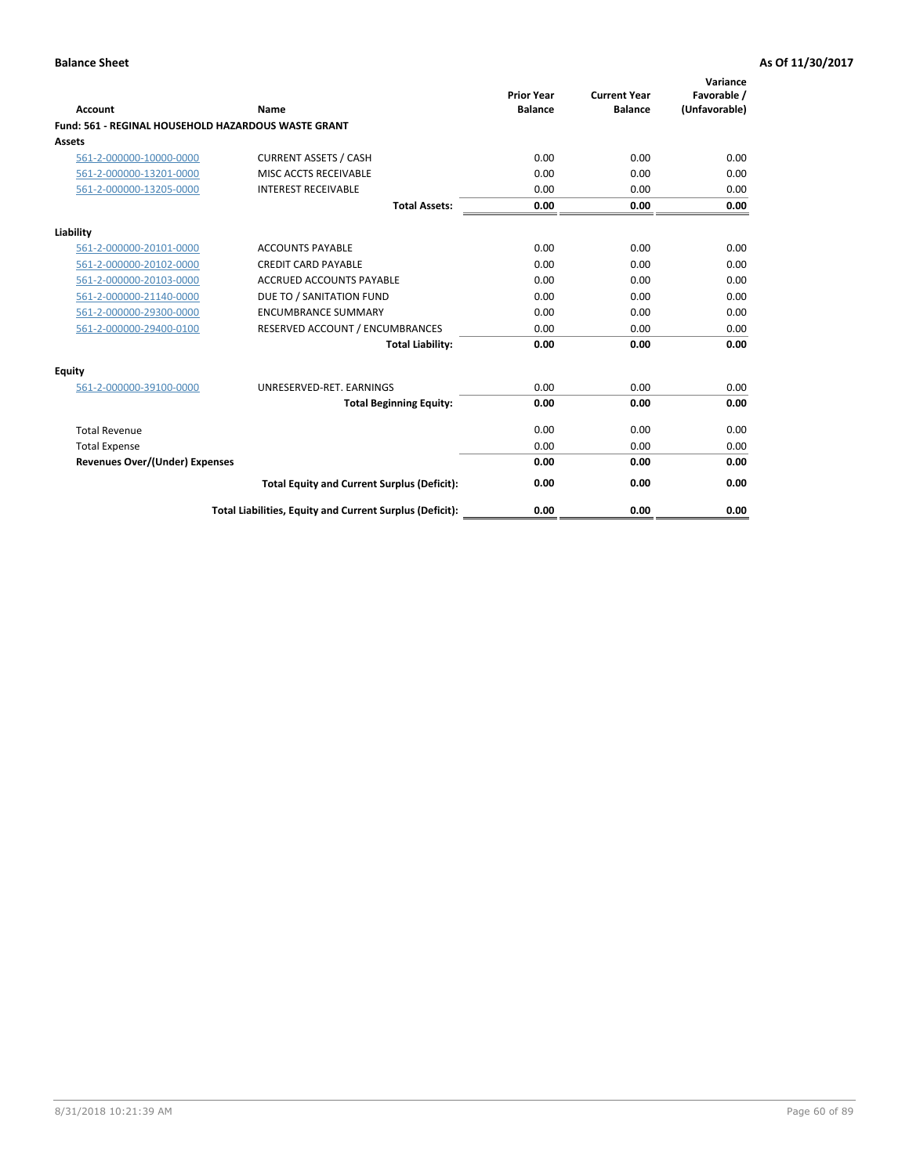| <b>Account</b>                        | Name                                                       | <b>Prior Year</b><br><b>Balance</b> | <b>Current Year</b><br><b>Balance</b> | Variance<br>Favorable /<br>(Unfavorable) |
|---------------------------------------|------------------------------------------------------------|-------------------------------------|---------------------------------------|------------------------------------------|
|                                       | <b>Fund: 561 - REGINAL HOUSEHOLD HAZARDOUS WASTE GRANT</b> |                                     |                                       |                                          |
| <b>Assets</b>                         |                                                            |                                     |                                       |                                          |
| 561-2-000000-10000-0000               | <b>CURRENT ASSETS / CASH</b>                               | 0.00                                | 0.00                                  | 0.00                                     |
| 561-2-000000-13201-0000               | MISC ACCTS RECEIVABLE                                      | 0.00                                | 0.00                                  | 0.00                                     |
| 561-2-000000-13205-0000               | <b>INTEREST RECEIVABLE</b>                                 | 0.00                                | 0.00                                  | 0.00                                     |
|                                       | <b>Total Assets:</b>                                       | 0.00                                | 0.00                                  | 0.00                                     |
| Liability                             |                                                            |                                     |                                       |                                          |
| 561-2-000000-20101-0000               | <b>ACCOUNTS PAYABLE</b>                                    | 0.00                                | 0.00                                  | 0.00                                     |
| 561-2-000000-20102-0000               | <b>CREDIT CARD PAYABLE</b>                                 | 0.00                                | 0.00                                  | 0.00                                     |
| 561-2-000000-20103-0000               | <b>ACCRUED ACCOUNTS PAYABLE</b>                            | 0.00                                | 0.00                                  | 0.00                                     |
| 561-2-000000-21140-0000               | DUE TO / SANITATION FUND                                   | 0.00                                | 0.00                                  | 0.00                                     |
| 561-2-000000-29300-0000               | <b>ENCUMBRANCE SUMMARY</b>                                 | 0.00                                | 0.00                                  | 0.00                                     |
| 561-2-000000-29400-0100               | RESERVED ACCOUNT / ENCUMBRANCES                            | 0.00                                | 0.00                                  | 0.00                                     |
|                                       | <b>Total Liability:</b>                                    | 0.00                                | 0.00                                  | 0.00                                     |
| <b>Equity</b>                         |                                                            |                                     |                                       |                                          |
| 561-2-000000-39100-0000               | UNRESERVED-RET. EARNINGS                                   | 0.00                                | 0.00                                  | 0.00                                     |
|                                       | <b>Total Beginning Equity:</b>                             | 0.00                                | 0.00                                  | 0.00                                     |
| <b>Total Revenue</b>                  |                                                            | 0.00                                | 0.00                                  | 0.00                                     |
| <b>Total Expense</b>                  |                                                            | 0.00                                | 0.00                                  | 0.00                                     |
| <b>Revenues Over/(Under) Expenses</b> |                                                            | 0.00                                | 0.00                                  | 0.00                                     |
|                                       | <b>Total Equity and Current Surplus (Deficit):</b>         | 0.00                                | 0.00                                  | 0.00                                     |
|                                       | Total Liabilities, Equity and Current Surplus (Deficit):   | 0.00                                | 0.00                                  | 0.00                                     |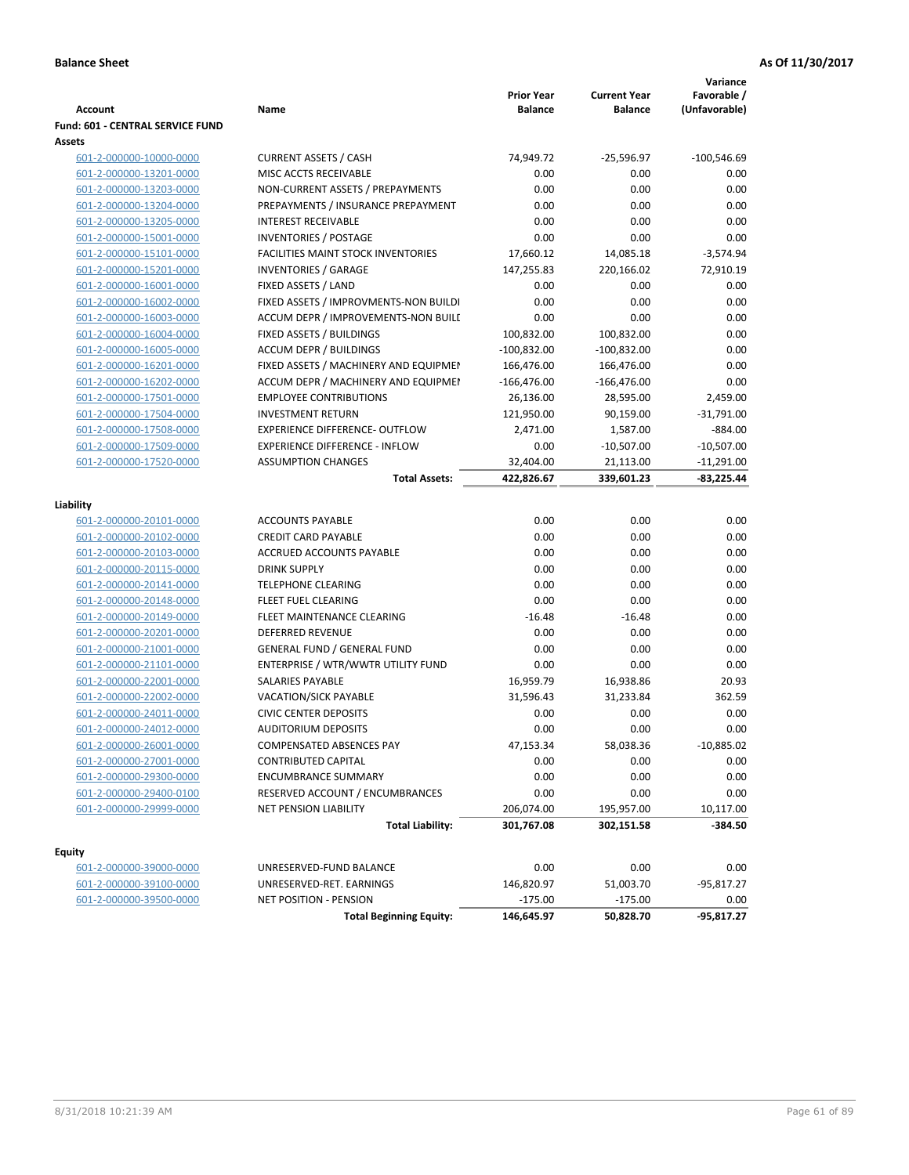| <b>Account</b>                          | Name                                      | <b>Prior Year</b><br><b>Balance</b> | <b>Current Year</b><br><b>Balance</b> | Variance<br>Favorable /<br>(Unfavorable) |
|-----------------------------------------|-------------------------------------------|-------------------------------------|---------------------------------------|------------------------------------------|
| <b>Fund: 601 - CENTRAL SERVICE FUND</b> |                                           |                                     |                                       |                                          |
| Assets                                  |                                           |                                     |                                       |                                          |
| 601-2-000000-10000-0000                 | <b>CURRENT ASSETS / CASH</b>              | 74,949.72                           | $-25,596.97$                          | $-100,546.69$                            |
| 601-2-000000-13201-0000                 | MISC ACCTS RECEIVABLE                     | 0.00                                | 0.00                                  | 0.00                                     |
| 601-2-000000-13203-0000                 | NON-CURRENT ASSETS / PREPAYMENTS          | 0.00                                | 0.00                                  | 0.00                                     |
| 601-2-000000-13204-0000                 | PREPAYMENTS / INSURANCE PREPAYMENT        | 0.00                                | 0.00                                  | 0.00                                     |
| 601-2-000000-13205-0000                 | <b>INTEREST RECEIVABLE</b>                | 0.00                                | 0.00                                  | 0.00                                     |
| 601-2-000000-15001-0000                 | INVENTORIES / POSTAGE                     | 0.00                                | 0.00                                  | 0.00                                     |
| 601-2-000000-15101-0000                 | <b>FACILITIES MAINT STOCK INVENTORIES</b> | 17,660.12                           | 14,085.18                             | $-3,574.94$                              |
| 601-2-000000-15201-0000                 | <b>INVENTORIES / GARAGE</b>               | 147,255.83                          | 220,166.02                            | 72,910.19                                |
| 601-2-000000-16001-0000                 | FIXED ASSETS / LAND                       | 0.00                                | 0.00                                  | 0.00                                     |
| 601-2-000000-16002-0000                 | FIXED ASSETS / IMPROVMENTS-NON BUILDI     | 0.00                                | 0.00                                  | 0.00                                     |
| 601-2-000000-16003-0000                 | ACCUM DEPR / IMPROVEMENTS-NON BUILI       | 0.00                                | 0.00                                  | 0.00                                     |
| 601-2-000000-16004-0000                 | FIXED ASSETS / BUILDINGS                  | 100,832.00                          | 100,832.00                            | 0.00                                     |
| 601-2-000000-16005-0000                 | <b>ACCUM DEPR / BUILDINGS</b>             | $-100,832.00$                       | $-100,832.00$                         | 0.00                                     |
| 601-2-000000-16201-0000                 | FIXED ASSETS / MACHINERY AND EQUIPMEN     | 166,476.00                          | 166,476.00                            | 0.00                                     |
| 601-2-000000-16202-0000                 | ACCUM DEPR / MACHINERY AND EQUIPMEI       | $-166,476.00$                       | $-166,476.00$                         | 0.00                                     |
| 601-2-000000-17501-0000                 | <b>EMPLOYEE CONTRIBUTIONS</b>             | 26,136.00                           | 28,595.00                             | 2,459.00                                 |
| 601-2-000000-17504-0000                 | <b>INVESTMENT RETURN</b>                  | 121,950.00                          | 90,159.00                             | $-31,791.00$                             |
| 601-2-000000-17508-0000                 | <b>EXPERIENCE DIFFERENCE- OUTFLOW</b>     | 2,471.00                            | 1,587.00                              | $-884.00$                                |
| 601-2-000000-17509-0000                 | <b>EXPERIENCE DIFFERENCE - INFLOW</b>     | 0.00                                | $-10,507.00$                          | $-10,507.00$                             |
| 601-2-000000-17520-0000                 | <b>ASSUMPTION CHANGES</b>                 | 32,404.00                           | 21,113.00                             | $-11,291.00$                             |
|                                         | <b>Total Assets:</b>                      | 422,826.67                          | 339,601.23                            | $-83,225.44$                             |
|                                         |                                           |                                     |                                       |                                          |
| Liability                               |                                           |                                     |                                       |                                          |
| 601-2-000000-20101-0000                 | <b>ACCOUNTS PAYABLE</b>                   | 0.00                                | 0.00                                  | 0.00                                     |
| 601-2-000000-20102-0000                 | <b>CREDIT CARD PAYABLE</b>                | 0.00                                | 0.00                                  | 0.00                                     |
| 601-2-000000-20103-0000                 | ACCRUED ACCOUNTS PAYABLE                  | 0.00                                | 0.00                                  | 0.00                                     |
| 601-2-000000-20115-0000                 | <b>DRINK SUPPLY</b>                       | 0.00                                | 0.00                                  | 0.00                                     |
| 601-2-000000-20141-0000                 | <b>TELEPHONE CLEARING</b>                 | 0.00                                | 0.00                                  | 0.00                                     |
| 601-2-000000-20148-0000                 | <b>FLEET FUEL CLEARING</b>                | 0.00                                | 0.00                                  | 0.00                                     |
| 601-2-000000-20149-0000                 | FLEET MAINTENANCE CLEARING                | $-16.48$                            | $-16.48$                              | 0.00                                     |
| 601-2-000000-20201-0000                 | <b>DEFERRED REVENUE</b>                   | 0.00                                | 0.00                                  | 0.00                                     |
| 601-2-000000-21001-0000                 | <b>GENERAL FUND / GENERAL FUND</b>        | 0.00                                | 0.00                                  | 0.00                                     |
| 601-2-000000-21101-0000                 | ENTERPRISE / WTR/WWTR UTILITY FUND        | 0.00                                | 0.00                                  | 0.00                                     |
| 601-2-000000-22001-0000                 | SALARIES PAYABLE                          | 16,959.79                           | 16,938.86                             | 20.93                                    |
| 601-2-000000-22002-0000                 | <b>VACATION/SICK PAYABLE</b>              | 31,596.43                           | 31,233.84                             | 362.59                                   |
| 601-2-000000-24011-0000                 | <b>CIVIC CENTER DEPOSITS</b>              | 0.00                                | 0.00                                  | 0.00                                     |
| 601-2-000000-24012-0000                 | <b>AUDITORIUM DEPOSITS</b>                | 0.00                                | 0.00                                  | 0.00                                     |
| 601-2-000000-26001-0000                 | COMPENSATED ABSENCES PAY                  | 47,153.34                           | 58,038.36                             | $-10,885.02$                             |
| 601-2-000000-27001-0000                 | <b>CONTRIBUTED CAPITAL</b>                | 0.00                                | 0.00                                  | 0.00                                     |
| 601-2-000000-29300-0000                 | <b>ENCUMBRANCE SUMMARY</b>                | 0.00                                | 0.00                                  | 0.00                                     |
| 601-2-000000-29400-0100                 | RESERVED ACCOUNT / ENCUMBRANCES           | 0.00                                | 0.00                                  | 0.00                                     |
| 601-2-000000-29999-0000                 | NET PENSION LIABILITY                     | 206,074.00                          | 195,957.00                            | 10,117.00                                |
|                                         | <b>Total Liability:</b>                   | 301,767.08                          | 302,151.58                            | -384.50                                  |
|                                         |                                           |                                     |                                       |                                          |
| <b>Equity</b>                           |                                           |                                     |                                       |                                          |
| 601-2-000000-39000-0000                 | UNRESERVED-FUND BALANCE                   | 0.00                                | 0.00                                  | 0.00                                     |
| 601-2-000000-39100-0000                 | UNRESERVED-RET. EARNINGS                  | 146,820.97                          | 51,003.70                             | -95,817.27                               |
| 601-2-000000-39500-0000                 | NET POSITION - PENSION                    | $-175.00$                           | $-175.00$                             | 0.00                                     |
|                                         | <b>Total Beginning Equity:</b>            | 146,645.97                          | 50,828.70                             | $-95,817.27$                             |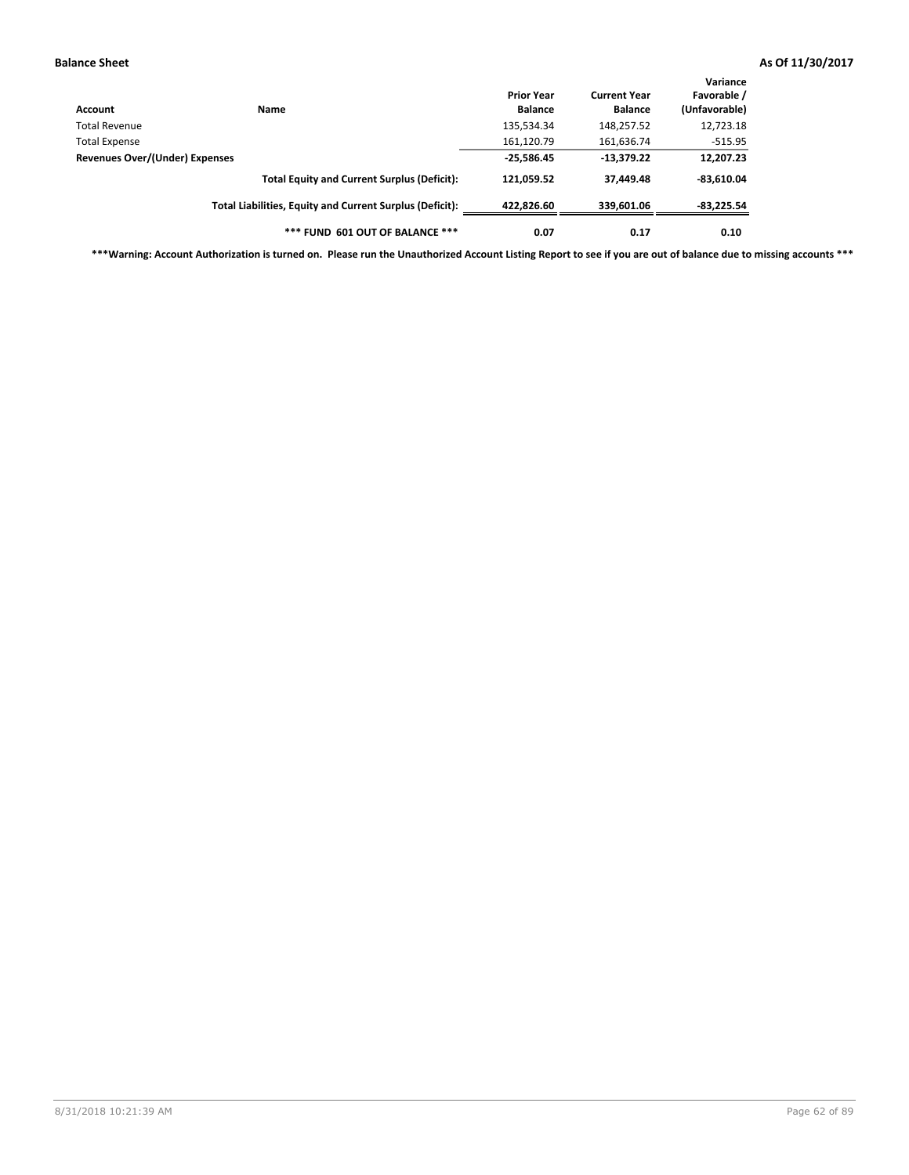| Account                        | Name                                                     | <b>Prior Year</b><br><b>Balance</b> | <b>Current Year</b><br><b>Balance</b> | Variance<br>Favorable /<br>(Unfavorable) |
|--------------------------------|----------------------------------------------------------|-------------------------------------|---------------------------------------|------------------------------------------|
| Total Revenue                  |                                                          | 135,534.34                          | 148,257.52                            | 12,723.18                                |
| <b>Total Expense</b>           |                                                          | 161,120.79                          | 161,636.74                            | $-515.95$                                |
| Revenues Over/(Under) Expenses |                                                          | $-25,586.45$                        | $-13,379.22$                          | 12,207.23                                |
|                                | <b>Total Equity and Current Surplus (Deficit):</b>       | 121,059.52                          | 37,449.48                             | $-83,610.04$                             |
|                                | Total Liabilities, Equity and Current Surplus (Deficit): | 422,826.60                          | 339,601.06                            | -83,225.54                               |
|                                | *** FUND 601 OUT OF BALANCE ***                          | 0.07                                | 0.17                                  | 0.10                                     |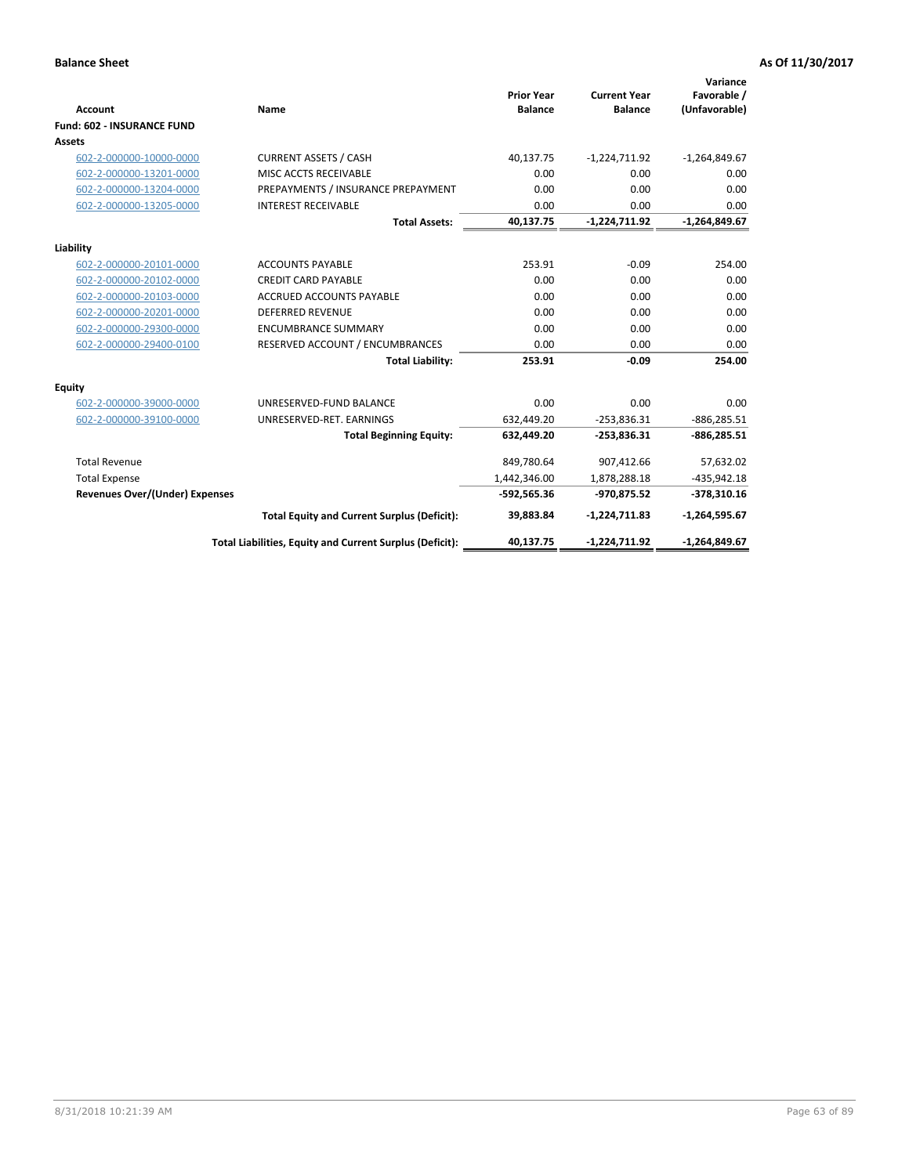| <b>Account</b>                        | Name                                                     | <b>Prior Year</b><br><b>Balance</b> | <b>Current Year</b><br><b>Balance</b> | Variance<br>Favorable /<br>(Unfavorable) |
|---------------------------------------|----------------------------------------------------------|-------------------------------------|---------------------------------------|------------------------------------------|
| <b>Fund: 602 - INSURANCE FUND</b>     |                                                          |                                     |                                       |                                          |
| <b>Assets</b>                         |                                                          |                                     |                                       |                                          |
| 602-2-000000-10000-0000               | <b>CURRENT ASSETS / CASH</b>                             | 40,137.75                           | $-1,224,711.92$                       | $-1,264,849.67$                          |
| 602-2-000000-13201-0000               | MISC ACCTS RECEIVABLE                                    | 0.00                                | 0.00                                  | 0.00                                     |
| 602-2-000000-13204-0000               | PREPAYMENTS / INSURANCE PREPAYMENT                       | 0.00                                | 0.00                                  | 0.00                                     |
| 602-2-000000-13205-0000               | <b>INTEREST RECEIVABLE</b>                               | 0.00                                | 0.00                                  | 0.00                                     |
|                                       | <b>Total Assets:</b>                                     | 40,137.75                           | $-1,224,711.92$                       | $-1,264,849.67$                          |
| Liability                             |                                                          |                                     |                                       |                                          |
| 602-2-000000-20101-0000               | <b>ACCOUNTS PAYABLE</b>                                  | 253.91                              | $-0.09$                               | 254.00                                   |
| 602-2-000000-20102-0000               | <b>CREDIT CARD PAYABLE</b>                               | 0.00                                | 0.00                                  | 0.00                                     |
| 602-2-000000-20103-0000               | <b>ACCRUED ACCOUNTS PAYABLE</b>                          | 0.00                                | 0.00                                  | 0.00                                     |
| 602-2-000000-20201-0000               | <b>DEFERRED REVENUE</b>                                  | 0.00                                | 0.00                                  | 0.00                                     |
| 602-2-000000-29300-0000               | <b>ENCUMBRANCE SUMMARY</b>                               | 0.00                                | 0.00                                  | 0.00                                     |
| 602-2-000000-29400-0100               | RESERVED ACCOUNT / ENCUMBRANCES                          | 0.00                                | 0.00                                  | 0.00                                     |
|                                       | <b>Total Liability:</b>                                  | 253.91                              | $-0.09$                               | 254.00                                   |
| <b>Equity</b>                         |                                                          |                                     |                                       |                                          |
| 602-2-000000-39000-0000               | UNRESERVED-FUND BALANCE                                  | 0.00                                | 0.00                                  | 0.00                                     |
| 602-2-000000-39100-0000               | UNRESERVED-RET. EARNINGS                                 | 632,449.20                          | $-253,836.31$                         | $-886,285.51$                            |
|                                       | <b>Total Beginning Equity:</b>                           | 632,449.20                          | $-253,836.31$                         | $-886,285.51$                            |
| <b>Total Revenue</b>                  |                                                          | 849,780.64                          | 907,412.66                            | 57,632.02                                |
| <b>Total Expense</b>                  |                                                          | 1,442,346.00                        | 1,878,288.18                          | $-435,942.18$                            |
| <b>Revenues Over/(Under) Expenses</b> |                                                          | $-592,565.36$                       | -970,875.52                           | $-378,310.16$                            |
|                                       | <b>Total Equity and Current Surplus (Deficit):</b>       | 39,883.84                           | $-1,224,711.83$                       | $-1,264,595.67$                          |
|                                       | Total Liabilities, Equity and Current Surplus (Deficit): | 40,137.75                           | $-1,224,711.92$                       | $-1,264,849.67$                          |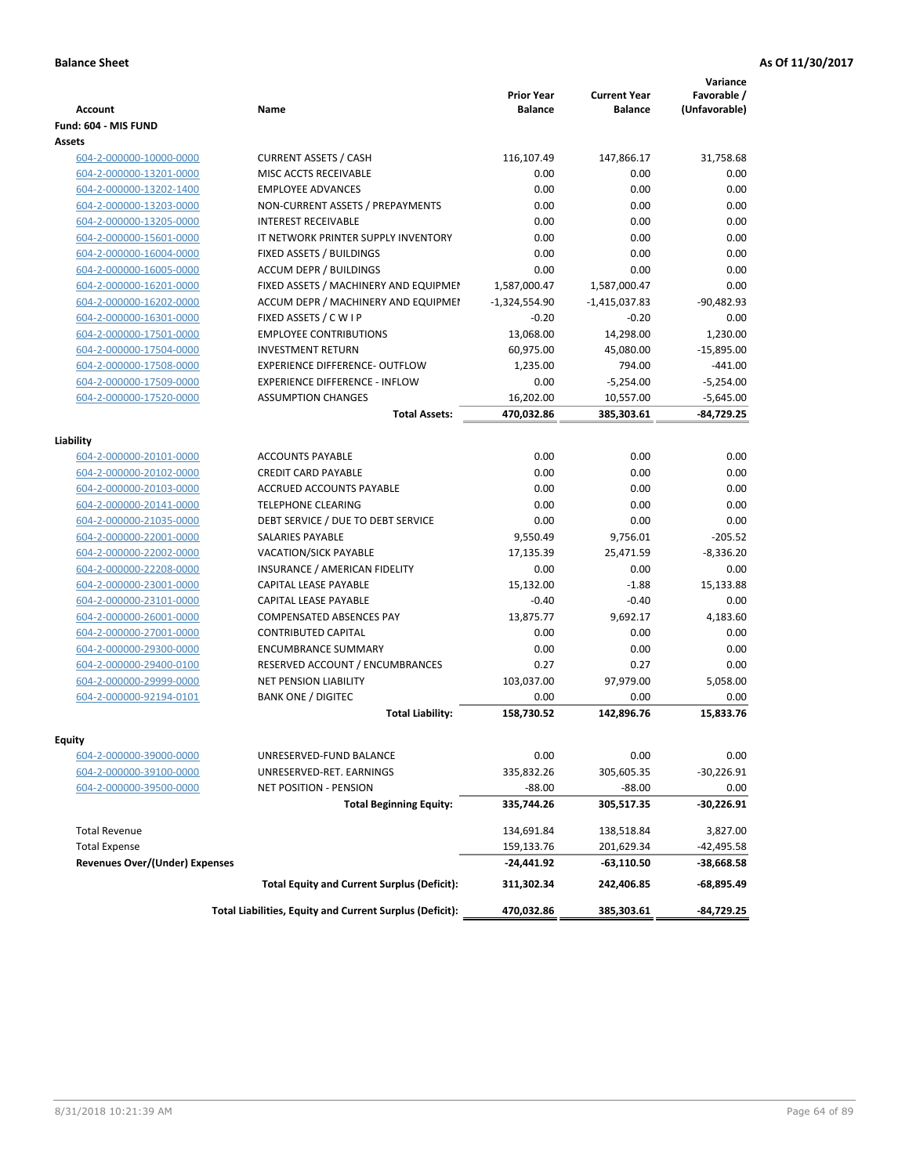| <b>Account</b>                        | <b>Name</b>                                              | <b>Prior Year</b><br><b>Balance</b> | <b>Current Year</b><br><b>Balance</b> | Variance<br>Favorable /<br>(Unfavorable) |
|---------------------------------------|----------------------------------------------------------|-------------------------------------|---------------------------------------|------------------------------------------|
| Fund: 604 - MIS FUND                  |                                                          |                                     |                                       |                                          |
| Assets                                |                                                          |                                     |                                       |                                          |
| 604-2-000000-10000-0000               | <b>CURRENT ASSETS / CASH</b>                             | 116,107.49                          | 147,866.17                            | 31,758.68                                |
| 604-2-000000-13201-0000               | MISC ACCTS RECEIVABLE                                    | 0.00                                | 0.00                                  | 0.00                                     |
| 604-2-000000-13202-1400               | <b>EMPLOYEE ADVANCES</b>                                 | 0.00                                | 0.00                                  | 0.00                                     |
| 604-2-000000-13203-0000               | NON-CURRENT ASSETS / PREPAYMENTS                         | 0.00                                | 0.00                                  | 0.00                                     |
| 604-2-000000-13205-0000               | <b>INTEREST RECEIVABLE</b>                               | 0.00                                | 0.00                                  | 0.00                                     |
| 604-2-000000-15601-0000               | IT NETWORK PRINTER SUPPLY INVENTORY                      | 0.00                                | 0.00                                  | 0.00                                     |
| 604-2-000000-16004-0000               | FIXED ASSETS / BUILDINGS                                 | 0.00                                | 0.00                                  | 0.00                                     |
| 604-2-000000-16005-0000               | <b>ACCUM DEPR / BUILDINGS</b>                            | 0.00                                | 0.00                                  | 0.00                                     |
| 604-2-000000-16201-0000               | FIXED ASSETS / MACHINERY AND EQUIPMEN                    | 1,587,000.47                        | 1,587,000.47                          | 0.00                                     |
| 604-2-000000-16202-0000               | ACCUM DEPR / MACHINERY AND EQUIPMEI                      | $-1,324,554.90$                     | $-1,415,037.83$                       | $-90,482.93$                             |
| 604-2-000000-16301-0000               | FIXED ASSETS / C W I P                                   | $-0.20$                             | $-0.20$                               | 0.00                                     |
| 604-2-000000-17501-0000               | <b>EMPLOYEE CONTRIBUTIONS</b>                            | 13,068.00                           | 14,298.00                             | 1,230.00                                 |
| 604-2-000000-17504-0000               | <b>INVESTMENT RETURN</b>                                 | 60,975.00                           | 45,080.00                             | $-15,895.00$                             |
| 604-2-000000-17508-0000               | <b>EXPERIENCE DIFFERENCE- OUTFLOW</b>                    | 1,235.00                            | 794.00                                | $-441.00$                                |
| 604-2-000000-17509-0000               | <b>EXPERIENCE DIFFERENCE - INFLOW</b>                    | 0.00                                | $-5,254.00$                           | $-5,254.00$                              |
| 604-2-000000-17520-0000               | <b>ASSUMPTION CHANGES</b>                                | 16,202.00                           | 10,557.00                             | $-5,645.00$                              |
|                                       | <b>Total Assets:</b>                                     | 470,032.86                          | 385,303.61                            | $-84,729.25$                             |
|                                       |                                                          |                                     |                                       |                                          |
| Liability                             |                                                          |                                     |                                       |                                          |
| 604-2-000000-20101-0000               | <b>ACCOUNTS PAYABLE</b>                                  | 0.00                                | 0.00                                  | 0.00                                     |
| 604-2-000000-20102-0000               | <b>CREDIT CARD PAYABLE</b>                               | 0.00                                | 0.00                                  | 0.00                                     |
| 604-2-000000-20103-0000               | <b>ACCRUED ACCOUNTS PAYABLE</b>                          | 0.00                                | 0.00                                  | 0.00                                     |
| 604-2-000000-20141-0000               | <b>TELEPHONE CLEARING</b>                                | 0.00                                | 0.00                                  | 0.00                                     |
| 604-2-000000-21035-0000               | DEBT SERVICE / DUE TO DEBT SERVICE                       | 0.00                                | 0.00                                  | 0.00                                     |
| 604-2-000000-22001-0000               | <b>SALARIES PAYABLE</b>                                  | 9,550.49                            | 9,756.01                              | $-205.52$                                |
| 604-2-000000-22002-0000               | VACATION/SICK PAYABLE                                    | 17,135.39                           | 25,471.59                             | $-8,336.20$                              |
| 604-2-000000-22208-0000               | INSURANCE / AMERICAN FIDELITY                            | 0.00                                | 0.00                                  | 0.00                                     |
| 604-2-000000-23001-0000               | CAPITAL LEASE PAYABLE                                    | 15,132.00                           | $-1.88$                               | 15,133.88                                |
| 604-2-000000-23101-0000               | CAPITAL LEASE PAYABLE                                    | $-0.40$                             | $-0.40$                               | 0.00                                     |
| 604-2-000000-26001-0000               | <b>COMPENSATED ABSENCES PAY</b>                          | 13,875.77                           | 9,692.17                              | 4,183.60                                 |
| 604-2-000000-27001-0000               | <b>CONTRIBUTED CAPITAL</b>                               | 0.00                                | 0.00                                  | 0.00                                     |
| 604-2-000000-29300-0000               | <b>ENCUMBRANCE SUMMARY</b>                               | 0.00                                | 0.00                                  | 0.00                                     |
| 604-2-000000-29400-0100               | RESERVED ACCOUNT / ENCUMBRANCES                          | 0.27                                | 0.27                                  | 0.00                                     |
| 604-2-000000-29999-0000               | NET PENSION LIABILITY                                    | 103,037.00                          | 97,979.00                             | 5,058.00                                 |
| 604-2-000000-92194-0101               | <b>BANK ONE / DIGITEC</b>                                | 0.00                                | 0.00                                  | 0.00                                     |
|                                       | <b>Total Liability:</b>                                  | 158,730.52                          | 142,896.76                            | 15,833.76                                |
|                                       |                                                          |                                     |                                       |                                          |
| Equity                                |                                                          |                                     |                                       |                                          |
| 604-2-000000-39000-0000               | UNRESERVED-FUND BALANCE                                  | 0.00                                | 0.00                                  | 0.00                                     |
| 604-2-000000-39100-0000               | UNRESERVED-RET. EARNINGS                                 | 335,832.26                          | 305,605.35                            | $-30,226.91$                             |
| 604-2-000000-39500-0000               | NET POSITION - PENSION                                   | $-88.00$                            | $-88.00$                              | 0.00                                     |
|                                       | <b>Total Beginning Equity:</b>                           | 335,744.26                          | 305,517.35                            | -30,226.91                               |
| <b>Total Revenue</b>                  |                                                          | 134,691.84                          | 138,518.84                            | 3,827.00                                 |
| <b>Total Expense</b>                  |                                                          | 159,133.76                          | 201,629.34                            | $-42,495.58$                             |
| <b>Revenues Over/(Under) Expenses</b> |                                                          | -24,441.92                          | -63,110.50                            | -38,668.58                               |
|                                       | <b>Total Equity and Current Surplus (Deficit):</b>       | 311,302.34                          | 242,406.85                            | -68,895.49                               |
|                                       | Total Liabilities, Equity and Current Surplus (Deficit): | 470,032.86                          | 385,303.61                            | -84,729.25                               |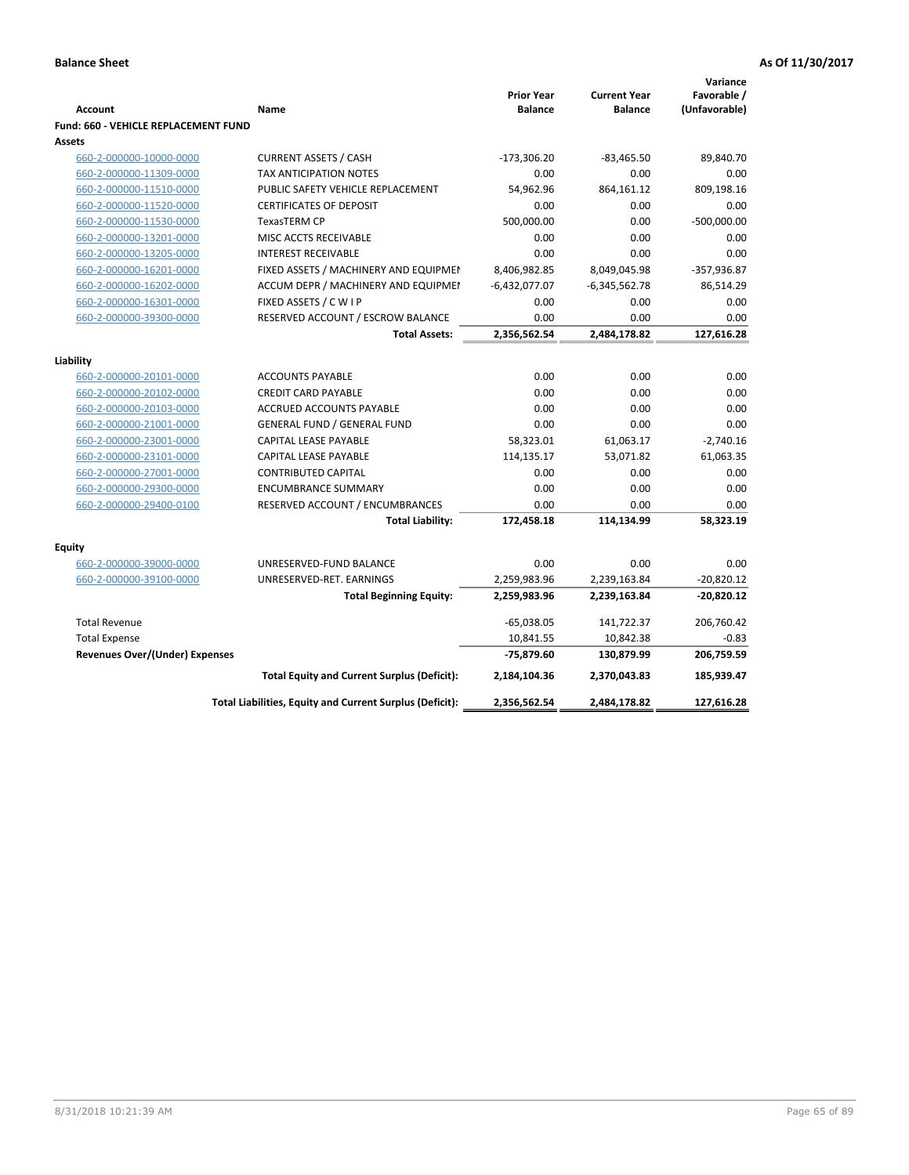|                                                    |                                                          | <b>Prior Year</b> | <b>Current Year</b> | Variance<br>Favorable / |
|----------------------------------------------------|----------------------------------------------------------|-------------------|---------------------|-------------------------|
| <b>Account</b>                                     | Name                                                     | <b>Balance</b>    | <b>Balance</b>      | (Unfavorable)           |
| <b>Fund: 660 - VEHICLE REPLACEMENT FUND</b>        |                                                          |                   |                     |                         |
| Assets                                             |                                                          |                   |                     |                         |
| 660-2-000000-10000-0000                            | <b>CURRENT ASSETS / CASH</b>                             | $-173,306.20$     | $-83,465.50$        | 89,840.70               |
| 660-2-000000-11309-0000                            | TAX ANTICIPATION NOTES                                   | 0.00              | 0.00                | 0.00                    |
| 660-2-000000-11510-0000                            | PUBLIC SAFETY VEHICLE REPLACEMENT                        | 54,962.96         | 864,161.12          | 809,198.16              |
| 660-2-000000-11520-0000                            | <b>CERTIFICATES OF DEPOSIT</b>                           | 0.00              | 0.00                | 0.00                    |
| 660-2-000000-11530-0000                            | TexasTERM CP                                             | 500,000.00        | 0.00                | $-500,000.00$           |
| 660-2-000000-13201-0000                            | MISC ACCTS RECEIVABLE                                    | 0.00              | 0.00                | 0.00                    |
| 660-2-000000-13205-0000                            | <b>INTEREST RECEIVABLE</b>                               | 0.00              | 0.00                | 0.00                    |
| 660-2-000000-16201-0000                            | FIXED ASSETS / MACHINERY AND EQUIPMEN                    | 8,406,982.85      | 8,049,045.98        | $-357,936.87$           |
| 660-2-000000-16202-0000                            | ACCUM DEPR / MACHINERY AND EQUIPMEI                      | $-6,432,077.07$   | $-6,345,562.78$     | 86,514.29               |
| 660-2-000000-16301-0000                            | FIXED ASSETS / C W I P                                   | 0.00              | 0.00                | 0.00                    |
| 660-2-000000-39300-0000                            | RESERVED ACCOUNT / ESCROW BALANCE                        | 0.00              | 0.00                | 0.00                    |
|                                                    | <b>Total Assets:</b>                                     | 2,356,562.54      | 2,484,178.82        | 127,616.28              |
|                                                    |                                                          |                   |                     |                         |
| Liability                                          |                                                          | 0.00              | 0.00                | 0.00                    |
| 660-2-000000-20101-0000                            | <b>ACCOUNTS PAYABLE</b><br><b>CREDIT CARD PAYABLE</b>    | 0.00              | 0.00                | 0.00                    |
| 660-2-000000-20102-0000                            | <b>ACCRUED ACCOUNTS PAYABLE</b>                          | 0.00              | 0.00                | 0.00                    |
| 660-2-000000-20103-0000<br>660-2-000000-21001-0000 | <b>GENERAL FUND / GENERAL FUND</b>                       | 0.00              | 0.00                | 0.00                    |
|                                                    |                                                          |                   |                     |                         |
| 660-2-000000-23001-0000                            | <b>CAPITAL LEASE PAYABLE</b>                             | 58,323.01         | 61,063.17           | $-2,740.16$             |
| 660-2-000000-23101-0000                            | <b>CAPITAL LEASE PAYABLE</b>                             | 114,135.17        | 53,071.82           | 61,063.35               |
| 660-2-000000-27001-0000                            | <b>CONTRIBUTED CAPITAL</b><br><b>ENCUMBRANCE SUMMARY</b> | 0.00<br>0.00      | 0.00<br>0.00        | 0.00<br>0.00            |
| 660-2-000000-29300-0000                            |                                                          | 0.00              | 0.00                | 0.00                    |
| 660-2-000000-29400-0100                            | RESERVED ACCOUNT / ENCUMBRANCES                          |                   |                     |                         |
|                                                    | <b>Total Liability:</b>                                  | 172,458.18        | 114,134.99          | 58,323.19               |
| <b>Equity</b>                                      |                                                          |                   |                     |                         |
| 660-2-000000-39000-0000                            | UNRESERVED-FUND BALANCE                                  | 0.00              | 0.00                | 0.00                    |
| 660-2-000000-39100-0000                            | UNRESERVED-RET. EARNINGS                                 | 2,259,983.96      | 2,239,163.84        | $-20,820.12$            |
|                                                    | <b>Total Beginning Equity:</b>                           | 2,259,983.96      | 2,239,163.84        | $-20,820.12$            |
| <b>Total Revenue</b>                               |                                                          | $-65,038.05$      | 141,722.37          | 206,760.42              |
| <b>Total Expense</b>                               |                                                          | 10,841.55         | 10,842.38           | $-0.83$                 |
| <b>Revenues Over/(Under) Expenses</b>              |                                                          | -75,879.60        | 130,879.99          | 206,759.59              |
|                                                    | <b>Total Equity and Current Surplus (Deficit):</b>       | 2,184,104.36      | 2,370,043.83        | 185,939.47              |
|                                                    | Total Liabilities, Equity and Current Surplus (Deficit): | 2,356,562.54      | 2,484,178.82        | 127,616.28              |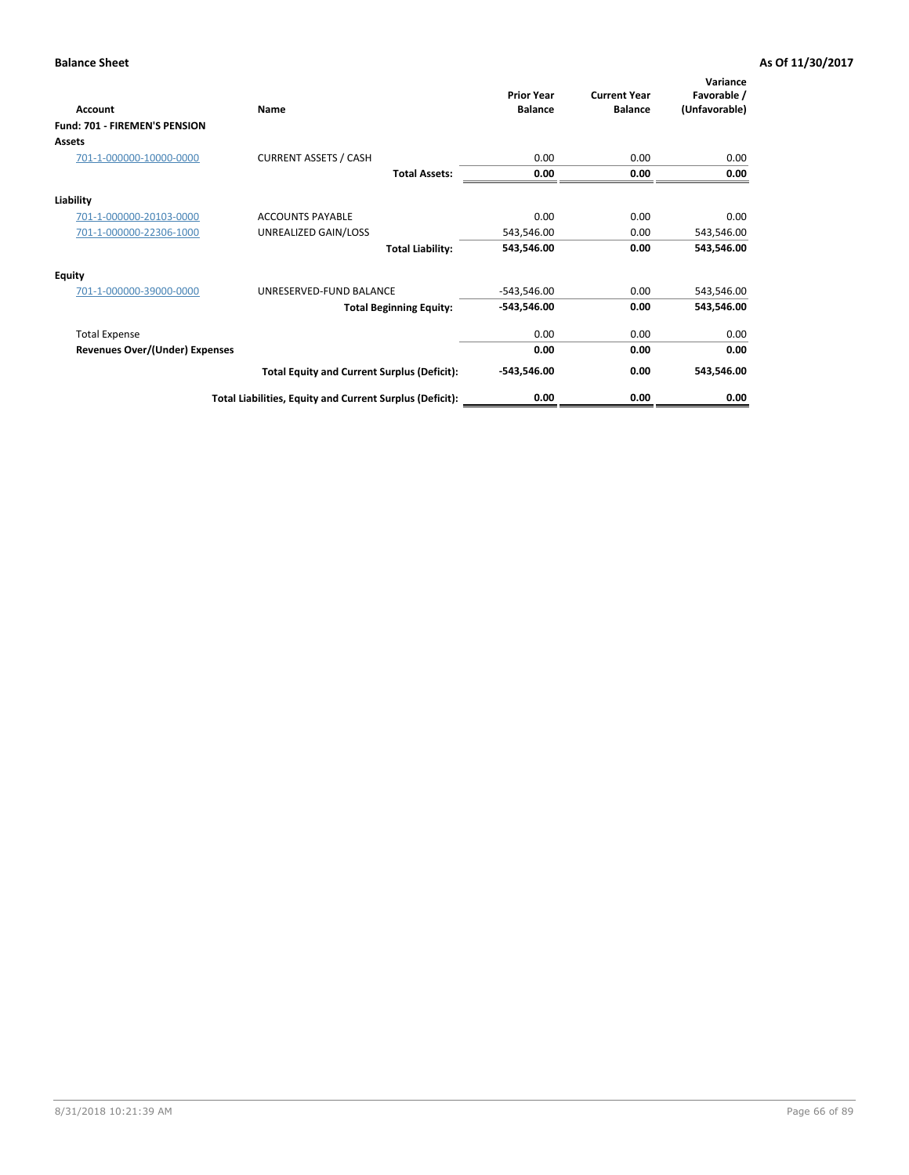| Account                              | Name                                                     | <b>Prior Year</b><br><b>Balance</b> | <b>Current Year</b><br><b>Balance</b> | Variance<br>Favorable /<br>(Unfavorable) |
|--------------------------------------|----------------------------------------------------------|-------------------------------------|---------------------------------------|------------------------------------------|
| <b>Fund: 701 - FIREMEN'S PENSION</b> |                                                          |                                     |                                       |                                          |
| <b>Assets</b>                        |                                                          |                                     |                                       |                                          |
| 701-1-000000-10000-0000              | <b>CURRENT ASSETS / CASH</b>                             | 0.00                                | 0.00                                  | 0.00                                     |
|                                      | <b>Total Assets:</b>                                     | 0.00                                | 0.00                                  | 0.00                                     |
| Liability                            |                                                          |                                     |                                       |                                          |
| 701-1-000000-20103-0000              | <b>ACCOUNTS PAYABLE</b>                                  | 0.00                                | 0.00                                  | 0.00                                     |
| 701-1-000000-22306-1000              | UNREALIZED GAIN/LOSS                                     | 543,546.00                          | 0.00                                  | 543,546.00                               |
|                                      | <b>Total Liability:</b>                                  | 543,546.00                          | 0.00                                  | 543,546.00                               |
| <b>Equity</b>                        |                                                          |                                     |                                       |                                          |
| 701-1-000000-39000-0000              | UNRESERVED-FUND BALANCE                                  | $-543,546.00$                       | 0.00                                  | 543,546.00                               |
|                                      | <b>Total Beginning Equity:</b>                           | $-543,546.00$                       | 0.00                                  | 543,546.00                               |
| <b>Total Expense</b>                 |                                                          | 0.00                                | 0.00                                  | 0.00                                     |
| Revenues Over/(Under) Expenses       |                                                          | 0.00                                | 0.00                                  | 0.00                                     |
|                                      | <b>Total Equity and Current Surplus (Deficit):</b>       | $-543,546.00$                       | 0.00                                  | 543,546.00                               |
|                                      | Total Liabilities, Equity and Current Surplus (Deficit): | 0.00                                | 0.00                                  | 0.00                                     |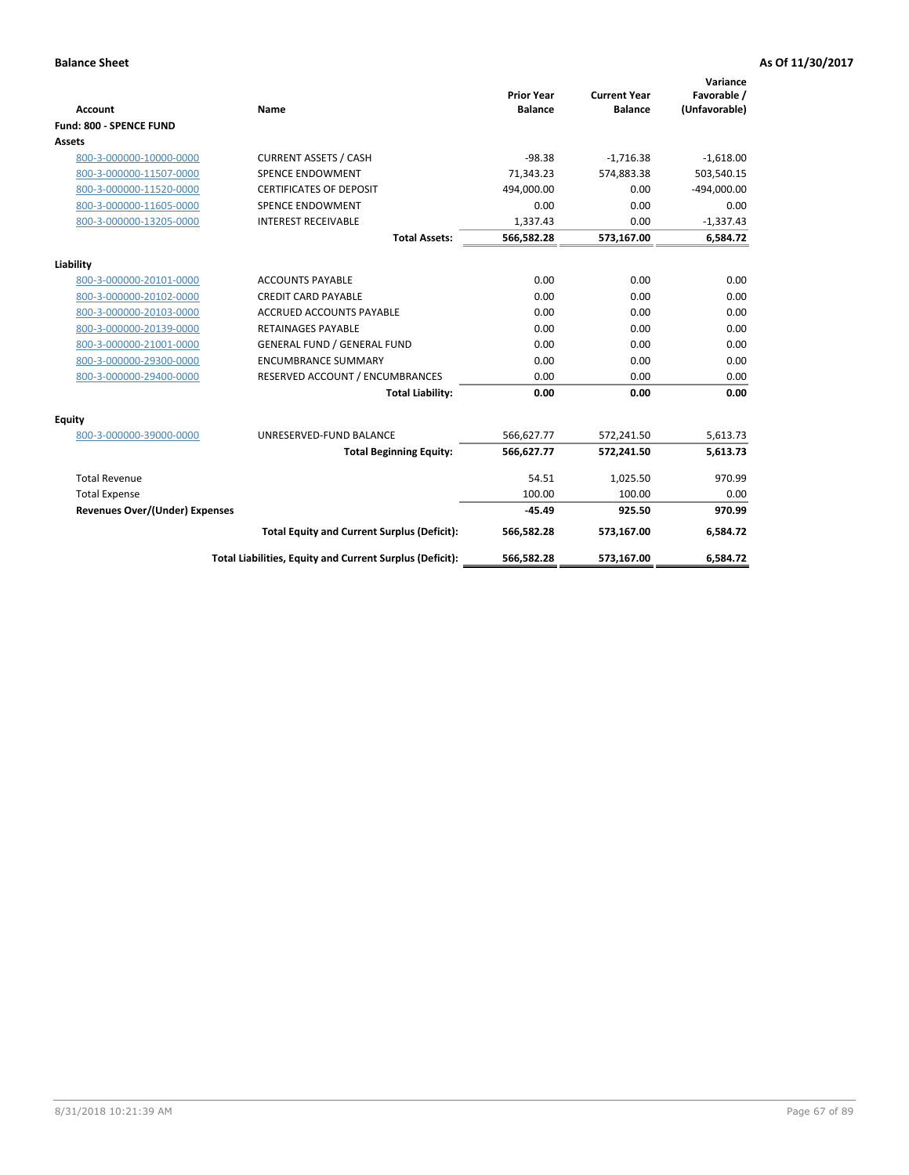|                                       |                                                          |                                     |                                       | Variance                     |
|---------------------------------------|----------------------------------------------------------|-------------------------------------|---------------------------------------|------------------------------|
| <b>Account</b>                        | <b>Name</b>                                              | <b>Prior Year</b><br><b>Balance</b> | <b>Current Year</b><br><b>Balance</b> | Favorable /<br>(Unfavorable) |
| <b>Fund: 800 - SPENCE FUND</b>        |                                                          |                                     |                                       |                              |
| Assets                                |                                                          |                                     |                                       |                              |
| 800-3-000000-10000-0000               | <b>CURRENT ASSETS / CASH</b>                             | $-98.38$                            | $-1,716.38$                           | $-1,618.00$                  |
| 800-3-000000-11507-0000               | <b>SPENCE ENDOWMENT</b>                                  | 71,343.23                           | 574.883.38                            | 503,540.15                   |
| 800-3-000000-11520-0000               | <b>CERTIFICATES OF DEPOSIT</b>                           | 494,000.00                          | 0.00                                  | $-494,000.00$                |
| 800-3-000000-11605-0000               | SPENCE ENDOWMENT                                         | 0.00                                | 0.00                                  | 0.00                         |
| 800-3-000000-13205-0000               | <b>INTEREST RECEIVABLE</b>                               | 1,337.43                            | 0.00                                  | $-1,337.43$                  |
|                                       | <b>Total Assets:</b>                                     | 566,582.28                          | 573,167.00                            | 6,584.72                     |
|                                       |                                                          |                                     |                                       |                              |
| Liability                             |                                                          |                                     |                                       |                              |
| 800-3-000000-20101-0000               | <b>ACCOUNTS PAYABLE</b>                                  | 0.00                                | 0.00                                  | 0.00                         |
| 800-3-000000-20102-0000               | <b>CREDIT CARD PAYABLE</b>                               | 0.00                                | 0.00                                  | 0.00                         |
| 800-3-000000-20103-0000               | <b>ACCRUED ACCOUNTS PAYABLE</b>                          | 0.00                                | 0.00                                  | 0.00                         |
| 800-3-000000-20139-0000               | <b>RETAINAGES PAYABLE</b>                                | 0.00                                | 0.00                                  | 0.00                         |
| 800-3-000000-21001-0000               | <b>GENERAL FUND / GENERAL FUND</b>                       | 0.00                                | 0.00                                  | 0.00                         |
| 800-3-000000-29300-0000               | <b>ENCUMBRANCE SUMMARY</b>                               | 0.00                                | 0.00                                  | 0.00                         |
| 800-3-000000-29400-0000               | RESERVED ACCOUNT / ENCUMBRANCES                          | 0.00                                | 0.00                                  | 0.00                         |
|                                       | <b>Total Liability:</b>                                  | 0.00                                | 0.00                                  | 0.00                         |
| Equity                                |                                                          |                                     |                                       |                              |
| 800-3-000000-39000-0000               | UNRESERVED-FUND BALANCE                                  | 566,627.77                          | 572,241.50                            | 5,613.73                     |
|                                       | <b>Total Beginning Equity:</b>                           | 566,627.77                          | 572,241.50                            | 5,613.73                     |
| <b>Total Revenue</b>                  |                                                          | 54.51                               | 1,025.50                              | 970.99                       |
| <b>Total Expense</b>                  |                                                          | 100.00                              | 100.00                                | 0.00                         |
| <b>Revenues Over/(Under) Expenses</b> |                                                          | $-45.49$                            | 925.50                                | 970.99                       |
|                                       | <b>Total Equity and Current Surplus (Deficit):</b>       | 566,582.28                          | 573,167.00                            | 6,584.72                     |
|                                       | Total Liabilities, Equity and Current Surplus (Deficit): | 566,582.28                          | 573,167.00                            | 6,584.72                     |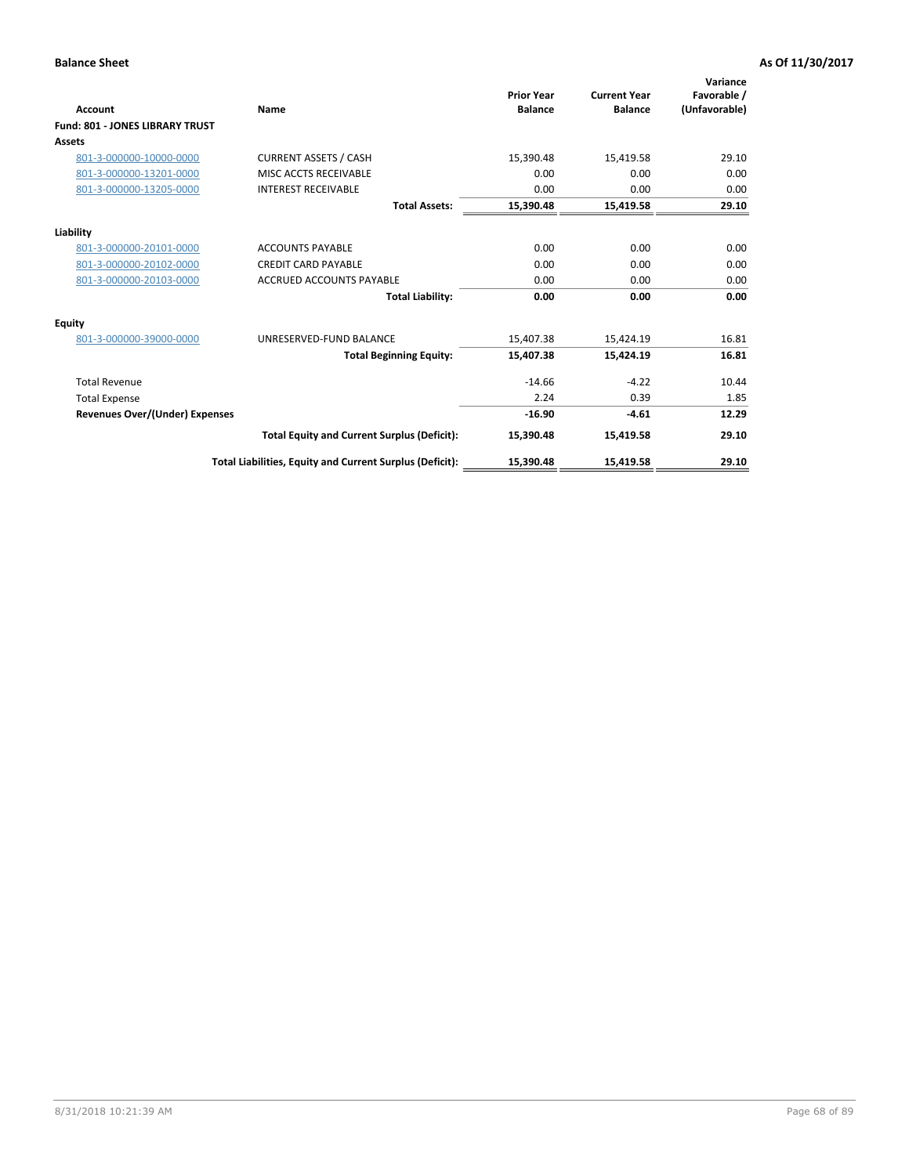|                                        |                                                          | <b>Prior Year</b> | <b>Current Year</b> | Variance<br>Favorable / |
|----------------------------------------|----------------------------------------------------------|-------------------|---------------------|-------------------------|
| Account                                | Name                                                     | <b>Balance</b>    | <b>Balance</b>      | (Unfavorable)           |
| <b>Fund: 801 - JONES LIBRARY TRUST</b> |                                                          |                   |                     |                         |
| Assets                                 |                                                          |                   |                     |                         |
| 801-3-000000-10000-0000                | <b>CURRENT ASSETS / CASH</b>                             | 15,390.48         | 15,419.58           | 29.10                   |
| 801-3-000000-13201-0000                | MISC ACCTS RECEIVABLE                                    | 0.00              | 0.00                | 0.00                    |
| 801-3-000000-13205-0000                | <b>INTEREST RECEIVABLE</b>                               | 0.00              | 0.00                | 0.00                    |
|                                        | <b>Total Assets:</b>                                     | 15,390.48         | 15,419.58           | 29.10                   |
| Liability                              |                                                          |                   |                     |                         |
| 801-3-000000-20101-0000                | <b>ACCOUNTS PAYABLE</b>                                  | 0.00              | 0.00                | 0.00                    |
| 801-3-000000-20102-0000                | <b>CREDIT CARD PAYABLE</b>                               | 0.00              | 0.00                | 0.00                    |
| 801-3-000000-20103-0000                | <b>ACCRUED ACCOUNTS PAYABLE</b>                          | 0.00              | 0.00                | 0.00                    |
|                                        | <b>Total Liability:</b>                                  | 0.00              | 0.00                | 0.00                    |
| Equity                                 |                                                          |                   |                     |                         |
| 801-3-000000-39000-0000                | UNRESERVED-FUND BALANCE                                  | 15,407.38         | 15,424.19           | 16.81                   |
|                                        | <b>Total Beginning Equity:</b>                           | 15,407.38         | 15,424.19           | 16.81                   |
| <b>Total Revenue</b>                   |                                                          | $-14.66$          | $-4.22$             | 10.44                   |
| <b>Total Expense</b>                   |                                                          | 2.24              | 0.39                | 1.85                    |
| Revenues Over/(Under) Expenses         |                                                          | $-16.90$          | $-4.61$             | 12.29                   |
|                                        | <b>Total Equity and Current Surplus (Deficit):</b>       | 15,390.48         | 15,419.58           | 29.10                   |
|                                        | Total Liabilities, Equity and Current Surplus (Deficit): | 15,390.48         | 15,419.58           | 29.10                   |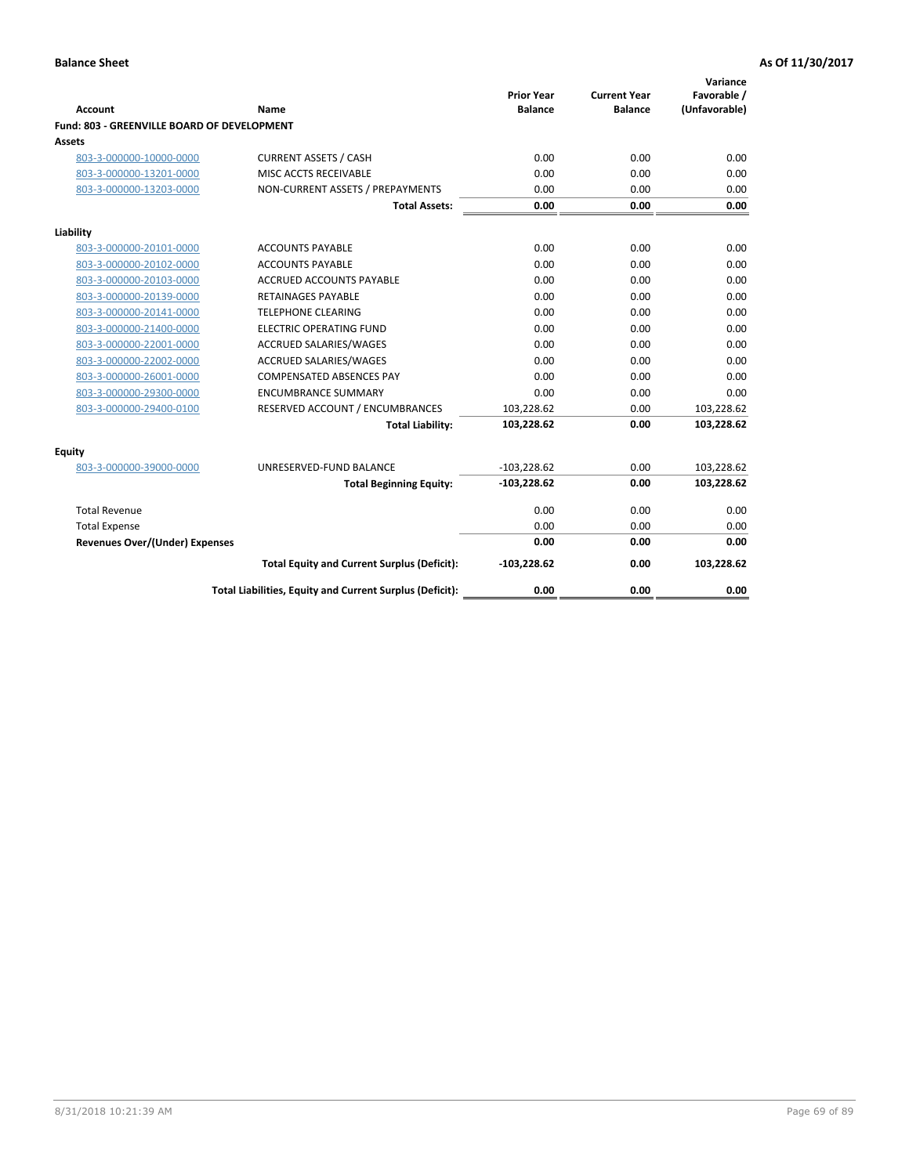| <b>Account</b>                              | Name                                                     | <b>Prior Year</b><br><b>Balance</b> | <b>Current Year</b><br><b>Balance</b> | Variance<br>Favorable /<br>(Unfavorable) |
|---------------------------------------------|----------------------------------------------------------|-------------------------------------|---------------------------------------|------------------------------------------|
| Fund: 803 - GREENVILLE BOARD OF DEVELOPMENT |                                                          |                                     |                                       |                                          |
| Assets                                      |                                                          |                                     |                                       |                                          |
| 803-3-000000-10000-0000                     | <b>CURRENT ASSETS / CASH</b>                             | 0.00                                | 0.00                                  | 0.00                                     |
| 803-3-000000-13201-0000                     | MISC ACCTS RECEIVABLE                                    | 0.00                                | 0.00                                  | 0.00                                     |
| 803-3-000000-13203-0000                     | NON-CURRENT ASSETS / PREPAYMENTS                         | 0.00                                | 0.00                                  | 0.00                                     |
|                                             | <b>Total Assets:</b>                                     | 0.00                                | 0.00                                  | 0.00                                     |
| Liability                                   |                                                          |                                     |                                       |                                          |
| 803-3-000000-20101-0000                     | <b>ACCOUNTS PAYABLE</b>                                  | 0.00                                | 0.00                                  | 0.00                                     |
| 803-3-000000-20102-0000                     | <b>ACCOUNTS PAYABLE</b>                                  | 0.00                                | 0.00                                  | 0.00                                     |
| 803-3-000000-20103-0000                     | <b>ACCRUED ACCOUNTS PAYABLE</b>                          | 0.00                                | 0.00                                  | 0.00                                     |
| 803-3-000000-20139-0000                     | <b>RETAINAGES PAYABLE</b>                                | 0.00                                | 0.00                                  | 0.00                                     |
| 803-3-000000-20141-0000                     | <b>TELEPHONE CLEARING</b>                                | 0.00                                | 0.00                                  | 0.00                                     |
| 803-3-000000-21400-0000                     | <b>ELECTRIC OPERATING FUND</b>                           | 0.00                                | 0.00                                  | 0.00                                     |
| 803-3-000000-22001-0000                     | ACCRUED SALARIES/WAGES                                   | 0.00                                | 0.00                                  | 0.00                                     |
| 803-3-000000-22002-0000                     | <b>ACCRUED SALARIES/WAGES</b>                            | 0.00                                | 0.00                                  | 0.00                                     |
| 803-3-000000-26001-0000                     | <b>COMPENSATED ABSENCES PAY</b>                          | 0.00                                | 0.00                                  | 0.00                                     |
| 803-3-000000-29300-0000                     | <b>ENCUMBRANCE SUMMARY</b>                               | 0.00                                | 0.00                                  | 0.00                                     |
| 803-3-000000-29400-0100                     | RESERVED ACCOUNT / ENCUMBRANCES                          | 103,228.62                          | 0.00                                  | 103,228.62                               |
|                                             | <b>Total Liability:</b>                                  | 103,228.62                          | 0.00                                  | 103,228.62                               |
| Equity                                      |                                                          |                                     |                                       |                                          |
| 803-3-000000-39000-0000                     | UNRESERVED-FUND BALANCE                                  | $-103,228.62$                       | 0.00                                  | 103,228.62                               |
|                                             | <b>Total Beginning Equity:</b>                           | $-103,228.62$                       | 0.00                                  | 103,228.62                               |
| <b>Total Revenue</b>                        |                                                          | 0.00                                | 0.00                                  | 0.00                                     |
| <b>Total Expense</b>                        |                                                          | 0.00                                | 0.00                                  | 0.00                                     |
| <b>Revenues Over/(Under) Expenses</b>       |                                                          | 0.00                                | 0.00                                  | 0.00                                     |
|                                             | <b>Total Equity and Current Surplus (Deficit):</b>       | $-103,228.62$                       | 0.00                                  | 103,228.62                               |
|                                             | Total Liabilities, Equity and Current Surplus (Deficit): | 0.00                                | 0.00                                  | 0.00                                     |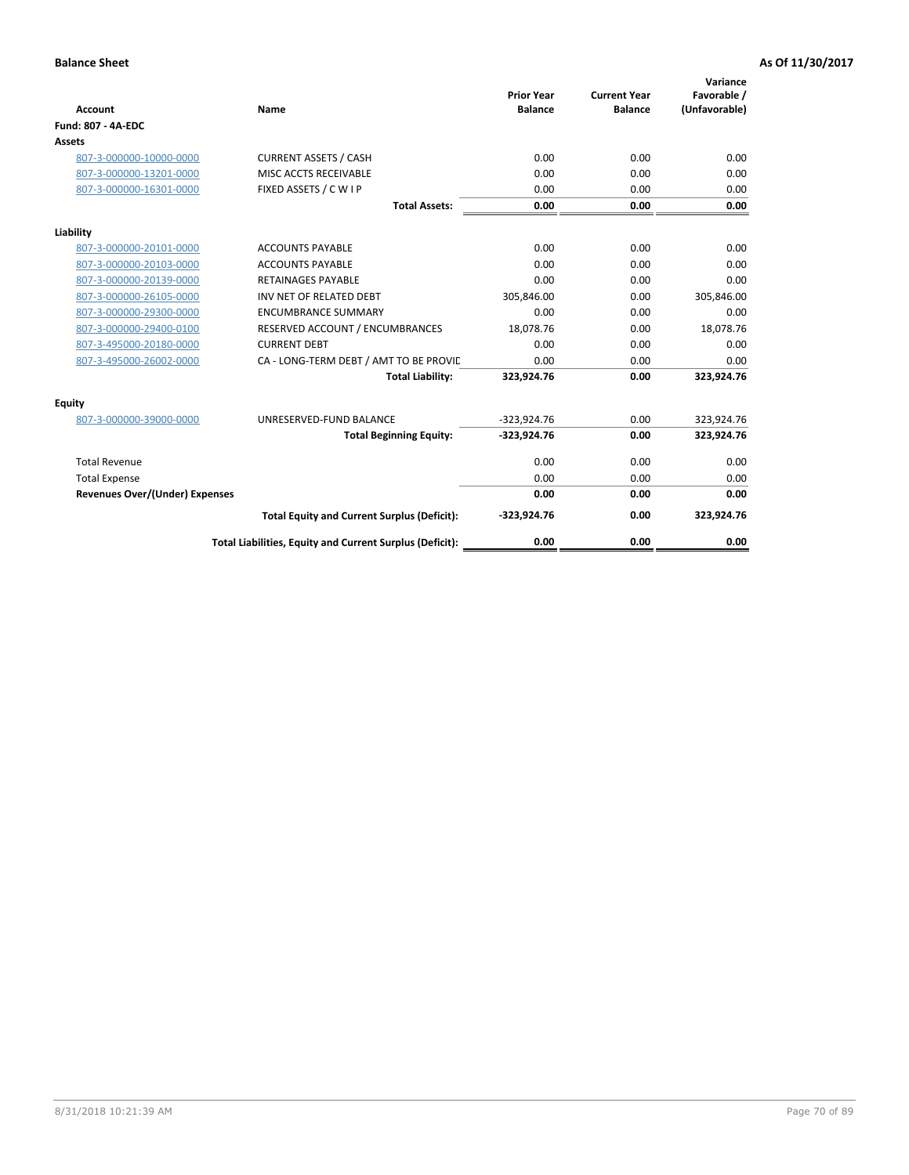| <b>Account</b>                        | Name                                                     | <b>Prior Year</b><br><b>Balance</b> | <b>Current Year</b><br><b>Balance</b> | Variance<br>Favorable /<br>(Unfavorable) |
|---------------------------------------|----------------------------------------------------------|-------------------------------------|---------------------------------------|------------------------------------------|
| <b>Fund: 807 - 4A-EDC</b>             |                                                          |                                     |                                       |                                          |
| <b>Assets</b>                         |                                                          |                                     |                                       |                                          |
| 807-3-000000-10000-0000               | <b>CURRENT ASSETS / CASH</b>                             | 0.00                                | 0.00                                  | 0.00                                     |
| 807-3-000000-13201-0000               | MISC ACCTS RECEIVABLE                                    | 0.00                                | 0.00                                  | 0.00                                     |
| 807-3-000000-16301-0000               | FIXED ASSETS / C W I P                                   | 0.00                                | 0.00                                  | 0.00                                     |
|                                       | <b>Total Assets:</b>                                     | 0.00                                | 0.00                                  | 0.00                                     |
| Liability                             |                                                          |                                     |                                       |                                          |
| 807-3-000000-20101-0000               | <b>ACCOUNTS PAYABLE</b>                                  | 0.00                                | 0.00                                  | 0.00                                     |
| 807-3-000000-20103-0000               | <b>ACCOUNTS PAYABLE</b>                                  | 0.00                                | 0.00                                  | 0.00                                     |
| 807-3-000000-20139-0000               | <b>RETAINAGES PAYABLE</b>                                | 0.00                                | 0.00                                  | 0.00                                     |
| 807-3-000000-26105-0000               | INV NET OF RELATED DEBT                                  | 305,846.00                          | 0.00                                  | 305,846.00                               |
| 807-3-000000-29300-0000               | <b>ENCUMBRANCE SUMMARY</b>                               | 0.00                                | 0.00                                  | 0.00                                     |
| 807-3-000000-29400-0100               | RESERVED ACCOUNT / ENCUMBRANCES                          | 18,078.76                           | 0.00                                  | 18,078.76                                |
| 807-3-495000-20180-0000               | <b>CURRENT DEBT</b>                                      | 0.00                                | 0.00                                  | 0.00                                     |
| 807-3-495000-26002-0000               | CA - LONG-TERM DEBT / AMT TO BE PROVIL                   | 0.00                                | 0.00                                  | 0.00                                     |
|                                       | <b>Total Liability:</b>                                  | 323,924.76                          | 0.00                                  | 323,924.76                               |
| Equity                                |                                                          |                                     |                                       |                                          |
| 807-3-000000-39000-0000               | UNRESERVED-FUND BALANCE                                  | $-323,924.76$                       | 0.00                                  | 323,924.76                               |
|                                       | <b>Total Beginning Equity:</b>                           | $-323,924.76$                       | 0.00                                  | 323,924.76                               |
| <b>Total Revenue</b>                  |                                                          | 0.00                                | 0.00                                  | 0.00                                     |
| <b>Total Expense</b>                  |                                                          | 0.00                                | 0.00                                  | 0.00                                     |
| <b>Revenues Over/(Under) Expenses</b> |                                                          | 0.00                                | 0.00                                  | 0.00                                     |
|                                       | <b>Total Equity and Current Surplus (Deficit):</b>       | $-323,924.76$                       | 0.00                                  | 323,924.76                               |
|                                       | Total Liabilities, Equity and Current Surplus (Deficit): | 0.00                                | 0.00                                  | 0.00                                     |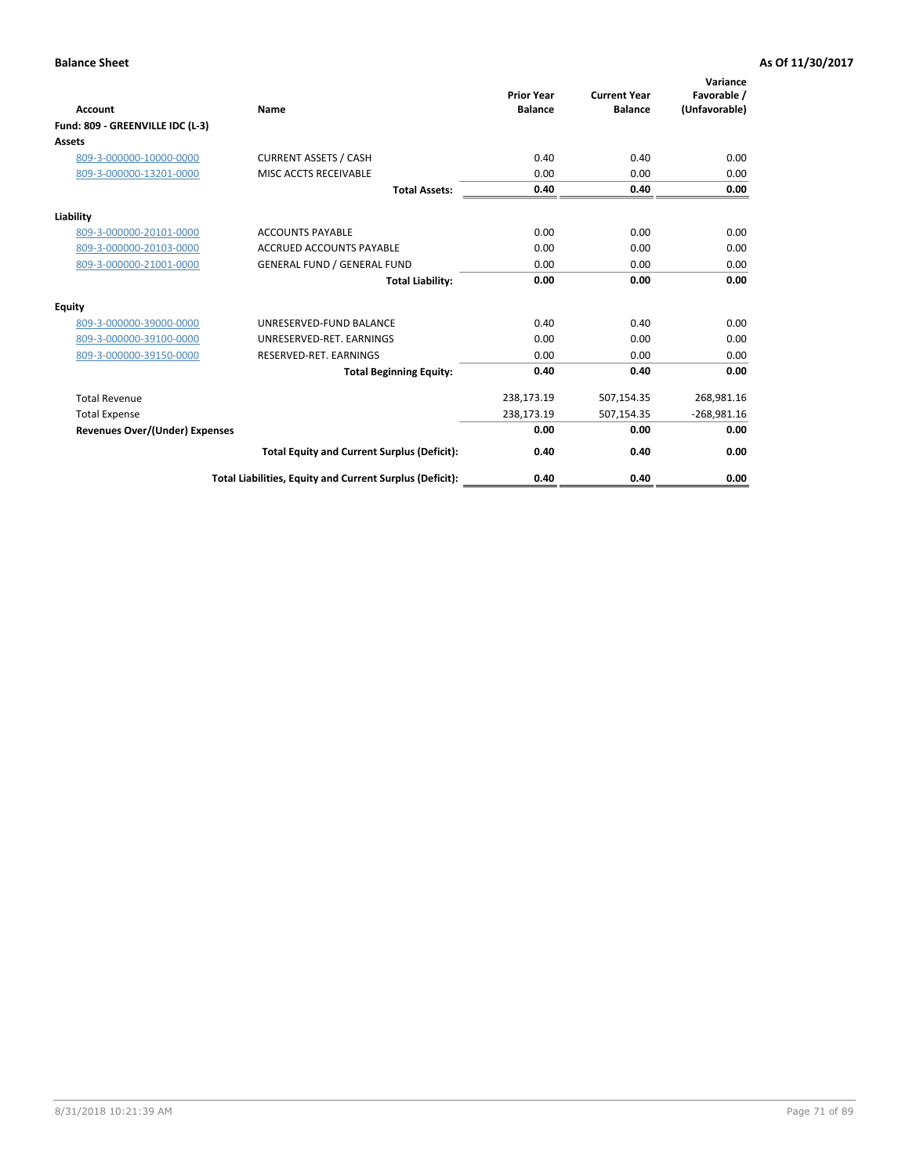|                                       |                                                          |                                     |                                       | Variance                     |
|---------------------------------------|----------------------------------------------------------|-------------------------------------|---------------------------------------|------------------------------|
| Account                               | Name                                                     | <b>Prior Year</b><br><b>Balance</b> | <b>Current Year</b><br><b>Balance</b> | Favorable /<br>(Unfavorable) |
| Fund: 809 - GREENVILLE IDC (L-3)      |                                                          |                                     |                                       |                              |
| <b>Assets</b>                         |                                                          |                                     |                                       |                              |
| 809-3-000000-10000-0000               | <b>CURRENT ASSETS / CASH</b>                             | 0.40                                | 0.40                                  | 0.00                         |
| 809-3-000000-13201-0000               | MISC ACCTS RECEIVABLE                                    | 0.00                                | 0.00                                  | 0.00                         |
|                                       | <b>Total Assets:</b>                                     | 0.40                                | 0.40                                  | 0.00                         |
| Liability                             |                                                          |                                     |                                       |                              |
| 809-3-000000-20101-0000               | <b>ACCOUNTS PAYABLE</b>                                  | 0.00                                | 0.00                                  | 0.00                         |
| 809-3-000000-20103-0000               | <b>ACCRUED ACCOUNTS PAYABLE</b>                          | 0.00                                | 0.00                                  | 0.00                         |
| 809-3-000000-21001-0000               | <b>GENERAL FUND / GENERAL FUND</b>                       | 0.00                                | 0.00                                  | 0.00                         |
|                                       | <b>Total Liability:</b>                                  | 0.00                                | 0.00                                  | 0.00                         |
| <b>Equity</b>                         |                                                          |                                     |                                       |                              |
| 809-3-000000-39000-0000               | UNRESERVED-FUND BALANCE                                  | 0.40                                | 0.40                                  | 0.00                         |
| 809-3-000000-39100-0000               | UNRESERVED-RET, EARNINGS                                 | 0.00                                | 0.00                                  | 0.00                         |
| 809-3-000000-39150-0000               | RESERVED-RET. EARNINGS                                   | 0.00                                | 0.00                                  | 0.00                         |
|                                       | <b>Total Beginning Equity:</b>                           | 0.40                                | 0.40                                  | 0.00                         |
| <b>Total Revenue</b>                  |                                                          | 238,173.19                          | 507,154.35                            | 268,981.16                   |
| <b>Total Expense</b>                  |                                                          | 238,173.19                          | 507,154.35                            | $-268,981.16$                |
| <b>Revenues Over/(Under) Expenses</b> |                                                          | 0.00                                | 0.00                                  | 0.00                         |
|                                       | <b>Total Equity and Current Surplus (Deficit):</b>       | 0.40                                | 0.40                                  | 0.00                         |
|                                       | Total Liabilities, Equity and Current Surplus (Deficit): | 0.40                                | 0.40                                  | 0.00                         |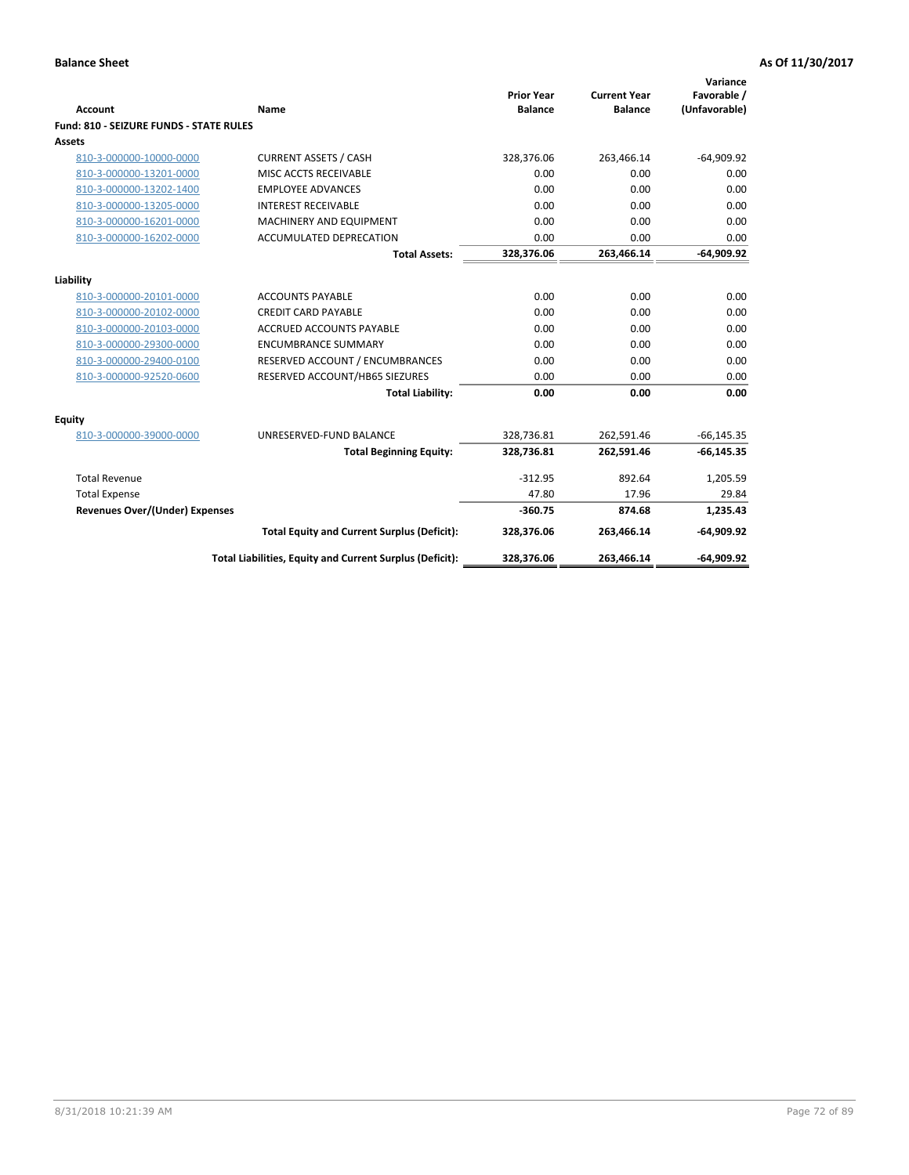| <b>Account</b>                          | Name                                                     | <b>Prior Year</b><br><b>Balance</b> | <b>Current Year</b><br><b>Balance</b> | Variance<br>Favorable /<br>(Unfavorable) |
|-----------------------------------------|----------------------------------------------------------|-------------------------------------|---------------------------------------|------------------------------------------|
| Fund: 810 - SEIZURE FUNDS - STATE RULES |                                                          |                                     |                                       |                                          |
| Assets                                  |                                                          |                                     |                                       |                                          |
| 810-3-000000-10000-0000                 | <b>CURRENT ASSETS / CASH</b>                             | 328,376.06                          | 263,466.14                            | $-64,909.92$                             |
| 810-3-000000-13201-0000                 | MISC ACCTS RECEIVABLE                                    | 0.00                                | 0.00                                  | 0.00                                     |
| 810-3-000000-13202-1400                 | <b>EMPLOYEE ADVANCES</b>                                 | 0.00                                | 0.00                                  | 0.00                                     |
| 810-3-000000-13205-0000                 | <b>INTEREST RECEIVABLE</b>                               | 0.00                                | 0.00                                  | 0.00                                     |
| 810-3-000000-16201-0000                 | MACHINERY AND EQUIPMENT                                  | 0.00                                | 0.00                                  | 0.00                                     |
| 810-3-000000-16202-0000                 | ACCUMULATED DEPRECATION                                  | 0.00                                | 0.00                                  | 0.00                                     |
|                                         | <b>Total Assets:</b>                                     | 328,376.06                          | 263,466.14                            | $-64,909.92$                             |
|                                         |                                                          |                                     |                                       |                                          |
| Liability                               |                                                          |                                     |                                       |                                          |
| 810-3-000000-20101-0000                 | <b>ACCOUNTS PAYABLE</b>                                  | 0.00                                | 0.00                                  | 0.00                                     |
| 810-3-000000-20102-0000                 | <b>CREDIT CARD PAYABLE</b>                               | 0.00                                | 0.00                                  | 0.00                                     |
| 810-3-000000-20103-0000                 | <b>ACCRUED ACCOUNTS PAYABLE</b>                          | 0.00                                | 0.00                                  | 0.00                                     |
| 810-3-000000-29300-0000                 | <b>ENCUMBRANCE SUMMARY</b>                               | 0.00                                | 0.00                                  | 0.00                                     |
| 810-3-000000-29400-0100                 | RESERVED ACCOUNT / ENCUMBRANCES                          | 0.00                                | 0.00                                  | 0.00                                     |
| 810-3-000000-92520-0600                 | RESERVED ACCOUNT/HB65 SIEZURES                           | 0.00                                | 0.00                                  | 0.00                                     |
|                                         | <b>Total Liability:</b>                                  | 0.00                                | 0.00                                  | 0.00                                     |
| <b>Equity</b>                           |                                                          |                                     |                                       |                                          |
| 810-3-000000-39000-0000                 | UNRESERVED-FUND BALANCE                                  | 328,736.81                          | 262,591.46                            | $-66, 145.35$                            |
|                                         | <b>Total Beginning Equity:</b>                           | 328,736.81                          | 262,591.46                            | $-66, 145.35$                            |
| <b>Total Revenue</b>                    |                                                          | $-312.95$                           | 892.64                                | 1,205.59                                 |
| <b>Total Expense</b>                    |                                                          | 47.80                               | 17.96                                 | 29.84                                    |
| <b>Revenues Over/(Under) Expenses</b>   |                                                          | $-360.75$                           | 874.68                                | 1,235.43                                 |
|                                         | <b>Total Equity and Current Surplus (Deficit):</b>       | 328,376.06                          | 263,466.14                            | $-64,909.92$                             |
|                                         | Total Liabilities, Equity and Current Surplus (Deficit): | 328,376.06                          | 263,466.14                            | $-64,909.92$                             |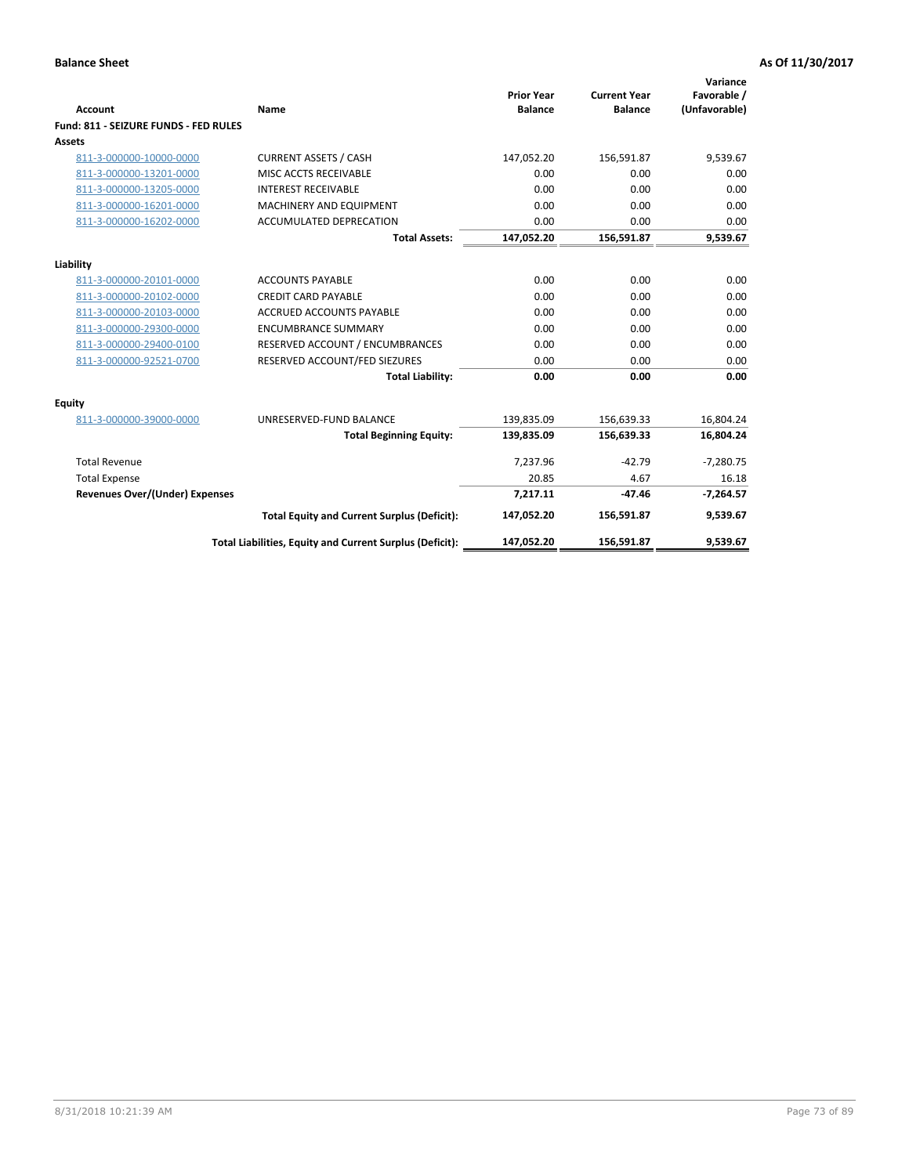| <b>Account</b>                        | Name                                                     | <b>Prior Year</b><br><b>Balance</b> | <b>Current Year</b><br><b>Balance</b> | Variance<br>Favorable /<br>(Unfavorable) |
|---------------------------------------|----------------------------------------------------------|-------------------------------------|---------------------------------------|------------------------------------------|
| Fund: 811 - SEIZURE FUNDS - FED RULES |                                                          |                                     |                                       |                                          |
| <b>Assets</b>                         |                                                          |                                     |                                       |                                          |
| 811-3-000000-10000-0000               | <b>CURRENT ASSETS / CASH</b>                             | 147,052.20                          | 156,591.87                            | 9,539.67                                 |
| 811-3-000000-13201-0000               | MISC ACCTS RECEIVABLE                                    | 0.00                                | 0.00                                  | 0.00                                     |
| 811-3-000000-13205-0000               | <b>INTEREST RECEIVABLE</b>                               | 0.00                                | 0.00                                  | 0.00                                     |
| 811-3-000000-16201-0000               | MACHINERY AND EQUIPMENT                                  | 0.00                                | 0.00                                  | 0.00                                     |
| 811-3-000000-16202-0000               | ACCUMULATED DEPRECATION                                  | 0.00                                | 0.00                                  | 0.00                                     |
|                                       | <b>Total Assets:</b>                                     | 147,052.20                          | 156,591.87                            | 9,539.67                                 |
| Liability                             |                                                          |                                     |                                       |                                          |
| 811-3-000000-20101-0000               | <b>ACCOUNTS PAYABLE</b>                                  | 0.00                                | 0.00                                  | 0.00                                     |
| 811-3-000000-20102-0000               | <b>CREDIT CARD PAYABLE</b>                               | 0.00                                | 0.00                                  | 0.00                                     |
| 811-3-000000-20103-0000               | <b>ACCRUED ACCOUNTS PAYABLE</b>                          | 0.00                                | 0.00                                  | 0.00                                     |
| 811-3-000000-29300-0000               | <b>ENCUMBRANCE SUMMARY</b>                               | 0.00                                | 0.00                                  | 0.00                                     |
|                                       |                                                          |                                     |                                       | 0.00                                     |
| 811-3-000000-29400-0100               | RESERVED ACCOUNT / ENCUMBRANCES                          | 0.00                                | 0.00                                  |                                          |
| 811-3-000000-92521-0700               | RESERVED ACCOUNT/FED SIEZURES                            | 0.00                                | 0.00                                  | 0.00                                     |
|                                       | <b>Total Liability:</b>                                  | 0.00                                | 0.00                                  | 0.00                                     |
| Equity                                |                                                          |                                     |                                       |                                          |
| 811-3-000000-39000-0000               | UNRESERVED-FUND BALANCE                                  | 139,835.09                          | 156,639.33                            | 16,804.24                                |
|                                       | <b>Total Beginning Equity:</b>                           | 139,835.09                          | 156,639.33                            | 16,804.24                                |
| <b>Total Revenue</b>                  |                                                          | 7.237.96                            | $-42.79$                              | $-7.280.75$                              |
| <b>Total Expense</b>                  |                                                          | 20.85                               | 4.67                                  | 16.18                                    |
| <b>Revenues Over/(Under) Expenses</b> |                                                          | 7,217.11                            | $-47.46$                              | $-7,264.57$                              |
|                                       | <b>Total Equity and Current Surplus (Deficit):</b>       | 147,052.20                          | 156,591.87                            | 9,539.67                                 |
|                                       | Total Liabilities, Equity and Current Surplus (Deficit): | 147,052.20                          | 156,591.87                            | 9,539.67                                 |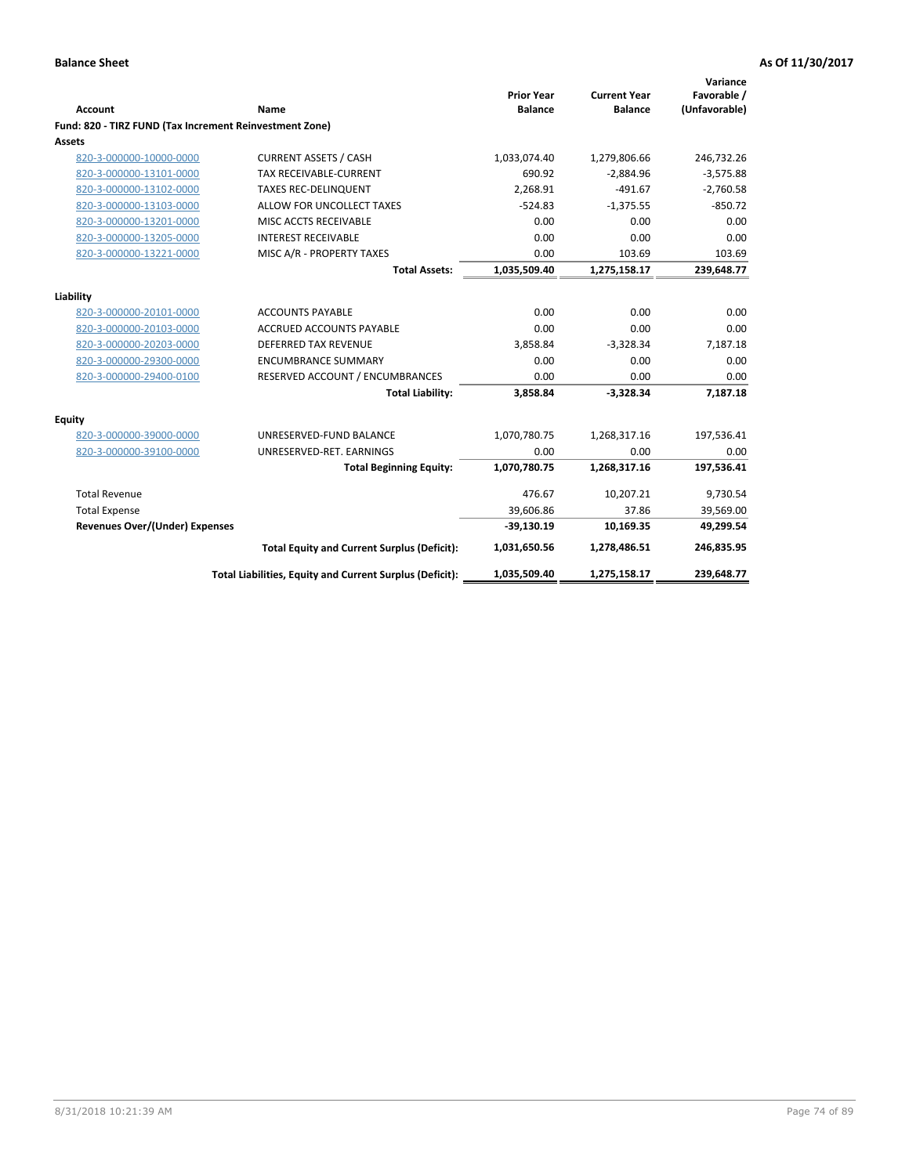| <b>Account</b>                                          | Name                                                     | <b>Prior Year</b><br><b>Balance</b> | <b>Current Year</b><br><b>Balance</b> | Variance<br>Favorable /<br>(Unfavorable) |
|---------------------------------------------------------|----------------------------------------------------------|-------------------------------------|---------------------------------------|------------------------------------------|
| Fund: 820 - TIRZ FUND (Tax Increment Reinvestment Zone) |                                                          |                                     |                                       |                                          |
| <b>Assets</b>                                           |                                                          |                                     |                                       |                                          |
| 820-3-000000-10000-0000                                 | <b>CURRENT ASSETS / CASH</b>                             | 1,033,074.40                        | 1,279,806.66                          | 246,732.26                               |
| 820-3-000000-13101-0000                                 | <b>TAX RECEIVABLE-CURRENT</b>                            | 690.92                              | $-2,884.96$                           | $-3,575.88$                              |
| 820-3-000000-13102-0000                                 | <b>TAXES REC-DELINQUENT</b>                              | 2.268.91                            | $-491.67$                             | $-2,760.58$                              |
| 820-3-000000-13103-0000                                 | ALLOW FOR UNCOLLECT TAXES                                | $-524.83$                           | $-1,375.55$                           | $-850.72$                                |
| 820-3-000000-13201-0000                                 | MISC ACCTS RECEIVABLE                                    | 0.00                                | 0.00                                  | 0.00                                     |
| 820-3-000000-13205-0000                                 | <b>INTEREST RECEIVABLE</b>                               | 0.00                                | 0.00                                  | 0.00                                     |
| 820-3-000000-13221-0000                                 | MISC A/R - PROPERTY TAXES                                | 0.00                                | 103.69                                | 103.69                                   |
|                                                         | <b>Total Assets:</b>                                     | 1,035,509.40                        | 1,275,158.17                          | 239,648.77                               |
| Liability                                               |                                                          |                                     |                                       |                                          |
| 820-3-000000-20101-0000                                 | <b>ACCOUNTS PAYABLE</b>                                  | 0.00                                | 0.00                                  | 0.00                                     |
| 820-3-000000-20103-0000                                 | <b>ACCRUED ACCOUNTS PAYABLE</b>                          | 0.00                                | 0.00                                  | 0.00                                     |
| 820-3-000000-20203-0000                                 | <b>DEFERRED TAX REVENUE</b>                              | 3,858.84                            | $-3,328.34$                           | 7,187.18                                 |
| 820-3-000000-29300-0000                                 | <b>ENCUMBRANCE SUMMARY</b>                               | 0.00                                | 0.00                                  | 0.00                                     |
| 820-3-000000-29400-0100                                 | RESERVED ACCOUNT / ENCUMBRANCES                          | 0.00                                | 0.00                                  | 0.00                                     |
|                                                         | <b>Total Liability:</b>                                  | 3,858.84                            | $-3,328.34$                           | 7,187.18                                 |
| <b>Equity</b>                                           |                                                          |                                     |                                       |                                          |
| 820-3-000000-39000-0000                                 | UNRESERVED-FUND BALANCE                                  | 1,070,780.75                        | 1,268,317.16                          | 197,536.41                               |
| 820-3-000000-39100-0000                                 | UNRESERVED-RET. EARNINGS                                 | 0.00                                | 0.00                                  | 0.00                                     |
|                                                         | <b>Total Beginning Equity:</b>                           | 1,070,780.75                        | 1,268,317.16                          | 197,536.41                               |
| <b>Total Revenue</b>                                    |                                                          | 476.67                              | 10,207.21                             | 9,730.54                                 |
| <b>Total Expense</b>                                    |                                                          | 39,606.86                           | 37.86                                 | 39,569.00                                |
| <b>Revenues Over/(Under) Expenses</b>                   |                                                          | $-39,130.19$                        | 10,169.35                             | 49,299.54                                |
|                                                         | <b>Total Equity and Current Surplus (Deficit):</b>       | 1,031,650.56                        | 1,278,486.51                          | 246,835.95                               |
|                                                         | Total Liabilities, Equity and Current Surplus (Deficit): | 1,035,509.40                        | 1,275,158.17                          | 239,648.77                               |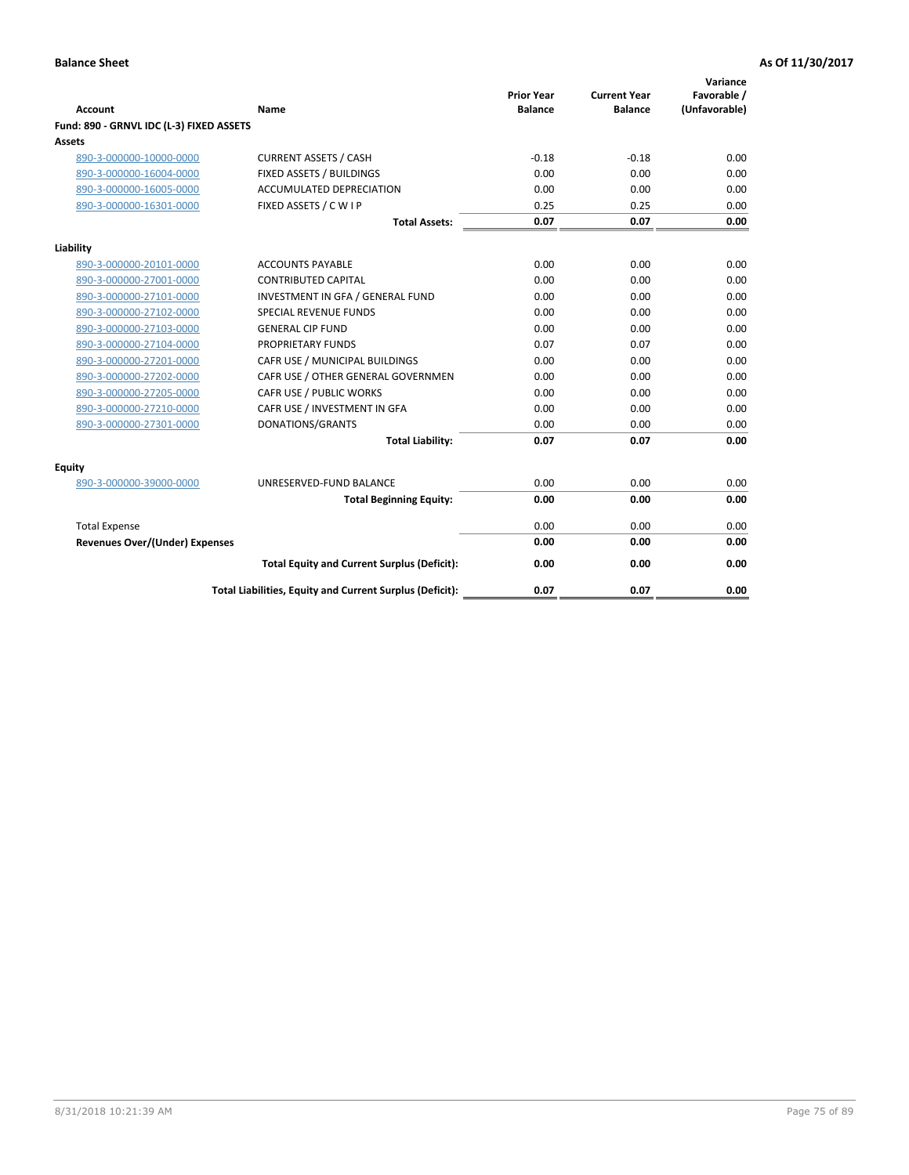| <b>Account</b>                           | Name                                                     | <b>Prior Year</b><br><b>Balance</b> | <b>Current Year</b><br><b>Balance</b> | Variance<br>Favorable /<br>(Unfavorable) |
|------------------------------------------|----------------------------------------------------------|-------------------------------------|---------------------------------------|------------------------------------------|
| Fund: 890 - GRNVL IDC (L-3) FIXED ASSETS |                                                          |                                     |                                       |                                          |
| <b>Assets</b>                            |                                                          |                                     |                                       |                                          |
| 890-3-000000-10000-0000                  | <b>CURRENT ASSETS / CASH</b>                             | $-0.18$                             | $-0.18$                               | 0.00                                     |
| 890-3-000000-16004-0000                  | FIXED ASSETS / BUILDINGS                                 | 0.00                                | 0.00                                  | 0.00                                     |
| 890-3-000000-16005-0000                  | <b>ACCUMULATED DEPRECIATION</b>                          | 0.00                                | 0.00                                  | 0.00                                     |
| 890-3-000000-16301-0000                  | FIXED ASSETS / C W I P                                   | 0.25                                | 0.25                                  | 0.00                                     |
|                                          | <b>Total Assets:</b>                                     | 0.07                                | 0.07                                  | 0.00                                     |
| Liability                                |                                                          |                                     |                                       |                                          |
| 890-3-000000-20101-0000                  | <b>ACCOUNTS PAYABLE</b>                                  | 0.00                                | 0.00                                  | 0.00                                     |
| 890-3-000000-27001-0000                  | <b>CONTRIBUTED CAPITAL</b>                               | 0.00                                | 0.00                                  | 0.00                                     |
| 890-3-000000-27101-0000                  | INVESTMENT IN GFA / GENERAL FUND                         | 0.00                                | 0.00                                  | 0.00                                     |
| 890-3-000000-27102-0000                  | <b>SPECIAL REVENUE FUNDS</b>                             | 0.00                                | 0.00                                  | 0.00                                     |
| 890-3-000000-27103-0000                  | <b>GENERAL CIP FUND</b>                                  | 0.00                                | 0.00                                  | 0.00                                     |
| 890-3-000000-27104-0000                  | PROPRIETARY FUNDS                                        | 0.07                                | 0.07                                  | 0.00                                     |
| 890-3-000000-27201-0000                  | CAFR USE / MUNICIPAL BUILDINGS                           | 0.00                                | 0.00                                  | 0.00                                     |
| 890-3-000000-27202-0000                  | CAFR USE / OTHER GENERAL GOVERNMEN                       | 0.00                                | 0.00                                  | 0.00                                     |
| 890-3-000000-27205-0000                  | CAFR USE / PUBLIC WORKS                                  | 0.00                                | 0.00                                  | 0.00                                     |
| 890-3-000000-27210-0000                  | CAFR USE / INVESTMENT IN GFA                             | 0.00                                | 0.00                                  | 0.00                                     |
| 890-3-000000-27301-0000                  | DONATIONS/GRANTS                                         | 0.00                                | 0.00                                  | 0.00                                     |
|                                          | <b>Total Liability:</b>                                  | 0.07                                | 0.07                                  | 0.00                                     |
| Equity                                   |                                                          |                                     |                                       |                                          |
| 890-3-000000-39000-0000                  | UNRESERVED-FUND BALANCE                                  | 0.00                                | 0.00                                  | 0.00                                     |
|                                          | <b>Total Beginning Equity:</b>                           | 0.00                                | 0.00                                  | 0.00                                     |
| <b>Total Expense</b>                     |                                                          | 0.00                                | 0.00                                  | 0.00                                     |
| <b>Revenues Over/(Under) Expenses</b>    |                                                          | 0.00                                | 0.00                                  | 0.00                                     |
|                                          | <b>Total Equity and Current Surplus (Deficit):</b>       | 0.00                                | 0.00                                  | 0.00                                     |
|                                          | Total Liabilities, Equity and Current Surplus (Deficit): | 0.07                                | 0.07                                  | 0.00                                     |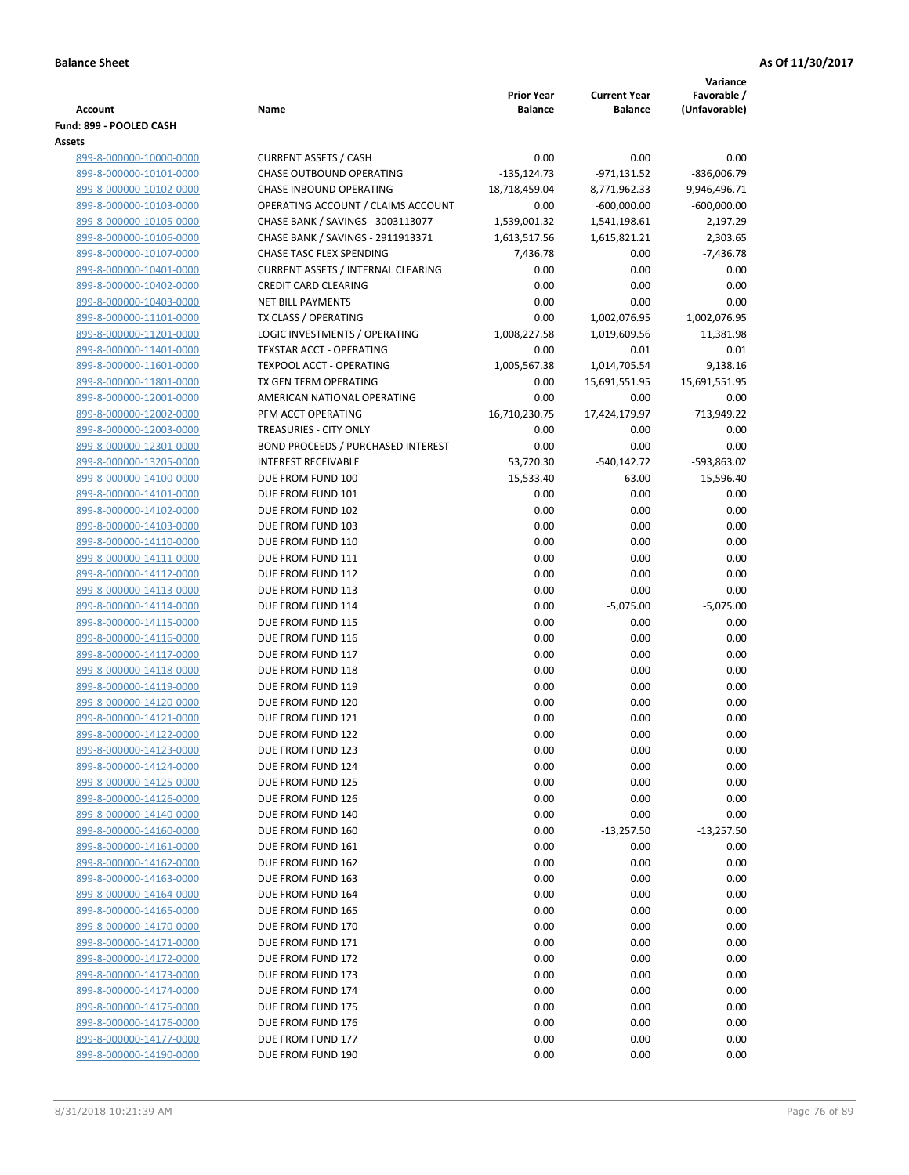|                                                    |                                                      |                                     |                                       | Variance                     |
|----------------------------------------------------|------------------------------------------------------|-------------------------------------|---------------------------------------|------------------------------|
| <b>Account</b>                                     | Name                                                 | <b>Prior Year</b><br><b>Balance</b> | <b>Current Year</b><br><b>Balance</b> | Favorable /<br>(Unfavorable) |
| Fund: 899 - POOLED CASH                            |                                                      |                                     |                                       |                              |
| Assets                                             |                                                      |                                     |                                       |                              |
| 899-8-000000-10000-0000                            | <b>CURRENT ASSETS / CASH</b>                         | 0.00                                | 0.00                                  | 0.00                         |
| 899-8-000000-10101-0000                            | <b>CHASE OUTBOUND OPERATING</b>                      | $-135, 124.73$                      | $-971,131.52$                         | $-836,006.79$                |
| 899-8-000000-10102-0000                            | CHASE INBOUND OPERATING                              | 18,718,459.04                       | 8,771,962.33                          | $-9,946,496.71$              |
| 899-8-000000-10103-0000                            | OPERATING ACCOUNT / CLAIMS ACCOUNT                   | 0.00                                | $-600,000.00$                         | $-600,000.00$                |
| 899-8-000000-10105-0000                            | CHASE BANK / SAVINGS - 3003113077                    | 1,539,001.32                        | 1,541,198.61                          | 2,197.29                     |
| 899-8-000000-10106-0000                            | CHASE BANK / SAVINGS - 2911913371                    | 1,613,517.56                        | 1,615,821.21                          | 2,303.65                     |
| 899-8-000000-10107-0000                            | CHASE TASC FLEX SPENDING                             | 7,436.78                            | 0.00                                  | $-7,436.78$                  |
| 899-8-000000-10401-0000                            | <b>CURRENT ASSETS / INTERNAL CLEARING</b>            | 0.00                                | 0.00                                  | 0.00                         |
| 899-8-000000-10402-0000                            | <b>CREDIT CARD CLEARING</b>                          | 0.00                                | 0.00                                  | 0.00                         |
| 899-8-000000-10403-0000                            | <b>NET BILL PAYMENTS</b>                             | 0.00                                | 0.00                                  | 0.00                         |
| 899-8-000000-11101-0000                            | TX CLASS / OPERATING                                 | 0.00                                | 1,002,076.95                          | 1,002,076.95                 |
| 899-8-000000-11201-0000                            | LOGIC INVESTMENTS / OPERATING                        | 1,008,227.58                        | 1,019,609.56                          | 11,381.98                    |
| 899-8-000000-11401-0000                            | <b>TEXSTAR ACCT - OPERATING</b>                      | 0.00                                | 0.01                                  | 0.01                         |
| 899-8-000000-11601-0000<br>899-8-000000-11801-0000 | <b>TEXPOOL ACCT - OPERATING</b>                      | 1,005,567.38                        | 1,014,705.54                          | 9,138.16                     |
| 899-8-000000-12001-0000                            | TX GEN TERM OPERATING<br>AMERICAN NATIONAL OPERATING | 0.00<br>0.00                        | 15,691,551.95<br>0.00                 | 15,691,551.95<br>0.00        |
| 899-8-000000-12002-0000                            | PFM ACCT OPERATING                                   | 16,710,230.75                       | 17,424,179.97                         | 713,949.22                   |
| 899-8-000000-12003-0000                            | TREASURIES - CITY ONLY                               | 0.00                                | 0.00                                  | 0.00                         |
| 899-8-000000-12301-0000                            | <b>BOND PROCEEDS / PURCHASED INTEREST</b>            | 0.00                                | 0.00                                  | 0.00                         |
| 899-8-000000-13205-0000                            | <b>INTEREST RECEIVABLE</b>                           | 53,720.30                           | $-540,142.72$                         | -593,863.02                  |
| 899-8-000000-14100-0000                            | DUE FROM FUND 100                                    | $-15,533.40$                        | 63.00                                 | 15,596.40                    |
| 899-8-000000-14101-0000                            | DUE FROM FUND 101                                    | 0.00                                | 0.00                                  | 0.00                         |
| 899-8-000000-14102-0000                            | DUE FROM FUND 102                                    | 0.00                                | 0.00                                  | 0.00                         |
| 899-8-000000-14103-0000                            | DUE FROM FUND 103                                    | 0.00                                | 0.00                                  | 0.00                         |
| 899-8-000000-14110-0000                            | DUE FROM FUND 110                                    | 0.00                                | 0.00                                  | 0.00                         |
| 899-8-000000-14111-0000                            | DUE FROM FUND 111                                    | 0.00                                | 0.00                                  | 0.00                         |
| 899-8-000000-14112-0000                            | DUE FROM FUND 112                                    | 0.00                                | 0.00                                  | 0.00                         |
| 899-8-000000-14113-0000                            | DUE FROM FUND 113                                    | 0.00                                | 0.00                                  | 0.00                         |
| 899-8-000000-14114-0000                            | DUE FROM FUND 114                                    | 0.00                                | $-5,075.00$                           | $-5,075.00$                  |
| 899-8-000000-14115-0000                            | DUE FROM FUND 115                                    | 0.00                                | 0.00                                  | 0.00                         |
| 899-8-000000-14116-0000                            | DUE FROM FUND 116                                    | 0.00                                | 0.00                                  | 0.00                         |
| 899-8-000000-14117-0000                            | DUE FROM FUND 117                                    | 0.00                                | 0.00                                  | 0.00                         |
| 899-8-000000-14118-0000                            | DUE FROM FUND 118                                    | 0.00                                | 0.00                                  | 0.00                         |
| 899-8-000000-14119-0000                            | DUE FROM FUND 119                                    | 0.00                                | 0.00                                  | 0.00                         |
| 899-8-000000-14120-0000                            | DUE FROM FUND 120                                    | 0.00                                | 0.00                                  | 0.00                         |
| 899-8-000000-14121-0000                            | DUE FROM FUND 121                                    | 0.00                                | 0.00                                  | 0.00                         |
| 899-8-000000-14122-0000                            | DUE FROM FUND 122                                    | 0.00<br>0.00                        | 0.00<br>0.00                          | 0.00                         |
| 899-8-000000-14123-0000<br>899-8-000000-14124-0000 | DUE FROM FUND 123<br>DUE FROM FUND 124               | 0.00                                | 0.00                                  | 0.00<br>0.00                 |
| 899-8-000000-14125-0000                            | DUE FROM FUND 125                                    | 0.00                                | 0.00                                  | 0.00                         |
| 899-8-000000-14126-0000                            | DUE FROM FUND 126                                    | 0.00                                | 0.00                                  | 0.00                         |
| 899-8-000000-14140-0000                            | DUE FROM FUND 140                                    | 0.00                                | 0.00                                  | 0.00                         |
| 899-8-000000-14160-0000                            | DUE FROM FUND 160                                    | 0.00                                | $-13,257.50$                          | $-13,257.50$                 |
| 899-8-000000-14161-0000                            | DUE FROM FUND 161                                    | 0.00                                | 0.00                                  | 0.00                         |
| 899-8-000000-14162-0000                            | DUE FROM FUND 162                                    | 0.00                                | 0.00                                  | 0.00                         |
| 899-8-000000-14163-0000                            | DUE FROM FUND 163                                    | 0.00                                | 0.00                                  | 0.00                         |
| 899-8-000000-14164-0000                            | DUE FROM FUND 164                                    | 0.00                                | 0.00                                  | 0.00                         |
| 899-8-000000-14165-0000                            | DUE FROM FUND 165                                    | 0.00                                | 0.00                                  | 0.00                         |
| 899-8-000000-14170-0000                            | DUE FROM FUND 170                                    | 0.00                                | 0.00                                  | 0.00                         |
| 899-8-000000-14171-0000                            | DUE FROM FUND 171                                    | 0.00                                | 0.00                                  | 0.00                         |
| 899-8-000000-14172-0000                            | DUE FROM FUND 172                                    | 0.00                                | 0.00                                  | 0.00                         |
| 899-8-000000-14173-0000                            | DUE FROM FUND 173                                    | 0.00                                | 0.00                                  | 0.00                         |
| 899-8-000000-14174-0000                            | DUE FROM FUND 174                                    | 0.00                                | 0.00                                  | 0.00                         |
| 899-8-000000-14175-0000                            | DUE FROM FUND 175                                    | 0.00                                | 0.00                                  | 0.00                         |
| 899-8-000000-14176-0000                            | DUE FROM FUND 176                                    | 0.00                                | 0.00                                  | 0.00                         |
| 899-8-000000-14177-0000                            | DUE FROM FUND 177                                    | 0.00                                | 0.00                                  | 0.00                         |
| 899-8-000000-14190-0000                            | DUE FROM FUND 190                                    | 0.00                                | 0.00                                  | 0.00                         |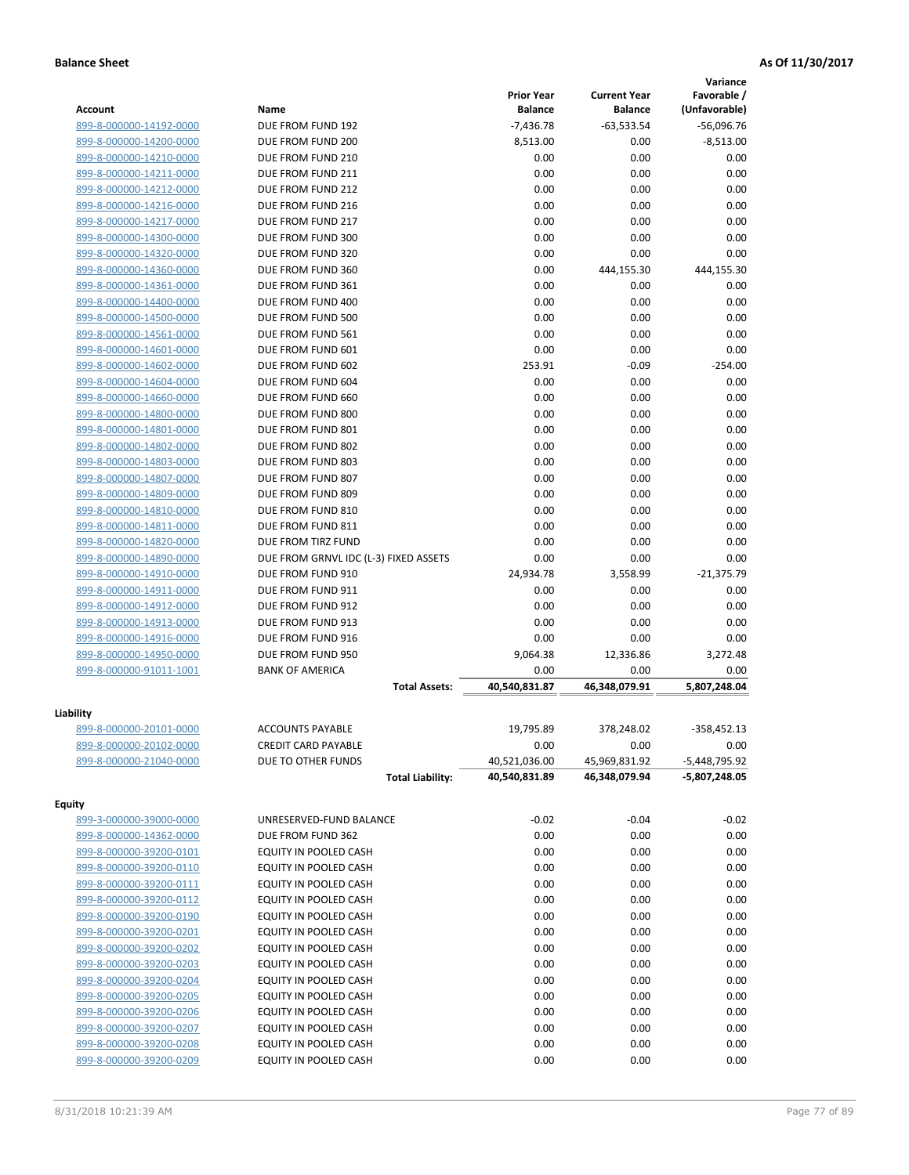|                                      |                                        |                   |                     | Variance        |
|--------------------------------------|----------------------------------------|-------------------|---------------------|-----------------|
|                                      |                                        | <b>Prior Year</b> | <b>Current Year</b> | Favorable /     |
| <b>Account</b>                       | Name                                   | <b>Balance</b>    | <b>Balance</b>      | (Unfavorable)   |
| 899-8-000000-14192-0000              | DUE FROM FUND 192                      | $-7,436.78$       | $-63,533.54$        | $-56,096.76$    |
| 899-8-000000-14200-0000              | DUE FROM FUND 200                      | 8,513.00          | 0.00                | $-8,513.00$     |
| 899-8-000000-14210-0000              | DUE FROM FUND 210                      | 0.00              | 0.00                | 0.00            |
| 899-8-000000-14211-0000              | DUE FROM FUND 211                      | 0.00              | 0.00                | 0.00            |
| 899-8-000000-14212-0000              | DUE FROM FUND 212                      | 0.00              | 0.00                | 0.00            |
| 899-8-000000-14216-0000              | DUE FROM FUND 216                      | 0.00              | 0.00                | 0.00            |
| 899-8-000000-14217-0000              | DUE FROM FUND 217                      | 0.00              | 0.00                | 0.00            |
| 899-8-000000-14300-0000              | DUE FROM FUND 300                      | 0.00              | 0.00                | 0.00            |
| 899-8-000000-14320-0000              | DUE FROM FUND 320                      | 0.00              | 0.00                | 0.00            |
| 899-8-000000-14360-0000              | DUE FROM FUND 360                      | 0.00              | 444,155.30          | 444,155.30      |
| 899-8-000000-14361-0000              | DUE FROM FUND 361                      | 0.00              | 0.00                | 0.00            |
| 899-8-000000-14400-0000              | DUE FROM FUND 400                      | 0.00              | 0.00                | 0.00            |
| 899-8-000000-14500-0000              | DUE FROM FUND 500                      | 0.00              | 0.00                | 0.00            |
| 899-8-000000-14561-0000              | DUE FROM FUND 561                      | 0.00              | 0.00                | 0.00            |
| 899-8-000000-14601-0000              | DUE FROM FUND 601                      | 0.00              | 0.00                | 0.00            |
| 899-8-000000-14602-0000              | DUE FROM FUND 602                      | 253.91            | $-0.09$             | $-254.00$       |
| 899-8-000000-14604-0000              | DUE FROM FUND 604                      | 0.00              | 0.00                | 0.00            |
| 899-8-000000-14660-0000              | DUE FROM FUND 660                      | 0.00              | 0.00                | 0.00            |
|                                      |                                        | 0.00              | 0.00                | 0.00            |
| 899-8-000000-14800-0000              | DUE FROM FUND 800<br>DUE FROM FUND 801 |                   |                     |                 |
| 899-8-000000-14801-0000              |                                        | 0.00              | 0.00                | 0.00            |
| 899-8-000000-14802-0000              | DUE FROM FUND 802                      | 0.00              | 0.00                | 0.00            |
| 899-8-000000-14803-0000              | DUE FROM FUND 803                      | 0.00              | 0.00                | 0.00            |
| 899-8-000000-14807-0000              | DUE FROM FUND 807                      | 0.00              | 0.00                | 0.00            |
| 899-8-000000-14809-0000              | DUE FROM FUND 809                      | 0.00              | 0.00                | 0.00            |
| 899-8-000000-14810-0000              | DUE FROM FUND 810                      | 0.00              | 0.00                | 0.00            |
| 899-8-000000-14811-0000              | DUE FROM FUND 811                      | 0.00              | 0.00                | 0.00            |
| 899-8-000000-14820-0000              | DUE FROM TIRZ FUND                     | 0.00              | 0.00                | 0.00            |
| 899-8-000000-14890-0000              | DUE FROM GRNVL IDC (L-3) FIXED ASSETS  | 0.00              | 0.00                | 0.00            |
| 899-8-000000-14910-0000              | DUE FROM FUND 910                      | 24,934.78         | 3,558.99            | $-21,375.79$    |
| 899-8-000000-14911-0000              | DUE FROM FUND 911                      | 0.00              | 0.00                | 0.00            |
| 899-8-000000-14912-0000              | DUE FROM FUND 912                      | 0.00              | 0.00                | 0.00            |
| 899-8-000000-14913-0000              | DUE FROM FUND 913                      | 0.00              | 0.00                | 0.00            |
| 899-8-000000-14916-0000              | DUE FROM FUND 916                      | 0.00              | 0.00                | 0.00            |
| 899-8-000000-14950-0000              | DUE FROM FUND 950                      | 9,064.38          | 12,336.86           | 3,272.48        |
| 899-8-000000-91011-1001              | <b>BANK OF AMERICA</b>                 | 0.00              | 0.00                | 0.00            |
|                                      | <b>Total Assets:</b>                   | 40,540,831.87     | 46,348,079.91       | 5,807,248.04    |
|                                      |                                        |                   |                     |                 |
| Liability<br>899-8-000000-20101-0000 | <b>ACCOUNTS PAYABLE</b>                | 19,795.89         | 378,248.02          | $-358,452.13$   |
|                                      |                                        |                   |                     |                 |
| 899-8-000000-20102-0000              | <b>CREDIT CARD PAYABLE</b>             | 0.00              | 0.00                | 0.00            |
| 899-8-000000-21040-0000              | DUE TO OTHER FUNDS                     | 40,521,036.00     | 45,969,831.92       | $-5,448,795.92$ |
|                                      | <b>Total Liability:</b>                | 40,540,831.89     | 46,348,079.94       | -5,807,248.05   |
| <b>Equity</b>                        |                                        |                   |                     |                 |
| 899-3-000000-39000-0000              | UNRESERVED-FUND BALANCE                | $-0.02$           | $-0.04$             | $-0.02$         |
| 899-8-000000-14362-0000              | DUE FROM FUND 362                      | 0.00              | 0.00                | 0.00            |
| 899-8-000000-39200-0101              | EQUITY IN POOLED CASH                  | 0.00              | 0.00                | 0.00            |
| 899-8-000000-39200-0110              | EQUITY IN POOLED CASH                  | 0.00              | 0.00                | 0.00            |
| 899-8-000000-39200-0111              | EQUITY IN POOLED CASH                  | 0.00              | 0.00                | 0.00            |
|                                      | EQUITY IN POOLED CASH                  | 0.00              |                     |                 |
| 899-8-000000-39200-0112              |                                        |                   | 0.00                | 0.00            |
| 899-8-000000-39200-0190              | EQUITY IN POOLED CASH                  | 0.00              | 0.00                | 0.00            |
| 899-8-000000-39200-0201              | EQUITY IN POOLED CASH                  | 0.00              | 0.00                | 0.00            |
| 899-8-000000-39200-0202              | EQUITY IN POOLED CASH                  | 0.00              | 0.00                | 0.00            |
| 899-8-000000-39200-0203              | EQUITY IN POOLED CASH                  | 0.00              | 0.00                | 0.00            |
| 899-8-000000-39200-0204              | EQUITY IN POOLED CASH                  | 0.00              | 0.00                | 0.00            |
| 899-8-000000-39200-0205              | EQUITY IN POOLED CASH                  | 0.00              | 0.00                | 0.00            |
| 899-8-000000-39200-0206              | EQUITY IN POOLED CASH                  | 0.00              | 0.00                | 0.00            |
| 899-8-000000-39200-0207              | EQUITY IN POOLED CASH                  | 0.00              | 0.00                | 0.00            |
| 899-8-000000-39200-0208              | EQUITY IN POOLED CASH                  | 0.00              | 0.00                | 0.00            |
| 899-8-000000-39200-0209              | EQUITY IN POOLED CASH                  | 0.00              | 0.00                | 0.00            |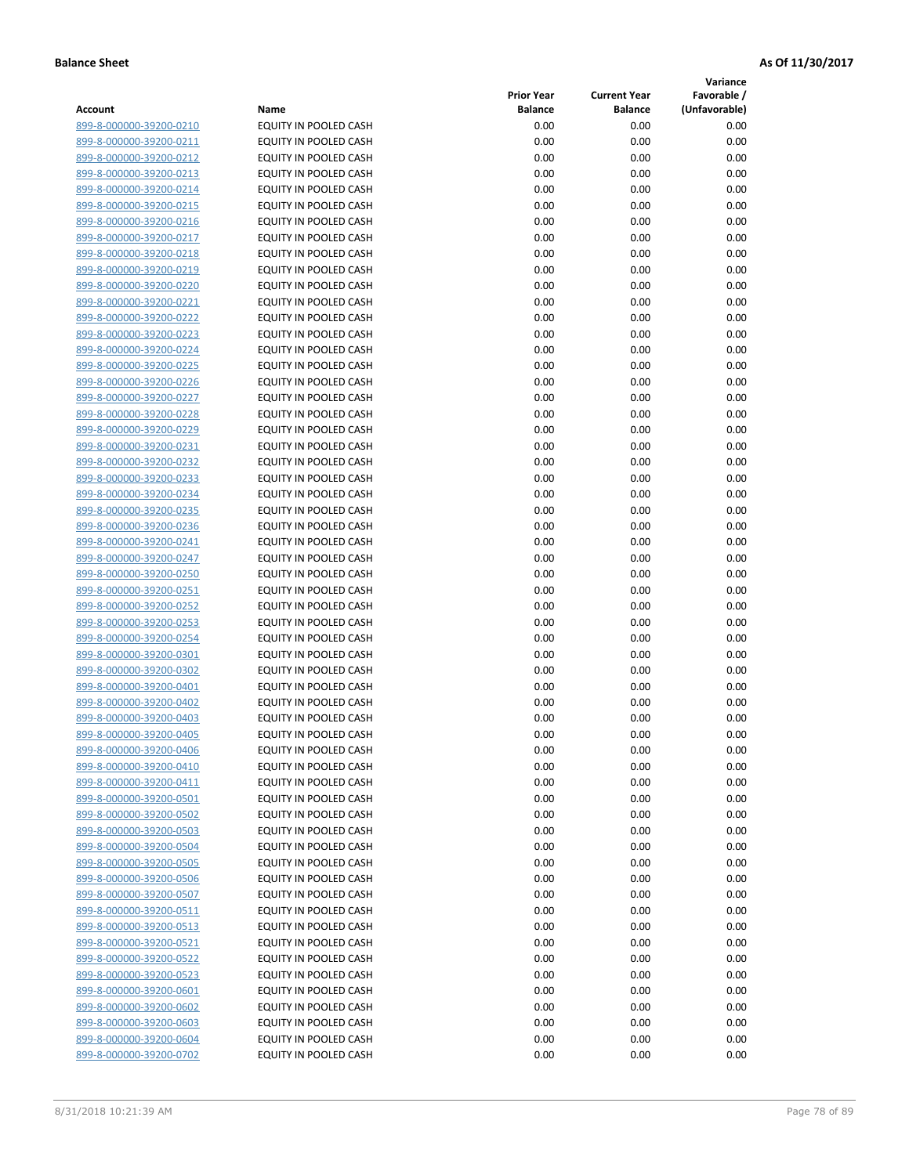**Variance**

| Account                                            | Name                                           | <b>Prior Year</b><br><b>Balance</b> | <b>Current Year</b><br><b>Balance</b> | Favorable /<br>(Unfavorable) |
|----------------------------------------------------|------------------------------------------------|-------------------------------------|---------------------------------------|------------------------------|
| 899-8-000000-39200-0210                            | EQUITY IN POOLED CASH                          | 0.00                                | 0.00                                  | 0.00                         |
| 899-8-000000-39200-0211                            | EQUITY IN POOLED CASH                          | 0.00                                | 0.00                                  | 0.00                         |
| 899-8-000000-39200-0212                            | EQUITY IN POOLED CASH                          | 0.00                                | 0.00                                  | 0.00                         |
| 899-8-000000-39200-0213                            | EQUITY IN POOLED CASH                          | 0.00                                | 0.00                                  | 0.00                         |
| 899-8-000000-39200-0214                            | <b>EQUITY IN POOLED CASH</b>                   | 0.00                                | 0.00                                  | 0.00                         |
| 899-8-000000-39200-0215                            | EQUITY IN POOLED CASH                          | 0.00                                | 0.00                                  | 0.00                         |
| 899-8-000000-39200-0216                            | EQUITY IN POOLED CASH                          | 0.00                                | 0.00                                  | 0.00                         |
| 899-8-000000-39200-0217                            | EQUITY IN POOLED CASH                          | 0.00                                | 0.00                                  | 0.00                         |
| 899-8-000000-39200-0218                            | EQUITY IN POOLED CASH                          | 0.00                                | 0.00                                  | 0.00                         |
| 899-8-000000-39200-0219                            | EQUITY IN POOLED CASH                          | 0.00                                | 0.00                                  | 0.00                         |
| 899-8-000000-39200-0220                            | EQUITY IN POOLED CASH                          | 0.00                                | 0.00                                  | 0.00                         |
| 899-8-000000-39200-0221                            | EQUITY IN POOLED CASH                          | 0.00                                | 0.00                                  | 0.00                         |
| 899-8-000000-39200-0222                            | EQUITY IN POOLED CASH                          | 0.00                                | 0.00                                  | 0.00                         |
| 899-8-000000-39200-0223                            | EQUITY IN POOLED CASH                          | 0.00                                | 0.00                                  | 0.00                         |
| 899-8-000000-39200-0224                            | EQUITY IN POOLED CASH                          | 0.00                                | 0.00                                  | 0.00                         |
| 899-8-000000-39200-0225                            | EQUITY IN POOLED CASH                          | 0.00                                | 0.00                                  | 0.00                         |
| 899-8-000000-39200-0226                            | EQUITY IN POOLED CASH                          | 0.00                                | 0.00                                  | 0.00                         |
| 899-8-000000-39200-0227                            | EQUITY IN POOLED CASH                          | 0.00                                | 0.00                                  | 0.00                         |
| 899-8-000000-39200-0228                            | EQUITY IN POOLED CASH                          | 0.00                                | 0.00                                  | 0.00                         |
| 899-8-000000-39200-0229                            | <b>EQUITY IN POOLED CASH</b>                   | 0.00                                | 0.00                                  | 0.00                         |
| 899-8-000000-39200-0231                            | <b>EQUITY IN POOLED CASH</b>                   | 0.00                                | 0.00                                  | 0.00                         |
| 899-8-000000-39200-0232                            | EQUITY IN POOLED CASH                          | 0.00                                | 0.00                                  | 0.00                         |
| 899-8-000000-39200-0233                            | <b>EQUITY IN POOLED CASH</b>                   | 0.00                                | 0.00                                  | 0.00                         |
| 899-8-000000-39200-0234                            | EQUITY IN POOLED CASH                          | 0.00                                | 0.00                                  | 0.00                         |
| 899-8-000000-39200-0235                            | EQUITY IN POOLED CASH                          | 0.00                                | 0.00                                  | 0.00                         |
| 899-8-000000-39200-0236                            | EQUITY IN POOLED CASH                          | 0.00                                | 0.00                                  | 0.00                         |
| 899-8-000000-39200-0241                            | EQUITY IN POOLED CASH                          | 0.00                                | 0.00                                  | 0.00                         |
| 899-8-000000-39200-0247                            | EQUITY IN POOLED CASH                          | 0.00                                | 0.00                                  | 0.00                         |
| 899-8-000000-39200-0250                            | EQUITY IN POOLED CASH                          | 0.00                                | 0.00                                  | 0.00                         |
| 899-8-000000-39200-0251                            | EQUITY IN POOLED CASH                          | 0.00                                | 0.00                                  | 0.00                         |
| 899-8-000000-39200-0252                            | EQUITY IN POOLED CASH                          | 0.00<br>0.00                        | 0.00<br>0.00                          | 0.00<br>0.00                 |
| 899-8-000000-39200-0253<br>899-8-000000-39200-0254 | EQUITY IN POOLED CASH<br>EQUITY IN POOLED CASH | 0.00                                | 0.00                                  | 0.00                         |
| 899-8-000000-39200-0301                            | EQUITY IN POOLED CASH                          | 0.00                                | 0.00                                  | 0.00                         |
| 899-8-000000-39200-0302                            | EQUITY IN POOLED CASH                          | 0.00                                | 0.00                                  | 0.00                         |
| 899-8-000000-39200-0401                            | EQUITY IN POOLED CASH                          | 0.00                                | 0.00                                  | 0.00                         |
| 899-8-000000-39200-0402                            | EQUITY IN POOLED CASH                          | 0.00                                | 0.00                                  | 0.00                         |
| 899-8-000000-39200-0403                            | EQUITY IN POOLED CASH                          | 0.00                                | 0.00                                  | 0.00                         |
| 899-8-000000-39200-0405                            | <b>EQUITY IN POOLED CASH</b>                   | 0.00                                | 0.00                                  | 0.00                         |
| 899-8-000000-39200-0406                            | EQUITY IN POOLED CASH                          | 0.00                                | 0.00                                  | 0.00                         |
| 899-8-000000-39200-0410                            | EQUITY IN POOLED CASH                          | 0.00                                | 0.00                                  | 0.00                         |
| 899-8-000000-39200-0411                            | EQUITY IN POOLED CASH                          | 0.00                                | 0.00                                  | 0.00                         |
| 899-8-000000-39200-0501                            | EQUITY IN POOLED CASH                          | 0.00                                | 0.00                                  | 0.00                         |
| 899-8-000000-39200-0502                            | EQUITY IN POOLED CASH                          | 0.00                                | 0.00                                  | 0.00                         |
| 899-8-000000-39200-0503                            | EQUITY IN POOLED CASH                          | 0.00                                | 0.00                                  | 0.00                         |
| 899-8-000000-39200-0504                            | EQUITY IN POOLED CASH                          | 0.00                                | 0.00                                  | 0.00                         |
| 899-8-000000-39200-0505                            | EQUITY IN POOLED CASH                          | 0.00                                | 0.00                                  | 0.00                         |
| 899-8-000000-39200-0506                            | EQUITY IN POOLED CASH                          | 0.00                                | 0.00                                  | 0.00                         |
| 899-8-000000-39200-0507                            | EQUITY IN POOLED CASH                          | 0.00                                | 0.00                                  | 0.00                         |
| 899-8-000000-39200-0511                            | <b>EQUITY IN POOLED CASH</b>                   | 0.00                                | 0.00                                  | 0.00                         |
| 899-8-000000-39200-0513                            | EQUITY IN POOLED CASH                          | 0.00                                | 0.00                                  | 0.00                         |
| 899-8-000000-39200-0521                            | EQUITY IN POOLED CASH                          | 0.00                                | 0.00                                  | 0.00                         |
| 899-8-000000-39200-0522                            | EQUITY IN POOLED CASH                          | 0.00                                | 0.00                                  | 0.00                         |
| 899-8-000000-39200-0523                            | EQUITY IN POOLED CASH                          | 0.00                                | 0.00                                  | 0.00                         |
| 899-8-000000-39200-0601                            | EQUITY IN POOLED CASH                          | 0.00                                | 0.00                                  | 0.00                         |
| 899-8-000000-39200-0602                            | EQUITY IN POOLED CASH                          | 0.00                                | 0.00                                  | 0.00                         |
| 899-8-000000-39200-0603<br>899-8-000000-39200-0604 | EQUITY IN POOLED CASH                          | 0.00                                | 0.00                                  | 0.00                         |
| 899-8-000000-39200-0702                            | EQUITY IN POOLED CASH<br>EQUITY IN POOLED CASH | 0.00<br>0.00                        | 0.00<br>0.00                          | 0.00<br>0.00                 |
|                                                    |                                                |                                     |                                       |                              |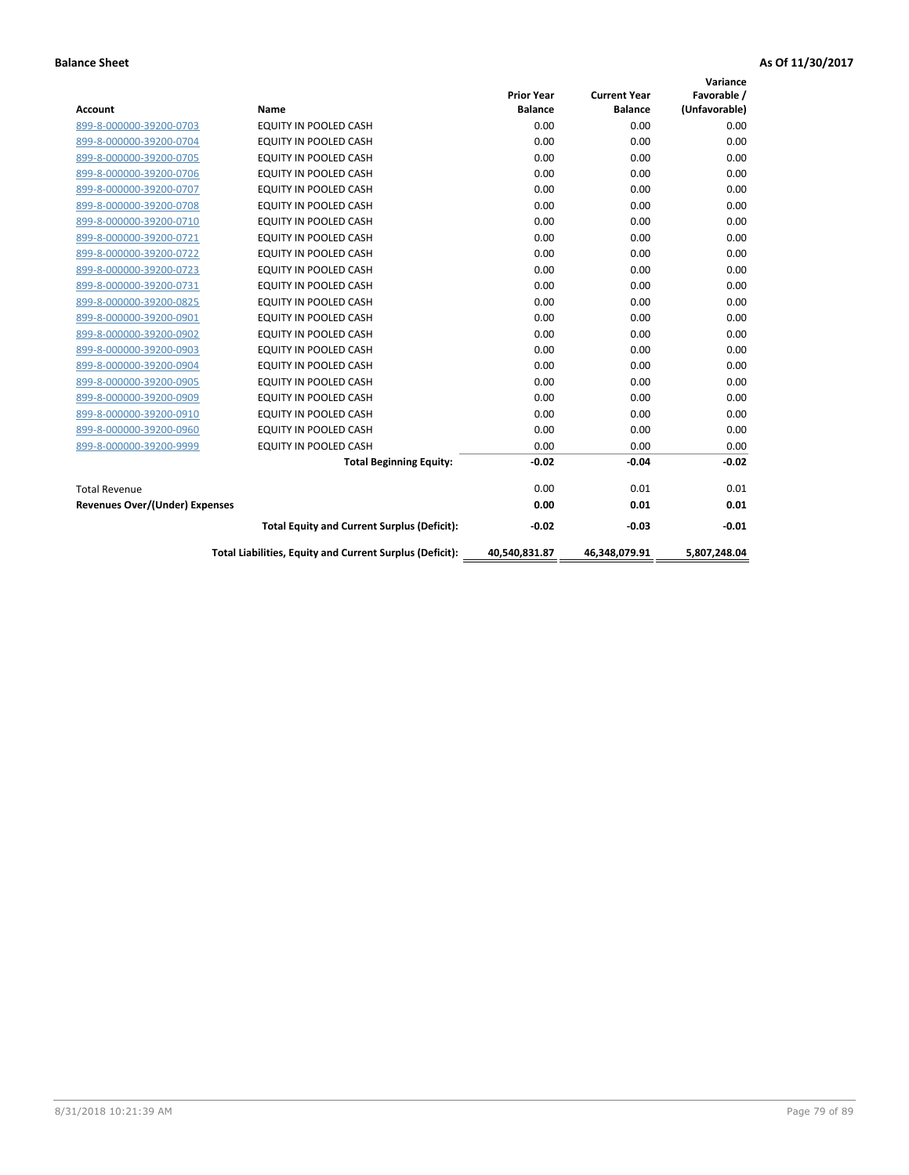| <b>Account</b>                        | Name                                                     | <b>Prior Year</b><br><b>Balance</b> | <b>Current Year</b><br><b>Balance</b> | Variance<br>Favorable /<br>(Unfavorable) |
|---------------------------------------|----------------------------------------------------------|-------------------------------------|---------------------------------------|------------------------------------------|
| 899-8-000000-39200-0703               | <b>EQUITY IN POOLED CASH</b>                             | 0.00                                | 0.00                                  | 0.00                                     |
| 899-8-000000-39200-0704               | EQUITY IN POOLED CASH                                    | 0.00                                | 0.00                                  | 0.00                                     |
| 899-8-000000-39200-0705               | EQUITY IN POOLED CASH                                    | 0.00                                | 0.00                                  | 0.00                                     |
| 899-8-000000-39200-0706               | <b>EQUITY IN POOLED CASH</b>                             | 0.00                                | 0.00                                  | 0.00                                     |
| 899-8-000000-39200-0707               | EQUITY IN POOLED CASH                                    | 0.00                                | 0.00                                  | 0.00                                     |
| 899-8-000000-39200-0708               | <b>EQUITY IN POOLED CASH</b>                             | 0.00                                | 0.00                                  | 0.00                                     |
| 899-8-000000-39200-0710               | <b>EQUITY IN POOLED CASH</b>                             | 0.00                                | 0.00                                  | 0.00                                     |
| 899-8-000000-39200-0721               | EQUITY IN POOLED CASH                                    | 0.00                                | 0.00                                  | 0.00                                     |
| 899-8-000000-39200-0722               | EQUITY IN POOLED CASH                                    | 0.00                                | 0.00                                  | 0.00                                     |
| 899-8-000000-39200-0723               | <b>EQUITY IN POOLED CASH</b>                             | 0.00                                | 0.00                                  | 0.00                                     |
| 899-8-000000-39200-0731               | EQUITY IN POOLED CASH                                    | 0.00                                | 0.00                                  | 0.00                                     |
| 899-8-000000-39200-0825               | <b>EQUITY IN POOLED CASH</b>                             | 0.00                                | 0.00                                  | 0.00                                     |
| 899-8-000000-39200-0901               | <b>EQUITY IN POOLED CASH</b>                             | 0.00                                | 0.00                                  | 0.00                                     |
| 899-8-000000-39200-0902               | EQUITY IN POOLED CASH                                    | 0.00                                | 0.00                                  | 0.00                                     |
| 899-8-000000-39200-0903               | <b>EQUITY IN POOLED CASH</b>                             | 0.00                                | 0.00                                  | 0.00                                     |
| 899-8-000000-39200-0904               | <b>EQUITY IN POOLED CASH</b>                             | 0.00                                | 0.00                                  | 0.00                                     |
| 899-8-000000-39200-0905               | EQUITY IN POOLED CASH                                    | 0.00                                | 0.00                                  | 0.00                                     |
| 899-8-000000-39200-0909               | EQUITY IN POOLED CASH                                    | 0.00                                | 0.00                                  | 0.00                                     |
| 899-8-000000-39200-0910               | <b>EQUITY IN POOLED CASH</b>                             | 0.00                                | 0.00                                  | 0.00                                     |
| 899-8-000000-39200-0960               | <b>EQUITY IN POOLED CASH</b>                             | 0.00                                | 0.00                                  | 0.00                                     |
| 899-8-000000-39200-9999               | EQUITY IN POOLED CASH                                    | 0.00                                | 0.00                                  | 0.00                                     |
|                                       | <b>Total Beginning Equity:</b>                           | $-0.02$                             | $-0.04$                               | $-0.02$                                  |
| <b>Total Revenue</b>                  |                                                          | 0.00                                | 0.01                                  | 0.01                                     |
| <b>Revenues Over/(Under) Expenses</b> |                                                          | 0.00                                | 0.01                                  | 0.01                                     |
|                                       | <b>Total Equity and Current Surplus (Deficit):</b>       | $-0.02$                             | $-0.03$                               | $-0.01$                                  |
|                                       | Total Liabilities, Equity and Current Surplus (Deficit): | 40,540,831.87                       | 46,348,079.91                         | 5.807.248.04                             |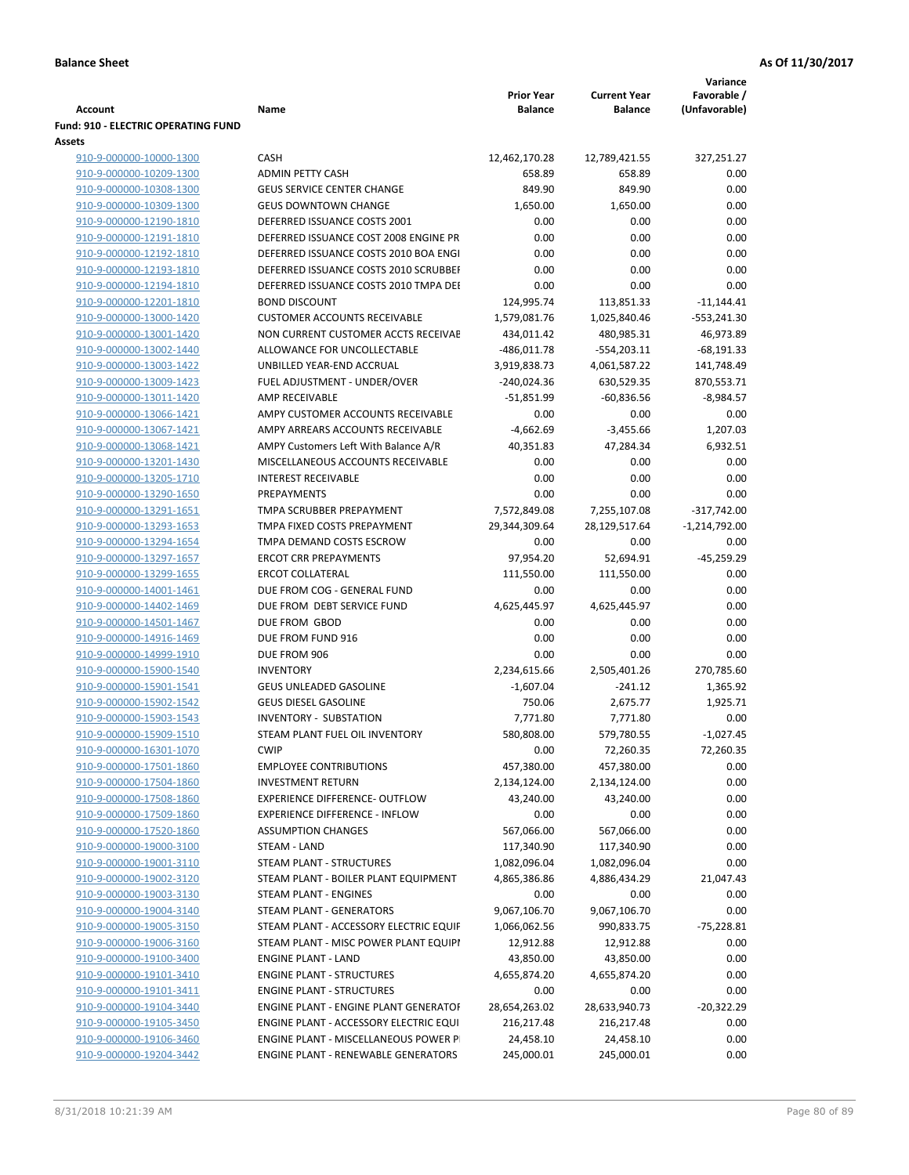| <b>Account</b>                                     | Name                                         | <b>Prior Year</b><br><b>Balance</b> | <b>Current Year</b><br><b>Balance</b> | Variance<br>Favorable /<br>(Unfavorable) |
|----------------------------------------------------|----------------------------------------------|-------------------------------------|---------------------------------------|------------------------------------------|
| <b>Fund: 910 - ELECTRIC OPERATING FUND</b>         |                                              |                                     |                                       |                                          |
| Assets                                             |                                              |                                     |                                       |                                          |
| 910-9-000000-10000-1300                            | CASH                                         | 12,462,170.28                       | 12,789,421.55                         | 327,251.27                               |
| 910-9-000000-10209-1300                            | <b>ADMIN PETTY CASH</b>                      | 658.89                              | 658.89                                | 0.00                                     |
| 910-9-000000-10308-1300                            | <b>GEUS SERVICE CENTER CHANGE</b>            | 849.90                              | 849.90                                | 0.00                                     |
| 910-9-000000-10309-1300                            | <b>GEUS DOWNTOWN CHANGE</b>                  | 1,650.00                            | 1,650.00                              | 0.00                                     |
| 910-9-000000-12190-1810                            | DEFERRED ISSUANCE COSTS 2001                 | 0.00                                | 0.00                                  | 0.00                                     |
| 910-9-000000-12191-1810                            | DEFERRED ISSUANCE COST 2008 ENGINE PR        | 0.00                                | 0.00                                  | 0.00                                     |
| 910-9-000000-12192-1810                            | DEFERRED ISSUANCE COSTS 2010 BOA ENGI        | 0.00                                | 0.00                                  | 0.00                                     |
| 910-9-000000-12193-1810                            | DEFERRED ISSUANCE COSTS 2010 SCRUBBEH        | 0.00                                | 0.00                                  | 0.00                                     |
| 910-9-000000-12194-1810                            | DEFERRED ISSUANCE COSTS 2010 TMPA DEI        | 0.00                                | 0.00                                  | 0.00                                     |
| 910-9-000000-12201-1810                            | <b>BOND DISCOUNT</b>                         | 124,995.74                          | 113,851.33                            | $-11,144.41$                             |
| 910-9-000000-13000-1420                            | <b>CUSTOMER ACCOUNTS RECEIVABLE</b>          | 1,579,081.76                        | 1,025,840.46                          | $-553,241.30$                            |
| 910-9-000000-13001-1420                            | NON CURRENT CUSTOMER ACCTS RECEIVAE          | 434,011.42                          | 480,985.31                            | 46,973.89                                |
| 910-9-000000-13002-1440                            | ALLOWANCE FOR UNCOLLECTABLE                  | $-486,011.78$                       | $-554,203.11$                         | $-68,191.33$                             |
| 910-9-000000-13003-1422                            | UNBILLED YEAR-END ACCRUAL                    | 3,919,838.73                        | 4,061,587.22                          | 141,748.49                               |
| 910-9-000000-13009-1423                            | FUEL ADJUSTMENT - UNDER/OVER                 | $-240,024.36$                       | 630,529.35                            | 870,553.71                               |
| 910-9-000000-13011-1420                            | AMP RECEIVABLE                               | $-51,851.99$                        | $-60,836.56$                          | $-8,984.57$                              |
| 910-9-000000-13066-1421                            | AMPY CUSTOMER ACCOUNTS RECEIVABLE            | 0.00                                | 0.00                                  | 0.00                                     |
| 910-9-000000-13067-1421                            | AMPY ARREARS ACCOUNTS RECEIVABLE             | $-4,662.69$                         | $-3,455.66$                           | 1,207.03                                 |
| 910-9-000000-13068-1421                            | AMPY Customers Left With Balance A/R         | 40,351.83                           | 47,284.34                             | 6,932.51                                 |
| 910-9-000000-13201-1430                            | MISCELLANEOUS ACCOUNTS RECEIVABLE            | 0.00                                | 0.00                                  | 0.00                                     |
| 910-9-000000-13205-1710                            | <b>INTEREST RECEIVABLE</b><br>PREPAYMENTS    | 0.00                                | 0.00                                  | 0.00                                     |
| 910-9-000000-13290-1650                            | TMPA SCRUBBER PREPAYMENT                     | 0.00                                | 0.00                                  | 0.00                                     |
| 910-9-000000-13291-1651<br>910-9-000000-13293-1653 | TMPA FIXED COSTS PREPAYMENT                  | 7,572,849.08<br>29,344,309.64       | 7,255,107.08<br>28,129,517.64         | $-317,742.00$<br>$-1,214,792.00$         |
| 910-9-000000-13294-1654                            | TMPA DEMAND COSTS ESCROW                     | 0.00                                | 0.00                                  | 0.00                                     |
| 910-9-000000-13297-1657                            | <b>ERCOT CRR PREPAYMENTS</b>                 | 97,954.20                           | 52,694.91                             | $-45,259.29$                             |
| 910-9-000000-13299-1655                            | <b>ERCOT COLLATERAL</b>                      | 111,550.00                          | 111,550.00                            | 0.00                                     |
| 910-9-000000-14001-1461                            | DUE FROM COG - GENERAL FUND                  | 0.00                                | 0.00                                  | 0.00                                     |
| 910-9-000000-14402-1469                            | DUE FROM DEBT SERVICE FUND                   | 4,625,445.97                        | 4,625,445.97                          | 0.00                                     |
| 910-9-000000-14501-1467                            | DUE FROM GBOD                                | 0.00                                | 0.00                                  | 0.00                                     |
| 910-9-000000-14916-1469                            | DUE FROM FUND 916                            | 0.00                                | 0.00                                  | 0.00                                     |
| 910-9-000000-14999-1910                            | DUE FROM 906                                 | 0.00                                | 0.00                                  | 0.00                                     |
| 910-9-000000-15900-1540                            | <b>INVENTORY</b>                             | 2,234,615.66                        | 2,505,401.26                          | 270,785.60                               |
| 910-9-000000-15901-1541                            | GEUS UNLEADED GASOLINE                       | $-1,607.04$                         | $-241.12$                             | 1,365.92                                 |
| 910-9-000000-15902-1542                            | <b>GEUS DIESEL GASOLINE</b>                  | 750.06                              | 2,675.77                              | 1,925.71                                 |
| 910-9-000000-15903-1543                            | <b>INVENTORY - SUBSTATION</b>                | 7,771.80                            | 7,771.80                              | 0.00                                     |
| 910-9-000000-15909-1510                            | STEAM PLANT FUEL OIL INVENTORY               | 580,808.00                          | 579,780.55                            | $-1,027.45$                              |
| 910-9-000000-16301-1070                            | <b>CWIP</b>                                  | 0.00                                | 72,260.35                             | 72,260.35                                |
| 910-9-000000-17501-1860                            | <b>EMPLOYEE CONTRIBUTIONS</b>                | 457,380.00                          | 457,380.00                            | 0.00                                     |
| 910-9-000000-17504-1860                            | <b>INVESTMENT RETURN</b>                     | 2,134,124.00                        | 2,134,124.00                          | 0.00                                     |
| 910-9-000000-17508-1860                            | <b>EXPERIENCE DIFFERENCE- OUTFLOW</b>        | 43,240.00                           | 43,240.00                             | 0.00                                     |
| 910-9-000000-17509-1860                            | <b>EXPERIENCE DIFFERENCE - INFLOW</b>        | 0.00                                | 0.00                                  | 0.00                                     |
| 910-9-000000-17520-1860                            | <b>ASSUMPTION CHANGES</b>                    | 567,066.00                          | 567,066.00                            | 0.00                                     |
| 910-9-000000-19000-3100                            | STEAM - LAND                                 | 117,340.90                          | 117,340.90                            | 0.00                                     |
| 910-9-000000-19001-3110                            | STEAM PLANT - STRUCTURES                     | 1,082,096.04                        | 1,082,096.04                          | 0.00                                     |
| 910-9-000000-19002-3120                            | STEAM PLANT - BOILER PLANT EQUIPMENT         | 4,865,386.86                        | 4,886,434.29                          | 21,047.43                                |
| 910-9-000000-19003-3130                            | STEAM PLANT - ENGINES                        | 0.00                                | 0.00                                  | 0.00                                     |
| 910-9-000000-19004-3140                            | STEAM PLANT - GENERATORS                     | 9,067,106.70                        | 9,067,106.70                          | 0.00                                     |
| 910-9-000000-19005-3150                            | STEAM PLANT - ACCESSORY ELECTRIC EQUIF       | 1,066,062.56                        | 990,833.75                            | $-75,228.81$                             |
| 910-9-000000-19006-3160                            | STEAM PLANT - MISC POWER PLANT EQUIPI        | 12,912.88                           | 12,912.88                             | 0.00                                     |
| 910-9-000000-19100-3400                            | <b>ENGINE PLANT - LAND</b>                   | 43,850.00                           | 43,850.00                             | 0.00                                     |
| 910-9-000000-19101-3410                            | <b>ENGINE PLANT - STRUCTURES</b>             | 4,655,874.20                        | 4,655,874.20                          | 0.00                                     |
| 910-9-000000-19101-3411                            | <b>ENGINE PLANT - STRUCTURES</b>             | 0.00                                | 0.00                                  | 0.00                                     |
| 910-9-000000-19104-3440                            | <b>ENGINE PLANT - ENGINE PLANT GENERATOF</b> | 28,654,263.02                       | 28,633,940.73                         | $-20,322.29$                             |
| 910-9-000000-19105-3450                            | ENGINE PLANT - ACCESSORY ELECTRIC EQUI       | 216,217.48                          | 216,217.48                            | 0.00                                     |
| 910-9-000000-19106-3460                            | ENGINE PLANT - MISCELLANEOUS POWER P         | 24,458.10                           | 24,458.10                             | 0.00                                     |
| 910-9-000000-19204-3442                            | ENGINE PLANT - RENEWABLE GENERATORS          | 245,000.01                          | 245,000.01                            | 0.00                                     |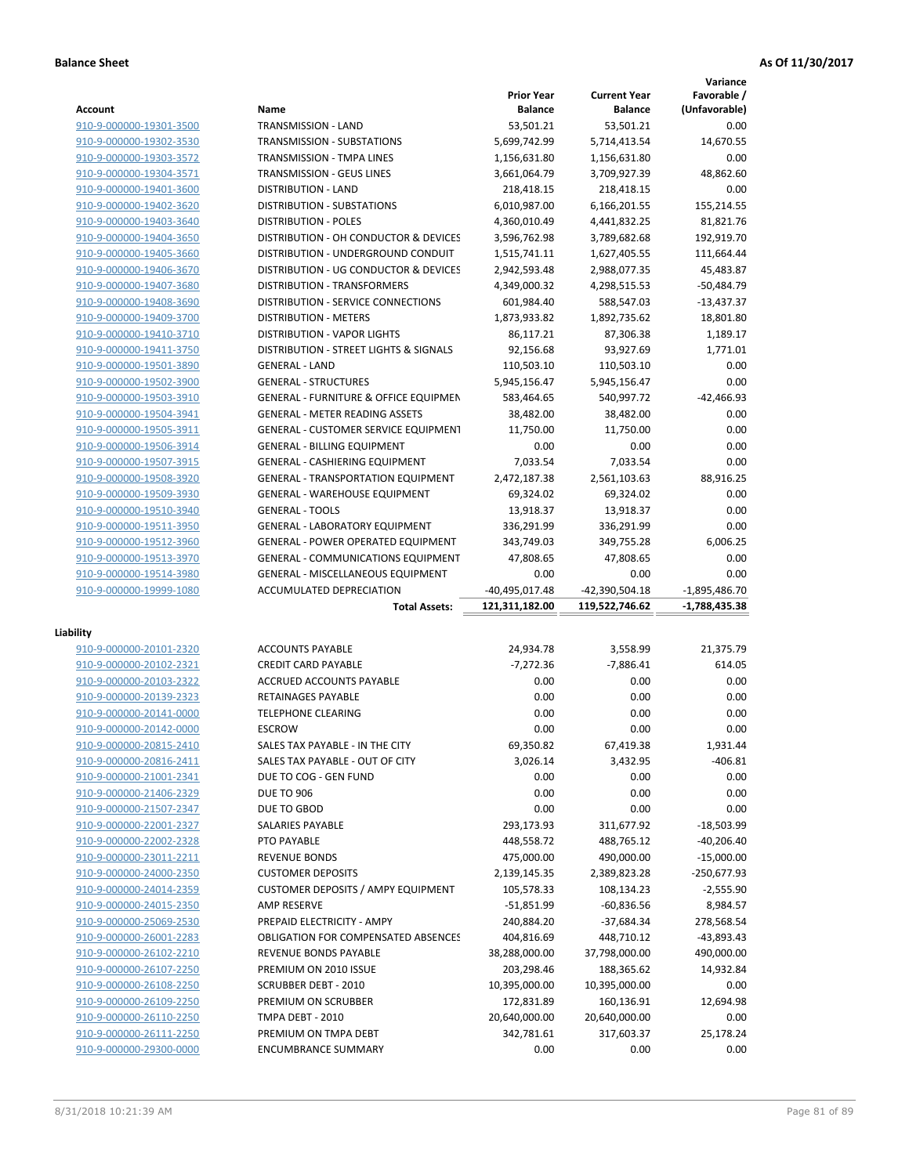**Variance**

|                         |                                                  | <b>Prior Year</b> | <b>Current Year</b> | Favorable /     |
|-------------------------|--------------------------------------------------|-------------------|---------------------|-----------------|
| <b>Account</b>          | Name                                             | <b>Balance</b>    | <b>Balance</b>      | (Unfavorable)   |
| 910-9-000000-19301-3500 | <b>TRANSMISSION - LAND</b>                       | 53,501.21         | 53,501.21           | 0.00            |
| 910-9-000000-19302-3530 | <b>TRANSMISSION - SUBSTATIONS</b>                | 5,699,742.99      | 5,714,413.54        | 14,670.55       |
| 910-9-000000-19303-3572 | TRANSMISSION - TMPA LINES                        | 1,156,631.80      | 1,156,631.80        | 0.00            |
| 910-9-000000-19304-3571 | TRANSMISSION - GEUS LINES                        | 3,661,064.79      | 3,709,927.39        | 48,862.60       |
| 910-9-000000-19401-3600 | <b>DISTRIBUTION - LAND</b>                       | 218,418.15        | 218,418.15          | 0.00            |
| 910-9-000000-19402-3620 | <b>DISTRIBUTION - SUBSTATIONS</b>                | 6,010,987.00      | 6,166,201.55        | 155,214.55      |
| 910-9-000000-19403-3640 | <b>DISTRIBUTION - POLES</b>                      | 4,360,010.49      | 4,441,832.25        | 81,821.76       |
| 910-9-000000-19404-3650 | DISTRIBUTION - OH CONDUCTOR & DEVICES            | 3,596,762.98      | 3,789,682.68        | 192,919.70      |
| 910-9-000000-19405-3660 | DISTRIBUTION - UNDERGROUND CONDUIT               | 1,515,741.11      | 1,627,405.55        | 111,664.44      |
| 910-9-000000-19406-3670 | DISTRIBUTION - UG CONDUCTOR & DEVICES            | 2,942,593.48      | 2,988,077.35        | 45,483.87       |
| 910-9-000000-19407-3680 | <b>DISTRIBUTION - TRANSFORMERS</b>               | 4,349,000.32      | 4,298,515.53        | $-50,484.79$    |
| 910-9-000000-19408-3690 | DISTRIBUTION - SERVICE CONNECTIONS               | 601,984.40        | 588,547.03          | $-13,437.37$    |
| 910-9-000000-19409-3700 | <b>DISTRIBUTION - METERS</b>                     | 1,873,933.82      | 1,892,735.62        | 18,801.80       |
| 910-9-000000-19410-3710 | <b>DISTRIBUTION - VAPOR LIGHTS</b>               | 86,117.21         | 87,306.38           | 1,189.17        |
| 910-9-000000-19411-3750 | DISTRIBUTION - STREET LIGHTS & SIGNALS           | 92,156.68         | 93,927.69           | 1,771.01        |
| 910-9-000000-19501-3890 | <b>GENERAL - LAND</b>                            | 110,503.10        | 110,503.10          | 0.00            |
| 910-9-000000-19502-3900 | <b>GENERAL - STRUCTURES</b>                      | 5,945,156.47      | 5,945,156.47        | 0.00            |
|                         |                                                  |                   |                     |                 |
| 910-9-000000-19503-3910 | <b>GENERAL - FURNITURE &amp; OFFICE EQUIPMEN</b> | 583,464.65        | 540,997.72          | $-42,466.93$    |
| 910-9-000000-19504-3941 | <b>GENERAL - METER READING ASSETS</b>            | 38,482.00         | 38,482.00           | 0.00            |
| 910-9-000000-19505-3911 | <b>GENERAL - CUSTOMER SERVICE EQUIPMENT</b>      | 11,750.00         | 11,750.00           | 0.00            |
| 910-9-000000-19506-3914 | <b>GENERAL - BILLING EQUIPMENT</b>               | 0.00              | 0.00                | 0.00            |
| 910-9-000000-19507-3915 | GENERAL - CASHIERING EQUIPMENT                   | 7,033.54          | 7,033.54            | 0.00            |
| 910-9-000000-19508-3920 | <b>GENERAL - TRANSPORTATION EQUIPMENT</b>        | 2,472,187.38      | 2,561,103.63        | 88,916.25       |
| 910-9-000000-19509-3930 | GENERAL - WAREHOUSE EQUIPMENT                    | 69,324.02         | 69,324.02           | 0.00            |
| 910-9-000000-19510-3940 | <b>GENERAL - TOOLS</b>                           | 13,918.37         | 13,918.37           | 0.00            |
| 910-9-000000-19511-3950 | GENERAL - LABORATORY EQUIPMENT                   | 336,291.99        | 336,291.99          | 0.00            |
| 910-9-000000-19512-3960 | <b>GENERAL - POWER OPERATED EQUIPMENT</b>        | 343,749.03        | 349,755.28          | 6,006.25        |
| 910-9-000000-19513-3970 | GENERAL - COMMUNICATIONS EQUIPMENT               | 47,808.65         | 47,808.65           | 0.00            |
| 910-9-000000-19514-3980 | <b>GENERAL - MISCELLANEOUS EQUIPMENT</b>         | 0.00              | 0.00                | 0.00            |
| 910-9-000000-19999-1080 | ACCUMULATED DEPRECIATION                         | -40,495,017.48    | -42,390,504.18      | $-1,895,486.70$ |
|                         | <b>Total Assets:</b>                             | 121,311,182.00    | 119,522,746.62      | -1,788,435.38   |
|                         |                                                  |                   |                     |                 |
| Liability               |                                                  |                   |                     |                 |
| 910-9-000000-20101-2320 | <b>ACCOUNTS PAYABLE</b>                          | 24,934.78         | 3,558.99            | 21,375.79       |
| 910-9-000000-20102-2321 | <b>CREDIT CARD PAYABLE</b>                       | $-7,272.36$       | $-7,886.41$         | 614.05          |
| 910-9-000000-20103-2322 | ACCRUED ACCOUNTS PAYABLE                         | 0.00              | 0.00                | 0.00            |
| 910-9-000000-20139-2323 | <b>RETAINAGES PAYABLE</b>                        | 0.00              | 0.00                | 0.00            |
| 910-9-000000-20141-0000 | <b>TELEPHONE CLEARING</b>                        | 0.00              | 0.00                | 0.00            |
| 910-9-000000-20142-0000 | <b>ESCROW</b>                                    | 0.00              | 0.00                | 0.00            |
| 910-9-000000-20815-2410 | SALES TAX PAYABLE - IN THE CITY                  | 69,350.82         | 67,419.38           | 1,931.44        |
| 910-9-000000-20816-2411 | SALES TAX PAYABLE - OUT OF CITY                  | 3,026.14          | 3,432.95            | $-406.81$       |
| 910-9-000000-21001-2341 | DUE TO COG - GEN FUND                            | 0.00              | 0.00                | 0.00            |
| 910-9-000000-21406-2329 | <b>DUE TO 906</b>                                | 0.00              | 0.00                | 0.00            |
| 910-9-000000-21507-2347 | DUE TO GBOD                                      | 0.00              | 0.00                | 0.00            |
| 910-9-000000-22001-2327 | SALARIES PAYABLE                                 | 293,173.93        | 311,677.92          | $-18,503.99$    |
| 910-9-000000-22002-2328 | PTO PAYABLE                                      | 448,558.72        | 488,765.12          | $-40,206.40$    |
| 910-9-000000-23011-2211 | <b>REVENUE BONDS</b>                             | 475,000.00        | 490,000.00          | $-15,000.00$    |
| 910-9-000000-24000-2350 | <b>CUSTOMER DEPOSITS</b>                         | 2,139,145.35      | 2,389,823.28        | -250,677.93     |
| 910-9-000000-24014-2359 | <b>CUSTOMER DEPOSITS / AMPY EQUIPMENT</b>        | 105,578.33        | 108,134.23          | $-2,555.90$     |
| 910-9-000000-24015-2350 | <b>AMP RESERVE</b>                               | -51,851.99        | $-60,836.56$        | 8,984.57        |
| 910-9-000000-25069-2530 | PREPAID ELECTRICITY - AMPY                       | 240,884.20        | $-37,684.34$        | 278,568.54      |
| 910-9-000000-26001-2283 | <b>OBLIGATION FOR COMPENSATED ABSENCES</b>       | 404,816.69        | 448,710.12          | $-43,893.43$    |
|                         | REVENUE BONDS PAYABLE                            |                   |                     |                 |
| 910-9-000000-26102-2210 |                                                  | 38,288,000.00     | 37,798,000.00       | 490,000.00      |
| 910-9-000000-26107-2250 | PREMIUM ON 2010 ISSUE                            | 203,298.46        | 188,365.62          | 14,932.84       |
| 910-9-000000-26108-2250 | SCRUBBER DEBT - 2010                             | 10,395,000.00     | 10,395,000.00       | 0.00            |
| 910-9-000000-26109-2250 | PREMIUM ON SCRUBBER                              | 172,831.89        | 160,136.91          | 12,694.98       |
| 910-9-000000-26110-2250 | TMPA DEBT - 2010                                 | 20,640,000.00     | 20,640,000.00       | 0.00            |
| 910-9-000000-26111-2250 | PREMIUM ON TMPA DEBT                             | 342,781.61        | 317,603.37          | 25,178.24       |
| 910-9-000000-29300-0000 | <b>ENCUMBRANCE SUMMARY</b>                       | 0.00              | 0.00                | 0.00            |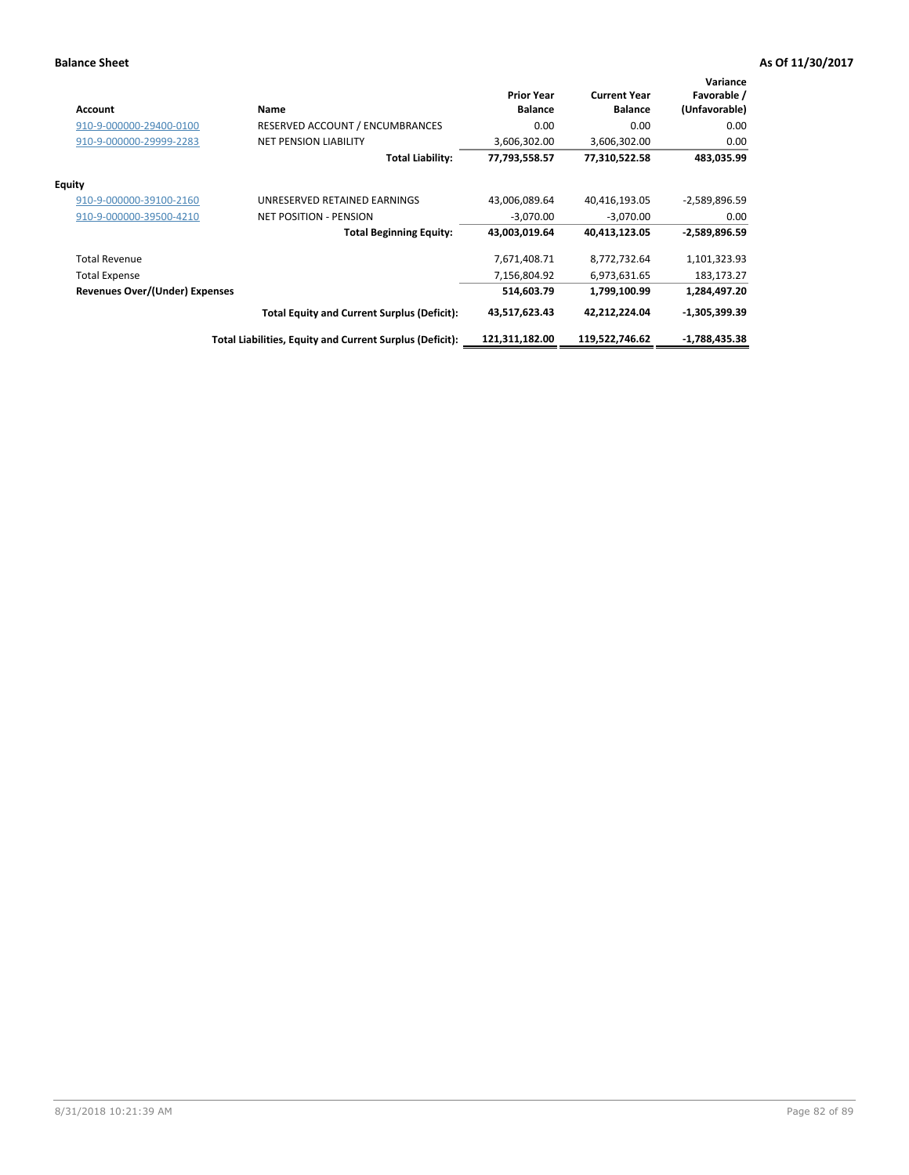| <b>Account</b>                        | Name                                                     | <b>Prior Year</b><br><b>Balance</b> | <b>Current Year</b><br><b>Balance</b> | Variance<br>Favorable /<br>(Unfavorable) |
|---------------------------------------|----------------------------------------------------------|-------------------------------------|---------------------------------------|------------------------------------------|
| 910-9-000000-29400-0100               | <b>RESERVED ACCOUNT / ENCUMBRANCES</b>                   | 0.00                                | 0.00                                  | 0.00                                     |
| 910-9-000000-29999-2283               | <b>NET PENSION LIABILITY</b>                             | 3,606,302.00                        | 3,606,302.00                          | 0.00                                     |
|                                       | <b>Total Liability:</b>                                  | 77,793,558.57                       | 77,310,522.58                         | 483,035.99                               |
| Equity                                |                                                          |                                     |                                       |                                          |
| 910-9-000000-39100-2160               | UNRESERVED RETAINED EARNINGS                             | 43,006,089.64                       | 40,416,193.05                         | -2,589,896.59                            |
| 910-9-000000-39500-4210               | <b>NET POSITION - PENSION</b>                            | $-3,070.00$                         | $-3,070.00$                           | 0.00                                     |
|                                       | <b>Total Beginning Equity:</b>                           | 43,003,019.64                       | 40,413,123.05                         | -2,589,896.59                            |
| <b>Total Revenue</b>                  |                                                          | 7,671,408.71                        | 8,772,732.64                          | 1,101,323.93                             |
| <b>Total Expense</b>                  |                                                          | 7,156,804.92                        | 6,973,631.65                          | 183,173.27                               |
| <b>Revenues Over/(Under) Expenses</b> |                                                          | 514,603.79                          | 1,799,100.99                          | 1,284,497.20                             |
|                                       | <b>Total Equity and Current Surplus (Deficit):</b>       | 43,517,623.43                       | 42,212,224.04                         | $-1,305,399.39$                          |
|                                       | Total Liabilities, Equity and Current Surplus (Deficit): | 121,311,182.00                      | 119,522,746.62                        | $-1,788,435.38$                          |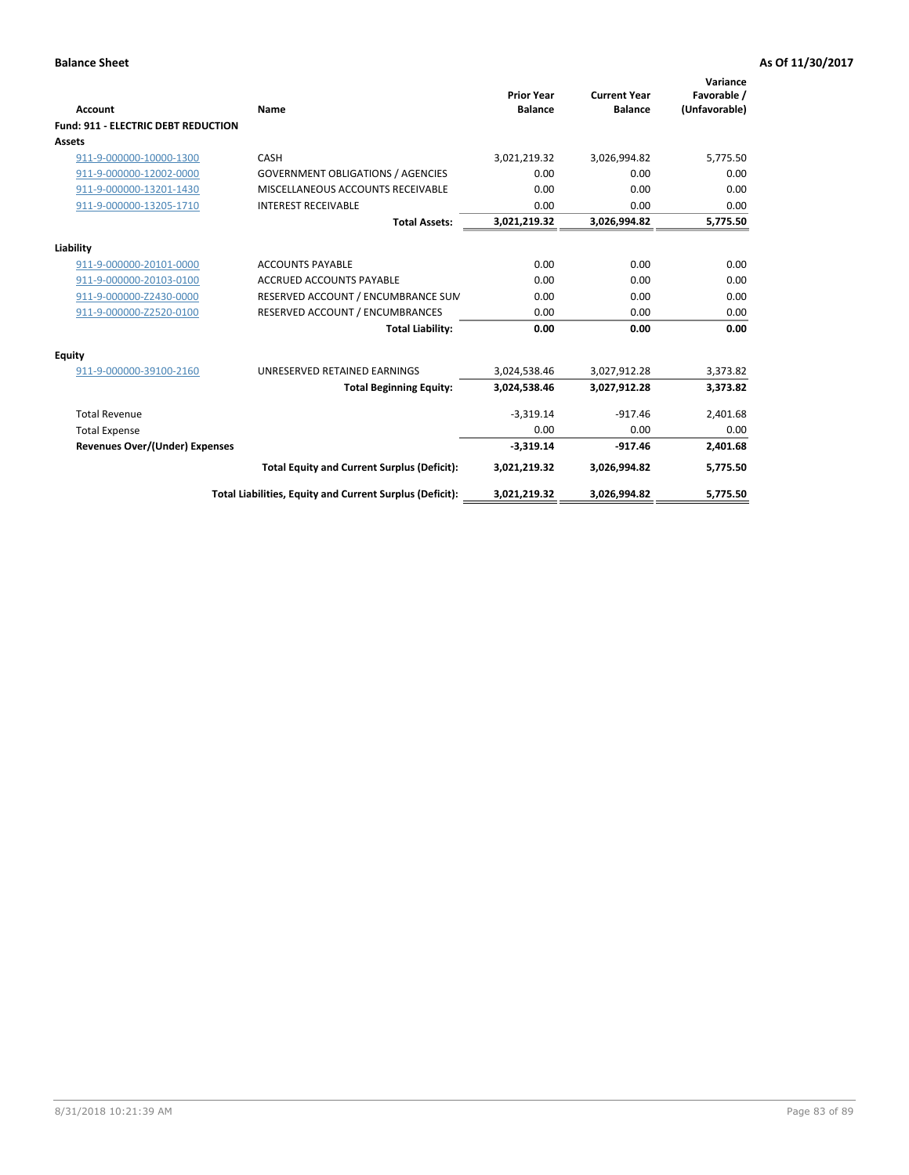| <b>Account</b>                             | Name                                                     | <b>Prior Year</b><br><b>Balance</b> | <b>Current Year</b><br><b>Balance</b> | Variance<br>Favorable /<br>(Unfavorable) |
|--------------------------------------------|----------------------------------------------------------|-------------------------------------|---------------------------------------|------------------------------------------|
| <b>Fund: 911 - ELECTRIC DEBT REDUCTION</b> |                                                          |                                     |                                       |                                          |
| Assets                                     |                                                          |                                     |                                       |                                          |
| 911-9-000000-10000-1300                    | CASH                                                     | 3,021,219.32                        | 3,026,994.82                          | 5,775.50                                 |
| 911-9-000000-12002-0000                    | <b>GOVERNMENT OBLIGATIONS / AGENCIES</b>                 | 0.00                                | 0.00                                  | 0.00                                     |
| 911-9-000000-13201-1430                    | MISCELLANEOUS ACCOUNTS RECEIVABLE                        | 0.00                                | 0.00                                  | 0.00                                     |
| 911-9-000000-13205-1710                    | <b>INTEREST RECEIVABLE</b>                               | 0.00                                | 0.00                                  | 0.00                                     |
|                                            | <b>Total Assets:</b>                                     | 3,021,219.32                        | 3,026,994.82                          | 5,775.50                                 |
| Liability                                  |                                                          |                                     |                                       |                                          |
| 911-9-000000-20101-0000                    | <b>ACCOUNTS PAYABLE</b>                                  | 0.00                                | 0.00                                  | 0.00                                     |
| 911-9-000000-20103-0100                    | <b>ACCRUED ACCOUNTS PAYABLE</b>                          | 0.00                                | 0.00                                  | 0.00                                     |
| 911-9-000000-Z2430-0000                    | RESERVED ACCOUNT / ENCUMBRANCE SUM                       | 0.00                                | 0.00                                  | 0.00                                     |
| 911-9-000000-Z2520-0100                    | RESERVED ACCOUNT / ENCUMBRANCES                          | 0.00                                | 0.00                                  | 0.00                                     |
|                                            | <b>Total Liability:</b>                                  | 0.00                                | 0.00                                  | 0.00                                     |
| Equity                                     |                                                          |                                     |                                       |                                          |
| 911-9-000000-39100-2160                    | UNRESERVED RETAINED EARNINGS                             | 3,024,538.46                        | 3,027,912.28                          | 3,373.82                                 |
|                                            | <b>Total Beginning Equity:</b>                           | 3,024,538.46                        | 3,027,912.28                          | 3,373.82                                 |
| <b>Total Revenue</b>                       |                                                          | $-3,319.14$                         | $-917.46$                             | 2,401.68                                 |
| <b>Total Expense</b>                       |                                                          | 0.00                                | 0.00                                  | 0.00                                     |
| <b>Revenues Over/(Under) Expenses</b>      |                                                          | $-3,319.14$                         | $-917.46$                             | 2,401.68                                 |
|                                            | <b>Total Equity and Current Surplus (Deficit):</b>       | 3,021,219.32                        | 3,026,994.82                          | 5,775.50                                 |
|                                            | Total Liabilities, Equity and Current Surplus (Deficit): | 3,021,219.32                        | 3,026,994.82                          | 5,775.50                                 |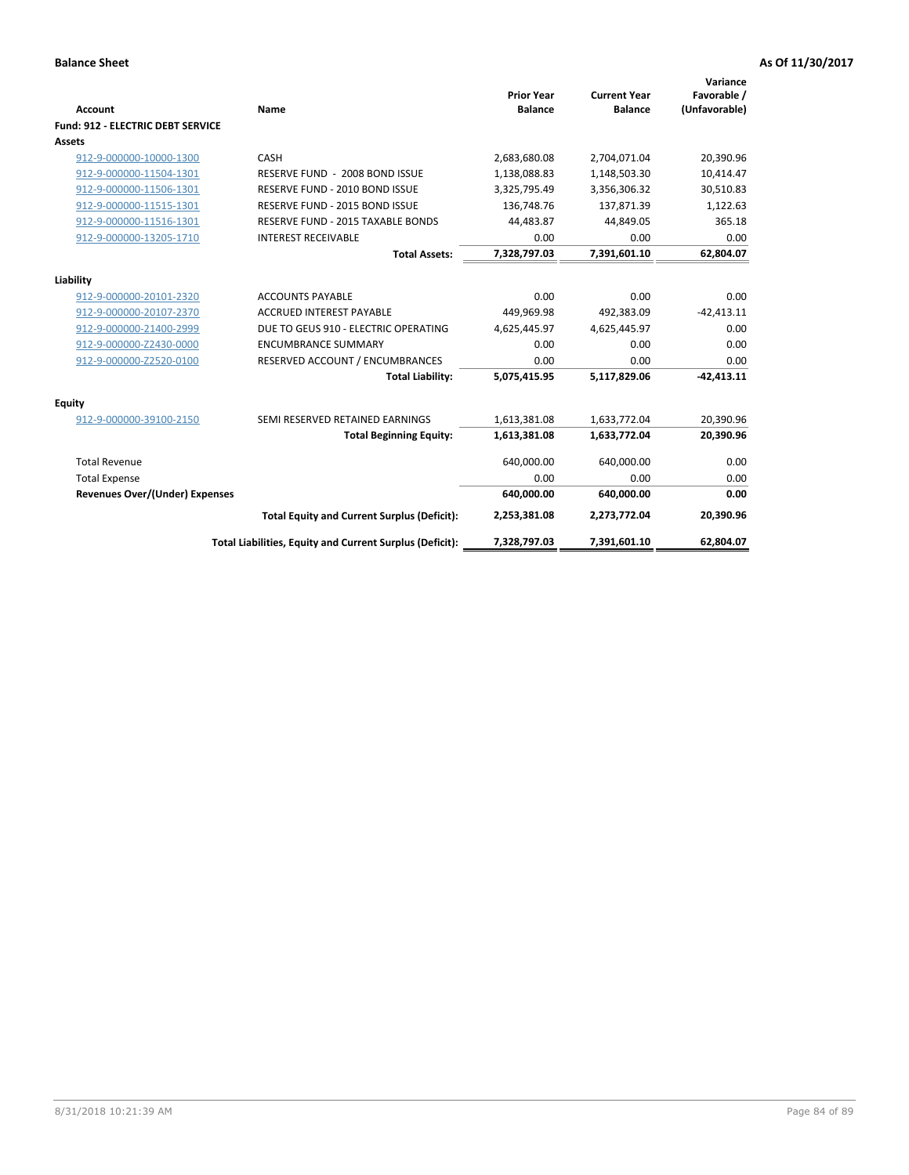| <b>Account</b>                           | Name                                                     | <b>Prior Year</b><br><b>Balance</b> | <b>Current Year</b><br><b>Balance</b> | Variance<br>Favorable /<br>(Unfavorable) |
|------------------------------------------|----------------------------------------------------------|-------------------------------------|---------------------------------------|------------------------------------------|
| <b>Fund: 912 - ELECTRIC DEBT SERVICE</b> |                                                          |                                     |                                       |                                          |
| <b>Assets</b>                            |                                                          |                                     |                                       |                                          |
| 912-9-000000-10000-1300                  | CASH                                                     | 2,683,680.08                        | 2,704,071.04                          | 20,390.96                                |
| 912-9-000000-11504-1301                  | RESERVE FUND - 2008 BOND ISSUE                           | 1,138,088.83                        | 1,148,503.30                          | 10,414.47                                |
| 912-9-000000-11506-1301                  | RESERVE FUND - 2010 BOND ISSUE                           | 3,325,795.49                        | 3,356,306.32                          | 30,510.83                                |
| 912-9-000000-11515-1301                  | RESERVE FUND - 2015 BOND ISSUE                           | 136,748.76                          | 137,871.39                            | 1,122.63                                 |
| 912-9-000000-11516-1301                  | RESERVE FUND - 2015 TAXABLE BONDS                        | 44.483.87                           | 44,849.05                             | 365.18                                   |
| 912-9-000000-13205-1710                  | <b>INTEREST RECEIVABLE</b>                               | 0.00                                | 0.00                                  | 0.00                                     |
|                                          | <b>Total Assets:</b>                                     | 7,328,797.03                        | 7,391,601.10                          | 62,804.07                                |
| Liability                                |                                                          |                                     |                                       |                                          |
| 912-9-000000-20101-2320                  | <b>ACCOUNTS PAYABLE</b>                                  | 0.00                                | 0.00                                  | 0.00                                     |
| 912-9-000000-20107-2370                  | <b>ACCRUED INTEREST PAYABLE</b>                          | 449,969.98                          | 492,383.09                            | $-42,413.11$                             |
| 912-9-000000-21400-2999                  | DUE TO GEUS 910 - ELECTRIC OPERATING                     | 4,625,445.97                        | 4,625,445.97                          | 0.00                                     |
| 912-9-000000-Z2430-0000                  | <b>ENCUMBRANCE SUMMARY</b>                               | 0.00                                | 0.00                                  | 0.00                                     |
| 912-9-000000-Z2520-0100                  | RESERVED ACCOUNT / ENCUMBRANCES                          | 0.00                                | 0.00                                  | 0.00                                     |
|                                          | <b>Total Liability:</b>                                  | 5,075,415.95                        | 5,117,829.06                          | $-42,413.11$                             |
| <b>Equity</b>                            |                                                          |                                     |                                       |                                          |
| 912-9-000000-39100-2150                  | SEMI RESERVED RETAINED EARNINGS                          | 1,613,381.08                        | 1,633,772.04                          | 20,390.96                                |
|                                          | <b>Total Beginning Equity:</b>                           | 1,613,381.08                        | 1,633,772.04                          | 20,390.96                                |
| <b>Total Revenue</b>                     |                                                          | 640,000.00                          | 640,000.00                            | 0.00                                     |
| <b>Total Expense</b>                     |                                                          | 0.00                                | 0.00                                  | 0.00                                     |
| <b>Revenues Over/(Under) Expenses</b>    |                                                          | 640,000.00                          | 640,000.00                            | 0.00                                     |
|                                          | <b>Total Equity and Current Surplus (Deficit):</b>       | 2,253,381.08                        | 2,273,772.04                          | 20,390.96                                |
|                                          | Total Liabilities, Equity and Current Surplus (Deficit): | 7,328,797.03                        | 7,391,601.10                          | 62,804.07                                |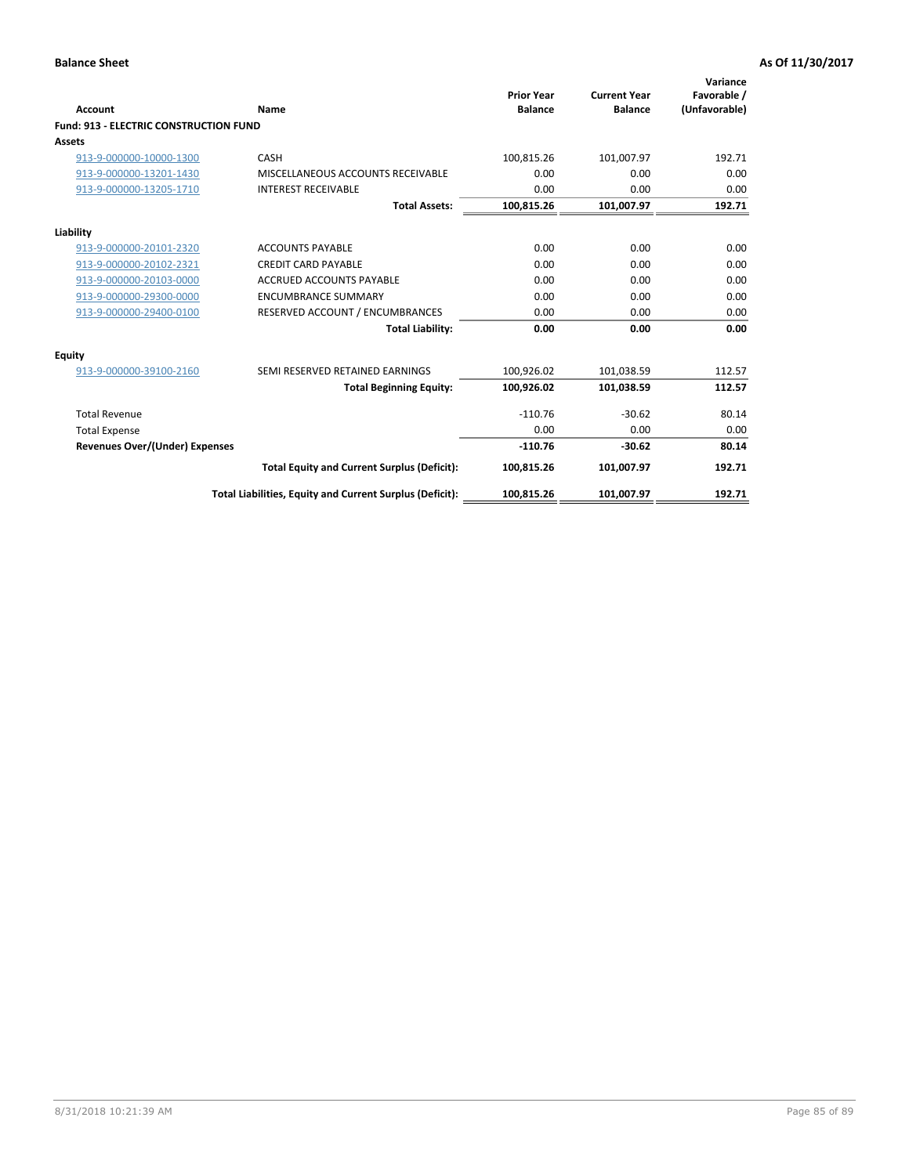| Account                                       | Name                                                     | <b>Prior Year</b><br><b>Balance</b> | <b>Current Year</b><br><b>Balance</b> | Variance<br>Favorable /<br>(Unfavorable) |
|-----------------------------------------------|----------------------------------------------------------|-------------------------------------|---------------------------------------|------------------------------------------|
| <b>Fund: 913 - ELECTRIC CONSTRUCTION FUND</b> |                                                          |                                     |                                       |                                          |
| <b>Assets</b>                                 |                                                          |                                     |                                       |                                          |
| 913-9-000000-10000-1300                       | CASH                                                     | 100,815.26                          | 101,007.97                            | 192.71                                   |
| 913-9-000000-13201-1430                       | MISCELLANEOUS ACCOUNTS RECEIVABLE                        | 0.00                                | 0.00                                  | 0.00                                     |
| 913-9-000000-13205-1710                       | <b>INTEREST RECEIVABLE</b>                               | 0.00                                | 0.00                                  | 0.00                                     |
|                                               | <b>Total Assets:</b>                                     | 100,815.26                          | 101,007.97                            | 192.71                                   |
| Liability                                     |                                                          |                                     |                                       |                                          |
| 913-9-000000-20101-2320                       | <b>ACCOUNTS PAYABLE</b>                                  | 0.00                                | 0.00                                  | 0.00                                     |
| 913-9-000000-20102-2321                       | <b>CREDIT CARD PAYABLE</b>                               | 0.00                                | 0.00                                  | 0.00                                     |
| 913-9-000000-20103-0000                       | <b>ACCRUED ACCOUNTS PAYABLE</b>                          | 0.00                                | 0.00                                  | 0.00                                     |
| 913-9-000000-29300-0000                       | <b>ENCUMBRANCE SUMMARY</b>                               | 0.00                                | 0.00                                  | 0.00                                     |
| 913-9-000000-29400-0100                       | RESERVED ACCOUNT / ENCUMBRANCES                          | 0.00                                | 0.00                                  | 0.00                                     |
|                                               | <b>Total Liability:</b>                                  | 0.00                                | 0.00                                  | 0.00                                     |
| <b>Equity</b>                                 |                                                          |                                     |                                       |                                          |
| 913-9-000000-39100-2160                       | SEMI RESERVED RETAINED EARNINGS                          | 100,926.02                          | 101,038.59                            | 112.57                                   |
|                                               | <b>Total Beginning Equity:</b>                           | 100,926.02                          | 101,038.59                            | 112.57                                   |
| <b>Total Revenue</b>                          |                                                          | $-110.76$                           | $-30.62$                              | 80.14                                    |
| <b>Total Expense</b>                          |                                                          | 0.00                                | 0.00                                  | 0.00                                     |
| <b>Revenues Over/(Under) Expenses</b>         |                                                          | $-110.76$                           | $-30.62$                              | 80.14                                    |
|                                               | <b>Total Equity and Current Surplus (Deficit):</b>       | 100,815.26                          | 101.007.97                            | 192.71                                   |
|                                               | Total Liabilities, Equity and Current Surplus (Deficit): | 100,815.26                          | 101,007.97                            | 192.71                                   |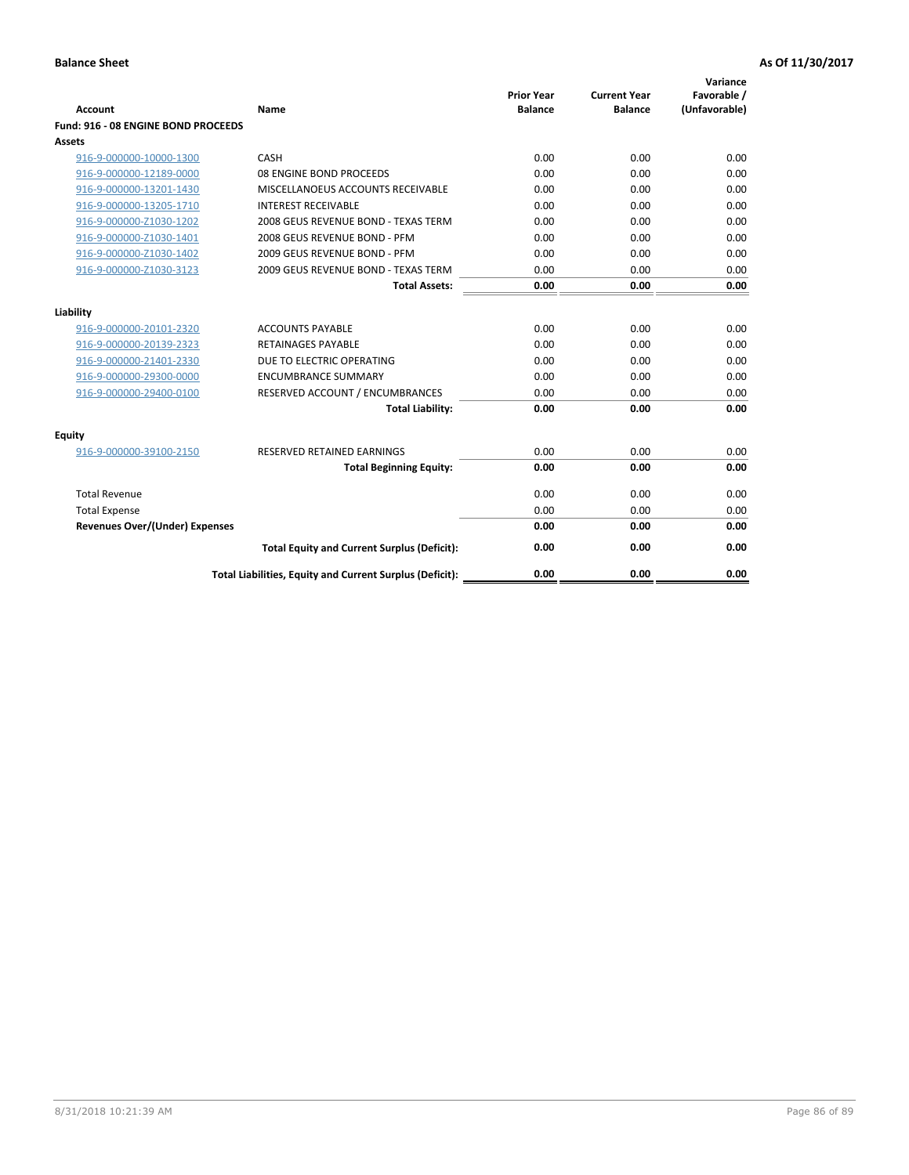| <b>Account</b>                        | Name                                                     | <b>Prior Year</b><br><b>Balance</b> | <b>Current Year</b><br><b>Balance</b> | Variance<br>Favorable /<br>(Unfavorable) |
|---------------------------------------|----------------------------------------------------------|-------------------------------------|---------------------------------------|------------------------------------------|
| Fund: 916 - 08 ENGINE BOND PROCEEDS   |                                                          |                                     |                                       |                                          |
| Assets                                |                                                          |                                     |                                       |                                          |
| 916-9-000000-10000-1300               | CASH                                                     | 0.00                                | 0.00                                  | 0.00                                     |
| 916-9-000000-12189-0000               | 08 ENGINE BOND PROCEEDS                                  | 0.00                                | 0.00                                  | 0.00                                     |
| 916-9-000000-13201-1430               | MISCELLANOEUS ACCOUNTS RECEIVABLE                        | 0.00                                | 0.00                                  | 0.00                                     |
| 916-9-000000-13205-1710               | <b>INTEREST RECEIVABLE</b>                               | 0.00                                | 0.00                                  | 0.00                                     |
| 916-9-000000-Z1030-1202               | 2008 GEUS REVENUE BOND - TEXAS TERM                      | 0.00                                | 0.00                                  | 0.00                                     |
| 916-9-000000-Z1030-1401               | 2008 GEUS REVENUE BOND - PFM                             | 0.00                                | 0.00                                  | 0.00                                     |
| 916-9-000000-Z1030-1402               | 2009 GEUS REVENUE BOND - PFM                             | 0.00                                | 0.00                                  | 0.00                                     |
| 916-9-000000-Z1030-3123               | 2009 GEUS REVENUE BOND - TEXAS TERM                      | 0.00                                | 0.00                                  | 0.00                                     |
|                                       | <b>Total Assets:</b>                                     | 0.00                                | 0.00                                  | 0.00                                     |
| Liability                             |                                                          |                                     |                                       |                                          |
| 916-9-000000-20101-2320               | <b>ACCOUNTS PAYABLE</b>                                  | 0.00                                | 0.00                                  | 0.00                                     |
| 916-9-000000-20139-2323               | <b>RETAINAGES PAYABLE</b>                                | 0.00                                | 0.00                                  | 0.00                                     |
| 916-9-000000-21401-2330               | DUE TO ELECTRIC OPERATING                                | 0.00                                | 0.00                                  | 0.00                                     |
| 916-9-000000-29300-0000               | <b>ENCUMBRANCE SUMMARY</b>                               | 0.00                                | 0.00                                  | 0.00                                     |
| 916-9-000000-29400-0100               | RESERVED ACCOUNT / ENCUMBRANCES                          | 0.00                                | 0.00                                  | 0.00                                     |
|                                       | <b>Total Liability:</b>                                  | 0.00                                | 0.00                                  | 0.00                                     |
|                                       |                                                          |                                     |                                       |                                          |
| Equity                                |                                                          |                                     |                                       |                                          |
| 916-9-000000-39100-2150               | <b>RESERVED RETAINED EARNINGS</b>                        | 0.00                                | 0.00                                  | 0.00                                     |
|                                       | <b>Total Beginning Equity:</b>                           | 0.00                                | 0.00                                  | 0.00                                     |
| <b>Total Revenue</b>                  |                                                          | 0.00                                | 0.00                                  | 0.00                                     |
| <b>Total Expense</b>                  |                                                          | 0.00                                | 0.00                                  | 0.00                                     |
| <b>Revenues Over/(Under) Expenses</b> |                                                          | 0.00                                | 0.00                                  | 0.00                                     |
|                                       | <b>Total Equity and Current Surplus (Deficit):</b>       | 0.00                                | 0.00                                  | 0.00                                     |
|                                       | Total Liabilities, Equity and Current Surplus (Deficit): | 0.00                                | 0.00                                  | 0.00                                     |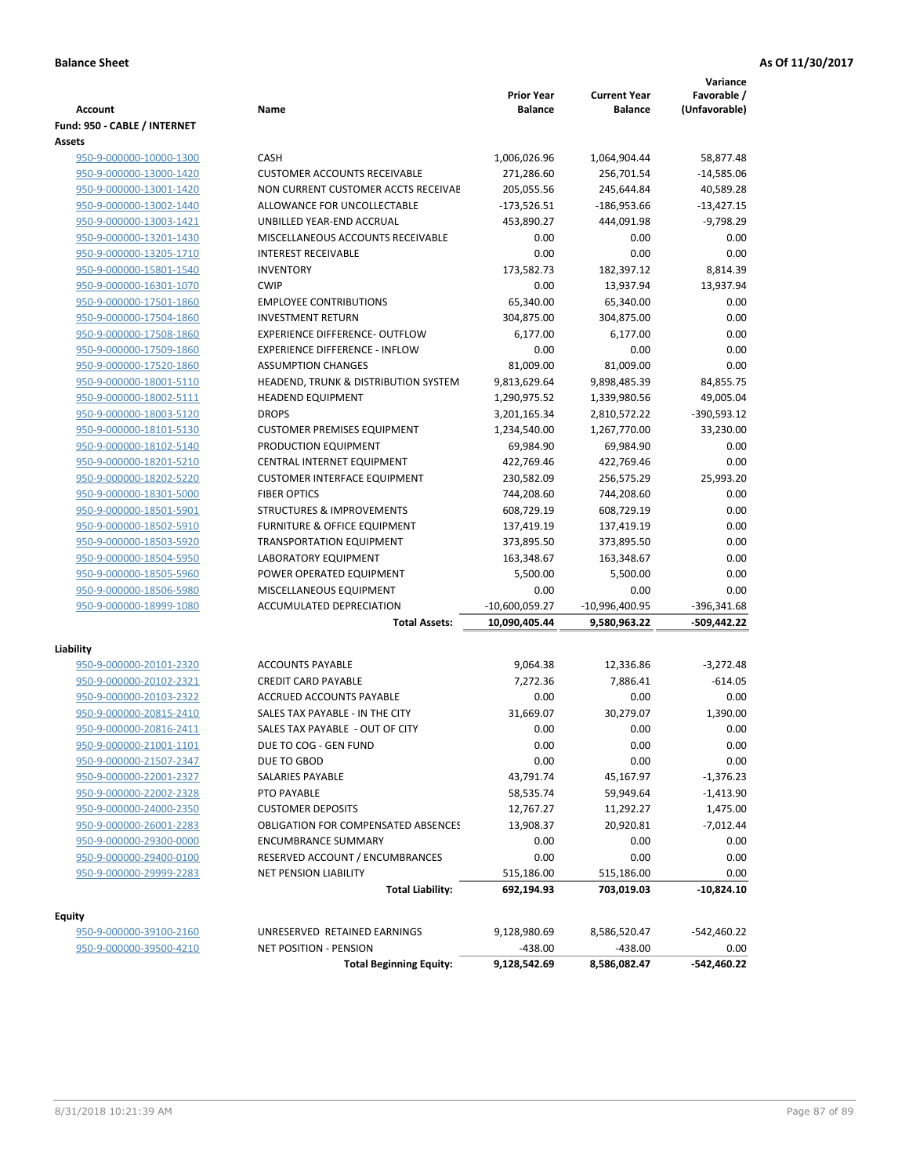| <b>Account</b>                                     | Name                                       | <b>Prior Year</b><br><b>Balance</b> | <b>Current Year</b><br><b>Balance</b> | Variance<br>Favorable /<br>(Unfavorable) |
|----------------------------------------------------|--------------------------------------------|-------------------------------------|---------------------------------------|------------------------------------------|
| Fund: 950 - CABLE / INTERNET                       |                                            |                                     |                                       |                                          |
| Assets                                             |                                            |                                     |                                       |                                          |
| 950-9-000000-10000-1300                            | CASH                                       | 1,006,026.96                        | 1,064,904.44                          | 58,877.48                                |
| 950-9-000000-13000-1420                            | <b>CUSTOMER ACCOUNTS RECEIVABLE</b>        | 271,286.60                          | 256,701.54                            | $-14,585.06$                             |
| 950-9-000000-13001-1420                            | NON CURRENT CUSTOMER ACCTS RECEIVAE        | 205,055.56                          | 245,644.84                            | 40,589.28                                |
| 950-9-000000-13002-1440                            | ALLOWANCE FOR UNCOLLECTABLE                | $-173,526.51$                       | $-186,953.66$                         | $-13,427.15$                             |
| 950-9-000000-13003-1421                            | UNBILLED YEAR-END ACCRUAL                  | 453,890.27                          | 444,091.98                            | $-9,798.29$                              |
| 950-9-000000-13201-1430                            | MISCELLANEOUS ACCOUNTS RECEIVABLE          | 0.00                                | 0.00                                  | 0.00                                     |
| 950-9-000000-13205-1710                            | <b>INTEREST RECEIVABLE</b>                 | 0.00                                | 0.00<br>182,397.12                    | 0.00                                     |
| 950-9-000000-15801-1540                            | <b>INVENTORY</b><br><b>CWIP</b>            | 173,582.73                          |                                       | 8,814.39                                 |
| 950-9-000000-16301-1070<br>950-9-000000-17501-1860 | <b>EMPLOYEE CONTRIBUTIONS</b>              | 0.00<br>65,340.00                   | 13,937.94                             | 13,937.94<br>0.00                        |
| 950-9-000000-17504-1860                            | <b>INVESTMENT RETURN</b>                   | 304,875.00                          | 65,340.00<br>304,875.00               | 0.00                                     |
| 950-9-000000-17508-1860                            | <b>EXPERIENCE DIFFERENCE- OUTFLOW</b>      | 6,177.00                            | 6,177.00                              | 0.00                                     |
| 950-9-000000-17509-1860                            | <b>EXPERIENCE DIFFERENCE - INFLOW</b>      | 0.00                                | 0.00                                  | 0.00                                     |
| 950-9-000000-17520-1860                            | <b>ASSUMPTION CHANGES</b>                  | 81,009.00                           | 81,009.00                             | 0.00                                     |
| 950-9-000000-18001-5110                            | HEADEND, TRUNK & DISTRIBUTION SYSTEM       | 9,813,629.64                        | 9,898,485.39                          | 84,855.75                                |
| 950-9-000000-18002-5111                            | <b>HEADEND EQUIPMENT</b>                   | 1,290,975.52                        | 1,339,980.56                          | 49,005.04                                |
| 950-9-000000-18003-5120                            | <b>DROPS</b>                               | 3,201,165.34                        | 2,810,572.22                          | -390,593.12                              |
| 950-9-000000-18101-5130                            | <b>CUSTOMER PREMISES EQUIPMENT</b>         | 1,234,540.00                        | 1,267,770.00                          | 33,230.00                                |
| 950-9-000000-18102-5140                            | PRODUCTION EQUIPMENT                       | 69,984.90                           | 69,984.90                             | 0.00                                     |
| 950-9-000000-18201-5210                            | CENTRAL INTERNET EQUIPMENT                 | 422,769.46                          | 422,769.46                            | 0.00                                     |
| 950-9-000000-18202-5220                            | <b>CUSTOMER INTERFACE EQUIPMENT</b>        | 230,582.09                          | 256,575.29                            | 25,993.20                                |
| 950-9-000000-18301-5000                            | <b>FIBER OPTICS</b>                        | 744,208.60                          | 744,208.60                            | 0.00                                     |
| 950-9-000000-18501-5901                            | <b>STRUCTURES &amp; IMPROVEMENTS</b>       | 608,729.19                          | 608,729.19                            | 0.00                                     |
| 950-9-000000-18502-5910                            | <b>FURNITURE &amp; OFFICE EQUIPMENT</b>    | 137,419.19                          | 137,419.19                            | 0.00                                     |
| 950-9-000000-18503-5920                            | <b>TRANSPORTATION EQUIPMENT</b>            | 373,895.50                          | 373,895.50                            | 0.00                                     |
| 950-9-000000-18504-5950                            | LABORATORY EQUIPMENT                       | 163,348.67                          | 163,348.67                            | 0.00                                     |
| 950-9-000000-18505-5960                            | POWER OPERATED EQUIPMENT                   | 5,500.00                            | 5,500.00                              | 0.00                                     |
| 950-9-000000-18506-5980                            | MISCELLANEOUS EQUIPMENT                    | 0.00                                | 0.00                                  | 0.00                                     |
| 950-9-000000-18999-1080                            | ACCUMULATED DEPRECIATION                   | -10,600,059.27                      | -10,996,400.95                        | -396,341.68                              |
|                                                    | <b>Total Assets:</b>                       | 10,090,405.44                       | 9,580,963.22                          | -509,442.22                              |
|                                                    |                                            |                                     |                                       |                                          |
| Liability<br>950-9-000000-20101-2320               | <b>ACCOUNTS PAYABLE</b>                    | 9,064.38                            | 12,336.86                             | $-3,272.48$                              |
| 950-9-000000-20102-2321                            | <b>CREDIT CARD PAYABLE</b>                 | 7,272.36                            | 7,886.41                              | $-614.05$                                |
| 950-9-000000-20103-2322                            | ACCRUED ACCOUNTS PAYABLE                   | 0.00                                | 0.00                                  | 0.00                                     |
| 950-9-000000-20815-2410                            | SALES TAX PAYABLE - IN THE CITY            | 31,669.07                           | 30,279.07                             | 1,390.00                                 |
| 950-9-000000-20816-2411                            | SALES TAX PAYABLE - OUT OF CITY            | 0.00                                | 0.00                                  | 0.00                                     |
| 950-9-000000-21001-1101                            | DUE TO COG - GEN FUND                      | 0.00                                | 0.00                                  | 0.00                                     |
| 950-9-000000-21507-2347                            | DUE TO GBOD                                | 0.00                                | 0.00                                  | 0.00                                     |
| 950-9-000000-22001-2327                            | SALARIES PAYABLE                           | 43,791.74                           | 45,167.97                             | -1,376.23                                |
| 950-9-000000-22002-2328                            | PTO PAYABLE                                | 58,535.74                           | 59,949.64                             | $-1,413.90$                              |
| 950-9-000000-24000-2350                            | <b>CUSTOMER DEPOSITS</b>                   | 12,767.27                           | 11,292.27                             | 1,475.00                                 |
| 950-9-000000-26001-2283                            | <b>OBLIGATION FOR COMPENSATED ABSENCES</b> | 13,908.37                           | 20,920.81                             | $-7,012.44$                              |
| 950-9-000000-29300-0000                            | <b>ENCUMBRANCE SUMMARY</b>                 | 0.00                                | 0.00                                  | 0.00                                     |
| 950-9-000000-29400-0100                            | RESERVED ACCOUNT / ENCUMBRANCES            | 0.00                                | 0.00                                  | 0.00                                     |
| 950-9-000000-29999-2283                            | <b>NET PENSION LIABILITY</b>               | 515,186.00                          | 515,186.00                            | 0.00                                     |
|                                                    | <b>Total Liability:</b>                    | 692,194.93                          | 703,019.03                            | -10,824.10                               |
| Equity                                             |                                            |                                     |                                       |                                          |
| 950-9-000000-39100-2160                            | UNRESERVED RETAINED EARNINGS               | 9,128,980.69                        | 8,586,520.47                          | -542,460.22                              |
| 950-9-000000-39500-4210                            | <b>NET POSITION - PENSION</b>              | $-438.00$                           | $-438.00$                             | 0.00                                     |
|                                                    | <b>Total Beginning Equity:</b>             | 9,128,542.69                        | 8,586,082.47                          | -542,460.22                              |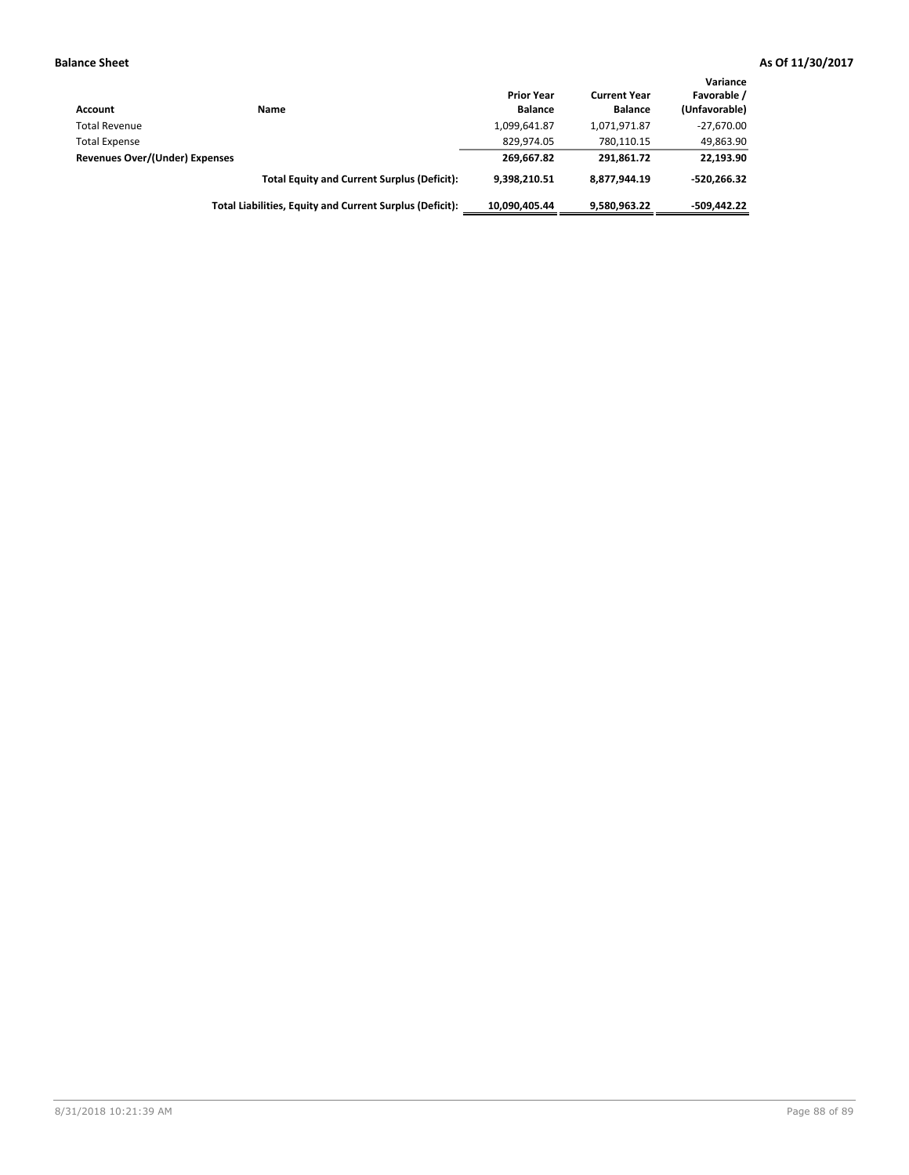| Account                        | Name                                                     | <b>Prior Year</b><br><b>Balance</b> | <b>Current Year</b><br><b>Balance</b> | Variance<br>Favorable /<br>(Unfavorable) |
|--------------------------------|----------------------------------------------------------|-------------------------------------|---------------------------------------|------------------------------------------|
| <b>Total Revenue</b>           |                                                          | 1,099,641.87                        | 1,071,971.87                          | $-27,670.00$                             |
| <b>Total Expense</b>           |                                                          | 829.974.05                          | 780.110.15                            | 49,863.90                                |
| Revenues Over/(Under) Expenses |                                                          | 269.667.82                          | 291.861.72                            | 22,193.90                                |
|                                | <b>Total Equity and Current Surplus (Deficit):</b>       | 9.398.210.51                        | 8.877.944.19                          | $-520.266.32$                            |
|                                | Total Liabilities, Equity and Current Surplus (Deficit): | 10.090.405.44                       | 9,580,963.22                          | $-509.442.22$                            |